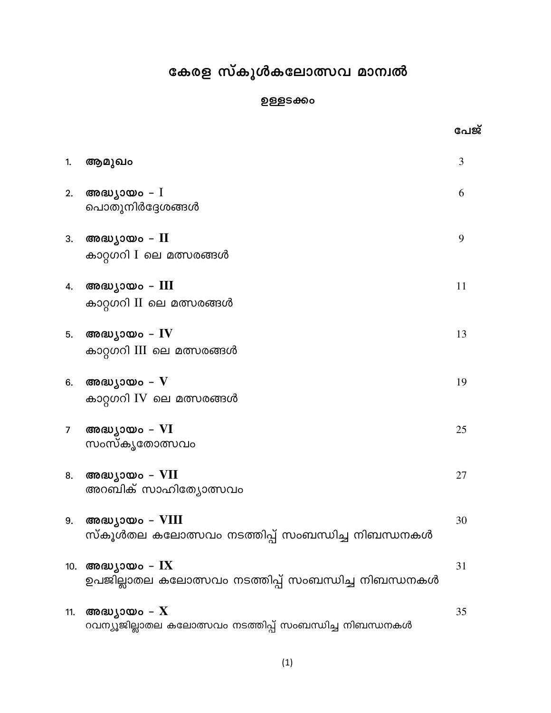# കേരള സ്കൂൾകലോത്സവ മാന്വൽ

### ഉള്ളടക്കം

പേജ്

| 1.             | ആമുഖം                                                                                            | $\overline{3}$ |
|----------------|--------------------------------------------------------------------------------------------------|----------------|
| 2.             | അദ്ധ്യായം – $I$<br>പൊതുനിർദ്ദേശങ്ങൾ                                                              | 6              |
| 3.             | അദ്ധ്യായം – $II$<br>കാറ്റഗറി I ലെ മത്സരങ്ങൾ                                                      | 9              |
| 4.             | അദ്ധ്യായം - III<br>കാറ്റഗറി II ലെ മത്സരങ്ങൾ                                                      | 11             |
| 5.             | അദ്ധ്യായം – $\operatorname{IV}$<br>കാറ്റഗറി III ലെ മത്സരങ്ങൾ                                     | 13             |
| 6.             | അദ്ധ്യായം – $V$<br>കാറ്റഗറി IV ലെ മത്സരങ്ങൾ                                                      | 19             |
| 7 <sup>7</sup> | അദ്ധ്യായം – VI<br>സംസ്കൃതോത്സവം                                                                  | 25             |
| 8.             | അദ്ധ്യായം – VII<br>അറബിക് സാഹിത്യോത്സവം                                                          | 27             |
| 9.             | അദ്ധ്യായം – VIII<br>സ്കൂൾതല കലോത്സവം നടത്തിപ്പ് സംബന്ധിച്ച നിബന്ധനകൾ                             | 30             |
| 10.            | അദ്ധ്യായം – ${\rm IX}$<br>ഉപജില്ലാതല കലോത്സവം നടത്തിപ്പ് സംബന്ധിച്ച നിബന്ധനകൾ                    | 31             |
| 11.            | അദ്ധ്യായം – $\boldsymbol{\mathrm{X}}$<br>റവന്യൂജില്ലാതല കലോത്സവം നടത്തിപ്പ് സംബന്ധിച്ച നിബന്ധനകൾ | 35             |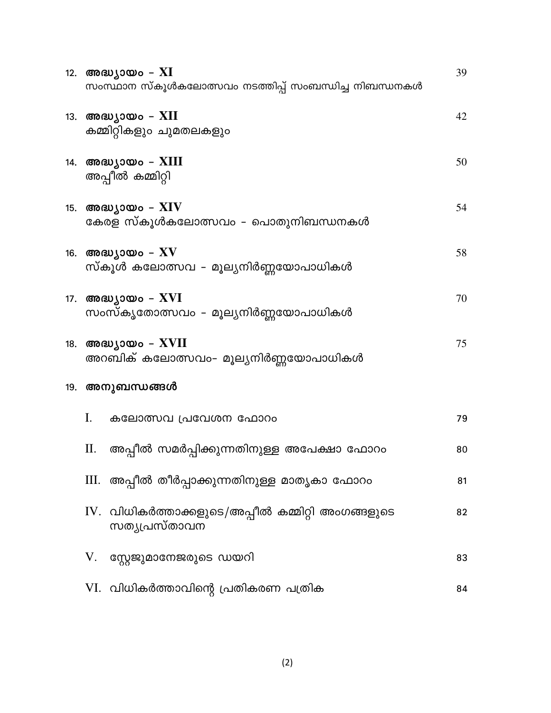|     | 12. അദ്ധ്യായം – XI<br>സംസ്ഥാന സ്കൂൾകലോത്സവം നടത്തിപ്പ് സംബന്ധിച്ച നിബന്ധനകൾ | 39 |
|-----|-----------------------------------------------------------------------------|----|
|     | 13. അദ്ധ്യായം – $XII$<br>കമ്മിറ്റികളും ചുമതലകളും                            | 42 |
|     | 14. അദ്ധ്യായം – $XIII$<br>അപ്പീൽ കമ്മിറ്റി                                  | 50 |
|     | 15. അദ്ധ്യായം – $\rm XIV$<br>കേരള സ്കൂൾകലോത്സവം - പൊതുനിബന്ധനകൾ             | 54 |
|     | 16. അദ്ധ്യായം – $\rm{XV}$<br>സ്കൂൾ കലോത്സവ – മൂല്യനിർണ്ണയോപാധികൾ            | 58 |
|     | 17. അദ്ധ്യായം – XVI<br>സംസ്കൃതോത്സവം - മൂല്യനിർണ്ണയോപാധികൾ                  | 70 |
| 18. | അദ്ധ്യായം – $XVII$<br>അറബിക് കലോത്സവം- മൂല്യനിർണ്ണയോപാധികൾ                  | 75 |
|     | 19. അനുബന്ധങ്ങൾ                                                             |    |
|     | Ι.<br>കലോത്സവ പ്രവേശന ഫോറം                                                  | 79 |
|     | П.<br>അപ്പീൽ സമർപ്പിക്കുന്നതിനുള്ള അപേക്ഷാ ഫോറം                             | 80 |
|     | III.  അപ്പീൽ തീർപ്പാക്കുന്നതിനുള്ള മാതൃകാ ഫോറം                              | 81 |
|     | IV. വിധികർത്താക്കളുടെ/അപ്പീൽ കമ്മിറ്റി അംഗങ്ങളുടെ<br>സത്യപ്രസ്താവന          | 82 |
|     | സ്റ്റേജുമാനേജരുടെ ഡയറി<br>V.                                                | 83 |
|     | VI.  വിധികർത്താവിന്റെ പ്രതികരണ പത്രിക                                       | 84 |

 $(2)$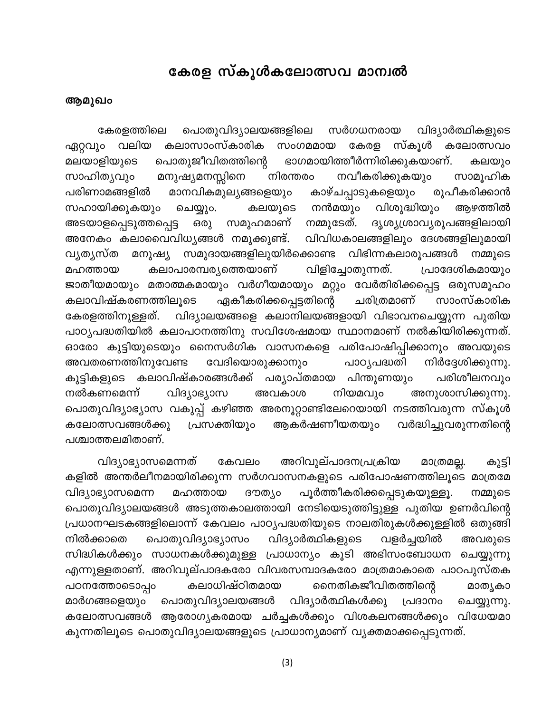# കേരള സ്കൂൾകലോത്സവ മാന്വൽ

### ആമുഖം

പൊതുവിദ്യാലയങ്ങളിലെ സർഗധനരായ കേരളത്തിലെ വിദ്യാർത്ഥികളുടെ വലിയ കലാസാംസ്കാരിക സ്കൂൾ ഏറ്റവും സംഗമമായ കേരള കലോത്സവം മലയാളിയുടെ പൊതുജീവിതത്തിന്റെ ഭാഗമായിത്തീർന്നിരിക്കുകയാണ്. കലയും നിരന്തരം നവീകരിക്കുകയും സാഹിത്യവും മനുഷ്യമനസ്സിനെ സാമൂഹിക മാനവികമൂല്യങ്ങളെയും പരിണാമങ്ങളിൽ കാഴ്ചപ്പാടുകളെയും രൂപീകരിക്കാൻ നൻമയും വിശുദ്ധിയും സഹായിക്കുകയും കലയുടെ ആഴത്തിൽ ചെയ്യും. ദൃശ്യശ്രാവ്യരൂപങ്ങളിലായി അടയാളപ്പെടുത്തപ്പെട്ട സമൂഹമാണ് നമ്മുടേത്. ഒരു അനേകം കലാവൈവിധ്യങ്ങൾ നമുക്കുണ്ട്. വിവിധകാലങ്ങളിലും ദേശങ്ങളിലുമായി സമുദായങ്ങളിലുയിർക്കൊണ്ട വിഭിന്നകലാരൂപങ്ങൾ വ്യത്യസ്ത മനുഷ്യ നമ്മുടെ മഹത്തായ കലാപാരമ്പര്യത്തെയാണ് വിളിച്ചോതുന്നത്. പ്രാദേശികമായും ജാതീയമായും മതാത്മകമായും വർഗീയമായും മറ്റും വേർതിരിക്കപ്പെട്ട ഒരുസമൂഹം കലാവിഷ്കരണത്തിലൂടെ ഏകീകരിക്കപ്പെട്ടതിന്റെ ചരിത്രമാണ് സാംസ്കാരിക വിദ്യാലയങ്ങളെ കലാനിലയങ്ങളായി വിഭാവനചെയ്യുന്ന പുതിയ കേരളത്തിനുള്ളത്. പാഠ്യപദ്ധതിയിൽ കലാപഠനത്തിനു സവിശേഷമായ സ്ഥാനമാണ് നൽകിയിരിക്കുന്നത്. ഓരോ കുട്ടിയുടെയും നൈസർഗിക വാസനകളെ പരിപോഷിപ്പിക്കാനും അവയുടെ പാഠ്യപദ്ധതി അവതരണത്തിനുവേണ്ട വേദിയൊരുക്കാനും നിർദ്ദേശിക്കുന്നു. കുട്ടികളുടെ കലാവിഷ്കാരങ്ങൾക്ക് പര്യാപ്തമായ പിന്തുണയും പരിശീലനവും നിയമവും വിദ്യാഭ്യാസ അനുശാസിക്കുന്നു. നൽകണമെന്ന് അവകാശ പൊതുവിദ്യാഭ്യാസ വകുപ്പ് കഴിഞ്ഞ അരനൂറ്റാണ്ടിലേറെയായി നടത്തിവരുന്ന സ്കൂൾ പ്രസക്തിയും കലോത്സവങ്ങൾക്കു ആകർഷണീയതയും വർദ്ധിച്ചുവരുന്നതിന്റെ പശ്ചാത്തലമിതാണ്.

അറിവുല്പാദനപ്രക്രിയ വിദ്യാഭ്യാസമെന്നത് കേവലം മാത്രമല്ല. കുട്ടി കളിൽ അന്തർലീനമായിരിക്കുന്ന സർഗവാസനകളുടെ പരിപോഷണത്തിലൂടെ മാത്രമേ ദൗത്യം വിദ്യാഭ്യാസമെന്ന മഹത്തായ പൂർത്തീകരിക്കപ്പെടുകയുള്ളൂ. നമ്മുടെ പൊതുവിദ്യാലയങ്ങൾ അടുത്തകാലത്തായി നേടിയെടുത്തിട്ടുള്ള പുതിയ ഉണർവിന്റെ പ്രധാനഘടകങ്ങളിലൊന്ന് കേവലം പാഠ്യപദ്ധതിയുടെ നാലതിരുകൾക്കുള്ളിൽ ഒതുങ്ങി അവരുടെ നിൽക്കാതെ പൊതുവിദ്യാഭ്യാസം വിദ്യാർത്ഥികളുടെ വളർച്ചയിൽ സിദ്ധികൾക്കും സാധനകൾക്കുമുള്ള പ്രാധാന്യം കൂടി അഭിസംബോധന ചെയ്യുന്നു എന്നുള്ളതാണ്. അറിവുല്പാദകരോ വിവരസമ്പാദകരോ മാത്രമാകാതെ പാഠപുസ്തക പഠനത്തോടൊപ്പം നൈതികജീവിതത്തിന്റെ കലാധിഷ്ഠിതമായ മാത്യകാ പൊതുവിദ്യാലയങ്ങൾ മാർഗങ്ങളെയും വിദ്യാർത്ഥികൾക്കു പ്രദാനം ചെയ്യുന്നു. കലോത്സവങ്ങൾ ആരോഗ്യകരമായ ചർച്ചകൾക്കും വിശകലനങ്ങൾക്കും വിധേയമാ കുന്നതിലൂടെ പൊതുവിദ്യാലയങ്ങളുടെ പ്രാധാന്യമാണ് വ്യക്തമാക്കപ്പെടുന്നത്.

 $(3)$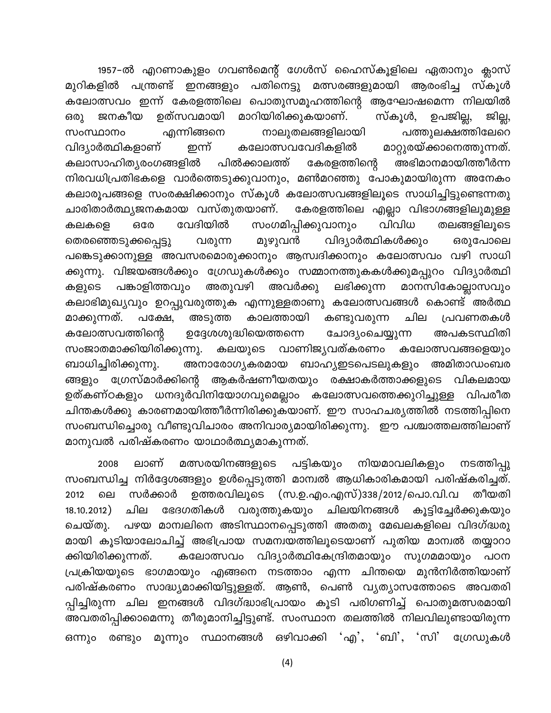1957–ൽ എറണാകുളം ഗവൺമെന്റ് ഗേൾസ് ഹൈസ്കൂളിലെ ഏതാനും ക്ലാസ് മുറികളിൽ പന്ത്രണ്ട് ഇനങ്ങളും പതിനെട്ടു മത്സരങ്ങളുമായി ആരംഭിച്ച സ്കൂൾ കലോത്സവം ഇന്ന് കേരളത്തിലെ പൊതുസമൂഹത്തിന്റെ ആഘോഷമെന്ന നിലയിൽ ഉത്സവമായി മാറിയിരിക്കുകയാണ്. ജില്ല, ജനകീയ സ്കൂൾ, ഉപജില്ല, ഒരു എന്നിങ്ങനെ നാലുതലങ്ങളിലായി പത്തുലക്ഷത്തിലേറെ സംസ്ഥാനം ഇന്ന് മാറ്റുരയ്ക്കാനെത്തുന്നത്. വിദ്യാർത്ഥികളാണ് കലോത്സവവേദികളിൽ കലാസാഹിത്യരംഗങ്ങളിൽ പിൽക്കാലത്ത് കേരളത്തിന്റെ അഭിമാനമായിത്തീർന്ന നിരവധിപ്രതിഭകളെ വാർത്തെടുക്കുവാനും, മൺമറഞ്ഞു പോകുമായിരുന്ന അനേകം കലാരൂപങ്ങളെ സംരക്ഷിക്കാനും സ്കൂൾ കലോത്സവങ്ങളിലൂടെ സാധിച്ചിട്ടുണ്ടെന്നതു ചാരിതാർത്ഥ്യജനകമായ വസ്തുതയാണ്. കേരളത്തിലെ എല്ലാ വിഭാഗങ്ങളിലുമുള്ള സംഗമിപ്പിക്കുവാനും വേദിയിൽ ഒരേ വിവിധ തലങ്ങളിലുടെ കലകളെ വിദ്യാർത്ഥികൾക്കും തെരഞ്ഞെടുക്കപ്പെട്ടു മുഴുവൻ ഒരുപോലെ വരുന്ന പങ്കെടുക്കാനുള്ള അവസരമൊരുക്കാനും ആസ്വദിക്കാനും കലോത്സവം വഴി സാധി ക്കുന്നു. വിജയങ്ങൾക്കും ഗ്രേഡുകൾക്കും സമ്മാനത്തുകകൾക്കുമപ്പുറം വിദ്യാർത്ഥി ലഭിക്കുന്ന മാനസികോല്ലാസവും അതുവഴി കളുടെ പങ്കാളിത്തവും അവർക്കു കലാഭിമുഖ്യവും ഉറപ്പുവരുത്തുക എന്നുള്ളതാണു കലോത്സവങ്ങൾ കൊണ്ട് അർത്ഥ മാക്കുന്നത്. അടുത്ത കാലത്തായി കണ്ടുവരുന്ന ചില പക്ഷേ. പ്രവണതകൾ ഉദ്ദേശശുദ്ധിയെത്തന്നെ കലോത്സവത്തിന്റെ അപകടസ്ഥിതി ചോദ്യംചെയ്യുന്ന സംജാതമാക്കിയിരിക്കുന്നു. വാണിജ്യവത്കരണം കലയുടെ കലോത്സവങ്ങളെയും അനാരോഗ്യകരമായ ബാഹ്യഇടപെടലുകളും ബാധിച്ചിരിക്കുന്നു. അമിതാഡംബര ങ്ങളും ഗ്രേസ്മാർക്കിന്റെ ആകർഷണീയതയും രക്ഷാകർത്താക്കളുടെ വികലമായ ഉത്കണ്ഠകളും ധനദുർവിനിയോഗവുമെല്ലാം കലോത്സവത്തെക്കുറിച്ചുള്ള വിപരീത ചിന്തകൾക്കു കാരണമായിത്തീർന്നിരിക്കുകയാണ്. ഈ സാഹചര്യത്തിൽ നടത്തിപ്പിനെ സംബന്ധിച്ചൊരു വീണ്ടുവിചാരം അനിവാര്യമായിരിക്കുന്നു. ഈ പശ്ചാത്തലത്തിലാണ് മാനുവൽ പരിഷ്കരണം യാഥാർത്ഥ്യമാകുന്നത്.

മത്സരയിനങ്ങളുടെ പട്ടികയും നടത്തിപ്പു 2008 ലാണ് നിയമാവലികളും സംബന്ധിച്ച നിർദ്ദേശങ്ങളും ഉൾപ്പെടുത്തി മാന്വൽ ആധികാരികമായി പരിഷ്കരിച്ചത്. (സ.ഉ.എം.എസ്)338/2012/പൊ.വി.വ സർക്കാർ ഉത്തരവിലുടെ തീയതി 2012 ലെ 18.10.2012) ചില ഭേദഗതികൾ വരുത്തുകയും ചിലയിനങ്ങൾ കുട്ടിച്ചേർക്കുകയും പഴയ മാന്വലിനെ അടിസ്ഥാനപ്പെടുത്തി അതതു മേഖലകളിലെ വിദഗ്ദ്ധരു ചെയ്തു. മായി കൂടിയാലോചിച്ച് അഭിപ്രായ സമന്വയത്തിലൂടെയാണ് പുതിയ മാന്വൽ തയ്യാറാ വിദ്യാർത്ഥികേന്ദ്രിതമായും സുഗമമായും ക്കിയിരിക്കുന്നത്. കലോത്സവം പഠന എന്ന ചിന്തയെ മുൻനിർത്തിയാണ് പ്രക്രിയയുടെ ഭാഗമായും എങ്ങനെ നടത്താം പരിഷ്കരണം സാദ്ധ്യമാക്കിയിട്ടുള്ളത്. ആൺ, പെൺ വ്യത്യാസത്തോടെ അവതരി പ്പിച്ചിരുന്ന ചില ഇനങ്ങൾ വിദഗ്ദ്ധാഭിപ്രായം കൂടി പരിഗണിച്ച് പൊതുമത്സരമായി അവതരിപ്പിക്കാമെന്നു തീരുമാനിച്ചിട്ടുണ്ട്. സംസ്ഥാന തലത്തിൽ നിലവിലുണ്ടായിരുന്ന മൂന്നും സ്ഥാനങ്ങൾ ഒഴിവാക്കി 'എ', 'ബി', 'സി' ഗ്രേഡുകൾ ഒന്നും രണ്ടും

 $(4)$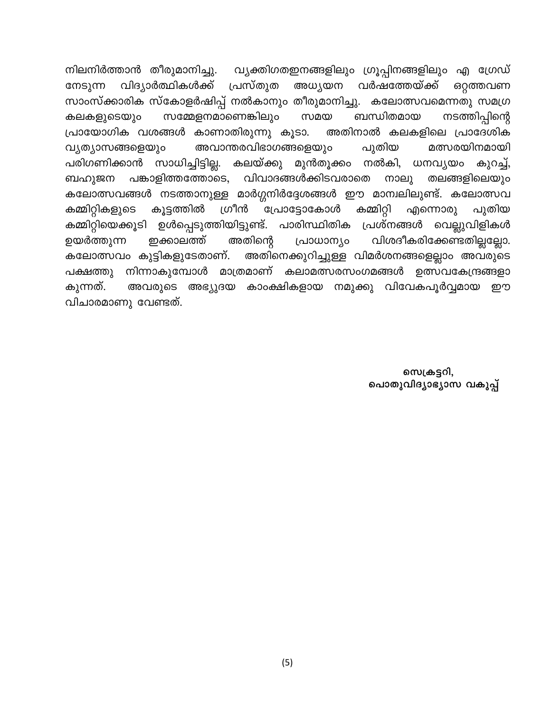നിലനിർത്താൻ തീരുമാനിച്ചു. വ്യക്തിഗതഇനങ്ങളിലും ഗ്രൂപ്പിനങ്ങളിലും എ ഗ്രേഡ് വിദ്യാർത്ഥികൾക്ക് പ്രസ്തുത വർഷത്തേയ്ക്ക് അധ്യയന ഒറ്റത്തവണ നേടുന്ന സാംസ്ക്കാരിക സ്കോളർഷിപ്പ് നൽകാനും തീരുമാനിച്ചു. കലോത്സവമെന്നതു സമഗ്ര നടത്തിപ്പിന്റെ സമ്മേളനമാണെങ്കിലും ബന്ധിതമായ സമയ കലകളുടെയും പ്രായോഗിക വശങ്ങൾ കാണാതിരുന്നു കൂടാ. അതിനാൽ കലകളിലെ പ്രാദേശിക അവാന്തരവിഭാഗങ്ങളെയും വ്യത്യാസങ്ങളെയും പുതിയ മത്സരയിനമായി സാധിച്ചിട്ടില്ല. പരിഗണിക്കാൻ കലയ്ക്കു മുൻതൂക്കം നൽകി, ധനവ്യയം കുറച്ച്, പങ്കാളിത്തത്തോടെ, വിവാദങ്ങൾക്കിടവരാതെ നാലു തലങ്ങളിലെയും ബഹുജന കലോത്സവങ്ങൾ നടത്താനുള്ള മാർഗ്ഗനിർദ്ദേശങ്ങൾ ഈ മാന്വലിലുണ്ട്. കലോത്സവ ഗ്രീൻ കൂട്ടത്തിൽ പ്രോട്ടോകോൾ കമ്മിറ്റി കമ്മിറ്റികളുടെ എന്നൊരു പുതിയ കമ്മിറ്റിയെക്കൂടി ഉൾപ്പെടുത്തിയിട്ടുണ്ട്. പാരിസ്ഥിതിക പ്രശ്നങ്ങൾ വെല്ലുവിളികൾ വിശദീകരിക്കേണ്ടതില്ലല്ലോ. ഉയർത്തുന്ന ഇക്കാലത്ത് അതിന്റെ പ്രാധാന്യം അതിനെക്കുറിച്ചുള്ള വിമർശനങ്ങളെല്ലാം അവരുടെ കലോത്സവം കുട്ടികളുടേതാണ്. നിന്നാകുമ്പോൾ മാത്രമാണ് കലാമത്സരസംഗമങ്ങൾ ഉത്സവകേന്ദ്രങ്ങളാ പക്ഷത്തു കുന്നത്. കാംക്ഷികളായ നമുക്കു വിവേകപൂർവ്വമായ അവരുടെ അഭ്യുദയ றற വിചാരമാണു വേണ്ടത്.

> സെക്രട്ടറി. പൊതുവിദ്യാഭ്യാസ വകുപ്പ്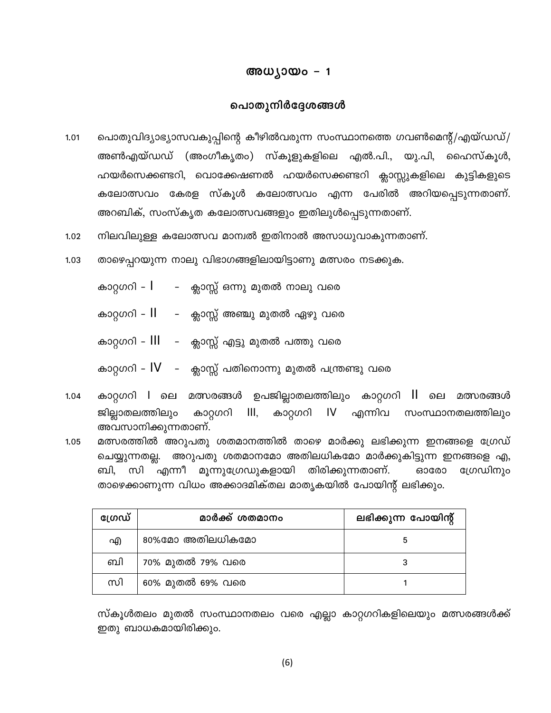### അധ്യായം - 1

### പൊതുനിർദ്ദേശങ്ങൾ

- പൊതുവിദ്യാഭ്യാസവകുപ്പിന്റെ കീഴിൽവരുന്ന സംസ്ഥാനത്തെ ഗവൺമെന്റ്/എയ്ഡഡ്/ 1.01 അൺഎയ്ഡഡ് (അംഗീകൃതം) സ്കൂളുകളിലെ എൽ.പി., യു.പി, ഹൈസ്കൂൾ, ഹയർസെക്കണ്ടറി, വൊക്കേഷണൽ ഹയർസെക്കണ്ടറി ക്ലാസ്സുകളിലെ കുട്ടികളുടെ കലോത്സവം കേരള സ്കൂൾ കലോത്സവം എന്ന പേരിൽ അറിയപ്പെടുന്നതാണ്. അറബിക്, സംസ്കൃത കലോത്സവങ്ങളും ഇതിലുൾപ്പെടുന്നതാണ്.
- നിലവിലുള്ള കലോത്സവ മാന്വൽ ഇതിനാൽ അസാധുവാകുന്നതാണ്.  $1.02$
- $1.03$ താഴെപ്പറയുന്ന നാലു വിഭാഗങ്ങളിലായിട്ടാണു മത്സരം നടക്കുക.
	- കാറ്റഗറി  $I$  ക്ലാസ്സ് ഒന്നു മുതൽ നാലു വരെ
	- കാറ്റഗറി II ക്ലാസ്സ് അഞ്ചു മുതൽ ഏഴു വരെ
	- കാറ്റഗറി III - ക്ലാസ്സ് എട്ടു മുതൽ പത്തു വരെ
	- കാറ്റഗറി  $IV$  ക്ലാസ്സ് പതിനൊന്നു മുതൽ പന്ത്രണ്ടു വരെ
- കാറ്റഗറി l ലെ മത്സരങ്ങൾ ഉപജില്ലാതലത്തിലും കാറ്റഗറി ll ലെ മത്സരങ്ങൾ  $1.04$ കാറ്റഗറി IV എന്നിവ  $III,$ ജില്ലാതലത്തിലും കാറ്റഗറി സംസ്ഥാനതലത്തിലും അവസാനിക്കുന്നതാണ്.
- മത്സരത്തിൽ അറുപതു ശതമാനത്തിൽ താഴെ മാർക്കു ലഭിക്കുന്ന ഇനങ്ങളെ ഗ്രേഡ്  $1.05$ ചെയ്യുന്നതല്ല. അറുപതു ശതമാനമോ അതിലധികമോ മാർക്കുകിട്ടുന്ന ഇനങ്ങളെ എ, ബി, സി എന്നീ മൂന്നുഗ്രേഡുകളായി തിരിക്കുന്നതാണ്. ഗ്രേഡിനും ഓരോ താഴെക്കാണുന്ന വിധം അക്കാദമിക്തല മാതൃകയിൽ പോയിന്റ് ലഭിക്കും.

| ഗ്രേഡ് | മാർക്ക് ശതമാനം   | ലഭിക്കുന്ന പോയിന്റ് |
|--------|------------------|---------------------|
| എ      | 80%മോ അതിലധികമോ  |                     |
| ബി     | 70% മുതൽ 79% വരെ |                     |
| സി     | 60% മുതൽ 69% വരെ |                     |

സ്കൂൾതലം മുതൽ സംസ്ഥാനതലം വരെ എല്ലാ കാറ്റഗറികളിലെയും മത്സരങ്ങൾക്ക് ഇതു ബാധകമായിരിക്കും.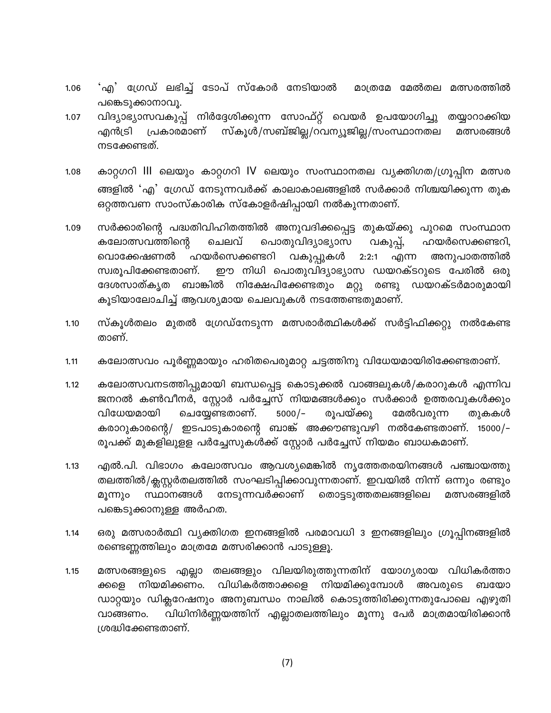- 'എ' ഗ്രേഡ് ലഭിച്ച് ടോപ് സ്കോർ നേടിയാൽ മാത്രമേ മേൽതല മത്സരത്തിൽ 1.06 പങ്കെടുക്കാനാവൂ.
- വിദ്യാഭ്യാസവകുപ്പ് നിർദ്ദേശിക്കുന്ന സോഫ്റ്റ് വെയർ ഉപയോഗിച്ചു തയ്യാറാക്കിയ  $1.07$ സ്കൂൾ/സബ്ജില്ല/റവന്യൂജില്ല/സംസ്ഥാനതല എൻട്രി പ്രകാരമാണ് മത്സരങ്ങൾ നടക്കേണ്ടത്.
- കാറ്റഗറി III ലെയും കാറ്റഗറി IV ലെയും സംസ്ഥാനതല വ്യക്തിഗത/ഗ്രൂപ്പിന മത്സര  $1.08$ ങ്ങളിൽ 'എ' ഗ്രേഡ് നേടുന്നവർക്ക് കാലാകാലങ്ങളിൽ സർക്കാർ നിശ്ചയിക്കുന്ന തുക ഒറ്റത്തവണ സാംസ്കാരിക സ്കോളർഷിപ്പായി നൽകുന്നതാണ്.
- സർക്കാരിന്റെ പദ്ധതിവിഹിതത്തിൽ അനുവദിക്കപ്പെട്ട തുകയ്ക്കു പുറമെ സംസ്ഥാന 1.09 കലോത്സവത്തിന്റെ ചെലവ് പൊതുവിദ്യാഭ്യാസ വകുപ്പ്, ഹയർസെക്കണ്ടറി, വൊക്കേഷണൽ ഹയർസെക്കണ്ടറി വകുപ്പുകൾ 2:2:1 എന്ന അനുപാതത്തിൽ ഈ നിധി പൊതുവിദ്യാഭ്യാസ ഡയറക്ടറുടെ പേരിൽ ഒരു സ്വരൂപിക്കേണ്ടതാണ്. ദേശസാത്കൃത ബാങ്കിൽ നിക്ഷേപിക്കേണ്ടതും മറ്റു രണ്ടു ഡയറക്ടർമാരുമായി കൂടിയാലോചിച്ച് ആവശ്യമായ ചെലവുകൾ നടത്തേണ്ടതുമാണ്.
- സ്കൂൾതലം മുതൽ ഗ്രേഡ്നേടുന്ന മത്സരാർത്ഥികൾക്ക് സർട്ടിഫിക്കറ്റു നൽകേണ്ട  $1.10$ താണ്.
- കലോത്സവം പൂർണ്ണമായും ഹരിതപെരുമാറ്റ ചട്ടത്തിനു വിധേയമായിരിക്കേണ്ടതാണ്.  $1.11$
- $1.12$ കലോത്സവനടത്തിപ്പുമായി ബന്ധപ്പെട്ട കൊടുക്കൽ വാങ്ങലുകൾ/കരാറുകൾ എന്നിവ ജനറൽ കൺവീനർ, സ്റ്റോർ പർച്ചേസ് നിയമങ്ങൾക്കും സർക്കാർ ഉത്തരവുകൾക്കും ചെയ്യേണ്ടതാണ്. രൂപയ്ക്കു തുകകൾ വിധേയമായി  $5000/-$ മേൽവരുന്ന കരാറുകാരന്റെ/ ഇടപാടുകാരന്റെ ബാങ്ക് അക്കൗണ്ടുവഴി നൽകേണ്ടതാണ്. 15000/– രൂപക്ക് മുകളിലുളള പർച്ചേസുകൾക്ക് സ്റ്റോർ പർച്ചേസ് നിയമം ബാധകമാണ്.
- എൽ.പി. വിഭാഗം കലോത്സവം ആവശ്യമെങ്കിൽ നൃത്തേതരയിനങ്ങൾ പഞ്ചായത്തു  $1.13$ തലത്തിൽ/ക്ലസ്റ്റർതലത്തിൽ സംഘടിപ്പിക്കാവുന്നതാണ്. ഇവയിൽ നിന്ന് ഒന്നും രണ്ടും നേടുന്നവർക്കാണ് തൊട്ടടുത്തതലങ്ങളിലെ മത്സരങ്ങളിൽ മൂന്നും സ്ഥാനങ്ങൾ പങ്കെടുക്കാനുള്ള അർഹത.
- $1.14$ ഒരു മത്സരാർത്ഥി വ്യക്തിഗത ഇനങ്ങളിൽ പരമാവധി 3 ഇനങ്ങളിലും ഗ്രൂപ്പിനങ്ങളിൽ രണ്ടെണ്ണത്തിലും മാത്രമേ മത്സരിക്കാൻ പാടുള്ളൂ.
- മത്സരങ്ങളുടെ എല്ലാ തലങ്ങളും വിലയിരുത്തുന്നതിന് യോഗ്യരായ വിധികർത്താ 1.15 വിധികർത്താക്കളെ നിയമിക്കുമ്പോൾ അവരുടെ നിയമിക്കണം. ബയോ ക്കളെ ഡാറ്റയും ഡിക്ലറേഷനും അനുബന്ധം നാലിൽ കൊടുത്തിരിക്കുന്നതുപോലെ എഴുതി വിധിനിർണ്ണയത്തിന് എല്ലാതലത്തിലും മൂന്നു പേർ മാത്രമായിരിക്കാൻ വാങ്ങണം. ശ്രദ്ധിക്കേണ്ടതാണ്.

 $(7)$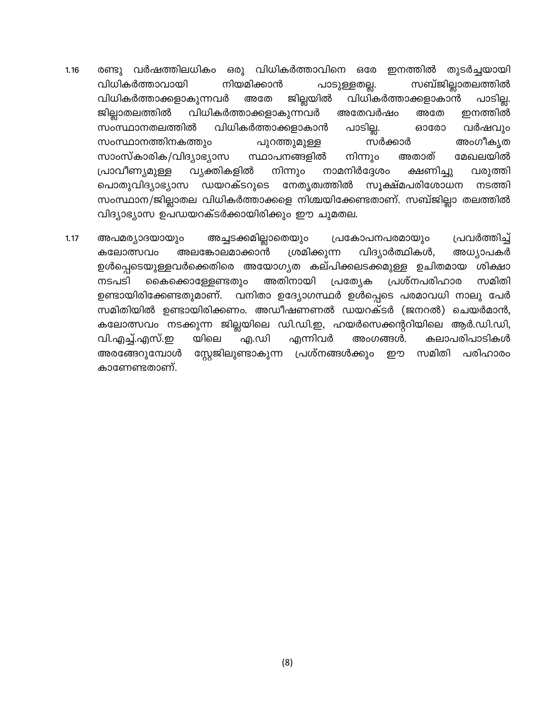- രണ്ടു വർഷത്തിലധികം ഒരു വിധികർത്താവിനെ ഒരേ ഇനത്തിൽ തുടർച്ചയായി 1.16 സബ്ജില്ലാതലത്തിൽ വിധികർത്താവായി നിയമിക്കാൻ പാടുള്ളതല്ല. വിധികർത്താക്കളാകുന്നവർ ജില്ലയിൽ വിധികർത്താക്കളാകാൻ അതേ പാടില്ല. ജില്ലാതലത്തിൽ വിധികർത്താക്കളാകുന്നവർ അതേവർഷം അതേ ഇനത്തിൽ പാടില്ല. വിധികർത്താക്കളാകാൻ സംസ്ഥാനതലത്തിൽ ഓരോ വർഷവും സംസ്ഥാനത്തിനകത്തും സർക്കാർ അംഗീകൃത പുറത്തുമുള്ള സാംസ്കാരിക/വിദ്യാഭ്യാസ സ്ഥാപനങ്ങളിൽ മേഖലയിൽ നിന്നും അതാത് നിന്നും നാമനിർദ്ദേശം പ്രാവീണ്യമുള്ള വ്യക്തികളിൽ വരുത്തി ക്ഷണിച്ചു പൊതുവിദ്യാഭ്യാസ ഡയറക്ടറുടെ നേതൃത്വത്തിൽ സൂക്ഷ്മപരിശോധന നടത്തി സംസ്ഥാന/ജില്ലാതല വിധികർത്താക്കളെ നിശ്ചയിക്കേണ്ടതാണ്. സബ്ജില്ലാ തലത്തിൽ വിദ്യാഭ്യാസ ഉപഡയറക്ടർക്കായിരിക്കും ഈ ചുമതല.
- പ്രവർത്തിച്ച് അപമര്യാദയായും അച്ചടക്കമില്ലാതെയും പ്രകോപനപരമായും 1.17 ശ്രമിക്കുന്ന വിദ്യാർത്ഥികൾ, അധ്യാപകർ കലോത്സവം അലങ്കോലമാക്കാൻ ഉൾപ്പെടെയുള്ളവർക്കെതിരെ അയോഗ്യത കല്പിക്കലടക്കമുള്ള ഉചിതമായ ശിക്ഷാ പ്രത്യേക നടപടി കൈക്കൊള്ളേണ്ടതും അതിനായി പ്രശ്നപരിഹാര സമിതി വനിതാ ഉദ്യോഗസ്ഥർ ഉൾപ്പെടെ പരമാവധി നാലു പേർ ഉണ്ടായിരിക്കേണ്ടതുമാണ്. സമിതിയിൽ ഉണ്ടായിരിക്കണം. അഡീഷണണൽ ഡയറക്ടർ (ജനറൽ) ചെയർമാൻ, കലോത്സവം നടക്കുന്ന ജില്ലയിലെ ഡി.ഡി.ഇ, ഹയർസെക്കന്ററിയിലെ ആർ.ഡി.ഡി, എന്നിവർ യിലെ കലാപരിപാടികൾ വി.എച്ച്.എസ്.ഇ എ.ഡി അംഗങ്ങൾ. സ്റ്റേജിലുണ്ടാകുന്ന പ്രശ്നങ്ങൾക്കും സമിതി പരിഹാരം അരങ്ങേറുമ്പോൾ றற കാണേണ്ടതാണ്.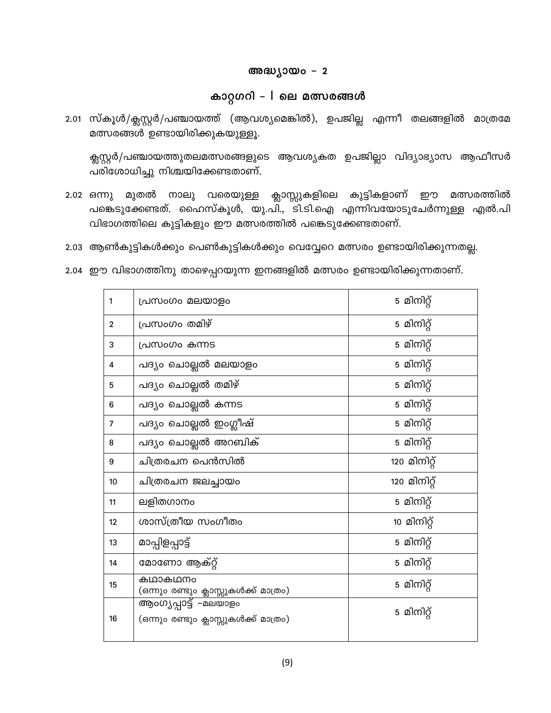#### അദ്ധ്യായം - 2

### കാറ്റഗറി - I ലെ മത്സരങ്ങൾ

2.01 സ്കൂൾ/ക്ലസ്റ്റർ/പഞ്ചായത്ത് (ആവശ്യമെങ്കിൽ), ഉപജില്ല എന്നീ തലങ്ങളിൽ മാത്രമേ മത്സരങ്ങൾ ഉണ്ടായിരിക്കുകയുള്ളൂ.

ക്സസ്റ്റർ/പഞ്ചായത്തുതലമത്സരങ്ങളുടെ ആവശ്യകത ഉപജില്ലാ വിദ്യാഭ്യാസ ആഫീസർ പരിശോധിച്ചു നിശ്ചയിക്കേണ്ടതാണ്.

- മുതൽ നാലു വരെയുള്ള ക്ലാസ്സുകളിലെ കുട്ടികളാണ് ഈ മത്സരത്തിൽ  $2.02$  ഒന്നു പങ്കെടുക്കേണ്ടത്. ഹൈസ്കൂൾ, യു.പി., ടി.ടി.ഐ എന്നിവയോടുചേർന്നുള്ള എൽ.പി വിഭാഗത്തിലെ കുട്ടികളും ഈ മത്സരത്തിൽ പങ്കെടുക്കേണ്ടതാണ്.
- 2.03 ആൺകുട്ടികൾക്കും പെൺകുട്ടികൾക്കും വെവ്വേറെ മത്സരം ഉണ്ടായിരിക്കുന്നതല്ല.
- 2.04 ഈ വിഭാഗത്തിനു താഴെപ്പറയുന്ന ഇനങ്ങളിൽ മത്സരം ഉണ്ടായിരിക്കുന്നതാണ്.

| 1              | പ്രസംഗം മലയാളം                                                 | 5 മിനിറ്റ്   |
|----------------|----------------------------------------------------------------|--------------|
| $\mathbf{2}$   | പ്രസംഗം തമിഴ്                                                  | 5 മിനിറ്റ്   |
| 3              | പ്രസംഗം കന്നട                                                  | 5 മിനിറ്റ്   |
| 4              | പദ്യം ചൊല്ലൽ മലയാളം                                            | 5 മിനിറ്റ്   |
| 5              | പദ്യം ചൊല്ലൽ തമിഴ്                                             | 5 മിനിറ്റ്   |
| 6              | പദ്യം ചൊല്ലൽ കന്നട                                             | 5 മിനിറ്റ്   |
| $\overline{7}$ | പദ്യം ചൊല്ലൽ ഇംഗ്ലീഷ്                                          | 5 മിനിറ്റ്   |
| 8              | പദ്യം ചൊല്ലൽ അറബിക്                                            | 5 മിനിറ്റ്   |
| 9              | ചിത്രരചന പെൻസിൽ                                                | 120 മിനിറ്റ് |
| 10             | ചിത്രരചന ജലച്ചായം                                              | 120 മിനിറ്റ് |
| 11             | ലളിതഗാനം                                                       | 5 മിനിറ്റ്   |
| 12             | ശാസ്ത്രീയ സംഗീതം                                               | 10 മിനിറ്റ്  |
| 13             | മാപ്പിളപ്പാട്ട്                                                | 5 മിനിറ്റ്   |
| 14             | മോണോ ആക്റ്റ്                                                   | 5 മിനിറ്റ്   |
| 15             | കഥാകഥനം<br>(ഒന്നും രണ്ടും ക്ലാസ്സുകൾക്ക് മാത്രം)               | 5 മിനിറ്റ്   |
| 16             | ആംഗൃപ്പാട്ട്  -മലയാളം<br>(ഒന്നും രണ്ടും ക്ലാസ്സുകൾക്ക് മാത്രം) | 5 മിനിറ്റ്   |
|                |                                                                |              |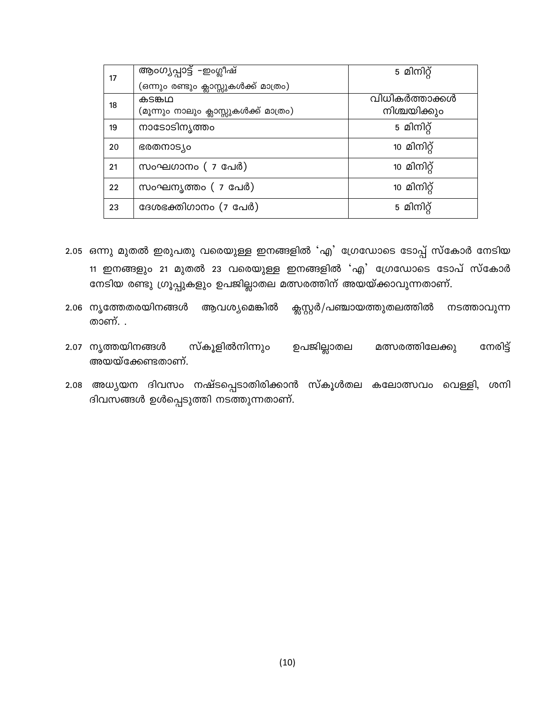| 17 | ആംഗൃപ്പാട്ട് -ഇംഗ്ലീഷ്                               | 5 മിനിറ്റ്     |
|----|------------------------------------------------------|----------------|
|    | (ഒന്നും രണ്ടും ക്ലാസ്സുകൾക്ക് മാത്ര <mark>ം</mark> ) |                |
| 18 | കടങ്കഥ                                               | വിധികർത്താക്കൾ |
|    | (മൂന്നും നാലും ക്ലാസ്സുകൾക്ക് മാത്രം)                | നിശ്ചയിക്കും   |
| 19 | നാടോടിന്യത്തം                                        | 5 മിനിറ്റ്     |
| 20 | ഭരതനാട്യം                                            | 10 മിനിറ്റ്    |
| 21 | സംഘഗാനം ( 7 പേർ)                                     | 10 മിനിറ്റ്    |
| 22 | സംഘനൃത്തം ( 7 പേർ)                                   | 10 മിനിറ്റ്    |
| 23 | ദേശഭക്തിഗാനം (7 പേർ)                                 | 5 മിനിറ്റ്     |

- 2.05 ഒന്നു മുതൽ ഇരുപതു വരെയുള്ള ഇനങ്ങളിൽ 'എ' ഗ്രേഡോടെ ടോപ്പ് സ്കോർ നേടിയ 11 ഇനങ്ങളും 21 മുതൽ 23 വരെയുള്ള ഇനങ്ങളിൽ 'എ' ഗ്രേഡോടെ ടോപ് സ്കോർ നേടിയ രണ്ടു ഗ്രൂപ്പുകളും ഉപജില്ലാതല മത്സരത്തിന് അയയ്ക്കാവുന്നതാണ്.
- 2.06 നൃത്തേതരയിനങ്ങൾ ആവശ്യമെങ്കിൽ ക്സസ്റ്റർ/പഞ്ചായത്തുതലത്തിൽ നടത്താവുന്ന താണ്. .
- സ്കൂളിൽനിന്നും ഉപജില്ലാതല മത്സരത്തിലേക്കു 2.07 നൃത്തയിനങ്ങൾ നേരിട്ട് അയയ്ക്കേണ്ടതാണ്.
- 2.08 അധ്യയന ദിവസം നഷ്ടപ്പെടാതിരിക്കാൻ സ്കൂൾതല കലോത്സവം വെള്ളി, ശനി ദിവസങ്ങൾ ഉൾപ്പെടുത്തി നടത്തുന്നതാണ്.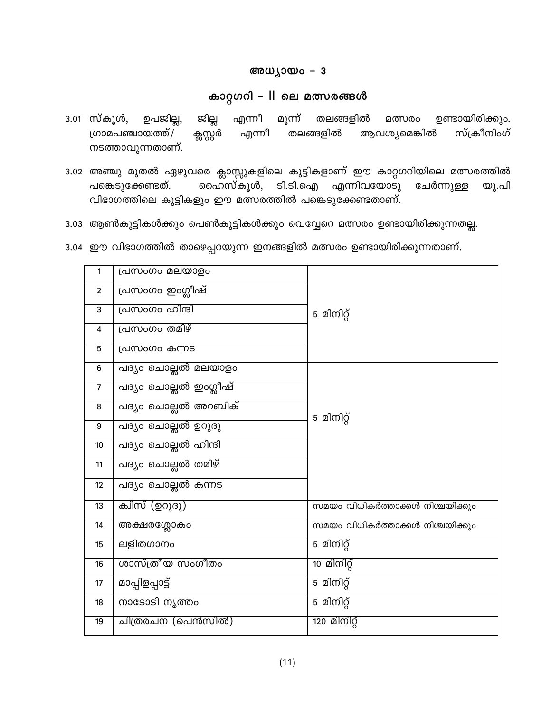### അധ്യായം - 3

# കാറ്റഗറി – II ലെ മത്സരങ്ങൾ

- ഉപജില്ല, 3.01 സ്കൂൾ, ജില്ല മൂന്ന് തലങ്ങളിൽ ഉണ്ടായിരിക്കും. എന്നീ മത്സരം ഗ്രാമപഞ്ചായത്ത്/ എന്നീ ക്സ്റ്റേർ തലങ്ങളിൽ ആവശ്യമെങ്കിൽ സ്ക്രീനിംഗ് നടത്താവുന്നതാണ്.
- 3.02 അഞ്ചു മുതൽ ഏഴുവരെ ക്ലാസ്സുകളിലെ കുട്ടികളാണ് ഈ കാറ്റഗറിയിലെ മത്സരത്തിൽ ഹൈസ്കൂൾ, ടി.ടി.ഐ എന്നിവയോടു ചേർന്നുള്ള പങ്കെടുക്കേണ്ടത്. യു.പി വിഭാഗത്തിലെ കുട്ടികളും ഈ മത്സരത്തിൽ പങ്കെടുക്കേണ്ടതാണ്.
- 3.03 ആൺകുട്ടികൾക്കും പെൺകുട്ടികൾക്കും വെവ്വേറെ മത്സരം ഉണ്ടായിരിക്കുന്നതല്ല.
- 3.04 ഈ വിഭാഗത്തിൽ താഴെപ്പറയുന്ന ഇനങ്ങളിൽ മത്സരം ഉണ്ടായിരിക്കുന്നതാണ്.

| 1              | പ്രസംഗം മലയാളം        |                                  |
|----------------|-----------------------|----------------------------------|
| $\overline{2}$ | പ്രസംഗം ഇംഗ്ലീഷ്      |                                  |
| 3              | പ്രസംഗം ഹിന്ദി        | 5 മിനിറ്റ്                       |
| 4              | പ്രസംഗം തമിഴ്         |                                  |
| 5              | പ്രസംഗം കന്നട         |                                  |
| 6              | പദ്യം ചൊല്ലൽ മലയാളം   |                                  |
| $\overline{7}$ | പദ്യം ചൊല്ലൽ ഇംഗ്ലീഷ് |                                  |
| 8              | പദ്യം ചൊല്ലൽ അറബിക്   |                                  |
| $9\,$          | പദ്യം ചൊല്ലൽ ഉറുദു    | 5 മിനിറ്റ്                       |
| 10             | പദ്യം ചൊല്ലൽ ഹിന്ദി   |                                  |
| 11             | പദ്യം ചൊല്ലൽ തമിഴ്    |                                  |
| 12             | പദ്യം ചൊല്ലൽ കന്നട    |                                  |
| 13             | ക്വിസ് (ഉറുദു)        | സമയം വിധികർത്താക്കൾ നിശ്ചയിക്കും |
| 14             | അക്ഷരശ്ലോകം           | സമയം വിധികർത്താക്കൾ നിശ്ചയിക്കും |
| 15             | ലളിതഗാനം              | 5 മിനിറ്റ്                       |
| 16             | ശാസ്ത്രീയ സംഗീതം      | 10 മിനിറ്റ്                      |
| 17             | മാപ്പിളപ്പാട്ട്       | 5 മിനിറ്റ്                       |
| 18             | നാടോടി നൃത്തം         | 5 മിനിറ്റ്                       |
| 19             | ചിത്രരചന (പെൻസിൽ)     | 120 മിനിറ്റ്                     |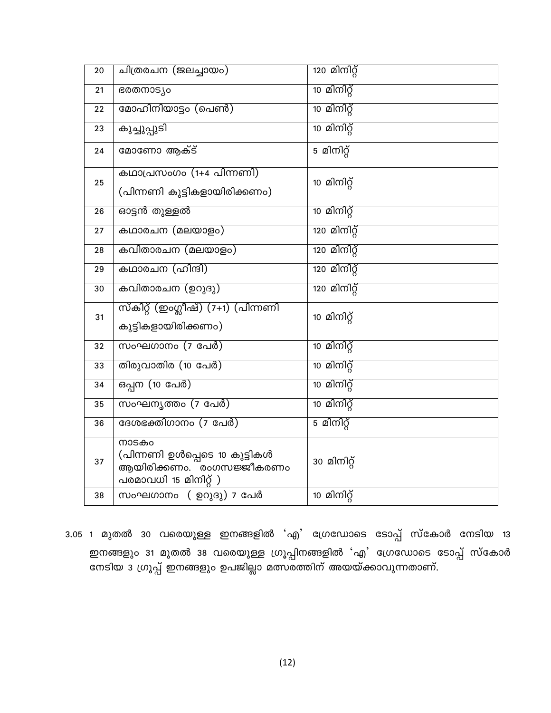| 20 | ചത്രരചന (ജലച്ചായം)                                                                         | 120 മിനി <u>റ്</u> റ |
|----|--------------------------------------------------------------------------------------------|----------------------|
| 21 | ഭരതനാട്യം                                                                                  | 10 മിനിറ്റ്          |
| 22 | മോഹിനിയാട്ടം (പെൺ)                                                                         | 10 മിനിറ്റ്          |
| 23 | കുച്ചുപ്പുടി                                                                               | 10 മിനിറ്റ്          |
| 24 | മോണോ ആക്ട്                                                                                 | 5 മിനിറ്റ്           |
| 25 | കഥാപ്രസംഗം (1+4 പിന്നണി)<br>(പിന്നണി കുട്ടികളായിരിക്കണം)                                   | 10 മിനിറ്റ്          |
| 26 | ഓട്ടൻ തുള്ളൽ                                                                               | 10 മിനിറ്റ്          |
| 27 | കഥാരചന (മലയാളം)                                                                            | <u>120 മിനിറ്റ്</u>  |
| 28 | കവിതാരചന (മലയാളം)                                                                          | <u>120 മിനിറ്റ്</u>  |
| 29 | കഥാരചന (ഹിന്ദി)                                                                            | <u>120 മിനിറ്റ്</u>  |
| 30 | കവിതാരചന (ഉറുദു)                                                                           | <u>120 മിനിറ്റ്</u>  |
| 31 | സ്കിറ്റ് (ഇംഗ്ലീഷ്) (7+1) (പിന്നണി<br>കുട്ടികളായിരിക്കണം)                                  | 10 മിനിറ്റ്          |
| 32 | സംഘഗാനം (7 പേർ)                                                                            | 10 മിനിറ്റ്          |
| 33 | തിരുവാതിര (10 പേർ)                                                                         | 10 മിനിറ്റ്          |
| 34 | <u>ഒപ്പന (10 പേർ)</u>                                                                      | 10 മിനിറ്റ്          |
| 35 | സംഘനൃത്തം (7 പേർ)                                                                          | 10 മിനിറ്റ്          |
| 36 | ദേശഭക്തിഗാനം (7 പേർ)                                                                       | 5 മിനിറ്റ്           |
| 37 | നാടകം<br>(പിന്നണി ഉൾപ്പെടെ 10 കുട്ടികൾ<br>ആയിരിക്കണം. രംഗസജ്ജീകരണം<br>പരമാവധി 15 മിനിറ്റ്) | 30 മിനിറ്റ്          |
| 38 | സംഘഗാനം ( ഉറുദു) 7 പേർ                                                                     | 10 മിനിറ്റ്          |

3.05 1 മുതൽ 30 വരെയുള്ള ഇനങ്ങളിൽ 'എ' ഗ്രേഡോടെ ടോപ്പ് സ്കോർ നേടിയ 13 ഇനങ്ങളും 31 മുതൽ 38 വരെയുള്ള ഗ്രൂപ്പിനങ്ങളിൽ 'എ' ഗ്രേഡോടെ ടോപ്പ് സ്കോർ<br>നേടിയ 3 ഗ്രൂപ്പ് ഇനങ്ങളും ഉപജില്ലാ മത്സരത്തിന് അയയ്ക്കാവുന്നതാണ്.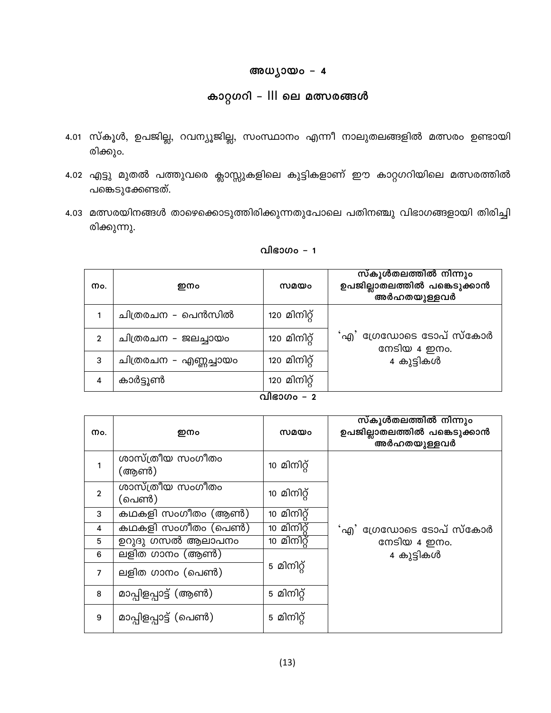### അധ്യായം - 4

# കാറ്റഗറി - III ലെ മത്സരങ്ങൾ

- 4.01 സ്കൂൾ, ഉപജില്ല, റവന്യൂജില്ല, സംസ്ഥാനം എന്നീ നാലുതലങ്ങളിൽ മത്സരം ഉണ്ടായി രിക്കും.
- 4.02 എട്ടു മുതൽ പത്തുവരെ ക്ലാസ്സുകളിലെ കുട്ടികളാണ് ഈ കാറ്റഗറിയിലെ മത്സരത്തിൽ പങ്കെടുക്കേണ്ടത്.
- 4.03 മത്സരയിനങ്ങൾ താഴെക്കൊടുത്തിരിക്കുന്നതുപോലെ പതിനഞ്ചു വിഭാഗങ്ങളായി തിരിച്ചി രിക്കുന്നു.

| വിഭാഗം – 1 |  |  |
|------------|--|--|
|            |  |  |

| Mo.            | ഇനം                        | സമയം         | സ്കൂൾതലത്തിൽ നിന്നും<br>ഉപജില്ലാതലത്തിൽ പങ്കെടുക്കാൻ<br>.<br>അർഹതയുള്ളവർ |  |  |
|----------------|----------------------------|--------------|--------------------------------------------------------------------------|--|--|
|                | ചിത്രരചന – പെൻസിൽ          | 120 മിനിറ്റ് |                                                                          |  |  |
| $\overline{2}$ | ചിത്രരചന - ജലച്ചായം        | 120 മിനിറ്റ് | <b>`</b> എ' ഗ്രേഡോടെ ടോപ് സ്കോർ<br>നേടിയ 4 ഇനം.                          |  |  |
| 3              | ചിത്രരചന – എണ്ണച്ചായം      | 120 മിനിറ്റ് | 4 കുട്ടികൾ                                                               |  |  |
| 4              | കാർട്ടുൺ                   | 120 മിനിറ്റ് |                                                                          |  |  |
|                | $\Omega$ $\Omega$ $\Omega$ |              |                                                                          |  |  |

| വിഭാഗം |  |
|--------|--|

| Mo.            | ഇനം                       | സമയം        | സ്കൂൾതലത്തിൽ നിന്നും<br>ഉപജില്ലാതലത്തിൽ പങ്കെടുക്കാൻ<br>അർഹതയുള്ളവർ |
|----------------|---------------------------|-------------|---------------------------------------------------------------------|
| 1              | ശാസ്ത്രീയ സംഗീതം<br>(അൺ)  | 10 മിനിറ്റ് |                                                                     |
| $\overline{2}$ | ശാസ്ത്രീയ സംഗീതം<br>(പെൺ) | 10 മിനിറ്റ് |                                                                     |
| 3              | കഥകളി സംഗീതം (ആൺ)         | 10 മിനിറ്റ് |                                                                     |
| 4              | കഥകളി സംഗീതം (പെൺ)        | 10 മിനിറ്റ് | <b>ൎ</b> എ' ഗ്രേഡോടെ ടോപ് സ്കോർ                                     |
| 5              | ഉറുദു ഗസൽ ആലാപനം          | $10$ മിനിറ് | നേടിയ 4 ഇനം.                                                        |
| 6              | ലളിത ഗാനം (ആൺ)            |             | 4 കുട്ടികൾ                                                          |
| $\overline{7}$ | ലളിത ഗാനം (പെൺ)           | 5 മിനിറ്റ്  |                                                                     |
| 8              | മാപ്പിളപ്പാട്ട് (ആൺ)      | 5 മിനിറ്റ്  |                                                                     |
| 9              | മാപ്പിളപ്പാട്ട് (പെൺ)     | 5 മിനിറ്റ്  |                                                                     |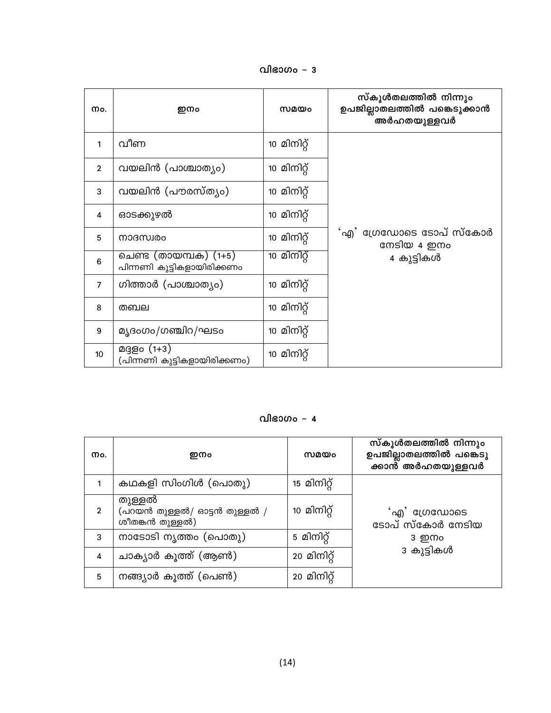വിഭാഗം – 3

| Mo.            | ഇനം                                                 | സമയം        | സ്കൂൾതലത്തിൽ നിന്നും<br>ഉപജില്ലാതലത്തിൽ പങ്കെടുക്കാൻ<br>അർഹതയുള്ളവർ |
|----------------|-----------------------------------------------------|-------------|---------------------------------------------------------------------|
| 1              | വീണ                                                 | 10 മിനിറ്റ് |                                                                     |
| $\overline{2}$ | വയലിൻ (പാശ്ചാത്യം)                                  | 10 മിനിറ്റ് |                                                                     |
| 3              | വയലിൻ (പൗരസ്ത്യം)                                   | 10 മിനിറ്റ് |                                                                     |
| 4              | ഓടക്കുഴൽ                                            | 10 മിനിറ്റ് |                                                                     |
| 5              | നാദസ്വരം                                            | 10 മിനിറ്റ് | 'എ $^{\prime}$ ഡ്രേഡോടെ ടോപ് സ്കോർ<br>നേടിയ 4 ഇനം                   |
| 6              | ചെണ്ട (തായമ്പക) (1+5)<br>പിന്നണി കുട്ടികളായിരിക്കണം | 10 മിനിറ്റ് | 4 കുട്ടികൾ                                                          |
| $\overline{7}$ | ഗിത്താർ (പാശ്ചാത്യം)                                | 10 മിനിറ്റ് |                                                                     |
| 8              | തബല                                                 | 10 മിനിറ്റ് |                                                                     |
| 9              | മൃദംഗം/ഗഞ്ചിറ/ഘടം                                   | 10 മിനിറ്റ് |                                                                     |
| 10             | മദ്ദളം (1+3)<br>(പിന്നണി കുട്ടികളായിരിക്കണം)        | 10 മിനിറ്റ് |                                                                     |

### വിഭാഗം – 4

| Mo.            | ഇനം                                                       | സമയം        | സ്കൂൾതലത്തിൽ നിന്നും<br>ഉപജില്ലാതലത്തിൽ പങ്കെടു<br>-<br>ക്കാൻ അർഹതയുള്ളവർ |
|----------------|-----------------------------------------------------------|-------------|---------------------------------------------------------------------------|
|                | കഥകളി സിംഗിൾ (പൊതു)                                       | 15 മിനിറ്റ് |                                                                           |
| $\overline{2}$ | തുള്ളൽ<br>(പറയൻ തുള്ളൽ/ ഓട്ടൻ തുള്ളൽ /<br>ശീതങ്കൻ തുള്ളൽ) | 10 മിനിറ്റ് | $\mathcal{A}$ ി ഡ്രേഡോടെ<br>ടോപ് സ്കോർ നേടിയ                              |
| 3              | നാടോടി നൃത്തം (പൊതു)                                      | 5 മിനിറ്റ്  | 3 ഇനം                                                                     |
| 4              | ചാക്യാർ കൂത്ത് (ആൺ)                                       | 20 മിനിറ്റ് | 3 കുട്ടികൾ                                                                |
| 5              | നങ്ങ്യാർ കൂത്ത് (പെൺ)                                     | 20 മിനിറ്റ് |                                                                           |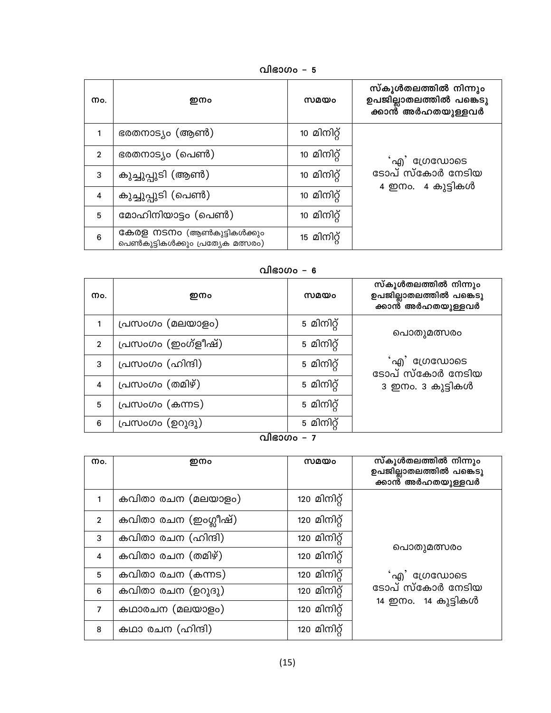വിഭാഗം – 5

| Mo.            | ഇനം                                                             | സമയം        | സ്കൂൾതലത്തിൽ നിന്നും<br>ഉപജില്ലാതലത്തിൽ പങ്കെടു<br>ക്കാൻ് അർഹതയുള്ളവർ |
|----------------|-----------------------------------------------------------------|-------------|-----------------------------------------------------------------------|
| 1              | ഭരതനാട്യം (ആൺ)                                                  | 10 മിനിറ്റ് |                                                                       |
| $\overline{2}$ | ഭരതനാട്യം (പെൺ)                                                 | 10 മിനിറ്റ് | 'എ' ഗ്രേഡോടെ                                                          |
| 3              | കുച്ചുപ്പുടി (ആൺ)                                               | 10 മിനിറ്റ് | ടോപ് സ്കോർ നേടിയ                                                      |
| 4              | കുച്ചുപ്പുടി (പെൺ)                                              | 10 മിനിറ്റ് | 4 ഇനം. 4 കുട്ടികൾ                                                     |
| 5              | മോഹിനിയാട്ടം (പെൺ)                                              | 10 മിനിറ്റ് |                                                                       |
| 6              | കേരള നടനം (ആൺകുട്ടികൾക്കും<br>പെൺകുട്ടികൾക്കും പ്രത്യേക മത്സരം) | 15 മിനിറ്റ് |                                                                       |

വിഭാഗം - 6

| Mo.            | ഇനം                | സമയം       | സ്കൂൾതലത്തിൽ നിന്നും<br>ഉപജില്ലാതലത്തിൽ പങ്കെടു<br>ക്കാൻ അർഹതയുള്ളവർ |
|----------------|--------------------|------------|----------------------------------------------------------------------|
|                | പ്രസംഗം (മലയാളം)   | 5 മിനിറ്റ് | പൊതുമത്സരം                                                           |
| $\overline{2}$ | പ്രസംഗം (ഇംഗ്ളീഷ്) | 5 മിനിറ്റ് |                                                                      |
| 3              | പ്രസംഗം (ഹിന്ദി)   | 5 മിനിറ്റ് | 'എ' ഗ്രേഡോടെ<br>ടോപ് സ്കോർ നേടിയ                                     |
| 4              | പ്രസംഗം (തമിഴ്)    | 5 മിനിറ്റ് | 3 ഇനം. 3 കുട്ടികൾ                                                    |
| 5              | പ്രസംഗം (കന്നട)    | 5 മിനിറ്റ് |                                                                      |
| 6              | പ്രസംഗം (ഉറുദു)    | 5 മിനിറ്റ് |                                                                      |

<u>വിഭാഗം – 7</u>

| Mo.            | ഇനം                  | സമയം         | സ്കൂൾതലത്തിൽ നിന്നും<br>ഉപജില്ലാതലത്തിൽ പങ്കെടു<br>ക്കാന്റ് അർഹതയുള്ളവ <b>ർ</b> |
|----------------|----------------------|--------------|---------------------------------------------------------------------------------|
|                | കവിതാ രചന (മലയാളം)   | 120 മിനിറ്റ് |                                                                                 |
| $\overline{2}$ | കവിതാ രചന (ഇംഗ്ലീഷ്) | 120 മിനിറ്റ് |                                                                                 |
| 3              | കവിതാ രചന (ഹിന്ദി)   | 120 മിനിറ്റ് | പൊതുമത്സരം                                                                      |
| 4              | കവിതാ രചന (തമിഴ്)    | 120 മിനിറ്റ് |                                                                                 |
| 5              | കവിതാ രചന (കന്നട)    | 120 മിനിറ്   | 'എ' ഗ്രേഡോടെ                                                                    |
| 6              | കവിതാ രചന (ഉറുദു)    | 120 മിനിറ്റ് | ടോപ് സ്കോർ നേടിയ<br>14 ഇനം. 14 കുട്ടികൾ                                         |
| $\overline{7}$ | കഥാരചന (മലയാളം)      | 120 മിനിറ്റ് |                                                                                 |
| 8              | കഥാ രചന (ഹിന്ദി)     | 120 മിനിറ്റ് |                                                                                 |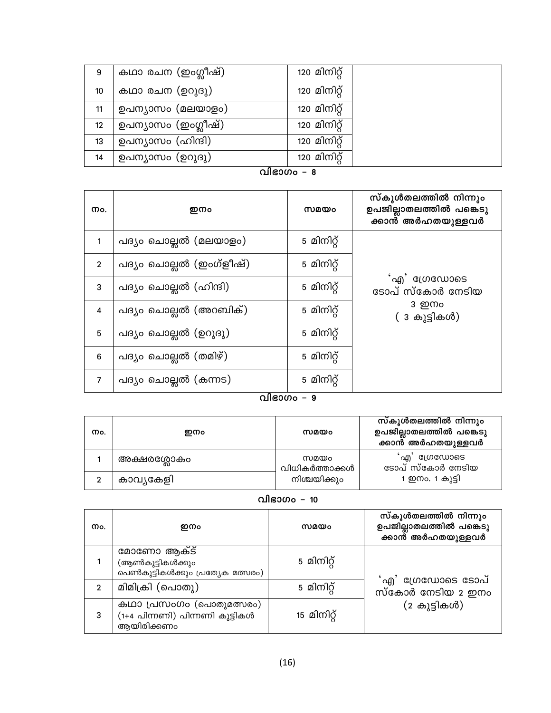| 9  | കഥാ രചന (ഇംഗ്ലീഷ്)  | 120 മിനിറ്റ് |  |
|----|---------------------|--------------|--|
| 10 | കഥാ രചന (ഉറുദു)     | 120 മിനിറ്റ് |  |
| 11 | ഉപന്യാസം (മലയാളം)   | 120 മിനിറ്റ് |  |
| 12 | ഉപന്യാസം (ഇംഗ്ലീഷ്) | 120 മിനിറ്റ് |  |
| 13 | ഉപന്യാസം (ഹിന്ദി)   | 120 മിനിറ്റ് |  |
| 14 | ഉപന്യാസം (ഉറുദു)    | 120 മിനിറ്റ് |  |

<u>വിഭാഗം – 8 </u>

| Mo.            | ഇനം                     | സമയം       | സ്കൂൾതലത്തിൽ നിന്നും<br>ഉപജില്ലാതലത്തിൽ പങ്കെടു<br>ക്കാൻ അർഹതയുള്ളവർ |
|----------------|-------------------------|------------|----------------------------------------------------------------------|
| 1              | പദ്യം ചൊല്ലൽ (മലയാളം)   | 5 മിനിറ്റ് |                                                                      |
| $\overline{2}$ | പദ്യം ചൊല്ലൽ (ഇംഗ്ളീഷ്) | 5 മിനിറ്റ് |                                                                      |
| 3              | പദ്യം ചൊല്ലൽ (ഹിന്ദി)   | 5 മിനിറ്റ് | 'എ' ഗ്രേഡോടെ<br>ടോപ് സ്കോർ നേടിയ                                     |
| 4              | പദ്യം ചൊല്ലൽ (അറബിക്)   | 5 മിനിറ്റ് | 3 ഇനം<br>( 3 കുട്ടികൾ)                                               |
| $\overline{5}$ | പദ്യം ചൊല്ലൽ (ഉറുദു)    | 5 മിനിറ്റ് |                                                                      |
| 6              | പദ്യം ചൊല്ലൽ (തമിഴ്)    | 5 മിനിറ്റ് |                                                                      |
| $\overline{7}$ | പദ്യം ചൊല്ലൽ (കന്നട)    | 5 മിനിറ്റ് |                                                                      |

### ്വിഭാഗം – 9

| നം. | ഇനം         | സമയം                                   | സ്കൂൾതലത്തിൽ നിന്നും<br>ഉപജില്ലാതലത്തിൽ പങ്കെടു<br>ക്കാൻ അർഹതയുള്ളവർ |
|-----|-------------|----------------------------------------|----------------------------------------------------------------------|
|     | അക്ഷരശ്ലോകം | സമയം<br>വിധികർത്താക്കൾ<br>നിശ്ചയിക്കും | <sup>്</sup> എ' ഗ്രേഡോടെ<br>ടോപ് സ്കോർ നേടിയ                         |
|     | കാവ്യകേളി   |                                        | 1 ഇനം. 1 കുട്ടി                                                      |

വിഭാഗം - 10

| Mo.            | ഇനം                                                                      | സമയം        | സ്കൂൾതലത്തിൽ നിന്നും<br>ഉപജില്ലാതലത്തിൽ പങ്കെടു<br>ക്കാൻ് അർഹതയുള്ളവർ |
|----------------|--------------------------------------------------------------------------|-------------|-----------------------------------------------------------------------|
|                | മോണോ ആക്ട്<br>(ആൺകുട്ടികൾക്കും<br>പെൺകുട്ടികൾക്കും പ്രത്യേക മത്സരം)      | 5 മിനിറ്റ്  |                                                                       |
| $\overline{2}$ | മിമിക്രി (പൊതു)                                                          | 5 മിനിറ്റ്  | 'എ' ഗ്രേഡോടെ ടോപ്<br>സ്കോർ നേടിയ 2 ഇനം                                |
| 3              | കഥാ പ്രസംഗം (പൊതുമത്സരം)<br>(1+4 പിന്നണി) പിന്നണി കുട്ടികൾ<br>ആയിരിക്കണം | 15 മിനിറ്റ് | (2 കുട്ടികൾ)                                                          |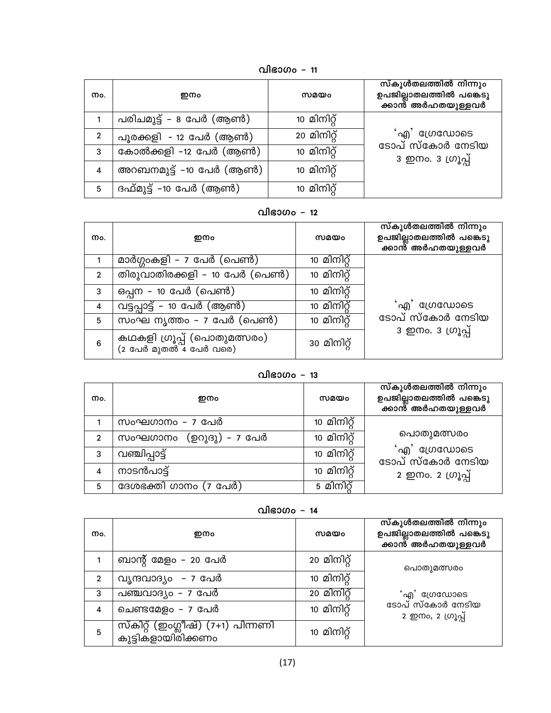വിഭാഗം - 11

| നം.            | ഇനം                     | സമയം        | സ്കൂൾതലത്തിൽ നിന്നും<br>ഉപജില്ലാതലത്തിൽ പങ്കെടു<br>ക്കാൻ  അർഹതയുള്ളവർ |
|----------------|-------------------------|-------------|-----------------------------------------------------------------------|
|                | പരിചമുട്ട് – 8 പേർ (ആൺ) | 10 മിനിറ്റ് |                                                                       |
| $\overline{2}$ | പൂരക്കളി - 12 പേർ (ആൺ)  | 20 മിനിറ്റ് | ൎഎ <sup>'</sup> ഗ്രേഡോടെ                                              |
| 3              | കോൽക്കളി –12 പേർ (ആൺ)   | 10 മിനിറ്റ് | ടോപ് സ്കോർ നേടിയ<br>3 ഇനം. 3 ഗ്രൂപ്പ്                                 |
| $\overline{4}$ | അറബനമുട്ട് –10 പേർ (ആൺ) | 10 മിനിറ്റ് |                                                                       |
| 5              | ദഫ്മുട്ട് -10 പേർ (ആൺ)  | 10 മിനിറ്റ് |                                                                       |

വിഭാഗം - 12

| Mo.            | ഇനം                                                   | സമയം        | സ്കൂൾതലത്തിൽ നിന്നും<br>ഉപജില്ലാതലത്തിൽ പങ്കെടു<br>ക്കാൻ് അർഹതയുള്ളവർ |
|----------------|-------------------------------------------------------|-------------|-----------------------------------------------------------------------|
|                | മാർഗ്ഗംകളി – 7 പേർ (പെൺ)                              | 10 മിനിറ്റ് |                                                                       |
| $\overline{2}$ | തിരുവാതിരക്കളി – 10 പേർ (പെൺ)                         | 10 മിനിറ്റ് |                                                                       |
| 3              | ഒപ്പന – 10 പേർ (പെൺ)                                  | 10 മിനിറ്റ് |                                                                       |
| 4              | <u>വട്ടപ്പാട്ട് – 10 പേർ (ആൺ)</u>                     | 10 മിനിറ്റ് | 'എ' ഗ്രേഡോടെ                                                          |
| 5              | സംഘ നൃത്തം – 7 പേർ (പെൺ)                              | 10 മിനിറ്റ് | ടോപ് സ്കോർ നേടിയ                                                      |
| 6              | കഥകളി ഗ്രൂപ്പ് (പൊതുമത്സരം)<br>(2 പേർ മുതൽ 4 പേർ വരെ) | 30 മിനിറ്റ് | 3 ഇനം. 3 ഗ്രൂപ്പ്                                                     |

| Mo.          | ഇനം                        | സമയം        | സ്കൂൾതലത്തിൽ നിന്നും<br>ഉപജില്ലാതലത്തിൽ പങ്കെടു<br>ക്കാൻ അർഹതയുള്ളവർ |
|--------------|----------------------------|-------------|----------------------------------------------------------------------|
|              | സംഘഗാനം – 7 പേർ            | 10 മിനിറ്റ് |                                                                      |
| $\mathbf{2}$ | (ഉറുദു) - 7 പേർ<br>സംഘഗാനം | 10 മിനിറ്റ് | പൊതുമത്സരം                                                           |
| 3            | വഞ്ചിപ്പാട്ട്              | 10 മിനിറ്റ് | 'എ' ഗ്രേഡോടെ<br>ടോപ് സ്കോർ നേടിയ                                     |
| 4            | നാടൻപാട്                   | 10 മിനിറ്റ് | 2 ഇനം. 2 ഗ്രൂപ്പ്                                                    |
| 5            | ദേശഭക്തി ഗാനം (7 പേർ)      | 5 മിനിറ്റ്  |                                                                      |

വിഭാഗം - 14

| Mo.            | ഇനം                                                     | സമയം        | സ്കൂൾതലത്തിൽ നിന്നും<br>ഉപജില്ലാതലത്തിൽ പങ്കെടു<br>ക്കാന്റ് അർഹതയുള്ളവർ |
|----------------|---------------------------------------------------------|-------------|-------------------------------------------------------------------------|
|                | ബാന്റ് മേളം – 20 പേർ                                    | 20 മിനിറ്റ് | പൊതുമത്സരം                                                              |
| $\overline{2}$ | വൃന്ദവാദ്യം  – 7 പേർ                                    | 10 മിനിറ്റ് |                                                                         |
| 3              | പഞ്ചവാദ്യം - 7 പേർ                                      | 20 മിനിറ്റ് | 'എ' ശ്രേഡോടെ                                                            |
| 4              | ചെണ്ടമേളം – 7 പേർ                                       | 10 മിനിറ്റ് | ടോപ് സ്കോർ നേടിയ<br>2 ഇനം, 2 ഗ്രൂപ്പ്                                   |
| 5              | സ്കിറ്റ് (ഇംഗ്ലീഷ്) (7+1) പിന്നണി<br>കുട്ടികളായിരിക്കണം | 10 മിനിറ്റ് |                                                                         |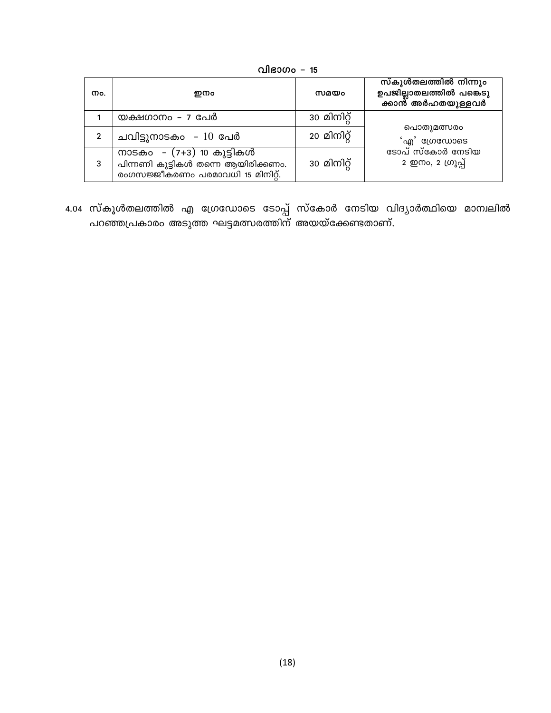വിഭാഗം - 15

| Mo. | ഇനം                                                                                                   | സമയം        | സ്കൂൾതലത്തിൽ നിന്നും<br>ഉപജില്ലാതലത്തിൽ പങ്കെടു<br>ക്കാന്റ് അർഹതയുള്ളവർ |
|-----|-------------------------------------------------------------------------------------------------------|-------------|-------------------------------------------------------------------------|
|     | യക്ഷഗാനം - <i>പ</i> പേർ                                                                               | 30 മിനിറ്റ് |                                                                         |
|     | ചവിട്ടുനാടകം – 10 പേർ                                                                                 | 20 മിനിറ്റ് | പൊതുമത്സരം<br>'എ' ഗ്രേഡോടെ                                              |
| 3   | നാടകം  – (7+3) 10 കുട്ടികൾ<br>പിന്നണി കുട്ടികൾ തന്നെ ആയിരിക്കണം.<br>രംഗസജ്ജീകരണം പരമാവധി 15 മിനിറ്റ്. | 30 മിനിറ്റ് | ടോപ് സ്കോർ നേടിയ<br>2 ഇനം, 2 ഗ്രൂപ്പ്                                   |

4.04 സ്കൂൾതലത്തിൽ എ ഗ്രേഡോടെ ടോപ്പ് സ്കോർ നേടിയ വിദ്യാർത്ഥിയെ മാന്വലിൽ<br>പറഞ്ഞപ്രകാരം അടുത്ത ഘട്ടമത്സരത്തിന് അയയ്ക്കേണ്ടതാണ്.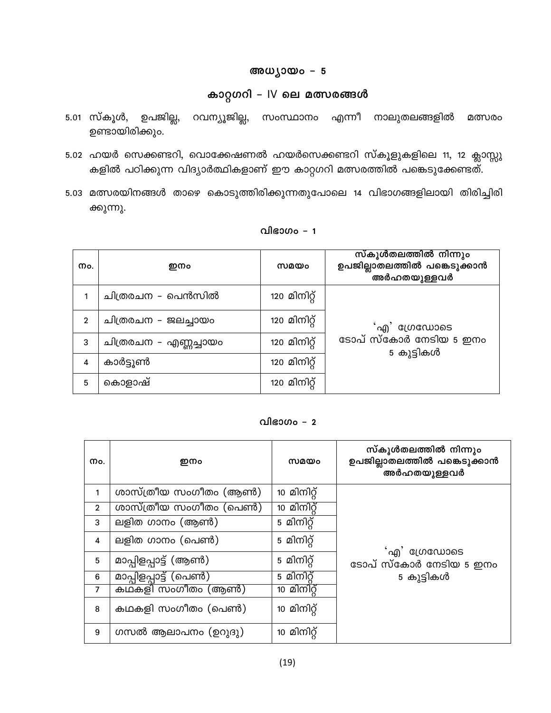### അധ്യായം - 5

### കാറ്റഗറി - IV ലെ മത്സരങ്ങൾ

- 5.01 സ്കൂൾ, ഉപജില്ല, റവന്യൂജില്ല, സംസ്ഥാനം എന്നീ നാലുതലങ്ങളിൽ മത്സരം ഉണ്ടായിരിക്കും.
- 5.02 ഹയർ സെക്കണ്ടറി, വൊക്കേഷണൽ ഹയർസെക്കണ്ടറി സ്കൂളുകളിലെ 11, 12 ക്ലാസ്സു കളിൽ പഠിക്കുന്ന വിദ്യാർത്ഥികളാണ് ഈ കാറ്റഗറി മത്സരത്തിൽ പങ്കെടുക്കേണ്ടത്.
- 5.03 മത്സരയിനങ്ങൾ താഴെ കൊടുത്തിരിക്കുന്നതുപോലെ 14 വിഭാഗങ്ങളിലായി തിരിച്ചിരി ക്കുന്നു.

| Mo.            | ഇനം                   | സമയം         | സ്കൂൾതലത്തിൽ നിന്നും<br>ഉപജില്ലാതലത്തിൽ പങ്കെടുക്കാൻ<br>അർഹതയുള്ളവർ |
|----------------|-----------------------|--------------|---------------------------------------------------------------------|
|                | ചിത്രരചന – പെൻസിൽ     | 120 മിനിറ്റ് |                                                                     |
| $\overline{2}$ | ചിത്രരചന - ജലച്ചായം   | 120 മിനിറ്റ് | <sup>'</sup> എ' ഗ്രേഡോടെ                                            |
| 3              | ചിത്രരചന – എണ്ണച്ചായം | 120 മിനിറ്റ് | ടോപ് സ്കോർ നേടിയ 5 ഇനം<br>5 കുട്ടികൾ                                |
| 4              | കാർട്ടൂൺ              | 120 മിനിറ്റ് |                                                                     |
| 5              | കൊളാഷ്                | 120 മിനിറ്റ് |                                                                     |

#### വിഭാഗം – 1

#### വിഭാഗം –  $2$

| Mo.            | ഇനം                    | സമയം        | സ്കൂൾതലത്തിൽ നിന്നും<br>ഉപജില്ലാതലത്തിൽ പങ്കെടുക്കാൻ<br>അർഹതയുള്ളവർ |
|----------------|------------------------|-------------|---------------------------------------------------------------------|
| 1              | ശാസ്ത്രീയ സംഗീതം (ആൺ)  | 10 മിനിറ്റ് |                                                                     |
| $\overline{2}$ | ശാസ്ത്രീയ സംഗീതം (പെൺ) | 10 മിനിറ്റ് |                                                                     |
| 3              | ലളിത ഗാനം (ആൺ)         | 5 മിനിറ്റ്  |                                                                     |
| 4              | ലളിത ഗാനം (പെൺ)        | 5 മിനിറ്റ്  | 'എ' ഗ്രേഡോടെ                                                        |
| 5              | മാപ്പിളപ്പാട്ട് (ആൺ)   | 5 മിനിറ്റ്  | ടോപ് സ്കോർ നേടിയ 5 ഇനം                                              |
| 6              | മാപ്പിളപ്പാട്ട് (പെൺ)  | 5 മിനിറ്    | 5 കുട്ടികൾ                                                          |
| 7              | കഥകളി സംഗീതം (ആൺ)      | 10 മിനിറ്   |                                                                     |
| 8              | കഥകളി സംഗീതം (പെൺ)     | 10 മിനിറ്റ് |                                                                     |
| 9              | ഗസൽ ആലാപനം (ഉറുദു)     | 10 മിനിറ്റ് |                                                                     |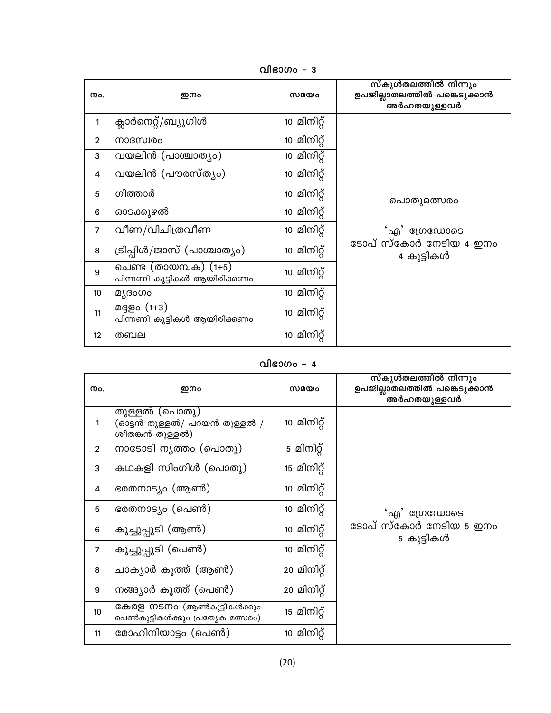വിഭാഗം – 3

| Mo.               | ഇനം                                                      | സമയം        | സ്കൂൾതലത്തിൽ നിന്നും<br>ഉപജില്ലാതലത്തിൽ പങ്കെടുക്കാൻ<br>അർഹതയുള്ളവർ |
|-------------------|----------------------------------------------------------|-------------|---------------------------------------------------------------------|
| 1                 | ക്ലാർനെറ്റ്/ബ്യൂഗിൾ                                      | 10 മിനിറ്റ് |                                                                     |
| $\mathbf{2}$      | നാദസ്വരം                                                 | 10 മിനിറ്റ് |                                                                     |
| 3                 | വയലിൻ (പാശ്ചാത്യം)                                       | 10 മിനിറ്റ് |                                                                     |
| 4                 | വയലിൻ (പൗരസ്ത്യം)                                        | 10 മിനിറ്റ് |                                                                     |
| 5                 | ഗിത്താർ                                                  | 10 മിനിറ്റ് | പൊതുമത്സരം                                                          |
| 6                 | ഓടക്കുഴൽ                                                 | 10 മിനിറ്റ് |                                                                     |
| 7                 | വീണ/വിചിത്രവീണ                                           | 10 മിനിറ്റ് | 'എ' ഗ്രേഡോടെ                                                        |
| 8                 | ട്രിപ്പിൾ/ജാസ് (പാശ്ചാത്യം)                              | 10 മിനിറ്റ് | ടോപ് സ്കോർ നേടിയ 4 ഇനം<br>4 കുട്ടികൾ                                |
| 9                 | ചെണ്ട (തായമ്പക) (1+5)<br>പിന്നണി കുട്ടികൾ ആയിരിക്കണം     | 10 മിനിറ്റ് |                                                                     |
| 10                | മ്യദംഗം                                                  | 10 മിനിറ്റ് |                                                                     |
| 11                | മദ്ദളം (1 <del>+</del> 3)<br>പിന്നണി കുട്ടികൾ ആയിരിക്കണം | 10 മിനിറ്റ് |                                                                     |
| $12 \overline{ }$ | തബല                                                      | 10 മിനിറ്റ് |                                                                     |

### വിഭാഗം –  $4$

| Mo.            | ഇനം                                                              | സമയം        | സ്കൂൾതലത്തിൽ നിന്നും<br>ഉപജില്ലാതലത്തിൽ പങ്കെടുക്കാൻ<br>അർഹതയുള്ളവർ |
|----------------|------------------------------------------------------------------|-------------|---------------------------------------------------------------------|
| 1              | തുള്ളൽ (പൊതു)<br>(ഓട്ടൻ തുള്ളൽ/ പറയൻ തുള്ളൽ /<br>ശീതങ്കൻ തുള്ളൽ) | 10 മിനിറ്റ് |                                                                     |
| $\overline{2}$ | നാടോടി നൃത്തം (പൊതു)                                             | 5 മിനിറ്റ്  |                                                                     |
| 3              | കഥകളി സിംഗിൾ (പൊതു)                                              | 15 മിനിറ്റ് |                                                                     |
| 4              | ഭരതനാട്യം (ആൺ)                                                   | 10 മിനിറ്റ് |                                                                     |
| 5              | ഭരതനാട്യം (പെൺ)                                                  | 10 മിനിറ്റ് | 'എ' ഗ്രേഡോടെ                                                        |
| 6              | കുച്ചുപ്പുടി (ആൺ)                                                | 10 മിനിറ്റ് | ടോപ് സ്കോർ നേടിയ 5 ഇനം<br>5 കുട്ടികൾ                                |
| $\overline{7}$ | കുച്ചുപ്പുടി (പെൺ)                                               | 10 മിനിറ്റ് |                                                                     |
| 8              | ചാക്യാർ കൂത്ത് (ആൺ)                                              | 20 മിനിറ്റ് |                                                                     |
| 9              | നങ്ങ്യാർ കൂത്ത് (പെൺ)                                            | 20 മിനിറ്റ് |                                                                     |
| 10             | കേരള നടനം (ആൺകുട്ടികൾക്കും<br>പെൺകുട്ടികൾക്കും പ്രത്യേക മത്സരം)  | 15 മിനിറ്റ് |                                                                     |
| 11             | മോഹിനിയാട്ടം (പെൺ)                                               | 10 മിനിറ്റ് |                                                                     |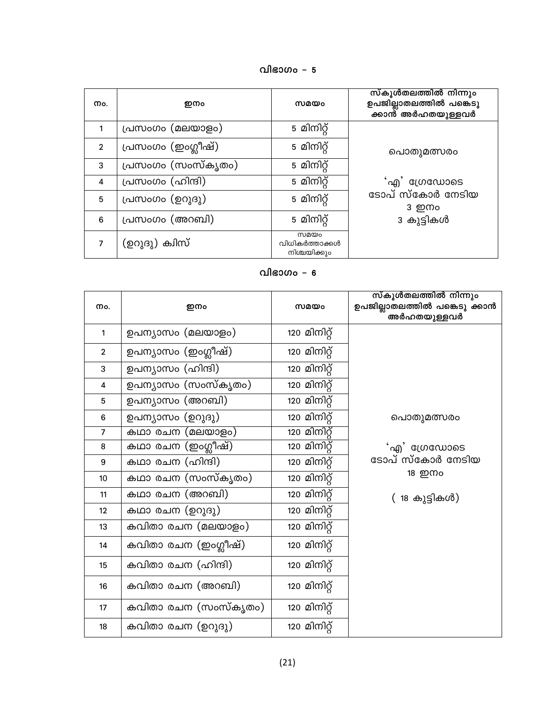| വിഭാഗം | 5 |
|--------|---|
|--------|---|

| Mo.            | ഇനം                | സമയം                                   | സ്കൂൾതലത്തിൽ നിന്നും<br>ഉപജില്ലാതലത്തിൽ പങ്കെടു<br>ക്കാൻ് അർഹതയുള്ളവർ |
|----------------|--------------------|----------------------------------------|-----------------------------------------------------------------------|
|                | പ്രസംഗം (മലയാളം)   | 5 മിനിറ്റ്                             |                                                                       |
| $\overline{2}$ | പ്രസംഗം (ഇംഗ്ലീഷ്) | 5 മിനിറ്റ്                             | പൊതുമത്സരം                                                            |
| 3              | പ്രസംഗം (സംസ്കൃതം) | 5 മിനിറ്റ്                             |                                                                       |
| 4              | പ്രസംഗം (ഹിന്ദി)   | 5 മിനിറ്റ്                             | 'എ' ഗ്രേഡോടെ                                                          |
| 5              | പ്രസംഗം (ഉറുദു)    | 5 മിനിറ്റ്                             | ടോപ് സ്കോർ നേടിയ<br>3 ഇനം                                             |
| 6              | പ്രസംഗം (അറബി)     | 5 മിനിറ്റ്                             | 3 കുട്ടികൾ                                                            |
|                | (ഉറുദു) ക്വിസ്     | സമയം<br>വിധികർത്താക്കൾ<br>നിശ്ചയിക്കും |                                                                       |

| Mo.                     | ഇനം                  | സമയം                | സ്കൂൾതലത്തിൽ നിന്നും<br>ഉപജില്ലാതലത്തിൽ പങ്കെടു ക്കാൻ<br>അർഹതയുള്ളവർ |
|-------------------------|----------------------|---------------------|----------------------------------------------------------------------|
| 1                       | ഉപന്യാസം (മലയാളം)    | 120 മിനിറ്റ്        |                                                                      |
| $\mathbf{2}$            | ഉപന്യാസം (ഇംഗ്ലീഷ്)  | 120 മിനിറ്റ്        |                                                                      |
| 3                       | ഉപന്യാസം (ഹിന്ദി)    | 120 മിനിറ്റ്        |                                                                      |
| $\overline{\mathbf{4}}$ | ഉപന്യാസം (സംസ്കൃതം)  | 120 മിനിറ്റ്        |                                                                      |
| 5                       | ഉപന്യാസം (അറബി)      | 120 മിനിറ്റ്        |                                                                      |
| $\bf 6$                 | ഉപന്യാസം (ഉറുദു)     | 120 മിനിറ്റ്        | പൊതുമത്സരം                                                           |
| $\overline{7}$          | കഥാ രചന (മലയാളം)     | <u>120 മിനിറ്റ്</u> |                                                                      |
| 8                       | കഥാ രചന (ഇംഗ്ലീഷ്)   | 120 മിനിറ്റ്        | 'എ' ഗ്രേഡോടെ                                                         |
| 9                       | കഥാ രചന (ഹിന്ദി)     | 120 മിനിറ്റ്        | ടോപ് സ്കോർ നേടിയ                                                     |
| 10                      | കഥാ രചന (സംസ്കൃതം)   | 120 മിനിറ്റ്        | 18 ഇനം                                                               |
| 11                      | കഥാ രചന (അറബി)       | 120 മിനിറ്റ്        | ( 18 കുട്ടികൾ)                                                       |
| 12                      | കഥാ രചന (ഉറുദു)      | 120 മിനിറ്റ്        |                                                                      |
| 13                      | കവിതാ രചന (മലയാളം)   | 120 മിനിറ്റ്        |                                                                      |
| 14                      | കവിതാ രചന (ഇംഗ്ലീഷ്) | 120 മിനിറ്റ്        |                                                                      |
| 15                      | കവിതാ രചന (ഹിന്ദി)   | 120 മിനിറ്റ്        |                                                                      |
| 16                      | കവിതാ രചന (അറബി)     | 120 മിനിറ്റ്        |                                                                      |
| 17                      | കവിതാ രചന (സംസ്കൃതം) | 120 മിനിറ്റ്        |                                                                      |
| 18                      | കവിതാ രചന (ഉറുദു)    | 120 മിനിറ്റ്        |                                                                      |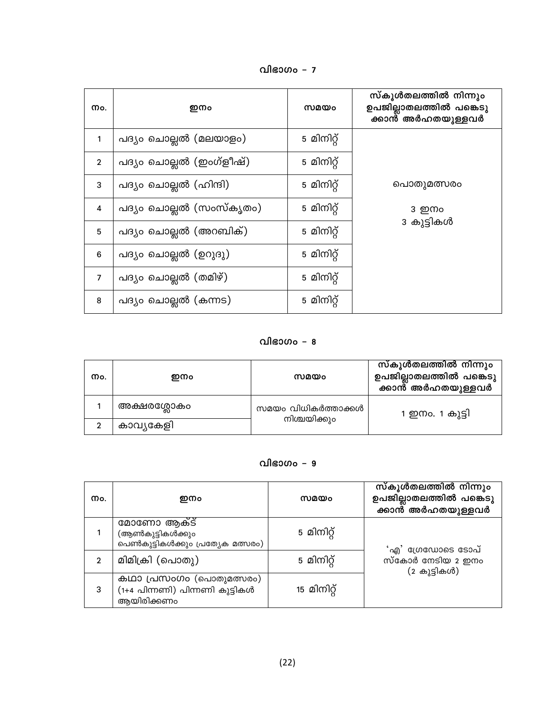വിഭാഗം – 7

| Mo.            | ഇനം                     | സമയം       | സ്കൂൾതലത്തിൽ നിന്നും<br>ഉപജില്ലാതലത്തിൽ പങ്കെടു<br>ക്കാൻ അർഹതയുള്ളവർ |
|----------------|-------------------------|------------|----------------------------------------------------------------------|
|                | പദ്യം ചൊല്ലൽ (മലയാളം)   | 5 മിനിറ്റ് |                                                                      |
| $\overline{2}$ | പദ്യം ചൊല്ലൽ (ഇംഗ്ളീഷ്) | 5 മിനിറ്റ് |                                                                      |
| 3              | പദ്യം ചൊല്ലൽ (ഹിന്ദി)   | 5 മിനിറ്റ് | പൊതുമത്സരം                                                           |
| 4              | പദ്യം ചൊല്ലൽ (സംസ്കൃതം) | 5 മിനിറ്റ് | 3 ഇനം                                                                |
| 5              | പദ്യം ചൊല്ലൽ (അറബിക്)   | 5 മിനിറ്റ് | 3 കുട്ടികൾ                                                           |
| 6              | പദ്യം ചൊല്ലൽ (ഉറുദു)    | 5 മിനിറ്റ് |                                                                      |
| 7              | പദ്യം ചൊല്ലൽ (തമിഴ്)    | 5 മിനിറ്റ് |                                                                      |
| $\bf 8$        | പദ്യം ചൊല്ലൽ (കന്നട)    | 5 മിനിറ്റ് |                                                                      |

| Mo. | ഇനം         | സമയം                | സ്കൂൾതലത്തിൽ നിന്നും<br>ഉപജില്ലാതലത്തിൽ പങ്കെടു<br>ക്കാൻ അർഹതയുള്ളവർ |
|-----|-------------|---------------------|----------------------------------------------------------------------|
|     | അക്ഷരശ്ലോകം | സമയം വിധികർത്താക്കൾ | 1 ഇനം. 1 കുട്ടി                                                      |
|     | കാവ്യകേളി   | നിശ്ചയിക്കും        |                                                                      |

### വിഭാഗം – 9

| Mo.            | ഇനം                                                                      | സമയം        | സ്കൂൾതലത്തിൽ നിന്നും<br>ഉപജില്ലാതലത്തിൽ പങ്കെടു<br>ക്കാൻ അർഹതയുള്ളവർ |
|----------------|--------------------------------------------------------------------------|-------------|----------------------------------------------------------------------|
|                | മോണോ ആക്ട്<br>(ആൺകുട്ടികൾക്കും<br>പെൺകുട്ടികൾക്കും പ്രത്യേക മത്സരം)      | 5 മിനിറ്റ്  | 'എ' ഗ്രേഡോടെ ടോപ്                                                    |
| $\overline{2}$ | മിമിക്രി (പൊതു)                                                          | 5 മിനിറ്റ്  | സ്കോർ നേടിയ 2 ഇനം<br>(2 കുട്ടികൾ)                                    |
| 3              | കഥാ പ്രസംഗം (പൊതുമത്സരം)<br>(1+4 പിന്നണി) പിന്നണി കുട്ടികൾ<br>ആയിരിക്കണം | 15 മിനിറ്റ് |                                                                      |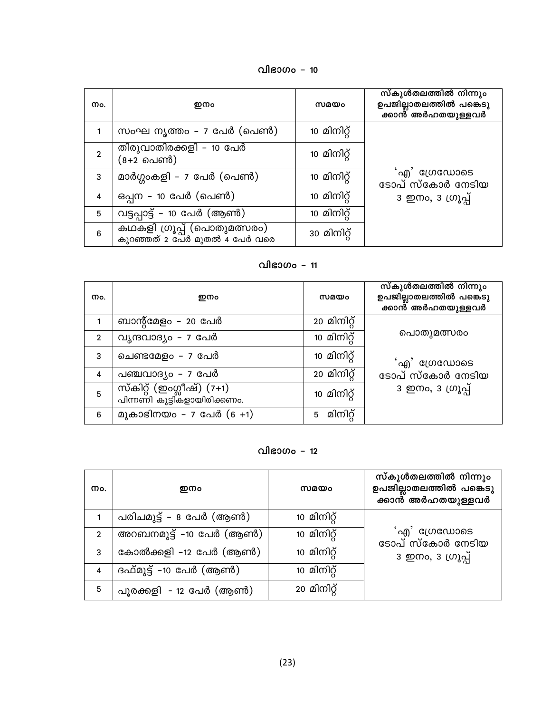വിഭാഗം - 10

| Mo.            | ഇനം                                                          | സമയം        | സ്കൂൾതലത്തിൽ നിന്നും<br>ഉപജില്ലാതലത്തിൽ പങ്കെടു<br>.<br>ക്കാൻ് അർഹതയുള്ളവർ |
|----------------|--------------------------------------------------------------|-------------|----------------------------------------------------------------------------|
|                | സംഘ നൃത്തം – 7 പേർ (പെൺ)                                     | 10 മിനിറ്റ് |                                                                            |
| $\overline{2}$ | തിരുവാതിരക്കളി – 10 പേർ<br>(8+2 പെൺ)                         | 10 മിനിറ്റ് |                                                                            |
| 3              | മാർഗ്ഗംകളി – 7 പേർ (പെൺ)                                     | 10 മിനിറ്റ് | 'എ' ഗ്രേഡോടെ<br>ടോപ് സ്കോർ നേടിയ                                           |
| 4              | ഒപ്പന – 10 പേർ (പെൺ)                                         | 10 മിനിറ്റ് | 3 ഇനം, 3 ഗ്രൂപ്പ്                                                          |
| 5              | വട്ടപ്പാട്ട് - 10 പേർ (ആൺ)                                   | 10 മിനിറ്റ് |                                                                            |
| 6              | കഥകളി ഗ്രൂപ്പ് (പൊതുമത്സരം)<br>കുറഞ്ഞത് 2 പേർ മുതൽ 4 പേർ വരെ | 30 മിനിറ്റ് |                                                                            |

| Mo.            | ഇനം                                                      | സമയം        | സ്കൂൾതലത്തിൽ നിന്നും<br>ഉപജില്ലാതലത്തിൽ പങ്കെടു<br>ക്കാൻ അർഹതയുള്ളവർ |
|----------------|----------------------------------------------------------|-------------|----------------------------------------------------------------------|
|                | ബാന്റ്മേളം – 20 പേർ                                      | 20 മിനിറ്റ് |                                                                      |
| $\overline{2}$ | വൃന്ദവാദ്യം - 7 പേർ                                      | 10 മിനിറ്റ് | പൊതുമത്സരം                                                           |
| 3              | ചെണ്ടമേളം – 7 പേർ                                        | 10 മിനിറ്റ് | 'എ' ഗ്രേഡോടെ                                                         |
| 4              | പഞ്ചവാദ്യം - 7 പേർ                                       | 20 മിനിറ്റ് | ടോപ് സ്കോർ നേടിയ                                                     |
| 5              | സ്കിറ്റ് (ഇംഗ്ലീഷ്) (7+1)<br>പിന്നണി കുട്ടികളായിരിക്കണം. | 10 മിനിറ്റ് | $3 \nvert$ ഇനം, $3 \nvert$ ഗ്രൂപ്പ്                                  |
| 6              | മൂകാഭിനയം – 7 പേർ $(6 + 1)$                              | മിനിറ്<br>5 |                                                                      |

### വിഭാഗം - 12

| Mo.            | ഇനം                     | സമയം        | സ്കൂൾതലത്തിൽ നിന്നും<br>ഉപജില്ലാതലത്തിൽ പങ്കെടു<br>ക്കാൻ അർഹതയുള്ളവർ |
|----------------|-------------------------|-------------|----------------------------------------------------------------------|
|                | പരിചമുട്ട് – 8 പേർ (ആൺ) | 10 മിനിറ്റ് |                                                                      |
| $\overline{2}$ | അറബനമുട്ട് –10 പേർ (ആൺ) | 10 മിനിറ്റ് | 'എ' ഗ്രേഡോടെ<br>ടോപ് സ്കോർ നേടിയ                                     |
| 3              | കോൽക്കളി –12 പേർ (ആൺ)   | 10 മിനിറ്റ് | 3 ഇനം, 3 ഗ്രൂപ്പ്                                                    |
| 4              | ദഫ്മുട്ട് -10 പേർ (ആൺ)  | 10 മിനിറ്റ് |                                                                      |
| 5              | പൂരക്കളി - 12 പേർ (ആൺ)  | 20 മിനിറ്റ് |                                                                      |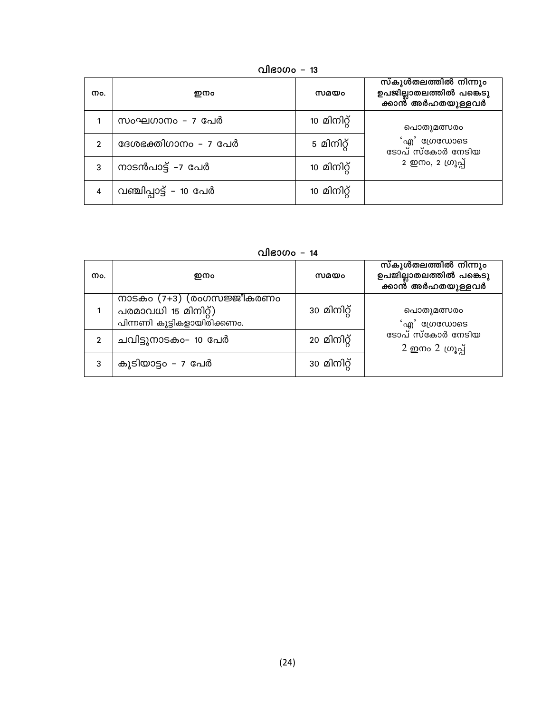| Mo.            | ഇനം                    | സമയം        | സ്കൂൾതലത്തിൽ നിന്നും<br>ഉപജില്ലാതലത്തിൽ പങ്കെടു<br>ക്കാൻ അർഹതയുള്ളവർ |
|----------------|------------------------|-------------|----------------------------------------------------------------------|
|                | സംഘഗാനം – 7 പേർ        | 10 മിനിറ്റ് | പൊതുമത്സരം                                                           |
| $\mathfrak{p}$ | ദേശഭക്തിഗാനം – 7 പേർ   | 5 മിനിറ്റ്  | 'എ' ഗ്രേഡോടെ<br>ടോപ് സ്കോർ നേടിയ                                     |
| 3              | നാടൻപാട്ട് –7 പേർ      | 10 മിനിറ്റ് | 2 ഇനം, 2 ഗ്രൂപ്പ്                                                    |
| 4              | വഞ്ചിപ്പാട്ട് – 10 പേർ | 10 മിനിറ്റ് |                                                                      |

വിഭാഗം - 13

വിഭാഗം - 14

| Mo.            | ഇനം                                                                                | സമയം        | സ്കൂൾതലത്തിൽ നിന്നും<br>ഉപജില്ലാതലത്തിൽ പങ്കെടു<br>ക്കാന്റ് അർഹതയുള്ളവർ                                                                                     |
|----------------|------------------------------------------------------------------------------------|-------------|-------------------------------------------------------------------------------------------------------------------------------------------------------------|
|                | നാടകം $(7+3)$ (രംഗസജ്ജീകരണം<br>പരമാവധി 15 മിനിറ്റ്)<br>പിന്നണി കുട്ടികളായിരിക്കണം. | 30 മിനിറ്റ് | പൊതുമത്സരം<br>'എ' ഗ്രേഡോടെ                                                                                                                                  |
| $\mathfrak{p}$ | ചവിട്ടുനാടകം– 10 പേർ                                                               | 20 മിനിറ്റ് | ടോപ് സ്കോർ നേടിയ<br>$2 \n  2 \n  0 \n  0 \n  0 \n  0 \n  0 \n  0 \n  0 \n  0 \n  0 \n  0 \n  0 \n  0 \n  0 \n  0 \n  0 \n  0 \n  0 \n  0 \n  0 \n  0 \n  0$ |
| 3              | കൂടിയാട്ടം - 7 പേർ                                                                 | 30 മിനിറ്റ് |                                                                                                                                                             |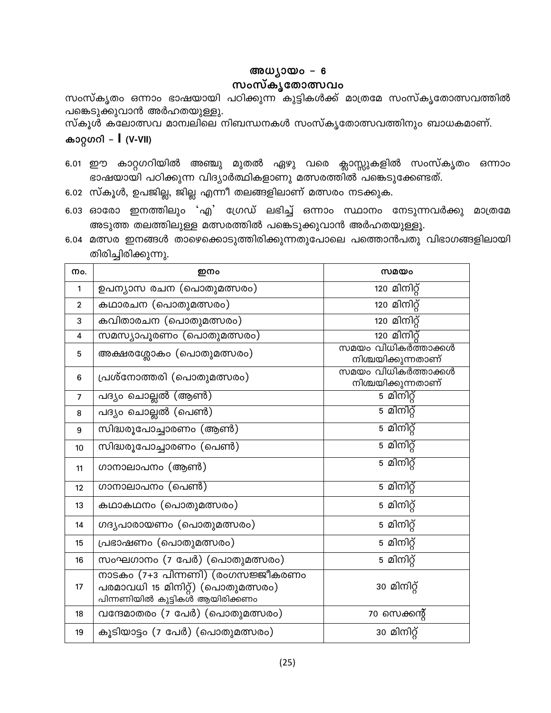### അധ്യായം - 6

### സംസ്കൃതോത്സവം

സംസ്കൃതം ഒന്നാം ഭാഷയായി പഠിക്കുന്ന കുട്ടികൾക്ക് മാത്രമേ സംസ്കൃതോത്സവത്തിൽ പങ്കെടുക്കുവാൻ അർഹതയുള്ളു.

സ്കൂൾ കലോത്സവ മാന്വലിലെ നിബന്ധനകൾ സംസ്കൃതോത്സവത്തിനും ബാധകമാണ്.

### കാറ്റഗറി – I (V-VII)

- 6.01 ഈ കാറ്റഗറിയിൽ അഞ്ചു മുതൽ ഏഴു വരെ ക്ലാസ്സുകളിൽ സംസ്കൃതം ഒന്നാം ഭാഷയായി പഠിക്കുന്ന വിദ്യാർത്ഥികളാണു മത്സരത്തിൽ പങ്കെടുക്കേണ്ടത്.
- 6.02 സ്കൂൾ, ഉപജില്ല, ജില്ല എന്നീ തലങ്ങളിലാണ് മത്സരം നടക്കുക.
- 6.03 ഓരോ ഇനത്തിലും 'എ' ഗ്രേഡ് ലഭിച്ച് ഒന്നാം സ്ഥാനം നേടുന്നവർക്കു മാത്രമേ അടുത്ത തലത്തിലുള്ള മത്സരത്തിൽ പങ്കെടുക്കുവാൻ അർഹതയുള്ളൂ.
- 6.04 മത്സര ഇനങ്ങൾ താഴെക്കൊടുത്തിരിക്കുന്നതുപോലെ പത്തൊൻപതു വിഭാഗങ്ങളിലായി തിരിച്ചിരിക്കുന്നു.

| Mo.            | ഇനം                                                                                                      | സമയം                                      |
|----------------|----------------------------------------------------------------------------------------------------------|-------------------------------------------|
| 1              | ഉപന്യാസ രചന (പൊതുമത്സരം)                                                                                 | 120 മിനിറ്റ്                              |
| $\overline{2}$ | കഥാരചന (പൊതുമത്സരം)                                                                                      | 120 മിനിറ്റ്                              |
| 3              | കവിതാരചന (പൊതുമത്സരം)                                                                                    | 120 മിനിറ്റ്                              |
| 4              | സമസ്യാപൂരണം (പൊതുമത്സരം)                                                                                 | <u>120 മിനിറ്റ്</u>                       |
| 5              | അക്ഷരശ്ലോകം (പൊതുമത്സരം)                                                                                 | സമയം വിധികർത്താക്കൾ<br>നിശ്ചയിക്കുന്നതാണ് |
| 6              | പ്രശ്നോത്തരി (പൊതുമത്സരം)                                                                                | സമയം വിധികർത്താക്കൾ<br>നിശ്ചയിക്കുന്നതാണ് |
| $\overline{7}$ | പദ്യം ചൊല്ലൽ (ആൺ)                                                                                        | 5 മിനിറ്റ്                                |
| 8              | പദ്യം ചൊല്ലൽ (പെൺ)                                                                                       | 5 മിനിറ്റ്                                |
| 9              | സിദ്ധരൂപോച്ചാരണം (ആൺ)                                                                                    | 5 മിനിറ്റ്                                |
| 10             | സിദ്ധരൂപോച്ചാരണം (പെൺ)                                                                                   | 5 മിനിറ്റ്                                |
| 11             | ഗാനാലാപനം (ആൺ)                                                                                           | 5 മിനിറ്റ്                                |
| 12             | ഗാനാലാപനം (പെൺ)                                                                                          | 5 മിനിറ്റ്                                |
| 13             | കഥാകഥനം (പൊതുമത്സരം)                                                                                     | 5 മിനിറ്റ്                                |
| 14             | ഗദൃപാരായണം (പൊതുമത്സരം)                                                                                  | 5 മിനിറ്റ്                                |
| 15             | പ്രഭാഷണം (പൊതുമത്സരം)                                                                                    | 5 മിനിറ്റ്                                |
| 16             | സംഘഗാനം (7 പേർ) (പൊതുമത്സരം)                                                                             | 5 മിനിറ്റ്                                |
| 17             | നാടകം (7+3 പിന്നണി) (രംഗസജ്ജീകരണം<br>പരമാവധി 15 മിനിറ്റ്) (പൊതുമത്സരം)<br>പിന്നണിയിൽ കുട്ടികൾ ആയിരിക്കണം | 30 മിനിറ്റ്                               |
| 18             | വന്ദേമാതരം (7 പേർ) (പൊതുമത്സരം)                                                                          | 70 സെക്കന്റ്                              |
| 19             | കൂടിയാട്ടം (7 പേർ) (പൊതുമത്സരം)                                                                          | 30 മിനിറ്റ്                               |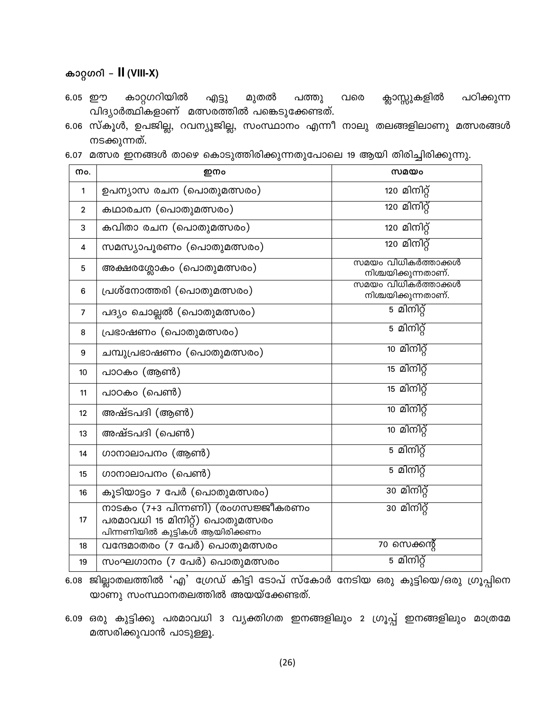### കാറ്റഗറി - II (VIII-X)

- കാറ്റഗറിയിൽ 6.05 ഈ എട്ടു മുതൽ പത്തു വരെ ക്സാസ്സുകളിൽ പഠിക്കുന്ന വിദ്യാർത്ഥികളാണ് മത്സരത്തിൽ പങ്കെടുക്കേണ്ടത്.
- 6.06 സ്കൂൾ, ഉപജില്ല, റവന്യൂജില്ല, സംസ്ഥാനം എന്നീ നാലു തലങ്ങളിലാണു മത്സരങ്ങൾ നടക്കുന്നത്.
- 6.07 മത്സര ഇനങ്ങൾ താഴെ കൊടുത്തിരിക്കുന്നതുപോലെ 19 ആയി തിരിച്ചിരിക്കുന്നു.

| Mo.            | ഇനം                                                                                                    | സമയം                                       |
|----------------|--------------------------------------------------------------------------------------------------------|--------------------------------------------|
| 1              | ഉപന്യാസ രചന (പൊതുമത്സരം)                                                                               | 120 മിനിറ്റ്                               |
| $\overline{2}$ | കഥാരചന (പൊതുമത്സരം)                                                                                    | 120 മിനിറ്റ്                               |
| 3              | കവിതാ രചന (പൊതുമത്സരം)                                                                                 | 120 മിനിറ്റ്                               |
| 4              | സമസ്യാപൂരണം (പൊതുമത്സരം)                                                                               | 120 മിനിറ്റ്                               |
| 5              | അക്ഷരശ്ലോകം (പൊതുമത്സരം)                                                                               | സമയം വിധികർത്താക്കൾ<br>നിശ്ചയിക്കുന്നതാണ്. |
| 6              | പ്രശ്നോത്തരി (പൊതുമത്സരം)                                                                              | സമയം വിധികർത്താക്കൾ<br>നിശ്ചയിക്കുന്നതാണ്. |
| $\overline{7}$ | പദ്യം ചൊല്ലൽ (പൊതുമത്സരം)                                                                              | 5 മിനിറ്റ്                                 |
| 8              | പ്രഭാഷണം (പൊതുമത്സരം)                                                                                  | 5 മിനിറ്റ്                                 |
| 9              | ചമ്പുപ്രഭാഷണം (പൊതുമത്സരം)                                                                             | 10 മിനിറ്റ്                                |
| 10             | പാഠകം (ആൺ)                                                                                             | 15 മിനിറ്റ്                                |
| 11             | പാഠകം (പെൺ)                                                                                            | 15 മിനിറ്റ്                                |
| 12             | അഷ്ടപദി (ആൺ)                                                                                           | 10 മിനിറ്റ്                                |
| 13             | അഷ്ടപദി (പെൺ)                                                                                          | 10 മിനിറ്റ്                                |
| 14             | ഗാനാലാപനം (ആൺ)                                                                                         | 5 മിനിറ്റ്                                 |
| 15             | ഗാനാലാപനം (പെൺ)                                                                                        | 5 മിനിറ്റ്                                 |
| 16             | കൂടിയാട്ടം 7 പേർ (പൊതുമത്സരം)                                                                          | 30 മിനിറ്റ്                                |
| 17             | നാടകം (7+3 പിന്നണി) (രംഗസജ്ജീകരണം<br>പരമാവധി 15 മിനിറ്റ്) പൊതുമത്സരം<br>പിന്നണിയിൽ കുട്ടികൾ ആയിരിക്കണം | 30 മിനിറ്റ്                                |
| 18             | വന്ദേമാതരം (7 പേർ) പൊതുമത്സരം                                                                          | 70 സെക്കന്റ്                               |
| 19             | സംഘഗാനം (7 പേർ) പൊതുമത്സരം                                                                             | 5 മിനിറ്റ്                                 |

6.08 ജില്ലാതലത്തിൽ 'എ' ഗ്രേഡ് കിട്ടി ടോപ് സ്കോർ നേടിയ ഒരു കുട്ടിയെ/ഒരു ഗ്രൂപ്പിനെ യാണു സംസ്ഥാനതലത്തിൽ അയയ്ക്കേണ്ടത്.

6.09 ഒരു കുട്ടിക്കു പരമാവധി 3 വ്യക്തിഗത ഇനങ്ങളിലും 2 ഗ്രൂപ്പ് ഇനങ്ങളിലും മാത്രമേ മത്സരിക്കുവാൻ പാടുള്ളൂ.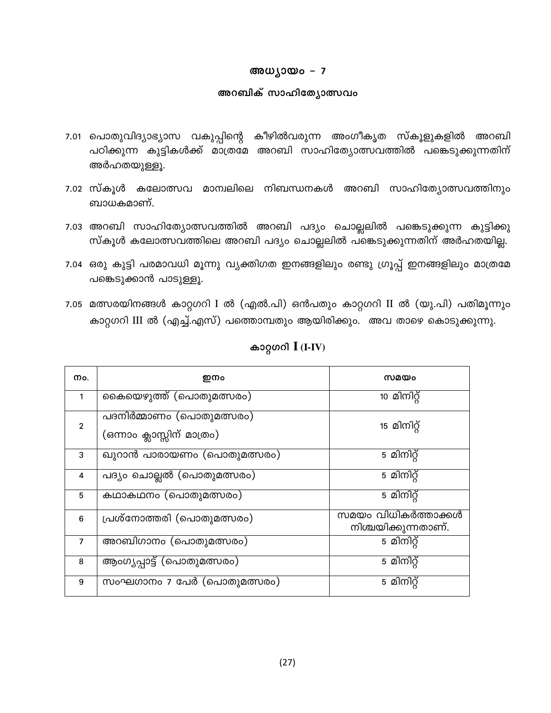#### അധ്യായം - 7

#### അറബിക് സാഹിത്യോത്സവം

- 7.01 പൊതുവിദ്യാഭ്യാസ വകുപ്പിന്റെ കീഴിൽവരുന്ന അംഗീകൃത സ്കൂളുകളിൽ അറബി പഠിക്കുന്ന കുട്ടികൾക്ക് മാത്രമേ അറബി സാഹിത്യോത്സവത്തിൽ പങ്കെടുക്കുന്നതിന് അർഹതയുള്ളൂ.
- 7.02 സ്കൂൾ കലോത്സവ മാന്വലിലെ നിബന്ധനകൾ അറബി സാഹിത്യോത്സവത്തിനും ബാധകമാണ്.
- 7.03 അറബി സാഹിത്യോത്സവത്തിൽ അറബി പദ്യം ചൊല്ലലിൽ പങ്കെടുക്കുന്ന കുട്ടിക്കു സ്കൂൾ കലോത്സവത്തിലെ അറബി പദ്യം ചൊല്ലലിൽ പങ്കെടുക്കുന്നതിന് അർഹതയില്ല.
- 7.04 ഒരു കുട്ടി പരമാവധി മൂന്നു വ്യക്തിഗത ഇനങ്ങളിലും രണ്ടു ഗ്രൂപ്പ് ഇനങ്ങളിലും മാത്രമേ പങ്കെടുക്കാൻ പാടുള്ളൂ.
- 7.05 മത്സരയിനങ്ങൾ കാറ്റഗറി I ൽ (എൽ.പി) ഒൻപതും കാറ്റഗറി II ൽ (യു.പി) പതിമൂന്നും കാറ്റഗറി III ൽ (എച്ച്.എസ്) പത്തൊമ്പതും ആയിരിക്കും. അവ താഴെ കൊടുക്കുന്നു.

| Mo.            | ഇനം                                                    | സമയം                                       |
|----------------|--------------------------------------------------------|--------------------------------------------|
| 1              | കൈയെഴുത്ത് (പൊതുമത്സരം)                                | 10 മിനിറ്റ്                                |
| $\overline{2}$ | പദനിർമ്മാണം (പൊതുമത്സരം)<br>(ഒന്നാം ക്ലാസ്സിന് മാത്രം) | 15 മിനിറ്റ്                                |
| 3              | ഖുറാൻ പാരായണം (പൊതുമത്സരം)                             | 5 മിനിറ്റ്                                 |
| 4              | പദ്യം ചൊല്ലൽ (പൊതുമത്സരം)                              | 5 മിനിറ്റ്                                 |
| 5              | കഥാകഥനം (പൊതുമത്സരം)                                   | 5 മിനിറ്റ്                                 |
| 6              | പ്രശ്നോത്തരി (പൊതുമത്സരം)                              | സമയം വിധികർത്താക്കൾ<br>നിശ്ചയിക്കുന്നതാണ്. |
| $\overline{7}$ | അറബിഗാനം (പൊതുമത്സരം)                                  | $\overline{5}$ മിനിറ്റ്                    |
| 8              | ആംഗൃപ്പാട്ട് (പൊതുമത്സരം)                              | $\overline{5}$ മിനിറ്റ്                    |
| 9              | സംഘഗാനം 7 പേർ (പൊതുമത്സരം)                             | 5 മിനിറ്റ്                                 |

### കാറ്റഗറി  $I$  (I-IV)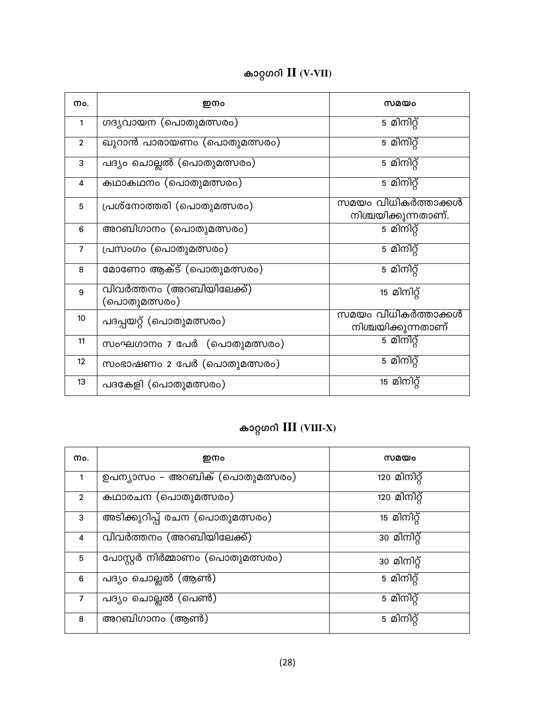| Mo.            | ഇനം                                      | സമയം                                       |
|----------------|------------------------------------------|--------------------------------------------|
| 1              | ഗദൃവായന (പൊതുമത്സരം)                     | 5 മിനിറ്റ്                                 |
| $\overline{2}$ | ഖുറാൻ പാരായണം (പൊതുമത്സരം)               | 5 മിനിറ്റ്                                 |
| 3              | പദ്യം ചൊല്ലൽ (പൊതുമത്സരം)                | 5 മിനിറ്റ്                                 |
| 4              | കഥാകഥനം (പൊതുമത്സരം)                     | 5 മിനിറ്റ്                                 |
| 5              | പ്രശ്നോത്തരി (പൊതുമത്സരം)                | സമയം വിധികർത്താക്കൾ<br>നിശ്ചയിക്കുന്നതാണ്. |
| $6\phantom{1}$ | അറബിഗാനം (പൊതുമത്സരം)                    | 5 മിനിറ്റ്                                 |
| $\overline{7}$ | പ്രസംഗം (പൊതുമത്സരം)                     | 5 മിനിറ്റ്                                 |
| 8              | മോണോ ആക്ട് (പൊതുമത്സരം)                  | 5 മിനിറ്റ്                                 |
| 9              | വിവർത്തനം (അറബിയിലേക്ക്)<br>(പൊതുമത്സരം) | 15 മിനിറ്റ്                                |
| 10             | പദപ്പയറ്റ് (പൊതുമത്സരം)                  | സമയം വിധികർത്താക്കൾ<br>നിശ്ചയിക്കുന്നതാണ്  |
| 11             | സംഘഗാനം 7 പേർ (പൊതുമത്സരം)               | 5 മിനിറ്റ്                                 |
| 12             | സംഭാഷണം 2 പേർ (പൊതുമത്സരം)               | 5 മിനിറ്റ്                                 |
| 13             | പദകേളി (പൊതുമത്സരം)                      | 15 മിനിറ്റ്                                |

# കാറ്റഗറി $III$  (VIII-X)

| Mo.            | ഇനം                             | സമയം                     |
|----------------|---------------------------------|--------------------------|
| $\mathbf{1}$   | ഉപന്യാസം – അറബിക് (പൊതുമത്സരം)  | 120 മിനിറ്റ്             |
| $\overline{2}$ | കഥാരചന (പൊതുമത്സരം)             | 120 മിനിറ്റ്             |
| 3              | അടിക്കുറിപ്പ് രചന (പൊതുമത്സരം)  | 15 മിനിറ്റ്              |
| 4              | വിവർത്തനം (അറബിയിലേക്ക്)        | $\overline{30}$ മിനിറ്റ് |
| 5              | പോസ്റ്റർ നിർമ്മാണം (പൊതുമത്സരം) | 30 മിനിറ്റ്              |
| 6              | പദ്യം ചൊല്ലൽ (ആൺ)               | 5 മിനിറ്റ്               |
| $\overline{7}$ | പദ്യം ചൊല്ലൽ (പെൺ)              | 5 മിനിറ്റ്               |
| 8              | അറബിഗാനം (ആൺ)                   | $\overline{5}$ മിനിറ്റ്  |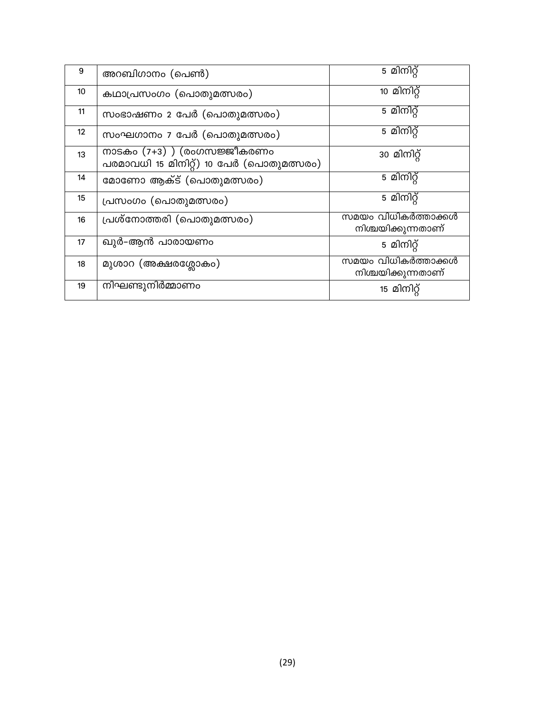| 9  | അറബിഗാനം (പെൺ)                                                            | 5 മിനിറ്റ്                                |
|----|---------------------------------------------------------------------------|-------------------------------------------|
| 10 | കഥാപ്രസംഗം (പൊതുമത്സരം)                                                   | 10 മിനിറ്റ്                               |
| 11 | സംഭാഷണം 2 പേർ (പൊതുമത്സരം)                                                | 5 മിനിറ്റ്                                |
| 12 | സംഘഗാനം 7 പേർ (പൊതുമത്സരം)                                                | 5 മിനിറ്റ്                                |
| 13 | നാടകം $(7+3)$ ) (രംഗസജ്ജീകരണം<br>പരമാവധി 15 മിനിറ്റ്) 10 പേർ (പൊതുമത്സരം) | 30 മിനിറ്റ്                               |
| 14 | മോണോ ആക്ട് (പൊതുമത്സരം)                                                   | 5 മിനിറ്റ്                                |
| 15 | പ്രസംഗം (പൊതുമത്സരം)                                                      | 5 മിനിറ്റ്                                |
| 16 | പ്രശ്നോത്തരി (പൊതുമത്സരം)                                                 | സമയം വിധികർത്താക്കൾ<br>നിശ്ചയിക്കുന്നതാണ് |
| 17 | ഖുർ–ആൻ പാരായണം                                                            | 5 മിനിറ്റ്                                |
| 18 | മുശാറ (അക്ഷരശ്ലോകം)                                                       | സമയം വിധികർത്താക്കൾ<br>നിശ്ചയിക്കുന്നതാണ് |
| 19 | നിഘണ്ടുനിർമ്മാണം                                                          | 15 മിനിറ്റ്                               |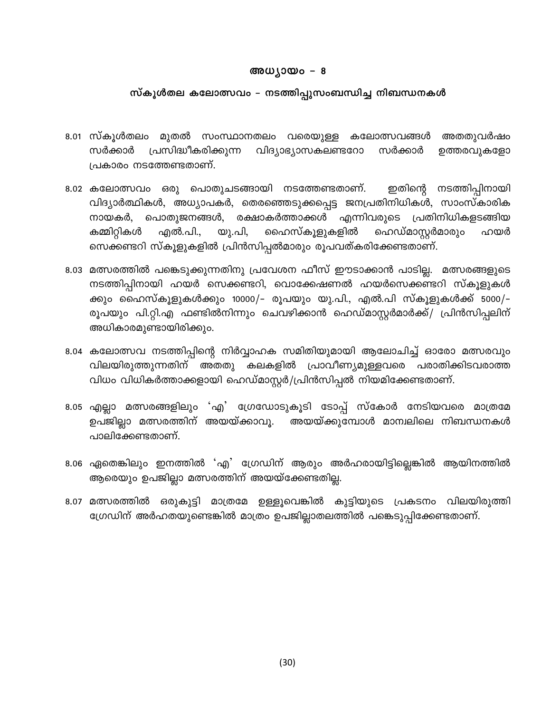#### അധ്യായം – 8

#### സ്കൂൾതല കലോത്സവം – നടത്തിപ്പുസംബന്ധിച്ച നിബന്ധനകൾ

- 8.01 സ്കൂൾതലം മുതൽ സംസ്ഥാനതലം വരെയുള്ള കലോത്സവങ്ങൾ അതതുവർഷം സർക്കാർ പ്രസിദ്ധീകരിക്കുന്ന വിദ്യാഭ്യാസകലണ്ടറോ സർക്കാർ ഉത്തരവുകളോ പ്രകാരം നടത്തേണ്ടതാണ്.
- 8.02 കലോത്സവം ഒരു പൊതുചടങ്ങായി നടത്തേണ്ടതാണ്. ഇതിന്റെ നടത്തിപ്പിനായി വിദ്യാർത്ഥികൾ, അധ്യാപകർ, തെരഞ്ഞെടുക്കപ്പെട്ട ജനപ്രതിനിധികൾ, സാംസ്കാരിക നായകർ, പൊതുജനങ്ങൾ, രക്ഷാകർത്താക്കൾ എന്നിവരുടെ പ്രതിനിധികളടങ്ങിയ ഹെഡ്മാസ്റ്റർമാരും കമ്മിറ്റികൾ എൽ.പി., യു.പി, ഹൈസ്കൂളുകളിൽ ഹയർ സെക്കണ്ടറി സ്കൂളുകളിൽ പ്രിൻസിപ്പൽമാരും രൂപവത്കരിക്കേണ്ടതാണ്.
- 8.03 മത്സരത്തിൽ പങ്കെടുക്കുന്നതിനു പ്രവേശന ഫീസ് ഈടാക്കാൻ പാടില്ല. മത്സരങ്ങളുടെ നടത്തിപ്പിനായി ഹയർ സെക്കണ്ടറി, വൊക്കേഷണൽ ഹയർസെക്കണ്ടറി സ്കൂളുകൾ ക്കും ഹൈസ്കൂളുകൾക്കും 10000/– രൂപയും യു.പി., എൽ.പി സ്കൂളുകൾക്ക് 5000/– രൂപയും പി.റ്റി.എ ഫണ്ടിൽനിന്നും ചെവഴിക്കാൻ ഹെഡ്മാസ്റ്റർമാർക്ക്/ പ്രിൻസിപ്പലിന് അധികാരമുണ്ടായിരിക്കും.
- 8.04 കലോത്സവ നടത്തിപ്പിന്റെ നിർവ്വാഹക സമിതിയുമായി ആലോചിച്ച് ഓരോ മത്സരവും വിലയിരുത്തുന്നതിന് അതതു കലകളിൽ പ്രാവീണ്യമുള്ളവരെ പരാതിക്കിടവരാത്ത വിധം വിധികർത്താക്കളായി ഹെഡ്മാസ്റ്റർ/പ്രിൻസിപ്പൽ നിയമിക്കേണ്ടതാണ്.
- 8.05 എല്ലാ മത്സരങ്ങളിലും 'എ' ഗ്രേഡോടുകൂടി ടോപ്പ് സ്കോർ നേടിയവരെ മാത്രമേ ഉപജില്ലാ മത്സരത്തിന് അയയ്ക്കാവൂ. അയയ്ക്കുമ്പോൾ മാന്വലിലെ നിബന്ധനകൾ പാലിക്കേണ്ടതാണ്.
- 8.06 ഏതെങ്കിലും ഇനത്തിൽ 'എ' ഗ്രേഡിന് ആരും അർഹരായിട്ടില്ലെങ്കിൽ ആയിനത്തിൽ ആരെയും ഉപജില്ലാ മത്സരത്തിന് അയയ്ക്കേണ്ടതില്ല.
- 8.07 മത്സരത്തിൽ ഒരുകുട്ടി മാത്രമേ ഉള്ളൂവെങ്കിൽ കുട്ടിയുടെ പ്രകടനം വിലയിരുത്തി ഗ്രേഡിന് അർഹതയുണ്ടെങ്കിൽ മാത്രം ഉപജില്ലാതലത്തിൽ പങ്കെടുപ്പിക്കേണ്ടതാണ്.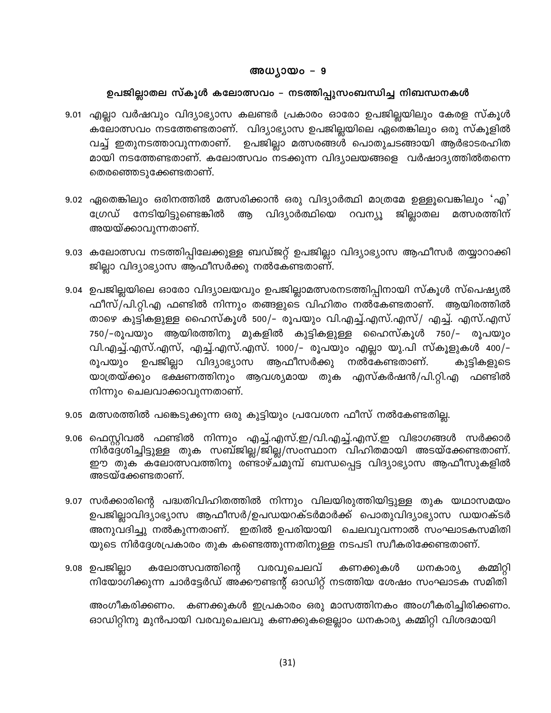#### അധ്യായം – 9

### ഉപജില്ലാതല സ്കൂൾ കലോത്സവം – നടത്തിപ്പുസംബന്ധിച്ച നിബന്ധനകൾ

- 9.01 എല്ലാ വർഷവും വിദ്യാഭ്യാസ കലണ്ടർ പ്രകാരം ഓരോ ഉപജില്ലയിലും കേരള സ്കൂൾ കലോത്സവം നടത്തേണ്ടതാണ്. വിദ്യാഭ്യാസ ഉപജില്ലയിലെ ഏതെങ്കിലും ഒരു സ്കൂളിൽ വച്ച് ഇതുനടത്താവുന്നതാണ്. ഉപജില്ലാ മത്സരങ്ങൾ പൊതുചടങ്ങായി ആർഭാടരഹിത മായി നടത്തേണ്ടതാണ്. കലോത്സവം നടക്കുന്ന വിദ്യാലയങ്ങളെ വർഷാദ്യത്തിൽതന്നെ തെരഞ്ഞെടുക്കേണ്ടതാണ്.
- 9.02 ഏതെങ്കിലും ഒരിനത്തിൽ മത്സരിക്കാൻ ഒരു വിദ്യാർത്ഥി മാത്രമേ ഉള്ളൂവെങ്കിലും 'എ' ജില്ലാതല ഗ്രേഡ് നേടിയിട്ടുണ്ടെങ്കിൽ ആ വിദ്യാർത്ഥിയെ റവന്യു മത്സരത്തിന് അയയ്ക്കാവുന്നതാണ്.
- 9.03 കലോത്സവ നടത്തിപ്പിലേക്കുള്ള ബഡ്ജറ്റ് ഉപജില്ലാ വിദ്യാഭ്യാസ ആഫീസർ തയ്യാറാക്കി ജില്ലാ വിദ്യാഭ്യാസ ആഫീസർക്കു നൽകേണ്ടതാണ്.
- 9.04 ഉപജില്ലയിലെ ഓരോ വിദ്യാലയവും ഉപജില്ലാമത്സരനടത്തിപ്പിനായി സ്കൂൾ സ്പെഷ്യൽ ഫീസ്/പി.റ്റി.എ ഫണ്ടിൽ നിന്നും തങ്ങളുടെ വിഹിതം നൽകേണ്ടതാണ്. ആയിരത്തിൽ താഴെ കുട്ടികളുള്ള ഹൈസ്കൂൾ 500/– രൂപയും വി.എച്ച്.എസ്.എസ്/ എച്ച്. എസ്.എസ് 750/–രൂപയും ആയിരത്തിനു മുകളിൽ കുട്ടികളുള്ള ഹൈസ്കൂൾ 750/– രൂപയും വി.എച്ച്.എസ്.എസ്, എച്ച്.എസ്.എസ്. 1000/– രൂപയും എല്ലാ യു.പി സ്കൂളുകൾ 400/– രൂപയും ഉപജില്ലാ വിദ്യാഭ്യാസ ആഫീസർക്കു നൽകേണ്ടതാണ്. കുട്ടികളുടെ യാത്രയ്ക്കും ഭക്ഷണത്തിനും ആവശ്യമായ തുക എസ്കർഷൻ/പി.റ്റി.എ ഫണ്ടിൽ നിന്നും ചെലവാക്കാവുന്നതാണ്.
- 9.05 മത്സരത്തിൽ പങ്കെടുക്കുന്ന ഒരു കുട്ടിയും പ്രവേശന ഫീസ് നൽകേണ്ടതില്ല.
- 9.06 ഫെസ്റ്റിവൽ ഫണ്ടിൽ നിന്നും എച്ച്.എസ്.ഇ/വി.എച്ച്.എസ്.ഇ വിഭാഗങ്ങൾ സർക്കാർ നിർദ്ദേശിച്ചിട്ടുള്ള തുക സബ്ജില്ല/ജില്ല/സംസ്ഥാന വിഹിതമായി അടയ്ക്കേണ്ടതാണ്. ഈ തുക കലോത്സവത്തിനു രണ്ടാഴ്ചമുമ്പ് ബന്ധപ്പെട്ട വിദ്യാഭ്യാസ ആഫീസുകളിൽ അടയ്ക്കേണ്ടതാണ്.
- 9.07 സർക്കാരിന്റെ പദ്ധതിവിഹിതത്തിൽ നിന്നും വിലയിരുത്തിയിട്ടുള്ള തുക യഥാസമയം ഉപജില്ലാവിദ്യാഭ്യാസ ആഫീസർ/ഉപഡയറക്ടർമാർക്ക് പൊതുവിദ്യാഭ്യാസ ഡയറക്ടർ അനുവദിച്ചു നൽകുന്നതാണ്. ഇതിൽ ഉപരിയായി ചെലവുവന്നാൽ സംഘാടകസമിതി യുടെ നിർദ്ദേശപ്രകാരം തുക കണ്ടെത്തുന്നതിനുള്ള നടപടി സ്വീകരിക്കേണ്ടതാണ്.
- 9.08 ഉപജില്ലാ കലോത്സവത്തിന്റെ വരവുചെലവ് കണക്കുകൾ ധനകാര്യ കമ്മിറ്റി നിയോഗിക്കുന്ന ചാർട്ടേർഡ് അക്കൗണ്ടന്റ് ഓഡിറ്റ് നടത്തിയ ശേഷം സംഘാടക സമിതി

അംഗീകരിക്കണം. കണക്കുകൾ ഇപ്രകാരം ഒരു മാസത്തിനകം അംഗീകരിച്ചിരിക്കണം. ഓഡിറ്റിനു മുൻപായി വരവുചെലവു കണക്കുകളെല്ലാം ധനകാര്യ കമ്മിറ്റി വിശദമായി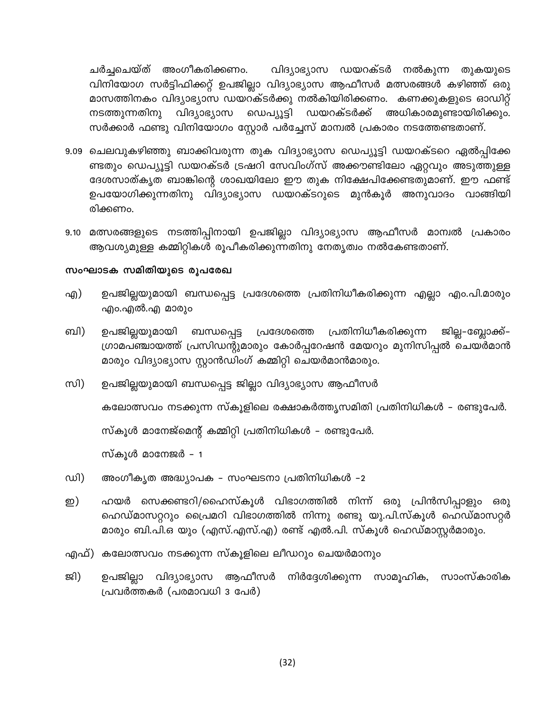ചർച്ചചെയ്ത് അംഗീകരിക്കണം. വിദ്യാഭ്യാസ ഡയറക്ടർ നൽകുന്ന തുകയുടെ വിനിയോഗ സർട്ടിഫിക്കറ്റ് ഉപജില്ലാ വിദ്യാഭ്യാസ ആഫീസർ മത്സരങ്ങൾ കഴിഞ്ഞ് ഒരു മാസത്തിനകം വിദ്യാഭ്യാസ ഡയറക്ടർക്കു നൽകിയിരിക്കണം. കണക്കുകളുടെ ഓഡിറ്റ് ഡെപ്യൂട്ടി ഡയറക്ടർക്ക് അധികാരമുണ്ടായിരിക്കും. വിദ്യാഭ്യാസ നടത്തുന്നതിനു സർക്കാർ ഫണ്ടു വിനിയോഗം സ്റ്റോർ പർച്ചേസ് മാന്വൽ പ്രകാരം നടത്തേണ്ടതാണ്.

- 9.09 ചെലവുകഴിഞ്ഞു ബാക്കിവരുന്ന തുക വിദ്യാഭ്യാസ ഡെപ്യൂട്ടി ഡയറക്ടറെ ഏൽപ്പിക്കേ ണ്ടതും ഡെപ്യൂട്ടി ഡയറക്ടർ ട്രഷറി സേവിംഗ്സ് അക്കൗണ്ടിലോ ഏറ്റവും അടുത്തുള്ള ദേശസാത്കൃത ബാങ്കിന്റെ ശാഖയിലോ ഈ തുക നിക്ഷേപിക്കേണ്ടതുമാണ്. ഈ ഫണ്ട് ഉപയോഗിക്കുന്നതിനു വിദ്യാഭ്യാസ ഡയറക്ടറുടെ മുൻകൂർ അനുവാദം വാങ്ങിയി രിക്കണം.
- 9.10 മത്സരങ്ങളുടെ നടത്തിപ്പിനായി ഉപജില്ലാ വിദ്യാഭ്യാസ ആഫീസർ മാന്വൽ പ്രകാരം ആവശ്യമുള്ള കമ്മിറ്റികൾ രൂപീകരിക്കുന്നതിനു നേതൃത്വം നൽകേണ്ടതാണ്.

#### സംഘാടക സമിതിയുടെ രൂപരേഖ

- എ) ഉപജില്ലയുമായി ബന്ധപ്പെട്ട പ്രദേശത്തെ പ്രതിനിധീകരിക്കുന്ന എല്ലാ എം.പി.മാരും എo.എൽ.എ മാരുo
- ബി) പ്രദേശത്തെ പ്രതിനിധീകരിക്കുന്ന ഉപജില്ലയുമായി ബന്ധപ്പെട്ട ജില്ല–ബ്ലോക്ക്– ഗ്രാമപഞ്ചായത്ത് പ്രസിഡന്റുമാരും കോർപ്പറേഷൻ മേയറും മുനിസിപ്പൽ ചെയർമാൻ മാരും വിദ്യാഭ്യാസ സ്റ്റാൻഡിംഗ് കമ്മിറ്റി ചെയർമാൻമാരും.
- സി) ഉപജില്ലയുമായി ബന്ധപ്പെട്ട ജില്ലാ വിദ്യാഭ്യാസ ആഫീസർ

കലോത്സവം നടക്കുന്ന സ്കൂളിലെ രക്ഷാകർത്തൃസമിതി പ്രതിനിധികൾ - രണ്ടുപേർ.

സ്കൂൾ മാനേജ്മെന്റ് കമ്മിറ്റി പ്രതിനിധികൾ – രണ്ടുപേർ.

സ്കൂൾ മാനേജർ - 1

- അംഗീകൃത അദ്ധ്യാപക സംഘടനാ പ്രതിനിധികൾ -2 ഡി)
- ഹയർ സെക്കണ്ടറി/ഹൈസ്കൂൾ വിഭാഗത്തിൽ നിന്ന് ഒരു പ്രിൻസിപ്പാളും ഒരു ഇ) ഹെഡ്മാസറ്ററും പ്രൈമറി വിഭാഗത്തിൽ നിന്നു രണ്ടു യു.പി.സ്കൂൾ ഹെഡ്മാസറ്റർ മാരും ബി.പി.ഒ യും (എസ്.എസ്.എ) രണ്ട് എൽ.പി. സ്കൂൾ ഹെഡ്മാസ്റ്റർമാരും.
- എഫ്) കലോത്സവം നടക്കുന്ന സ്കൂളിലെ ലീഡറും ചെയർമാനും
- ജി) ഉപജില്ലാ വിദ്യാഭ്യാസ ആഫീസർ നിർദ്ദേശിക്കുന്ന സാമൂഹിക, സാംസ്കാരിക പ്രവർത്തകർ (പരമാവധി 3 പേർ)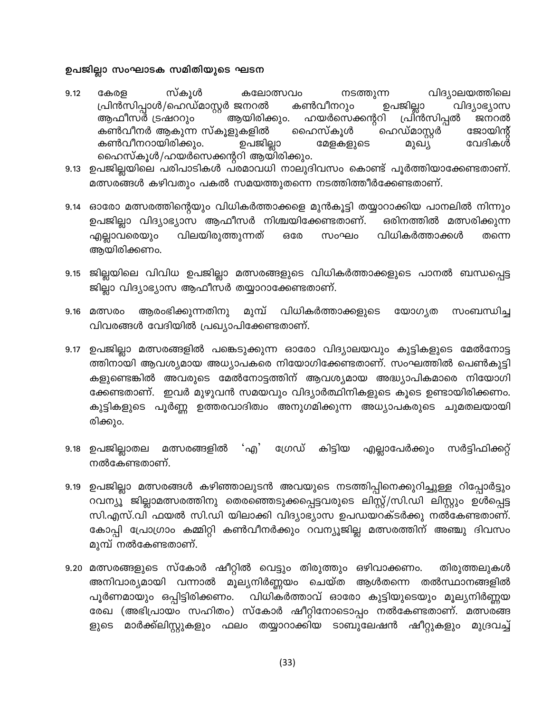#### ഉപജില്ലാ സംഘാടക സമിതിയുടെ ഘടന

- സ്കൂൾ നടത്തുന്ന വിദ്യാലയത്തിലെ 9.12 കേരള കലോത്സവം പ്രിൻസിപ്പാൾ/ഹെഡ്മാസ്റ്റർ ജനറൽ കൺവീനറും ഉപജില്ലാ വിദ്യാഭ്യാസ ആഫീസർ ട്രഷററും ആയിരിക്കും. ഹയർസെക്കന്ററി പ്രിൻസിപ്പൽ ജനറൽ കൺവീനർ ആകുന്ന സ്കൂളുകളിൽ ഹൈസ്കൂൾ ഹെഡ്മാസ്റ്റർ ജോയിന്റ് വേദികൾ കൺവീനറായിരിക്കും. ഉപജില്ലാ മേളകളുടെ മുഖ്യ ഹൈസ്കൂൾ/ഹയർസെക്കന്ററി ആയിരിക്കും.
- 9.13 ഉപജില്ലയിലെ പരിപാടികൾ പരമാവധി നാലുദിവസം കൊണ്ട് പൂർത്തിയാക്കേണ്ടതാണ്. മത്സരങ്ങൾ കഴിവതും പകൽ സമയത്തുതന്നെ നടത്തിത്തീർക്കേണ്ടതാണ്.
- 9.14 ഓരോ മത്സരത്തിന്റെയും വിധികർത്താക്കളെ മുൻകൂട്ടി തയ്യാറാക്കിയ പാനലിൽ നിന്നും ഉപജില്ലാ വിദ്യാഭ്യാസ ആഫീസർ നിശ്ചയിക്കേണ്ടതാണ്. ഒരിനത്തിൽ മത്സരിക്കുന്ന എല്ലാവരെയും വിലയിരുത്തുന്നത് **6300** സംഘം വിധികർത്താക്കൾ തന്നെ ആയിരിക്കണം.
- 9.15 ജില്ലയിലെ വിവിധ ഉപജില്ലാ മത്സരങ്ങളുടെ വിധികർത്താക്കളുടെ പാനൽ ബന്ധപ്പെട്ട ജില്ലാ വിദ്യാഭ്യാസ ആഫീസർ തയ്യാറാക്കേണ്ടതാണ്.
- ആരംഭിക്കുന്നതിനു മുമ്പ് വിധികർത്താക്കളുടെ 9.16 **@**m0@o യോഗ്യത സംബന്ധിച്ച വിവരങ്ങൾ വേദിയിൽ പ്രഖ്യാപിക്കേണ്ടതാണ്.
- 9.17 ഉപജില്ലാ മത്സരങ്ങളിൽ പങ്കെടുക്കുന്ന ഓരോ വിദ്യാലയവും കുട്ടികളുടെ മേൽനോട്ട ത്തിനായി ആവശ്യമായ അധ്യാപകരെ നിയോഗിക്കേണ്ടതാണ്. സംഘത്തിൽ പെൺകുട്ടി കളുണ്ടെങ്കിൽ അവരുടെ മേൽനോട്ടത്തിന് ആവശ്യമായ അദ്ധ്യാപികമാരെ നിയോഗി ക്കേണ്ടതാണ്. ഇവർ മുഴുവൻ സമയവും വിദ്യാർത്ഥിനികളുടെ കൂടെ ഉണ്ടായിരിക്കണം. കുട്ടികളുടെ പൂർണ്ണ ഉത്തരവാദിത്വം അനുഗമിക്കുന്ന അധ്യാപകരുടെ ചുമതലയായി രിക്കും.
- ்എ′ 9.18 ഉപജില്ലാതല മത്സരങ്ങളിൽ ൜േസ് കിട്ടിയ എല്ലാപേർക്കും സർട്ടിഫിക്കറ്റ് നൽകേണ്ടതാണ്.
- 9.19 ഉപജില്ലാ മത്സരങ്ങൾ കഴിഞ്ഞാലുടൻ അവയുടെ നടത്തിപ്പിനെക്കുറിച്ചുള്ള റിപ്പോർട്ടും റവന്യൂ ജില്ലാമത്സരത്തിനു തെരഞ്ഞെടുക്കപ്പെട്ടവരുടെ ലിസ്റ്റ്/സി.ഡി ലിസ്റ്റും ഉൾപ്പെട്ട സി.എസ്.വി ഫയൽ സി.ഡി യിലാക്കി വിദ്യാഭ്യാസ ഉപഡയറക്ടർക്കു നൽകേണ്ടതാണ്. കോപ്പി പ്രോഗ്രാം കമ്മിറ്റി കൺവീനർക്കും റവന്യൂജില്ല മത്സരത്തിന് അഞ്ചു ദിവസം മുമ്പ് നൽകേണ്ടതാണ്.
- 9.20 മത്സരങ്ങളുടെ സ്കോർ ഷീറ്റിൽ വെട്ടും തിരുത്തും ഒഴിവാക്കണം. തിരുത്തലുകൾ അനിവാര്യമായി വന്നാൽ മൂല്യനിർണ്ണയം ചെയ്ത ആൾതന്നെ തൽസ്ഥാനങ്ങളിൽ പൂർണമായും ഒപ്പിട്ടിരിക്കണം. വിധികർത്താവ് ഓരോ കുട്ടിയുടെയും മൂല്യനിർണ്ണയ രേഖ (അഭിപ്രായം സഹിതം) സ്കോർ ഷീറ്റിനോടൊപ്പം നൽകേണ്ടതാണ്. മത്സരങ്ങ മാർക്ക്ലിസ്റ്റുകളും ഫലം തയ്യാറാക്കിയ ടാബുലേഷൻ ഷീറ്റുകളും മുദ്രവച്ച് ളുടെ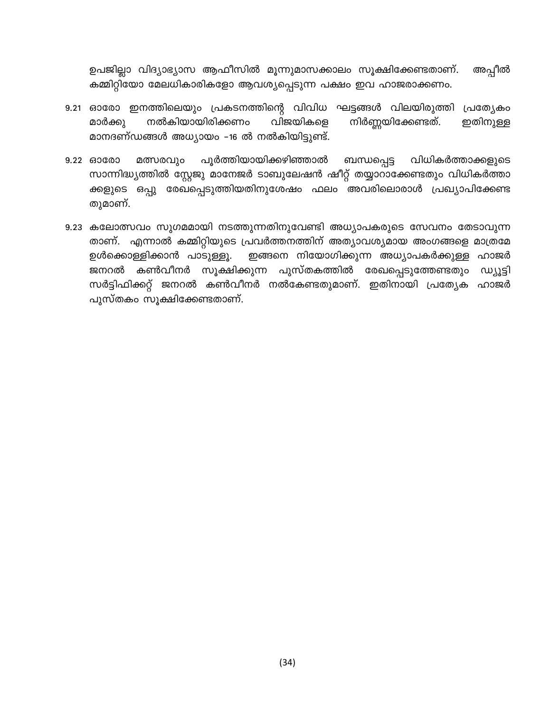ഉപജില്ലാ വിദ്യാഭ്യാസ ആഫീസിൽ മൂന്നുമാസക്കാലം സൂക്ഷിക്കേണ്ടതാണ്. അപ്പീൽ കമ്മിറ്റിയോ മേലധികാരികളോ ആവശ്യപ്പെടുന്ന പക്ഷം ഇവ ഹാജരാക്കണം.

- 9.21 ഓരോ ഇനത്തിലെയും പ്രകടനത്തിന്റെ വിവിധ ഘട്ടങ്ങൾ വിലയിരുത്തി പ്രത്യേകാ മാർക്കു നൽകിയായിരിക്കണം വിജയികളെ നിർണ്ണയിക്കേണ്ടത്. ഇതിനുള്ള മാനദണ്ഡങ്ങൾ അധ്യായം -16 ൽ നൽകിയിട്ടുണ്ട്.
- പൂർത്തിയായിക്കഴിഞ്ഞാൽ വിധികർത്താക്കളുടെ 9.22 60000 മത്സരവും ബന്ധപ്പെട്ട സാന്നിദ്ധ്യത്തിൽ സ്റ്റേജു മാനേജർ ടാബുലേഷൻ ഷീറ്റ് തയ്യാറാക്കേണ്ടതും വിധികർത്താ ക്കളുടെ ഒപ്പു രേഖപ്പെടുത്തിയതിനുശേഷം ഫലം അവരിലൊരാൾ പ്രഖ്യാപിക്കേണ്ട തുമാണ്.
- 9.23 കലോത്സവം സുഗമമായി നടത്തുന്നതിനുവേണ്ടി അധ്യാപകരുടെ സേവനം തേടാവുന്ന താണ്. എന്നാൽ കമ്മിറ്റിയുടെ പ്രവർത്തനത്തിന് അത്യാവശ്യമായ അംഗങ്ങളെ മാത്രമേ ഉൾക്കൊള്ളിക്കാൻ പാടുള്ളൂ. ഇങ്ങനെ നിയോഗിക്കുന്ന അധ്യാപകർക്കുള്ള ഹാജർ കൺവീനർ സൂക്ഷിക്കുന്ന പുസ്തകത്തിൽ രേഖപ്പെടുത്തേണ്ടതും **ഡ്യൂട്ടി** ജനറൽ സർട്ടിഫിക്കറ്റ് ജനറൽ കൺവീനർ നൽകേണ്ടതുമാണ്. ഇതിനായി പ്രത്യേക ഹാജർ പുസ്തകം സൂക്ഷിക്കേണ്ടതാണ്.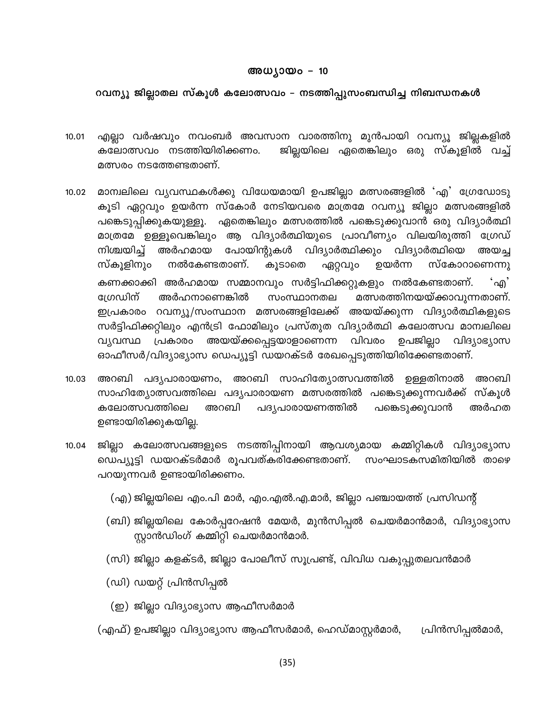#### അധ്യായം – 10

#### റവന്യൂ ജില്ലാതല സ്കൂൾ കലോത്സവം – നടത്തിപ്പുസംബന്ധിച്ച നിബന്ധനകൾ

- എല്ലാ വർഷവും നവംബർ അവസാന വാരത്തിനു മുൻപായി റവന്യൂ ജില്ലകളിൽ 10.01 ജില്ലയിലെ ഏതെങ്കിലും ഒരു സ്കൂളിൽ വച്ച് കലോത്സവം നടത്തിയിരിക്കണം. മത്സരം നടത്തേണ്ടതാണ്.
- മാന്വലിലെ വ്യവസ്ഥകൾക്കു വിധേയമായി ഉപജില്ലാ മത്സരങ്ങളിൽ 'എ' ഗ്രേഡോടു  $10.02$ കൂടി ഏറ്റവും ഉയർന്ന സ്കോർ നേടിയവരെ മാത്രമേ റവന്യൂ ജില്ലാ മത്സരങ്ങളിൽ ഏതെങ്കിലും മത്സരത്തിൽ പങ്കെടുക്കുവാൻ ഒരു വിദ്യാർത്ഥി പങ്കെടുപ്പിക്കുകയുള്ളൂ. മാത്രമേ ഉള്ളൂവെങ്കിലും ആ വിദ്യാർത്ഥിയുടെ പ്രാവീണ്യം വിലയിരുത്തി ഗ്രേഡ് പോയിന്റുകൾ വിദ്യാർത്ഥിക്കും വിദ്യാർത്ഥിയെ നിശ്ചയിച്ച് അർഹമായ അയച്ച സ്കോറാണെന്നു സ്കൂളിനും നൽകേണ്ടതാണ്. ഉയർന്ന കൂടാതെ ഏറ്റവും കണക്കാക്കി അർഹമായ സമ്മാനവും സർട്ടിഫിക്കറ്റുകളും നൽകേണ്ടതാണ്. ്എ' ഗ്രേഡിന് അർഹനാണെങ്കിൽ സംസ്ഥാനതല മത്സരത്തിനയയ്ക്കാവുന്നതാണ്. ഇപ്രകാരം റവന്യൂ/സംസ്ഥാന മത്സരങ്ങളിലേക്ക് അയയ്ക്കുന്ന വിദ്യാർത്ഥികളുടെ സർട്ടിഫിക്കറ്റിലും എൻട്രി ഫോമിലും പ്രസ്തുത വിദ്യാർത്ഥി കലോത്സവ മാന്വലിലെ വ്യവസ്ഥ പ്രകാരം അയയ്ക്കപ്പെട്ടയാളാണെന്ന വിവരം ഉപജില്ലാ വിദ്യാഭ്യാസ ഓഫീസർ/വിദ്യാഭ്യാസ ഡെപ്യൂട്ടി ഡയറക്ടർ രേഖപ്പെടുത്തിയിരിക്കേണ്ടതാണ്.
- അറബി പദൃപാരായണം, അറബി സാഹിത്യോത്സവത്തിൽ ഉള്ളതിനാൽ 10.03 അറബി സാഹിത്യോത്സവത്തിലെ പദ്യപാരായണ മത്സരത്തിൽ പങ്കെടുക്കുന്നവർക്ക് സ്കൂൾ കലോത്സവത്തിലെ അറബി പദ്യപാരായണത്തിൽ പങ്കെടുക്കുവാൻ അർഹത ഉണ്ടായിരിക്കുകയില്ല.
- 10.04 ജില്ലാ കലോത്സവങ്ങളുടെ നടത്തിപ്പിനായി ആവശ്യമായ കമ്മിറ്റികൾ വിദ്യാഭ്യാസ ഡെപ്യൂട്ടി ഡയറക്ടർമാർ രൂപവത്കരിക്കേണ്ടതാണ്. സംഘാടകസമിതിയിൽ താഴെ പറയുന്നവർ ഉണ്ടായിരിക്കണം.
	- (എ) ജില്ലയിലെ എം.പി മാർ, എം.എൽ.എ.മാർ, ജില്ലാ പഞ്ചായത്ത് പ്രസിഡന്റ്
	- (ബി) ജില്ലയിലെ കോർപ്പറേഷൻ മേയർ, മുൻസിപ്പൽ ചെയർമാൻമാർ, വിദ്യാഭ്യാസ സ്റ്റാൻഡിംഗ് കമ്മിറ്റി ചെയർമാൻമാർ.
	- (സി) ജില്ലാ കളക്ടർ, ജില്ലാ പോലീസ് സൂപ്രണ്ട്, വിവിധ വകുപ്പുതലവൻമാർ
	- (ഡി) ഡയറ്റ് പ്രിൻസിപ്പൽ
	- (ഇ) ജില്ലാ വിദ്യാഭ്യാസ ആഫീസർമാർ
	- (എഫ്) ഉപജില്ലാ വിദ്യാഭ്യാസ ആഫീസർമാർ, ഹെഡ്മാസ്റ്റർമാർ, പ്രിൻസിപ്പൽമാർ,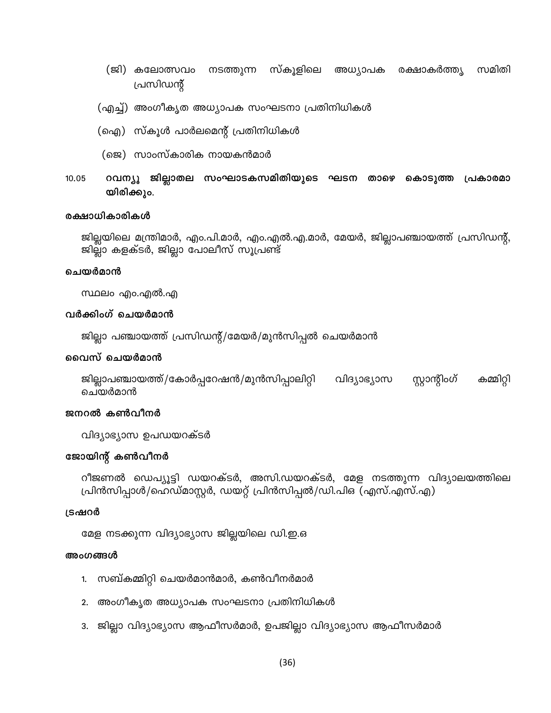- നടത്തുന്ന സ്കൂളിലെ അധ്യാപക രക്ഷാകർത്തൃ (ജി) കലോത്സവം സമിതി പ്രസിഡന്റ്
- (എച്ച്) അംഗീകൃത അധ്യാപക സംഘടനാ പ്രതിനിധികൾ
- (ഐ) സ്കൂൾ പാർലമെന്റ് പ്രതിനിധികൾ
- (ജെ) സാംസ്കാരിക നായകൻമാർ
- റവന്യൂ ജില്ലാതല സംഘാടകസമിതിയുടെ ഘടന താഴെ കൊടുത്ത പ്രകാരമാ 10.05 യിരിക്കും.

#### രക്ഷാധികാരികൾ

ജില്ലയിലെ മന്ത്രിമാർ, എം.പി.മാർ, എം.എൽ.എ.മാർ, മേയർ, ജില്ലാപഞ്ചായത്ത് പ്രസിഡന്റ്, ജില്ലാ കളക്ടർ, ജില്ലാ പോലീസ് സൂപ്രണ്ട്

#### ചെയർമാൻ

സ്ഥലം എം.എൽ.എ

#### വർക്കിംഗ് ചെയർമാൻ

ജില്ലാ പഞ്ചായത്ത് പ്രസിഡന്റ്/മേയർ/മുൻസിപ്പൽ ചെയർമാൻ

#### വൈസ് ചെയർമാൻ

ജില്ലാപഞ്ചായത്ത്/കോർപ്പറേഷൻ/മുൻസിപ്പാലിറ്റി വിദ്യാഭ്യാസ സ്റ്റാന്റിംഗ് കമ്മിറ്റി ചെയർമാൻ

#### ജനറൽ കൺവീനർ

വിദ്യാഭ്യാസ ഉപഡയറക്ടർ

#### ജോയിന്റ് കൺവീനർ

റീജണൽ ഡെപ്യൂട്ടി ഡയറക്ടർ, അസി.ഡയറക്ടർ, മേള നടത്തുന്ന വിദ്യാലയത്തിലെ പ്രിൻസിപ്പാൾ/ഹെഡ്മാസ്റ്റർ, ഡയറ്റ് പ്രിൻസിപ്പൽ/ഡി.പിഒ (എസ്.എസ്.എ)

#### ട്രഷറർ

മേള നടക്കുന്ന വിദ്യാഭ്യാസ ജില്ലയിലെ ഡി.ഇ.ഒ

#### അംഗങ്ങൾ

- 1. സബ്കമ്മിറ്റി ചെയർമാൻമാർ, കൺവീനർമാർ
- 2. അംഗീകൃത അധ്യാപക സംഘടനാ പ്രതിനിധികൾ
- 3. ജില്ലാ വിദ്യാഭ്യാസ ആഫീസർമാർ, ഉപജില്ലാ വിദ്യാഭ്യാസ ആഫീസർമാർ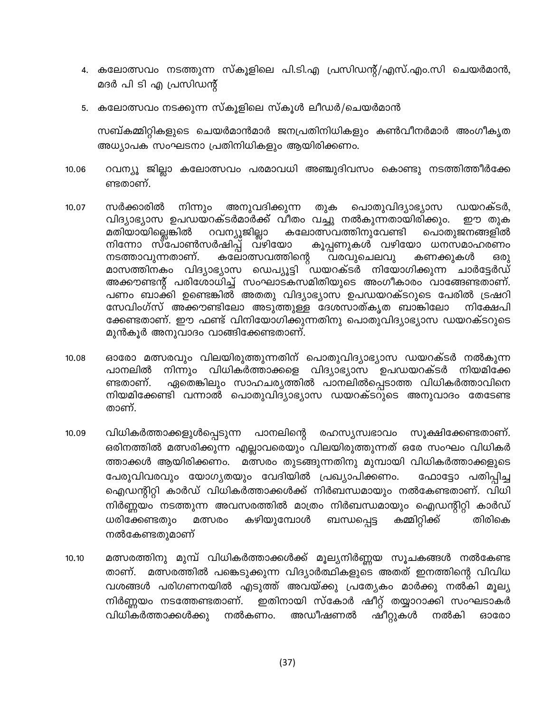- 4. കലോത്സവം നടത്തുന്ന സ്കൂളിലെ പി.ടി.എ പ്രസിഡന്റ്/എസ്.എം.സി ചെയർമാൻ, മദർ പി ടി എ പ്രസിഡന്റ്
- 5. കലോത്സവം നടക്കുന്ന സ്കൂളിലെ സ്കൂൾ ലീഡർ/ചെയർമാൻ

സബ്കമ്മിറ്റികളുടെ ചെയർമാൻമാർ ജനപ്രതിനിധികളും കൺവീനർമാർ അംഗീകൃത അധ്യാപക സംഘടനാ പ്രതിനിധികളും ആയിരിക്കണം.

- റവന്യു ജില്ലാ കലോത്സവം പരമാവധി അഞ്ചുദിവസം കൊണ്ടു നടത്തിത്തീർക്കേ 10.06 ണ്ടതാണ്.
- സർക്കാരിൽ നിന്നും അനുവദിക്കുന്ന തുക പൊതുവിദ്യാഭ്യാസ ഡയറക്ടർ, 10.07 വിദ്യാഭ്യാസ ഉപഡയറക്ടർമാർക്ക് വീതം വച്ചു നൽകുന്നതായിരിക്കും. ഈ തുക മതിയായില്ലെങ്കിൽ റവന്യൂജില്ലാ കലോത്സവത്തിനുവേണ്ടി പൊതുജനങ്ങളിൽ നിന്നോ സ്പോൺസർഷിപ്പ് വഴിയോ കൂപ്പണുകൾ വഴിയോ ധനസമാഹരണം നടത്താവുന്നതാണ്. കലോത്സവത്തിന്റെ വരവുചെലവു കണക്കുകൾ ഒരു മാസത്തിനകം വിദ്യാഭ്യാസ ഡെപ്യൂട്ടി ഡയറക്ടർ നിയോഗിക്കുന്ന ചാർട്ടേർഡ് അക്കൗണ്ടന്റ് പരിശോധിച്ച് സംഘാടകസമിതിയുടെ അംഗീകാരം വാങ്ങേണ്ടതാണ്. പണം ബാക്കി ഉണ്ടെങ്കിൽ അതതു വിദ്യാഭ്യാസ ഉപഡയറക്ടറുടെ പേരിൽ ട്രഷറി സേവിംഗ്സ് അക്കൗണ്ടിലോ അടുത്തുള്ള ദേശസാത്കൃത ബാങ്കിലോ നിക്ഷേപി ക്കേണ്ടതാണ്. ഈ ഫണ്ട് വിനിയോഗിക്കുന്നതിനു പൊതുവിദ്യാഭ്യാസ ഡയറക്ടറുടെ മുൻകുർ അനുവാദം വാങ്ങിക്കേണ്ടതാണ്.
- ഓരോ മത്സരവും വിലയിരുത്തുന്നതിന് പൊതുവിദ്യാഭ്യാസ ഡയറക്ടർ നൽകുന്ന 10.08 പാനലിൽ നിന്നും വിധികർത്താക്കളെ വിദ്യാഭ്യാസ ഉപഡയറക്ടർ നിയമിക്കേ ണ്ടതാണ്. ഏതെങ്കിലും സാഹചര്യത്തിൽ പാനലിൽപ്പെടാത്ത വിധികർത്താവിനെ നിയമിക്കേണ്ടി വന്നാൽ പൊതുവിദ്യാഭ്യാസ ഡയറക്ടറുടെ അനുവാദം തേടേണ്ട താണ്.
- വിധികർത്താക്കളുൾപ്പെടുന്ന പാനലിന്റെ രഹസ്യസ്വഭാവം സുക്ഷിക്കേണ്ടതാണ്. 10.09 ഒരിനത്തിൽ മത്സരിക്കുന്ന എല്ലാവരെയും വിലയിരുത്തുന്നത് ഒരേ സംഘം വിധികർ ത്താക്കൾ ആയിരിക്കണം. മത്സരം തുടങ്ങുന്നതിനു മുമ്പായി വിധികർത്താക്കളുടെ പേരുവിവരവും യോഗൃതയും വേദിയിൽ പ്രഖ്യാപിക്കണം. ഫോട്ടോ പതിപ്പിച്ച ഐഡന്റിറ്റി കാർഡ് വിധികർത്താക്കൾക്ക് നിർബന്ധമായും നൽകേണ്ടതാണ്. വിധി നിർണ്ണയം നടത്തുന്ന അവസരത്തിൽ മാത്രം നിർബന്ധമായും ഐഡന്റിറ്റി കാർഡ് ധരിക്കേണ്ടതും കഴിയുമ്പോൾ ബന്ധപ്പെട്ട കമ്മിറ്റിക്ക് തിരികെ മത്സരം നൽകേണ്ടതുമാണ്
- മത്സരത്തിനു മുമ്പ് വിധികർത്താക്കൾക്ക് മൂല്യനിർണ്ണയ സൂചകങ്ങൾ നൽകേണ്ട  $10.10$ മത്സരത്തിൽ പങ്കെടുക്കുന്ന വിദ്യാർത്ഥികളുടെ അതത് ഇനത്തിന്റെ വിവിധ താണ്. വശങ്ങൾ പരിഗണനയിൽ എടുത്ത് അവയ്ക്കു പ്രത്യേകം മാർക്കു നൽകി മൂല്യ നിർണ്ണയം നടത്തേണ്ടതാണ്. ഇതിനായി സ്കോർ ഷീറ്റ് തയ്യാറാക്കി സംഘടാകർ വിധികർത്താക്കൾക്കു നൽകണം. അഡീഷണൽ ഷീറ്റുകൾ നൽകി ഓരോ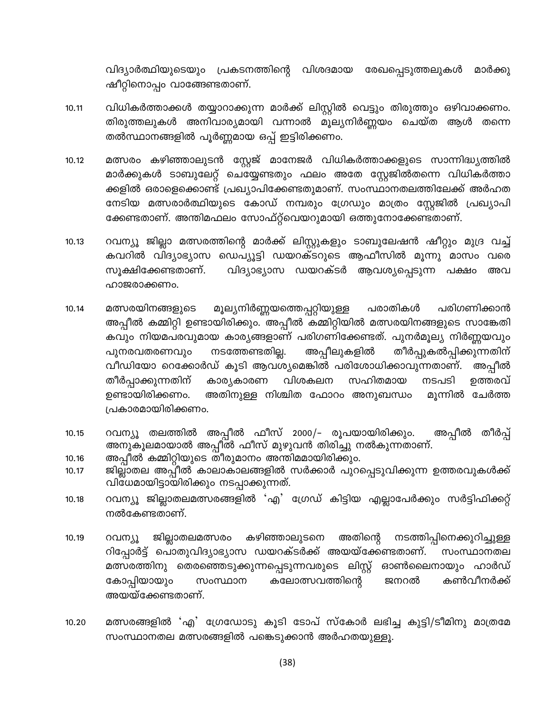വിദ്യാർത്ഥിയുടെയും പ്രകടനത്തിന്റെ വിശദമായ രേഖപ്പെടുത്തലുകൾ മാർക്കു ഷീറ്റിനൊപ്പം വാങ്ങേണ്ടതാണ്.

- വിധികർത്താക്കൾ തയ്യാറാക്കുന്ന മാർക്ക് ലിസ്റ്റിൽ വെട്ടും തിരുത്തും ഒഴിവാക്കണം.  $10.11$ തിരുത്തലുകൾ അനിവാര്യമായി വന്നാൽ മൂല്യനിർണ്ണയം ചെയ്ത ആൾ തന്നെ തൽസ്ഥാനങ്ങളിൽ പൂർണ്ണമായ ഒപ്പ് ഇട്ടിരിക്കണം.
- മത്സരം കഴിഞ്ഞാലുടൻ സ്റ്റേജ് മാനേജർ വിധികർത്താക്കളുടെ സാന്നിദ്ധ്യത്തിൽ 10.12 മാർക്കുകൾ ടാബുലേറ്റ് ചെയ്യേണ്ടതും ഫലം അതേ സ്റ്റേജിൽതന്നെ വിധികർത്താ ക്കളിൽ ഒരാളെക്കൊണ്ട് പ്രഖ്യാപിക്കേണ്ടതുമാണ്. സംസ്ഥാനതലത്തിലേക്ക് അർഹത നേടിയ മത്സരാർത്ഥിയുടെ കോഡ് നമ്പരും ഗ്രേഡും മാത്രം സ്റ്റേജിൽ പ്രഖ്യാപി ക്കേണ്ടതാണ്. അന്തിമഫലം സോഫ്റ്റ്വെയറുമായി ഒത്തുനോക്കേണ്ടതാണ്.
- റവന്യൂ ജില്ലാ മത്സരത്തിന്റെ മാർക്ക് ലിസ്റ്റുകളും ടാബുലേഷൻ ഷീറ്റും മുദ്ര വച്ച്  $10.13$ കവറിൽ വിദ്യാഭ്യാസ ഡെപ്യൂട്ടി ഡയറക്ടറുടെ ആഫീസിൽ മൂന്നു മാസം വരെ സൂക്ഷിക്കേണ്ടതാണ്. വിദ്യാഭ്യാസ ഡയറക്ടർ ആവശ്യപ്പെടുന്ന പക്ഷം അവ ഹാജരാക്കണം.
- മത്സരയിനങ്ങളുടെ മൂല്യനിർണ്ണയത്തെപ്പറ്റിയുള്ള പരാതികൾ പരിഗണിക്കാൻ 10.14 അപ്പീൽ കമ്മിറ്റി ഉണ്ടായിരിക്കും. അപ്പീൽ കമ്മിറ്റിയിൽ മത്സരയിനങ്ങളുടെ സാങ്കേതി കവും നിയമപരവുമായ കാര്യങ്ങളാണ് പരിഗണിക്കേണ്ടത്. പുനർമൂല്യ നിർണ്ണയവും അപ്പീലുകളിൽ തീർപ്പുകൽപ്പിക്കുന്നതിന് പുനരവതരണവും നടത്തേണ്ടതില്ല. വീഡിയോ റെക്കോർഡ് കൂടി ആവശ്യമെങ്കിൽ പരിശോധിക്കാവുന്നതാണ്. അപ്പീൽ തീർപ്പാക്കുന്നതിന് വിശകലന സഹിതമായ നടപടി കാര്യകാരണ ഉത്തരവ് ഉണ്ടായിരിക്കണം. അതിനുള്ള നിശ്ചിത ഫോറം അനുബന്ധം മൂന്നിൽ ചേർത്ത പ്രകാരമായിരിക്കണം.
- റവന്യൂ തലത്തിൽ അപ്പീൽ ഫീസ് 2000/– രൂപയായിരിക്കും. അപ്പീൽ തീർപ്പ് 10.15 അനുകൂലമായാൽ അപ്പീൽ ഫീസ് മുഴുവൻ തിരിച്ചു നൽകുന്നതാണ്.
- അപ്പീൽ കമ്മിറ്റിയുടെ തീരുമാനം അന്തിമമായിരിക്കും. 10.16
- ജില്ലാതല അപ്പീൽ കാലാകാലങ്ങളിൽ സർക്കാർ പുറപ്പെടുവിക്കുന്ന ഉത്തരവുകൾക്ക് 10.17 വിധേമായിട്ടായിരിക്കും നടപ്പാക്കുന്നത്.
- റവന്യൂ ജില്ലാതലമത്സരങ്ങളിൽ 'എ' ഗ്രേഡ് കിട്ടിയ എല്ലാപേർക്കും സർട്ടിഫിക്കറ്റ്  $10.18$ നൽകേണ്ടതാണ്.
- നടത്തിപ്പിനെക്കുറിച്ചുള്ള ജില്ലാതലമത്സരം കഴിഞ്ഞാലുടനെ അതിന്റെ 10.19 റവന്യൂ റിപ്പോർട്ട് പൊതുവിദ്യാഭ്യാസ ഡയറക്ടർക്ക് അയയ്ക്കേണ്ടതാണ്. സംസ്ഥാനതല മത്സരത്തിനു തെരഞ്ഞെടുക്കുന്നപ്പെടുന്നവരുടെ ലിസ്റ്റ് ഓൺലൈനായും ഹാർഡ് കൺവീനർക്ക് കലോത്സവത്തിന്റെ കോപ്പിയായും സംസ്ഥാന ജനറൽ അയയ്ക്കേണ്ടതാണ്.
- മത്സരങ്ങളിൽ 'എ' ഗ്രേഡോടു കൂടി ടോപ് സ്കോർ ലഭിച്ച കുട്ടി/ടീമിനു മാത്രമേ 10.20 സംസ്ഥാനതല മത്സരങ്ങളിൽ പങ്കെടുക്കാൻ അർഹതയുള്ളൂ.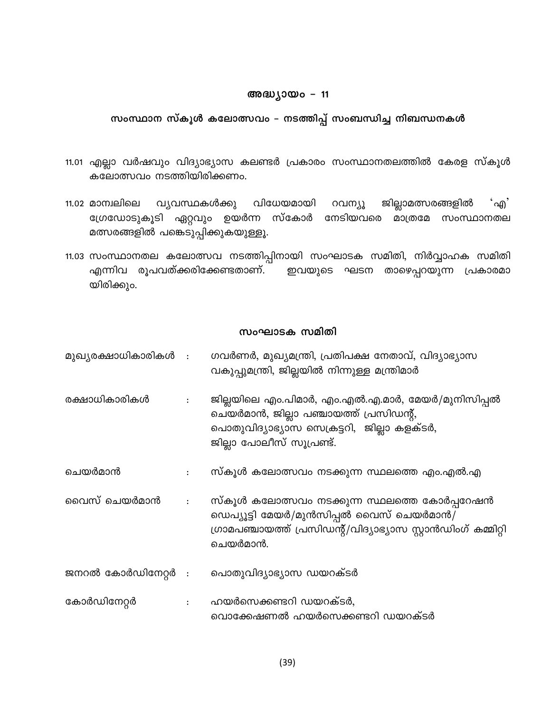#### അദ്ധ്യായം - 11

#### സംസ്ഥാന സ്കൂൾ കലോത്സവം – നടത്തിപ്പ് സംബന്ധിച്ച നിബന്ധനകൾ

- 11.01 എല്ലാ വർഷവും വിദ്യാഭ്യാസ കലണ്ടർ പ്രകാരം സംസ്ഥാനതലത്തിൽ കേരള സ്കൂൾ കലോത്സവം നടത്തിയിരിക്കണം.
- വിധേയമായി റവന്യൂ ജില്ലാമത്സരങ്ങളിൽ ்എ' 11.02 മാന്വലിലെ വ്യവസ്ഥകൾക്കു ഗ്രേഡോടുകൂടി ഏറ്റവും ഉയർന്ന സ്കോർ നേടിയവരെ മാത്രമേ സംസ്ഥാനതല മത്സരങ്ങളിൽ പങ്കെടുപ്പിക്കുകയുള്ളൂ.
- 11.03 സംസ്ഥാനതല കലോത്സവ നടത്തിപ്പിനായി സംഘാടക സമിതി, നിർവ്വാഹക സമിതി ഇവയുടെ ഘടന താഴെപ്പറയുന്ന പ്രകാരമാ എന്നിവ രൂപവത്ക്കരിക്കേണ്ടതാണ്. യിരിക്കും.

#### സംഘാടക സമിതി

മുഖ്യരക്ഷാധികാരികൾ : ഗവർണർ, മുഖ്യമന്ത്രി, പ്രതിപക്ഷ നേതാവ്, വിദ്യാഭ്യാസ വകുപ്പുമന്ത്രി, ജില്ലയിൽ നിന്നുള്ള മന്ത്രിമാർ രക്ഷാധികാരികൾ ജില്ലയിലെ എം.പിമാർ, എം.എൽ.എ.മാർ, മേയർ/മുനിസിപ്പൽ  $\ddot{\cdot}$ ചെയർമാൻ, ജില്ലാ പഞ്ചായത്ത് പ്രസിഡന്റ്, പൊതുവിദ്യാഭ്യാസ സെക്രട്ടറി, ജില്ലാ കളക്ടർ, ജില്ലാ പോലീസ് സൂപ്രണ്ട്. ചെയർമാൻ സ്കൂൾ കലോത്സവം നടക്കുന്ന സ്ഥലത്തെ എം.എൽ.എ  $\ddot{\cdot}$ വൈസ് ചെയർമാൻ സ്കൂൾ കലോത്സവം നടക്കുന്ന സ്ഥലത്തെ കോർപ്പറേഷൻ  $\mathbf{\ddot{.}}$ ഡെപ്യൂട്ടി മേയർ/മുൻസിപ്പൽ വൈസ് ചെയർമാൻ/ ഗ്രാമപഞ്ചായത്ത് പ്രസിഡന്റ്/വിദ്യാഭ്യാസ സ്റ്റാൻഡിംഗ് കമ്മിറ്റി ചെയർമാൻ. ജനറൽ കോർഡിനേറ്റർ  $\cdot$ പൊതുവിദ്യാഭ്യാസ ഡയറക്ടർ ഹയർസെക്കണ്ടറി ഡയറക്ടർ, കോർഡിനേറ്റർ  $\ddot{\phantom{a}}$  . വൊക്കേഷണൽ ഹയർസെക്കണ്ടറി ഡയറക്ടർ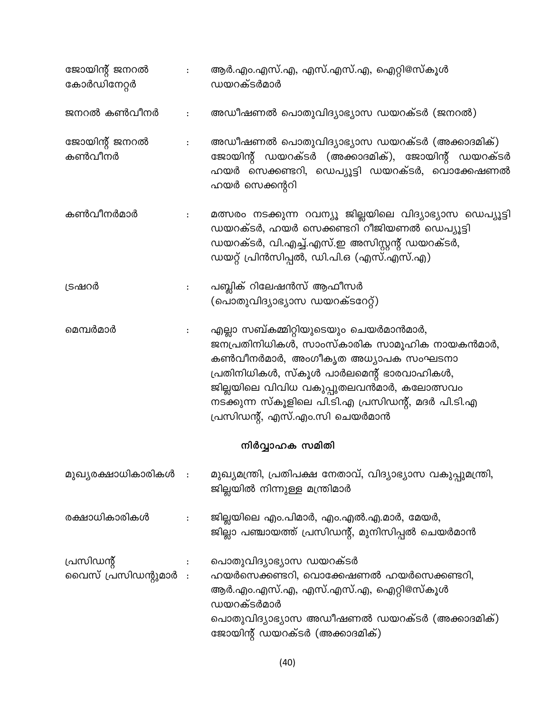| ജോയിന്റ് ജനറൽ<br>കോർഡിനേറ്റർ     | $\mathbf{1}$ .         | ആർ.എം.എസ്.എ, എസ്.എസ്.എ, ഐറ്റി@സ്കൂൾ<br>ഡയറക്ടർമാർ                                                                                                                                                                                                                                                        |
|----------------------------------|------------------------|----------------------------------------------------------------------------------------------------------------------------------------------------------------------------------------------------------------------------------------------------------------------------------------------------------|
| ജനറൽ കൺവീനർ                      | $\ddot{\phantom{a}}$ . | അഡീഷണൽ പൊതുവിദ്യാഭ്യാസ ഡയറക്ടർ (ജനറൽ)                                                                                                                                                                                                                                                                    |
| ജോയിന്റ് ജനറൽ<br>കൺവീനർ          | $\sim$                 | അഡീഷണൽ പൊതുവിദ്യാഭ്യാസ ഡയറക്ടർ (അക്കാദമിക്)<br>ജോയിന്റ് ഡയറക്ടർ (അക്കാദമിക്), ജോയിന്റ് ഡയറക്ടർ<br>ഹയർ സെക്കണ്ടറി, ഡെപ്യൂട്ടി ഡയറക്ടർ, വൊക്കേഷണൽ<br>ഹയർ സെക്കന്ററി                                                                                                                                        |
| കൺവീനർമാർ                        | $\ddot{\cdot}$         | മത്സരം നടക്കുന്ന റവന്യൂ ജില്ലയിലെ വിദ്യാഭ്യാസ ഡെപ്യൂട്ടി<br>ഡയറക്ടർ, ഹയർ സെക്കണ്ടറി റീജിയണൽ ഡെപ്യൂട്ടി<br>ഡയറക്ടർ, വി.എച്ച്.എസ്.ഇ അസിസ്റ്റന്റ് ഡയറക്ടർ,<br>ഡയറ്റ് പ്രിൻസിപ്പൽ, ഡി.പി.ഒ (എസ്.എസ്.എ)                                                                                                       |
| ട്രഷറർ                           | $\ddot{\cdot}$         | പബ്ലിക് റിലേഷൻസ് ആഫീസർ<br>(പൊതുവിദ്യാഭ്യാസ ഡയറക്ടറേറ്റ്)                                                                                                                                                                                                                                                 |
| മെമ്പർമാർ                        | $\ddot{\cdot}$         | എല്ലാ സബ്കമ്മിറ്റിയുടെയും ചെയർമാൻമാർ,<br>ജനപ്രതിനിധികൾ, സാംസ്കാരിക സാമൂഹിക നായകൻമാർ,<br>കൺവീനർമാർ, അംഗീകൃത അധ്യാപക സംഘടനാ<br>പ്രതിനിധികൾ, സ്കൂൾ പാർലമെന്റ് ഭാരവാഹികൾ,<br>ജില്ലയിലെ വിവിധ വകുപ്പുതലവൻമാർ, കലോത്സവം<br>നടക്കുന്ന സ്കൂളിലെ പി.ടി.എ പ്രസിഡന്റ്, മദർ പി.ടി.എ<br>പ്രസിഡന്റ്, എസ്.എം.സി ചെയർമാൻ |
|                                  |                        | നിർവ്വാഹക സമിതി                                                                                                                                                                                                                                                                                          |
| മുഖ്യരക്ഷാധികാരികൾ :             |                        | മുഖ്യമന്ത്രി, പ്രതിപക്ഷ നേതാവ്, വിദ്യാഭ്യാസ വകുപ്പുമന്ത്രി,<br>ജില്ലയിൽ നിന്നുള്ള മന്ത്രിമാർ                                                                                                                                                                                                             |
| രക്ഷാധികാരികൾ                    |                        | ജില്ലയിലെ എം.പിമാർ, എം.എൽ.എ.മാർ, മേയർ,<br>ജില്ലാ പഞ്ചായത്ത് പ്രസിഡന്റ്, മുനിസിപ്പൽ ചെയർമാൻ                                                                                                                                                                                                               |
| പ്രസിഡന്റ്<br>വൈസ് പ്രസിഡന്റുമാർ |                        | പൊതുവിദ്യാഭ്യാസ ഡയറക്ടർ<br>ഹയർസെക്കണ്ടറി, വൊക്കേഷണൽ ഹയർസെക്കണ്ടറി,<br>ആർ.എം.എസ്.എ, എസ്.എസ്.എ, ഐറ്റി@സ്കൂൾ<br>ഡയറക്ടർമാർ<br>പൊതുവിദ്യാഭ്യാസ അഡീഷണൽ ഡയറക്ടർ (അക്കാദമിക്)<br>ജോയിന്റ് ഡയറക്ടർ (അക്കാദമിക്)                                                                                                  |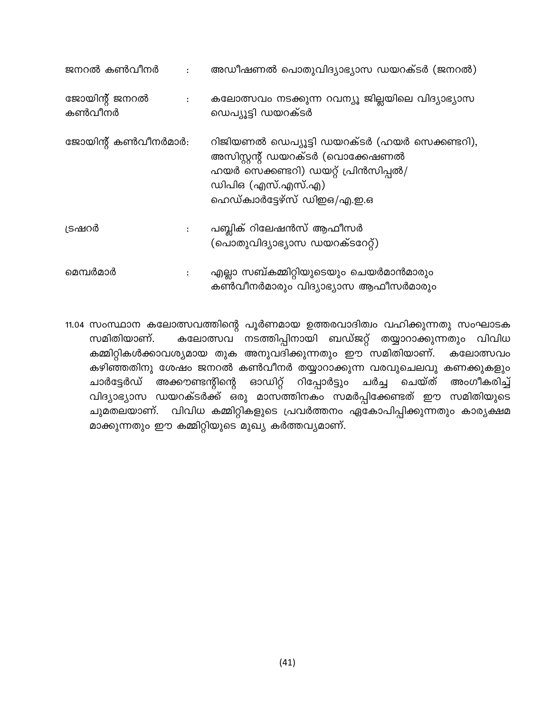| ജനറൽ കൺവീനർ             | $\ddot{\cdot}$       | അഡീഷണൽ പൊതുവിദ്യാഭ്യാസ ഡയറക്ടർ (ജനറൽ)                                                                                                                                       |
|-------------------------|----------------------|-----------------------------------------------------------------------------------------------------------------------------------------------------------------------------|
| ജോയിന്റ് ജനറൽ<br>കൺവീനർ | $\ddot{\phantom{a}}$ | കലോത്സവം നടക്കുന്ന റവന്യൂ ജില്ലയിലെ വിദ്യാഭ്യാസ<br>ഡെപ്യൂട്ടി ഡയറക്ടർ                                                                                                       |
| ജോയിന്റ് കൺവീനർമാർ:     |                      | റിജിയണൽ ഡെപ്യൂട്ടി ഡയറക്ടർ (ഹയർ സെക്കണ്ടറി),<br>അസിസ്റ്റന്റ് ഡയറക്ടർ (വൊക്കേഷണൽ<br>ഹയർ സെക്കണ്ടറി) ഡയറ്റ് പ്രിൻസിപ്പൽ/<br>ഡിപിഒ (എസ്.എസ്.എ)<br>ഹെഡ്ക്വാർട്ടേഴ്സ് ഡിഇഒ/എ.ഇ.ഒ |
| ട്രഷറർ                  |                      | പബ്ലിക് റിലേഷൻസ് ആഫീസർ<br>(പൊതുവിദ്യാഭ്യാസ ഡയറക്ടറേറ്റ്)                                                                                                                    |
| മെമ്പർമാർ               |                      | എല്ലാ സബ്കമ്മിറ്റിയുടെയും ചെയർമാൻമാരും<br>കൺവീനർമാരും വിദ്യാഭ്യാസ ആഫീസർമാരും                                                                                                |

11.04 സംസ്ഥാന കലോത്സവത്തിന്റെ പൂർണമായ ഉത്തരവാദിത്വം വഹിക്കുന്നതു സംഘാടക കലോത്സവ നടത്തിപ്പിനായി ബഡ്ജറ്റ് തയ്യാറാക്കുന്നതും വിവിധ സമിതിയാണ്. കമ്മിറ്റികൾക്കാവശ്യമായ തുക അനുവദിക്കുന്നതും ഈ സമിതിയാണ്. കലോത്സവം കഴിഞ്ഞതിനു ശേഷം ജനറൽ കൺവീനർ തയ്യാറാക്കുന്ന വരവുചെലവു കണക്കുകളും അക്കൗണ്ടന്റിന്റെ ഓഡിറ്റ് റിപ്പോർട്ടും ചർച്ച ചെയ്ത് ചാർട്ടേർഡ് അംഗീകരിച്ച് വിദ്യാഭ്യാസ ഡയറക്ടർക്ക് ഒരു മാസത്തിനകം സമർപ്പിക്കേണ്ടത് ഈ സമിതിയുടെ ചുമതലയാണ്. വിവിധ കമ്മിറ്റികളുടെ പ്രവർത്തനം ഏകോപിപ്പിക്കുന്നതും കാര്യക്ഷമ മാക്കുന്നതും ഈ കമ്മിറ്റിയുടെ മുഖ്യ കർത്തവ്യമാണ്.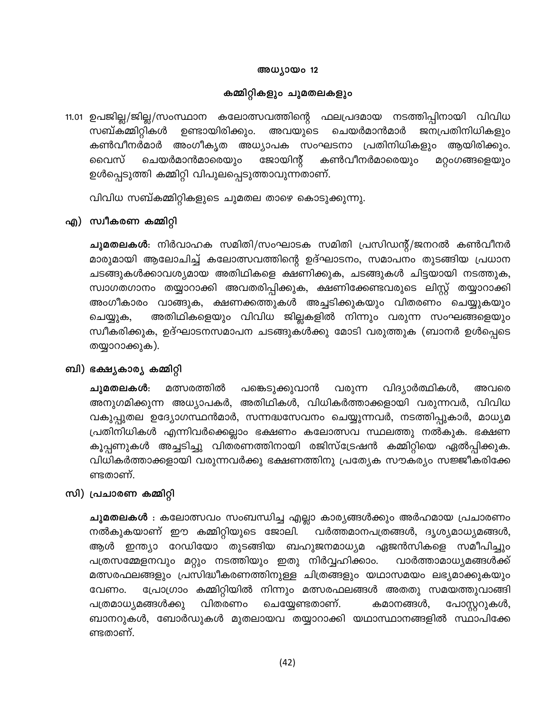#### അധ്യായം 12

#### കമ്മിറ്റികളും ചുമതലകളും

11.01 ഉപജില്ല/ജില്ല/സംസ്ഥാന കലോത്സവത്തിന്റെ ഫലപ്രദമായ നടത്തിപ്പിനായി വിവിധ സബ്കമ്മിറ്റികൾ ഉണ്ടായിരിക്കും. അവയുടെ ചെയർമാൻമാർ ജനപ്രതിനിധികളും കൺവീനർമാർ അംഗീകൃത അധ്യാപക സംഘടനാ പ്രതിനിധികളും ആയിരിക്കും. ചെയർമാൻമാരെയും ജോയിന്റ് കൺവീനർമാരെയും വൈസ് മറ്റംഗങ്ങളെയും ഉൾപ്പെടുത്തി കമ്മിറ്റി വിപുലപ്പെടുത്താവുന്നതാണ്.

വിവിധ സബ്കമ്മിറ്റികളുടെ ചുമതല താഴെ കൊടുക്കുന്നു.

#### എ) സ്വീകരണ കമ്മിറ്റി

**ചുമതലകൾ**: നിർവാഹക സമിതി/സംഘാടക സമിതി പ്രസിഡന്റ്/ജനറൽ കൺവീനർ മാരുമായി ആലോചിച്ച് കലോത്സവത്തിന്റെ ഉദ്ഘാടനം, സമാപനം തുടങ്ങിയ പ്രധാന ചടങ്ങുകൾക്കാവശ്യമായ അതിഥികളെ ക്ഷണിക്കുക, ചടങ്ങുകൾ ചിട്ടയായി നടത്തുക, സ്വാഗതഗാനം തയ്യാറാക്കി അവതരിപ്പിക്കുക, ക്ഷണിക്കേണ്ടവരുടെ ലിസ്റ്റ് തയ്യാറാക്കി അംഗീകാരം വാങ്ങുക, ക്ഷണക്കത്തുകൾ അച്ചടിക്കുകയും വിതരണം ചെയ്യുകയും അതിഥികളെയും വിവിധ ജില്ലകളിൽ നിന്നും വരുന്ന സംഘങ്ങളെയും ചെയ്യുക, സ്വീകരിക്കുക, ഉദ്ഘാടനസമാപന ചടങ്ങുകൾക്കു മോടി വരുത്തുക (ബാനർ ഉൾപ്പെടെ തയ്യാറാക്കുക).

#### ബി) ഭക്ഷ്യകാര്യ കമ്മിറ്റി

മത്സരത്തിൽ പങ്കെടുക്കുവാൻ വിദ്യാർത്ഥികൾ, അവരെ ചുമതലകൾ: വരുന്ന അനുഗമിക്കുന്ന അധ്യാപകർ, അതിഥികൾ, വിധികർത്താക്കളായി വരുന്നവർ, വിവിധ വകുപ്പുതല ഉദ്യോഗസ്ഥൻമാർ, സന്നദ്ധസേവനം ചെയ്യുന്നവർ, നടത്തിപ്പുകാർ, മാധ്യമ പ്രതിനിധികൾ എന്നിവർക്കെല്ലാം ഭക്ഷണം കലോത്സവ സ്ഥലത്തു നൽകുക. ഭക്ഷണ കൂപ്പണുകൾ അച്ചടിച്ചു വിതരണത്തിനായി രജിസ്ട്രേഷൻ കമ്മിറ്റിയെ ഏൽപ്പിക്കുക. വിധികർത്താക്കളായി വരുന്നവർക്കു ഭക്ഷണത്തിനു പ്രത്യേക സൗകര്യം സജ്ജീകരിക്കേ ണ്ടതാണ്.

#### സി) പ്രചാരണ കമ്മിറ്റി

**ചുമതലകൾ** : കലോത്സവം സംബന്ധിച്ച എല്ലാ കാര്യങ്ങൾക്കും അർഹമായ പ്രചാരണം നൽകുകയാണ് ഈ കമ്മിറ്റിയുടെ ജോലി. വർത്തമാനപത്രങ്ങൾ, ദൃശ്യമാധ്യമങ്ങൾ, ഇന്ത്യാ റേഡിയോ തുടങ്ങിയ ബഹുജനമാധ്യമ ഏജൻസികളെ സമീപിച്ചും ആൾ പത്രസമ്മേളനവും മറ്റും നടത്തിയും ഇതു നിർവ്വഹിക്കാം. വാർത്താമാധ്യമങ്ങൾക്ക് മത്സരഫലങ്ങളും പ്രസിദ്ധീകരണത്തിനുള്ള ചിത്രങ്ങളും യഥാസമയം ലഭ്യമാക്കുകയും പ്രോഗ്രാം കമ്മിറ്റിയിൽ നിന്നും മത്സരഫലങ്ങൾ അതതു സമയത്തുവാങ്ങി വേണം. വിതരണം പത്രമാധ്യമങ്ങൾക്കു ചെയ്യേണ്ടതാണ്. കമാനങ്ങൾ, പോസ്റ്ററുകൾ, ബാനറുകൾ, ബോർഡുകൾ മുതലായവ തയ്യാറാക്കി യഥാസ്ഥാനങ്ങളിൽ സ്ഥാപിക്കേ ണ്ടതാണ്.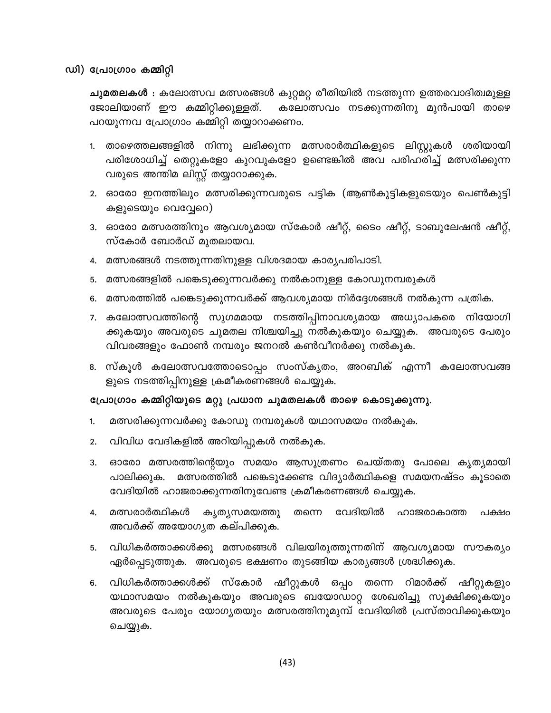#### ഡി) പ്രോഗ്രാം കമ്മിറ്റി

**ചുമതലകൾ** : കലോത്സവ മത്സരങ്ങൾ കുറ്റമറ്റ രീതിയിൽ നടത്തുന്ന ഉത്തരവാദിത്വമുള്ള ജോലിയാണ് ഈ കമ്മിറ്റിക്കുള്ളത്. കലോത്സവം നടക്കുന്നതിനു മുൻപായി താഴെ പറയുന്നവ പ്രോഗ്രാം കമ്മിറ്റി തയ്യാറാക്കണം.

- 1. താഴെത്തലങ്ങളിൽ നിന്നു ലഭിക്കുന്ന മത്സരാർത്ഥികളുടെ ലിസ്റ്റുകൾ ശരിയായി പരിശോധിച്ച് തെറ്റുകളോ കുറവുകളോ ഉണ്ടെങ്കിൽ അവ പരിഹരിച്ച് മത്സരിക്കുന്ന വരുടെ അന്തിമ ലിസ്റ്റ് തയ്യാറാക്കുക.
- 2. ഓരോ ഇനത്തിലും മത്സരിക്കുന്നവരുടെ പട്ടിക (ആൺകുട്ടികളുടെയും പെൺകുട്ടി കളുടെയും വെവ്വേറെ)
- 3. ഓരോ മത്സരത്തിനും ആവശ്യമായ സ്കോർ ഷീറ്റ്, ടൈം ഷീറ്റ്, ടാബുലേഷൻ ഷീറ്റ്, സ്കോർ ബോർഡ് മുതലായവ.
- മത്സരങ്ങൾ നടത്തുന്നതിനുള്ള വിശദമായ കാര്യപരിപാടി. 4.
- മത്സരങ്ങളിൽ പങ്കെടുക്കുന്നവർക്കു നൽകാനുള്ള കോഡുനമ്പരുകൾ 5.
- മത്സരത്തിൽ പങ്കെടുക്കുന്നവർക്ക് ആവശ്യമായ നിർദ്ദേശങ്ങൾ നൽകുന്ന പത്രിക. 6.
- കലോത്സവത്തിന്റെ സുഗമമായ നടത്തിപ്പിനാവശ്യമായ അധ്യാപകരെ നിയോഗി 7. ക്കുകയും അവരുടെ ചുമതല നിശ്ചയിച്ചു നൽകുകയും ചെയ്യുക. അവരുടെ പേരും വിവരങ്ങളും ഫോൺ നമ്പരും ജനറൽ കൺവീനർക്കു നൽകുക.
- 8. സ്കൂൾ കലോത്സവത്തോടൊപ്പം സംസ്കൃതം, അറബിക് എന്നീ കലോത്സവങ്ങ ളുടെ നടത്തിപ്പിനുള്ള ക്രമീകരണങ്ങൾ ചെയ്യുക.

#### പ്രോഗ്രാം കമ്മിറ്റിയുടെ മറ്റു പ്രധാന ചുമതലകൾ താഴെ കൊടുക്കുന്നു.

- മത്സരിക്കുന്നവർക്കു കോഡു നമ്പരുകൾ യഥാസമയം നൽകുക. 1.
- വിവിധ വേദികളിൽ അറിയിപ്പുകൾ നൽകുക. 2.
- ഓരോ മത്സരത്തിന്റെയും സമയം ആസൂത്രണം ചെയ്തതു പോലെ കൃത്യമായി 3. മത്സരത്തിൽ പങ്കെടുക്കേണ്ട വിദ്യാർത്ഥികളെ സമയനഷ്ടം കൂടാതെ പാലിക്കുക. വേദിയിൽ ഹാജരാക്കുന്നതിനുവേണ്ട ക്രമീകരണങ്ങൾ ചെയ്യുക.
- മത്സരാർത്ഥികൾ വേദിയിൽ കൃതൃസമയത്തു തന്നെ ഹാജരാകാത്ത പക്ഷം 4. അവർക്ക് അയോഗൃത കല്പിക്കുക.
- വിധികർത്താക്കൾക്കു മത്സരങ്ങൾ വിലയിരുത്തുന്നതിന് ആവശ്യമായ സൗകര്യം 5. ഏർപ്പെടുത്തുക. അവരുടെ ഭക്ഷണം തുടങ്ങിയ കാര്യങ്ങൾ ശ്രദ്ധിക്കുക.
- വിധികർത്താക്കൾക്ക് സ്കോർ ഷീറ്റുകൾ ഒപ്പം തന്നെ റിമാർക്ക് ഷീറ്റുകളും 6. യഥാസമയം നൽകുകയും അവരുടെ ബയോഡാറ്റ ശേഖരിച്ചു സൂക്ഷിക്കുകയും അവരുടെ പേരും യോഗ്യതയും മത്സരത്തിനുമുമ്പ് വേദിയിൽ പ്രസ്താവിക്കുകയും ചെയ്യുക.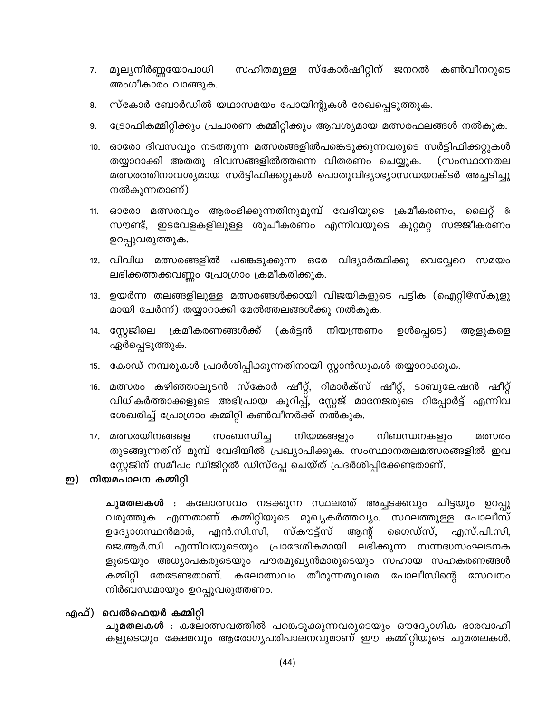- സഹിതമുള്ള സ്കോർഷീറ്റിന് ജനറൽ കൺവീനറുടെ മൂല്യനിർണ്ണയോപാധി 7. അംഗീകാരം വാങ്ങുക.
- സ്കോർ ബോർഡിൽ യഥാസമയം പോയിന്റുകൾ രേഖപ്പെടുത്തുക. 8.
- ട്രോഫികമ്മിറ്റിക്കും പ്രചാരണ കമ്മിറ്റിക്കും ആവശ്യമായ മത്സരഫലങ്ങൾ നൽകുക. 9.
- ഓരോ ദിവസവും നടത്തുന്ന മത്സരങ്ങളിൽപങ്കെടുക്കുന്നവരുടെ സർട്ടിഫിക്കറ്റുകൾ  $10.$ തയ്യാറാക്കി അതതു ദിവസങ്ങളിൽത്തന്നെ വിതരണം ചെയ്യുക. (സംസ്ഥാനതല മത്സരത്തിനാവശ്യമായ സർട്ടിഫിക്കറ്റുകൾ പൊതുവിദ്യാഭ്യാസഡയറക്ടർ അച്ചടിച്ചു നൽകുന്നതാണ്)
- ഓരോ മത്സരവും ആരംഭിക്കുന്നതിനുമുമ്പ് വേദിയുടെ ക്രമീകരണം, ലൈറ്റ്  $11.$ <u>&</u> സൗണ്ട്, ഇടവേളകളിലുള്ള ശുചീകരണം എന്നിവയുടെ കുറ്റമറ്റ സജ്ജീകരണം ഉറപ്പുവരുത്തുക.
- 12. വിവിധ മത്സരങ്ങളിൽ പങ്കെടുക്കുന്ന ഒരേ വിദ്യാർത്ഥിക്കു വെവ്വേറെ സമയം ലഭിക്കത്തക്കവണ്ണം പ്രോഗ്രാം ക്രമീകരിക്കുക.
- ഉയർന്ന തലങ്ങളിലുള്ള മത്സരങ്ങൾക്കായി വിജയികളുടെ പട്ടിക (ഐറ്റി@സ്കൂളു 13. മായി ചേർന്ന്) തയ്യാറാക്കി മേൽത്തലങ്ങൾക്കു നൽകുക.
- സ്റ്റേജിലെ ക്രമീകരണങ്ങൾക്ക് (കർട്ടൻ നിയന്ത്രണം ഉൾപ്പെടെ) 14. ആളുകളെ ഏർപ്പെടുത്തുക.
- കോഡ് നമ്പരുകൾ പ്രദർശിപ്പിക്കുന്നതിനായി സ്റ്റാൻഡുകൾ തയ്യാറാക്കുക. 15.
- മത്സരം കഴിഞ്ഞാലുടൻ സ്കോർ ഷീറ്റ്, റിമാർക്സ് ഷീറ്റ്, ടാബുലേഷൻ ഷീറ്റ് 16. വിധികർത്താക്കളുടെ അഭിപ്രായ കുറിപ്പ്, സ്റ്റേജ് മാനേജരുടെ റിപ്പോർട്ട് എന്നിവ ശേഖരിച്ച് പ്രോഗ്രാം കമ്മിറ്റി കൺവീനർക്ക് നൽകുക.
- 17. മത്സരയിനങ്ങളെ നിയമങ്ങളും സംബന്ധിച്ച നിബന്ധനകളും മത്സരം തുടങ്ങുന്നതിന് മുമ്പ് വേദിയിൽ പ്രഖ്യാപിക്കുക. സംസ്ഥാനതലമത്സരങ്ങളിൽ ഇവ സ്റ്റേജിന് സമീപം ഡിജിറ്റൽ ഡിസ്പ്ലേ ചെയ്ത് പ്രദർശിപ്പിക്കേണ്ടതാണ്.

#### ഇ) നിയമപാലന കമ്മിറ്റി

**ചുമതലകൾ** : കലോത്സവം നടക്കുന്ന സ്ഥലത്ത് അച്ചടക്കവും ചിട്ടയും ഉറപ്പു വരുത്തുക എന്നതാണ് കമ്മിറ്റിയുടെ മുഖ്യകർത്തവ്യം. സ്ഥലത്തുള്ള പോലീസ് എൻ.സി.സി, സ്കൗട്ട്സ് ആന്റ് ഗൈഡ്സ്, ഉദ്യോഗസ്ഥൻമാർ, എസ്.പി.സി, ജെ.ആർ.സി എന്നിവയുടെയും പ്രാദേശികമായി ലഭിക്കുന്ന സന്നദ്ധസംഘടനക ളുടെയും അധ്യാപകരുടെയും പൗരമുഖ്യൻമാരുടെയും സഹായ സഹകരണങ്ങൾ കമ്മിറ്റി തേടേണ്ടതാണ്. കലോത്സവം തീരുന്നതുവരെ പോലീസിന്റെ സേവനം നിർബന്ധമായും ഉറപ്പുവരുത്തണം.

#### എഫ്) വെൽഫെയർ കമ്മിറ്റി

**ചുമതലകൾ** : കലോത്സവത്തിൽ പങ്കെടുക്കുന്നവരുടെയും ഔദ്യോഗിക ഭാരവാഹി കളുടെയും ക്ഷേമവും ആരോഗ്യപരിപാലനവുമാണ് ഈ കമ്മിറ്റിയുടെ ചുമതലകൾ.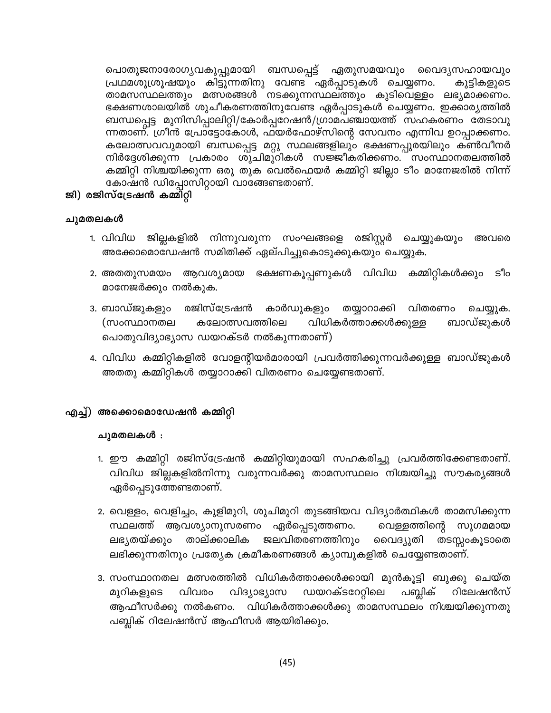പൊതുജനാരോഗൃവകുപ്പുമായി ബന്ധപ്പെട്ട് ഏതുസമയവും വൈദൃസഹായവും പ്രഥമശുശ്രൂഷയും കിട്ടുന്നതിനു വേണ്ട ഏർപ്പാടുകൾ ചെയ്യണം. കുട്ടികളുടെ താമസസ്ഥലത്തും മത്സരങ്ങൾ നടക്കുന്നസ്ഥലത്തും കുടിവെള്ളം ലഭ്യമാക്കണം. ഭക്ഷണശാലയിൽ ശുചീകരണത്തിനുവേണ്ട ഏർപ്പാടുകൾ ചെയ്യണം. ഇക്കാര്യത്തിൽ ബന്ധപ്പെട്ട മുനിസിപ്പാലിറ്റി/കോർപ്പറേഷൻ/ഗ്രാമപഞ്ചായത്ത് സഹകരണം തേടാവു ന്നതാണ്. ഗ്രീൻ പ്രോട്ടോകോൾ, ഫയർഫോഴ്സിന്റെ സേവനം എന്നിവ ഉറപ്പാക്കണം. കലോത്സവവുമായി ബന്ധപ്പെട്ട മറ്റു സ്ഥലങ്ങളിലും ഭക്ഷണപ്പുരയിലും കൺവീനർ നിർദ്ദേശിക്കുന്ന പ്രകാരം ശുചിമുറികൾ സജ്ജീകരിക്കണം. സംസ്ഥാനതലത്തിൽ കമ്മിറ്റി നിശ്ചയിക്കുന്ന ഒരു തുക വെൽഫെയർ കമ്മിറ്റി ജില്ലാ ടീം മാനേജരിൽ നിന്ന് കോഷൻ ഡിപ്പോസിറ്റായി വാങ്ങേണ്ടതാണ്.

#### ജി) രജിസ്ട്രേഷൻ കമ്മിറ്റി

#### ചുമതലകൾ

- 1. വിവിധ ജില്ലകളിൽ നിന്നുവരുന്ന സംഘങ്ങളെ രജിസ്റ്റർ ചെയ്യുകയും അവരെ അക്കോമൊഡേഷൻ സമിതിക്ക് ഏല്പിച്ചുകൊടുക്കുകയും ചെയ്യുക.
- കമ്മിറ്റികൾക്കും ആവശ്യമായ ഭക്ഷണകൂപ്പണുകൾ വിവിധ So 2. അതതുസമയം മാനേജർക്കും നൽകുക.
- രജിസ്ട്രേഷൻ കാർഡുകളും 3. ബാഡ്ജുകളും തയ്യാറാക്കി വിതരണം ചെയ്യുക. (സംസ്ഥാനതല കലോത്സവത്തിലെ വിധികർത്താക്കൾക്കുള്ള ബാഡ്ജുകൾ പൊതുവിദ്യാഭ്യാസ ഡയറക്ടർ നൽകുന്നതാണ്)
- 4. വിവിധ കമ്മിറ്റികളിൽ വോളന്റിയർമാരായി പ്രവർത്തിക്കുന്നവർക്കുള്ള ബാഡ്ജുകൾ അതതു കമ്മിറ്റികൾ തയ്യാറാക്കി വിതരണം ചെയ്യേണ്ടതാണ്.

#### എച്ച്) അക്കൊമൊഡേഷൻ കമ്മിറ്റി

#### ചുമതലകൾ :

- 1. ഈ കമ്മിറ്റി രജിസ്ട്രേഷൻ കമ്മിറ്റിയുമായി സഹകരിച്ചു പ്രവർത്തിക്കേണ്ടതാണ്. വിവിധ ജില്ലകളിൽനിന്നു വരുന്നവർക്കു താമസസ്ഥലം നിശ്ചയിച്ചു സൗകര്യങ്ങൾ ഏർപ്പെടുത്തേണ്ടതാണ്.
- 2. വെള്ളം, വെളിച്ചം, കുളിമുറി, ശുചിമുറി തുടങ്ങിയവ വിദ്യാർത്ഥികൾ താമസിക്കുന്ന സ്ഥലത്ത് ആവശ്യാനുസരണം ഏർപ്പെടുത്തണം. വെള്ളത്തിന്റെ സുഗമമായ ലഭ്യതയ്ക്കും താല്ക്കാലിക ജലവിതരണത്തിനും വൈദ്യുതി തടസ്സറകൂടാതെ ലഭിക്കുന്നതിനും പ്രത്യേക ക്രമീകരണങ്ങൾ ക്യാമ്പുകളിൽ ചെയ്യേണ്ടതാണ്.
- 3. സംസ്ഥാനതല മത്സരത്തിൽ വിധികർത്താക്കൾക്കായി മുൻകൂട്ടി ബുക്കു ചെയ്ത മുറികളുടെ വിവരം വിദ്യാഭ്യാസ ഡയറക്ടറേറ്റിലെ പബ്ലിക് റിലേഷൻസ് ആഫീസർക്കു നൽകണം. വിധികർത്താക്കൾക്കു താമസസ്ഥലം നിശ്ചയിക്കുന്നതു പബ്ലിക് റിലേഷൻസ് ആഫീസർ ആയിരിക്കും.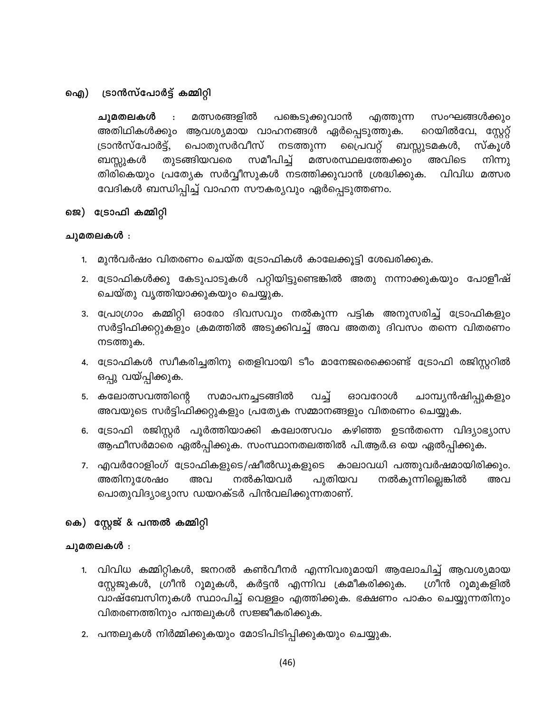#### ട്രാൻസ്പോർട്ട് കമ്മിറ്റി ഐ)

മത്സരങ്ങളിൽ ചുമതലകൾ  $\ddot{\phantom{a}}$ പങ്കെടുക്കുവാൻ എത്തുന്ന സംഘങ്ങൾക്കും അതിഥികൾക്കും ആവശ്യമായ വാഹനങ്ങൾ ഏർപ്പെടുത്തുക. റെയിൽവേ, സ്റ്റേറ്റ് ട്രാൻസ്പോർട്ട്, പൊതുസർവീസ് പ്രൈവറ്റ് നടത്തുന്ന ബസ്സുടമകൾ, സ്കൂൾ തുടങ്ങിയവരെ മത്സരസ്ഥലത്തേക്കും ബസ്സുകൾ സമീപിച്ച് അവിടെ നിന്നു തിരികെയും പ്രത്യേക സർവ്വീസുകൾ നടത്തിക്കുവാൻ ശ്രദ്ധിക്കുക. വിവിധ മത്സര വേദികൾ ബന്ധിപ്പിച്ച് വാഹന സൗകര്യവും ഏർപ്പെടുത്തണം.

#### ജെ) ട്രോഫി കമ്മിറ്റി

#### ചുമതലകൾ :

- 1. മുൻവർഷം വിതരണം ചെയ്ത ട്രോഫികൾ കാലേക്കൂട്ടി ശേഖരിക്കുക.
- 2. ട്രോഫികൾക്കു കേടുപാടുകൾ പറ്റിയിട്ടുണ്ടെങ്കിൽ അതു നന്നാക്കുകയും പോളീഷ് ചെയ്തു വൃത്തിയാക്കുകയും ചെയ്യുക.
- 3. പ്രോഗ്രാം കമ്മിറ്റി ഓരോ ദിവസവും നൽകുന്ന പട്ടിക അനുസരിച്ച് ട്രോഫികളും സർട്ടിഫിക്കറ്റുകളും ക്രമത്തിൽ അടുക്കിവച്ച് അവ അതതു ദിവസം തന്നെ വിതരണം നടത്തുക.
- 4. ട്രോഫികൾ സ്വീകരിച്ചതിനു തെളിവായി ടീം മാനേജരെക്കൊണ്ട് ട്രോഫി രജിസ്റ്ററിൽ ഒപ്പു വയ്പ്പിക്കുക.
- 5. കലോത്സവത്തിന്റെ സമാപനച്ചടങ്ങിൽ വച്ച് ഓവറോൾ ചാമ്പ്യൻഷിപ്പുകളും അവയുടെ സർട്ടിഫിക്കറ്റുകളും പ്രത്യേക സമ്മാനങ്ങളും വിതരണം ചെയ്യുക.
- 6. ട്രോഫി രജിസ്റ്റർ പൂർത്തിയാക്കി കലോത്സവം കഴിഞ്ഞ ഉടൻതന്നെ വിദ്യാഭ്യാസ ആഫീസർമാരെ ഏൽപ്പിക്കുക. സംസ്ഥാനതലത്തിൽ പി.ആർ.ഒ യെ ഏൽപ്പിക്കുക.
- 7. എവർറോളിംഗ് ട്രോഫികളുടെ/ഷീൽഡുകളുടെ കാലാവധി പത്തുവർഷമായിരിക്കും. അതിനുശേഷം നൽകിയവർ പുതിയവ നൽകുന്നില്ലെങ്കിൽ അവ അവ പൊതുവിദ്യാഭ്യാസ ഡയറക്ടർ പിൻവലിക്കുന്നതാണ്.

#### കെ) സ്റ്റേജ് & പന്തൽ കമ്മിറ്റി

#### ചുമതലകൾ :

- 1. വിവിധ കമ്മിറ്റികൾ, ജനറൽ കൺവീനർ എന്നിവരുമായി ആലോചിച്ച് ആവശ്യമായ സ്റ്റേജുകൾ, ഗ്രീൻ റൂമുകൾ, കർട്ടൻ എന്നിവ ക്രമീകരിക്കുക. ഗ്രീൻ റുമുകളിൽ വാഷ്ബേസിനുകൾ സ്ഥാപിച്ച് വെള്ളം എത്തിക്കുക. ഭക്ഷണം പാകം ചെയ്യുന്നതിനും വിതരണത്തിനും പന്തലുകൾ സജ്ജീകരിക്കുക.
- 2. പന്തലുകൾ നിർമ്മിക്കുകയും മോടിപിടിപ്പിക്കുകയും ചെയ്യുക.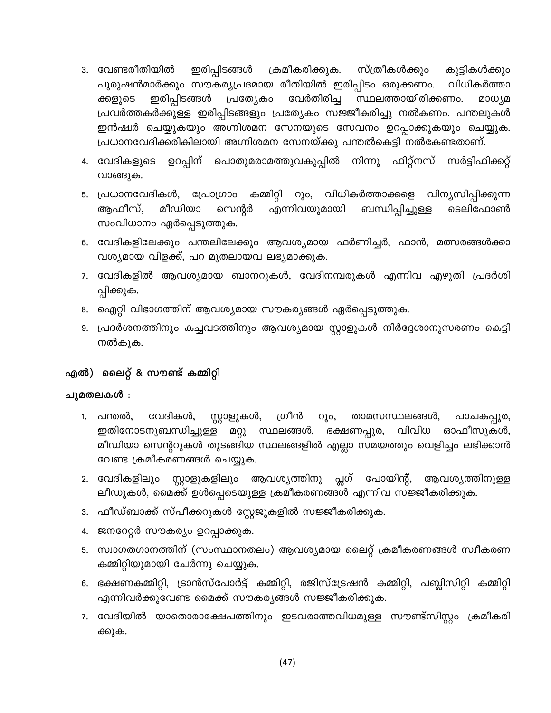- കുട്ടികൾക്കും 3. വേണ്ടരീതിയിൽ ക്രമീകരിക്കുക. സ്ത്രീകൾക്കും ഇരിപ്പിടങ്ങൾ പുരുഷൻമാർക്കും സൗകര്യപ്രദമായ രീതിയിൽ ഇരിപ്പിടം ഒരുക്കണം. വിധികർത്താ ഇരിപ്പിടങ്ങൾ വേർതിരിച്ച സ്ഥലത്തായിരിക്കണം. പ്രത്യേകം മാധ്യമ ക്കളുടെ പ്രവർത്തകർക്കുള്ള ഇരിപ്പിടങ്ങളും പ്രത്യേകം സജ്ജീകരിച്ചു നൽകണം. പന്തലുകൾ ഇൻഷ്വർ ചെയ്യുകയും അഗ്നിശമന സേനയുടെ സേവനം ഉറപ്പാക്കുകയും ചെയ്യുക. പ്രധാനവേദിക്കരികിലായി അഗ്നിശമന സേനയ്ക്കു പന്തൽകെട്ടി നൽകേണ്ടതാണ്.
- 4. വേദികളുടെ ഉറപ്പിന് പൊതുമരാമത്തുവകുപ്പിൽ നിന്നു ഫിറ്റ്നസ് സർട്ടിഫിക്കറ്റ് വാങ്ങുക.
- 5. പ്രധാനവേദികൾ, പ്രോഗ്രാം കമ്മിറ്റി റൂം, വിധികർത്താക്കളെ വിന്യസിപ്പിക്കുന്ന ആഫീസ്, മീഡിയാ സെന്റർ എന്നിവയുമായി ബന്ധിപ്പിച്ചുള്ള ടെലിഫോൺ സംവിധാനം ഏർപ്പെടുത്തുക.
- 6. വേദികളിലേക്കും പന്തലിലേക്കും ആവശ്യമായ ഫർണിച്ചർ, ഫാൻ, മത്സരങ്ങൾക്കാ വശ്യമായ വിളക്ക്, പറ മുതലായവ ലഭ്യമാക്കുക.
- 7. വേദികളിൽ ആവശ്യമായ ബാനറുകൾ, വേദിനമ്പരുകൾ എന്നിവ എഴുതി പ്രദർശി പ്പിക്കുക.
- 8. ഐറ്റി വിഭാഗത്തിന് ആവശ്യമായ സൗകര്യങ്ങൾ ഏർപ്പെടുത്തുക.
- 9. പ്രദർശനത്തിനും കച്ചവടത്തിനും ആവശ്യമായ സ്റ്റാളുകൾ നിർദ്ദേശാനുസരണം കെട്ടി നൽകുക.

#### എൽ) ലൈറ്റ് & സൗണ്ട് കമ്മിറ്റി

#### ചുമതലകൾ :

- വേദികൾ, സ്റ്റാളുകൾ, ഗ്രീൻ 1. പന്തൽ,  $O_8$ o, താമസസ്ഥലങ്ങൾ, പാചകപ്പുര, വിവിധ ഓഫീസുകൾ, ഇതിനോടനുബന്ധിച്ചുള്ള മറ്റു സ്ഥലങ്ങൾ, ഭക്ഷണപ്പുര, മീഡിയാ സെന്ററുകൾ തുടങ്ങിയ സ്ഥലങ്ങളിൽ എല്ലാ സമയത്തും വെളിച്ചം ലഭിക്കാൻ വേണ്ട ക്രമീകരണങ്ങൾ ചെയ്യുക.
- പ്ലഗ് പോയിന്റ്, 2. വേദികളിലും സ്റ്റാളുകളിലും ആവശ്യത്തിനു ആവശ്യത്തിനുള്ള ലീഡുകൾ, മൈക്ക് ഉൾപ്പെടെയുള്ള ക്രമീകരണങ്ങൾ എന്നിവ സജ്ജീകരിക്കുക.
- 3. ഫീഡ്ബാക്ക് സ്പീക്കറുകൾ സ്റ്റേജുകളിൽ സജ്ജീകരിക്കുക.
- 4. ജനറേറ്റർ സൗകര്യം ഉറപ്പാക്കുക.
- 5. സ്വാഗതഗാനത്തിന് (സംസ്ഥാനതലം) ആവശ്യമായ ലൈറ്റ് ക്രമീകരണങ്ങൾ സ്വീകരണ കമ്മിറ്റിയുമായി ചേർന്നു ചെയ്യുക.
- 6. ഭക്ഷണകമ്മിറ്റി, ട്രാൻസ്പോർട്ട് കമ്മിറ്റി, രജിസ്ട്രേഷൻ കമ്മിറ്റി, പബ്ലിസിറ്റി കമ്മിറ്റി എന്നിവർക്കുവേണ്ട മൈക്ക് സൗകര്യങ്ങൾ സജ്ജീകരിക്കുക.
- 7. വേദിയിൽ യാതൊരാക്ഷേപത്തിനും ഇടവരാത്തവിധമുള്ള സൗണ്ട്സിസ്റ്റം ക്രമീകരി ക്കുക.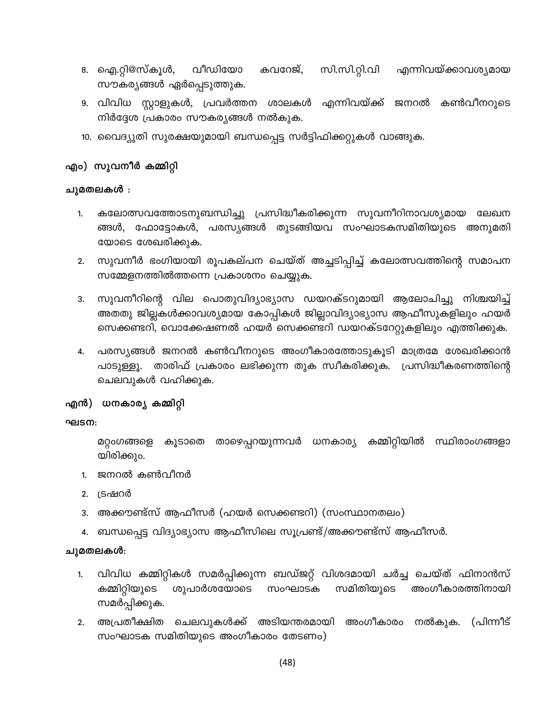- സി.സി.റ്റി.വി വീഡിയോ 8. ഐ.റ്റി@സ്കൂൾ, കവറേജ്, എന്നിവയ്ക്കാവശ്യമായ സൗകര്യങ്ങൾ ഏർപ്പെടുത്തുക.
- 9. വിവിധ സ്റ്റാളുകൾ, പ്രവർത്തന ശാലകൾ എന്നിവയ്ക്ക് കൺവീനറുടെ ജനറൽ നിർദ്ദേശ പ്രകാരം സൗകര്യങ്ങൾ നൽകുക.
- 10. വൈദ്യുതി സുരക്ഷയുമായി ബന്ധപ്പെട്ട സർട്ടിഫിക്കറ്റുകൾ വാങ്ങുക.

#### എം) സുവനീർ കമ്മിറ്റി

#### ചുമതലകൾ :

- കലോത്സവത്തോടനുബന്ധിച്ചു പ്രസിദ്ധീകരിക്കുന്ന സുവനീറിനാവശ്യമായ ലേഖന 1. ങ്ങൾ, ഫോട്ടോകൾ, പരസ്യങ്ങൾ തുടങ്ങിയവ സംഘാടകസമിതിയുടെ അനുമതി യോടെ ശേഖരിക്കുക.
- സുവനീർ ഭംഗിയായി രൂപകല്പന ചെയ്ത് അച്ചടിപ്പിച്ച് കലോത്സവത്തിന്റെ സമാപന  $2.$ സമ്മേളനത്തിൽത്തന്നെ പ്രകാശനം ചെയ്യുക.
- ്സുവനീറിന്റെ വില പൊതുവിദ്യാഭ്യാസ ഡയറക്ടറുമായി ആലോചിച്ചു നിശ്ചയിച്ച് 3. അതതു ജില്ലകൾക്കാവശ്യമായ കോപ്പികൾ ജില്ലാവിദ്യാഭ്യാസ ആഫീസുകളിലും ഹയർ സെക്കണ്ടറി, വൊക്കേഷണൽ ഹയർ സെക്കണ്ടറി ഡയറക്ടറേറ്റുകളിലും എത്തിക്കുക.
- പരസ്യങ്ങൾ ജനറൽ കൺവീനറുടെ അംഗീകാരത്തോടുകൂടി മാത്രമേ ശേഖരിക്കാൻ 4. താരിഫ് പ്രകാരം ലഭിക്കുന്ന തുക സ്വീകരിക്കുക. പ്രസിദ്ധീകരണത്തിന്റെ പാടുള്ളൂ. ചെലവുകൾ വഹിക്കുക.

#### എൻ) ധനകാര്യ കമ്മിറ്റി

#### ഘടന:

മറ്റംഗങ്ങളെ കൂടാതെ താഴെപ്പറയുന്നവർ ധനകാര്യ കമ്മിറ്റിയിൽ സ്ഥിരാംഗങ്ങളാ യിരിക്കും.

- 1. ജനറൽ കൺവീനർ
- 2. ട്രഷറർ
- 3. അക്കൗണ്ട്സ് ആഫീസർ (ഹയർ സെക്കണ്ടറി) (സംസ്ഥാനതലം)
- ബന്ധപ്പെട്ട വിദ്യാഭ്യാസ ആഫീസിലെ സൂപ്രണ്ട്/അക്കൗണ്ട്സ് ആഫീസർ.

#### ചുമതലകൾ:

- വിവിധ കമ്മിറ്റികൾ സമർപ്പിക്കുന്ന ബഡ്ജറ്റ് വിശദമായി ചർച്ച ചെയ്ത് ഫിനാൻസ് 1. കമ്മിറ്റിയുടെ ശുപാർശയോടെ സമിതിയുടെ അംഗീകാരത്തിനായി സംഘാടക സമർപ്പിക്കുക.
- (പിന്നീട് അപ്രതീക്ഷിത ചെലവുകൾക്ക് അടിയന്തരമായി അംഗീകാരം നൽകുക.  $2.$ സംഘാടക സമിതിയുടെ അംഗീകാരം തേടണം)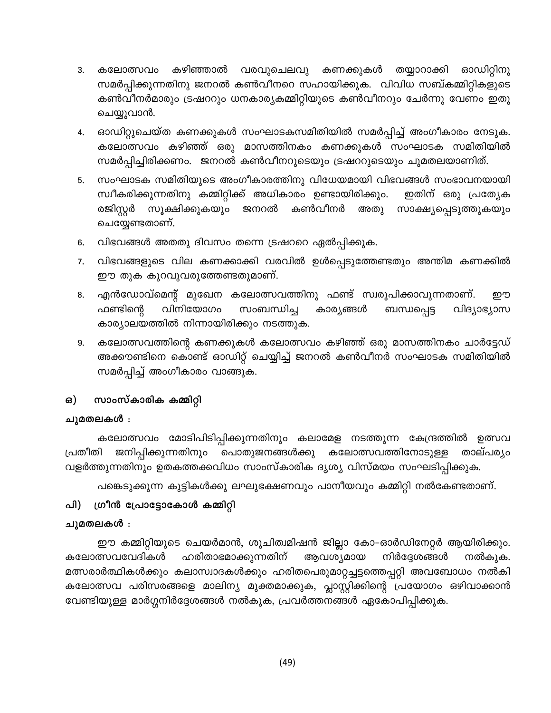- കഴിഞ്ഞാൽ വരവുചെലവു 3. കലോത്സവം കണക്കുകൾ തയ്യാറാക്കി ഓഡിറ്റിനു സമർപ്പിക്കുന്നതിനു ജനറൽ കൺവീനറെ സഹായിക്കുക. വിവിധ സബ്കമ്മിറ്റികളുടെ കൺവീനർമാരും ട്രഷററും ധനകാര്യകമ്മിറ്റിയുടെ കൺവീനറും ചേർന്നു വേണം ഇതു ചെയ്യുവാൻ.
- ഓഡിറ്റുചെയ്ത കണക്കുകൾ സംഘാടകസമിതിയിൽ സമർപ്പിച്ച് അംഗീകാരം നേടുക. 4. കലോത്സവം കഴിഞ്ഞ് ഒരു മാസത്തിനകം കണക്കുകൾ സംഘാടക സമിതിയിൽ സമർപ്പിച്ചിരിക്കണം. ജനറൽ കൺവീനറുടെയും ട്രഷററുടെയും ചുമതലയാണിത്.
- സംഘാടക സമിതിയുടെ അംഗീകാരത്തിനു വിധേയമായി വിഭവങ്ങൾ സംഭാവനയായി 5. സ്വീകരിക്കുന്നതിനു കമ്മിറ്റിക്ക് അധികാരം ഉണ്ടായിരിക്കും. ഇതിന് ഒരു പ്രത്യേക രജിസ്റ്റർ സൂക്ഷിക്കുകയും ജനറൽ കൺവീനർ അതു സാക്ഷ്യപ്പെടുത്തുകയും ചെയ്യേണ്ടതാണ്.
- 6. വിഭവങ്ങൾ അതതു ദിവസം തന്നെ ട്രഷററെ ഏൽപ്പിക്കുക.
- വിഭവങ്ങളുടെ വില കണക്കാക്കി വരവിൽ ഉൾപ്പെടുത്തേണ്ടതും അന്തിമ കണക്കിൽ 7. ഈ തുക കുറവുവരുത്തേണ്ടതുമാണ്.
- എൻഡോവ്മെന്റ് മുഖേന കലോത്സവത്തിനു ഫണ്ട് സ്വരൂപിക്കാവുന്നതാണ്. 8. றற കാര്യങ്ങൾ വിദ്യാഭ്യാസ ഫണ്ടിന്റെ വിനിയോഗം സംബന്ധിച്ച ബന്ധപ്പെട്ട കാര്യാലയത്തിൽ നിന്നായിരിക്കും നടത്തുക.
- കലോത്സവത്തിന്റെ കണക്കുകൾ കലോത്സവം കഴിഞ്ഞ് ഒരു മാസത്തിനകം ചാർട്ടേഡ് 9. അക്കൗണ്ടിനെ കൊണ്ട് ഓഡിറ്റ് ചെയ്യിച്ച് ജനറൽ കൺവീനർ സംഘാടക സമിതിയിൽ സമർപ്പിച്ച് അംഗീകാരം വാങ്ങുക.

#### സാംസ്കാരിക കമ്മിറ്റി ഒ)

#### ചുമതലകൾ ։

കലോത്സവം മോടിപിടിപ്പിക്കുന്നതിനും കലാമേള നടത്തുന്ന കേന്ദ്രത്തിൽ ഉത്സവ പ്രതീതി ജനിപ്പിക്കുന്നതിനും പൊതുജനങ്ങൾക്കു കലോത്സവത്തിനോടുള്ള താല്പര്യം വളർത്തുന്നതിനും ഉതകത്തക്കവിധം സാംസ്കാരിക ദൃശ്യ വിസ്മയം സംഘടിപ്പിക്കുക.

പങ്കെടുക്കുന്ന കുട്ടികൾക്കു ലഘുഭക്ഷണവും പാനീയവും കമ്മിറ്റി നൽകേണ്ടതാണ്.

#### പി) ഗ്രീൻ പ്രോട്ടോകോൾ കമ്മിറ്റി

#### ചുമതലകൾ :

ഈ കമ്മിറ്റിയുടെ ചെയർമാൻ, ശുചിത്വമിഷൻ ജില്ലാ കോ–ഓർഡിനേറ്റർ ആയിരിക്കും. കലോത്സവവേദികൾ ഹരിതാഭമാക്കുന്നതിന് ആവശ്യമായ നിർദ്ദേശങ്ങൾ നൽകുക. മത്സരാർത്ഥികൾക്കും കലാസ്വാദകൾക്കും ഹരിതപെരുമാറ്റച്ചട്ടത്തെപ്പറ്റി അവബോധം നൽകി കലോത്സവ പരിസരങ്ങളെ മാലിന്യ മുക്തമാക്കുക, പ്ലാസ്റ്റിക്കിന്റെ പ്രയോഗം ഒഴിവാക്കാൻ വേണ്ടിയുള്ള മാർഗ്ഗനിർദ്ദേശങ്ങൾ നൽകുക, പ്രവർത്തനങ്ങൾ ഏകോപിപ്പിക്കുക.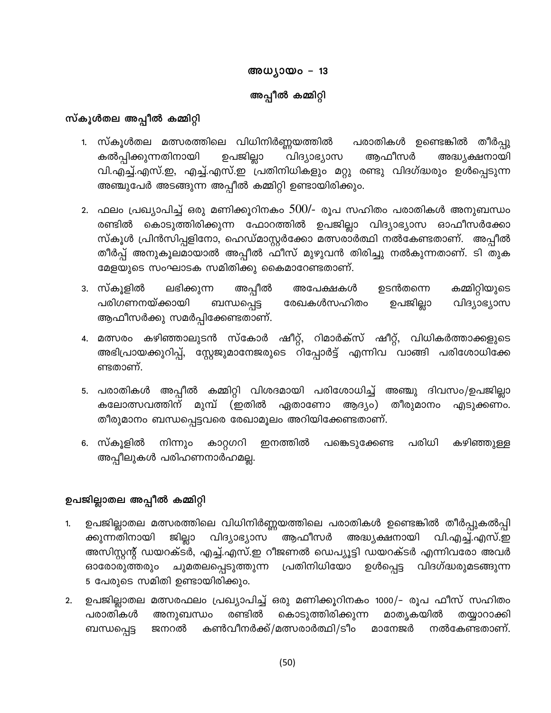# അധ്യായം – 13 അപ്പീൽ കമ്മിറ്റി

### സ്കൂൾതല അപ്പീൽ കമ്മിറ്റി

- 1. സ്കൂൾതല മത്സരത്തിലെ വിധിനിർണ്ണയത്തിൽ പരാതികൾ ഉണ്ടെങ്കിൽ തീർപ്പു കൽപ്പിക്കുന്നതിനായി ഉപജില്ലാ ആഫീസർ വിദ്യാഭ്യാസ അദ്ധ്യക്ഷനായി വി.എച്ച്.എസ്.ഇ, എച്ച്.എസ്.ഇ പ്രതിനിധികളും മറ്റു രണ്ടു വിദഗ്ദ്ധരും ഉൾപ്പെടുന്ന അഞ്ചുപേർ അടങ്ങുന്ന അപ്പീൽ കമ്മിറ്റി ഉണ്ടായിരിക്കും.
- 2. ഫലം പ്രഖ്യാപിച്ച് ഒരു മണിക്കൂറിനകം  $500$ /- രൂപ സഹിതം പരാതികൾ അനുബന്ധം രണ്ടിൽ കൊടുത്തിരിക്കുന്ന ഫോറത്തിൽ ഉപജില്ലാ വിദ്യാഭ്യാസ ഓഫീസർക്കോ സ്കൂൾ പ്രിൻസിപ്പളിനോ, ഹെഡ്മാസ്റ്റർക്കോ മത്സരാർത്ഥി നൽകേണ്ടതാണ്. അപ്പീൽ തീർപ്പ് അനുകൂലമായാൽ അപ്പീൽ ഫീസ് മുഴുവൻ തിരിച്ചു നൽകുന്നതാണ്. ടി തുക മേളയുടെ സംഘാടക സമിതിക്കു കൈമാറേണ്ടതാണ്.
- 3. സ്കൂളിൽ ലഭിക്കുന്ന കമ്മിറ്റിയുടെ അപ്പീൽ ഉടൻതന്നെ അപേക്ഷകൾ ഉപജില്ലാ പരിഗണനയ്ക്കായി ബന്ധപ്പെട്ട രേഖകൾസഹിതം വിദ്യാഭ്യാസ ആഫീസർക്കു സമർപ്പിക്കേണ്ടതാണ്.
- 4. മത്സരം കഴിഞ്ഞാലുടൻ സ്കോർ ഷീറ്റ്, റിമാർക്സ് ഷീറ്റ്, വിധികർത്താക്കളുടെ അഭിപ്രായക്കുറിപ്പ്, സ്റ്റേജുമാനേജരുടെ റിപ്പോർട്ട് എന്നിവ വാങ്ങി പരിശോധിക്കേ ണ്ടതാണ്.
- 5. പരാതികൾ അപ്പീൽ കമ്മിറ്റി വിശദമായി പരിശോധിച്ച് അഞ്ചു ദിവസം/ഉപജില്ലാ കലോത്സവത്തിന് മുമ്പ് (ഇതിൽ ഏതാണോ ആദ്യം) തീരുമാനം എടുക്കണം. തീരുമാനം ബന്ധപ്പെട്ടവരെ രേഖാമൂലം അറിയിക്കേണ്ടതാണ്.
- നിന്നും കഴിഞ്ഞുള്ള 6. സ്കൂളിൽ പരിധി കാറ്റഗറി ഇനത്തിൽ പങ്കെടുക്കേണ്ട അപ്പീലുകൾ പരിഹണനാർഹമല്ല.

### ഉപജില്ലാതല അപ്പീൽ കമ്മിറ്റി

- ഉപജില്ലാതല മത്സരത്തിലെ വിധിനിർണ്ണയത്തിലെ പരാതികൾ ഉണ്ടെങ്കിൽ തീർപ്പുകൽപ്പി 1. ജില്ലാ വിദ്യാഭ്യാസ ആഫീസർ അദ്ധ്യക്ഷനായി വി.എച്ച്.എസ്.ഇ ക്കുന്നതിനായി അസിസ്റ്റന്റ് ഡയറക്ടർ, എച്ച്.എസ്.ഇ റീജണൽ ഡെപ്യൂട്ടി ഡയറക്ടർ എന്നിവരോ അവർ ഉൾപ്പെട്ട വിദഗ്ദ്ധരുമടങ്ങുന്ന പ്രതിനിധിയോ ഓരോരുത്തരും ചുമതലപ്പെടുത്തുന്ന 5 പേരുടെ സമിതി ഉണ്ടായിരിക്കും.
- ഉപജില്ലാതല മത്സരഫലം പ്രഖ്യാപിച്ച് ഒരു മണിക്കൂറിനകം 1000/– രൂപ ഫീസ് സഹിതം  $2.$ അനുബന്ധം പരാതികൾ രണ്ടിൽ കൊടുത്തിരിക്കുന്ന മാതൃകയിൽ തയ്യാറാക്കി ബന്ധപ്പെട്ട കൺവീനർക്ക്/മത്സരാർത്ഥി/ടീം മാനേജർ നൽകേണ്ടതാണ്. ജനറൽ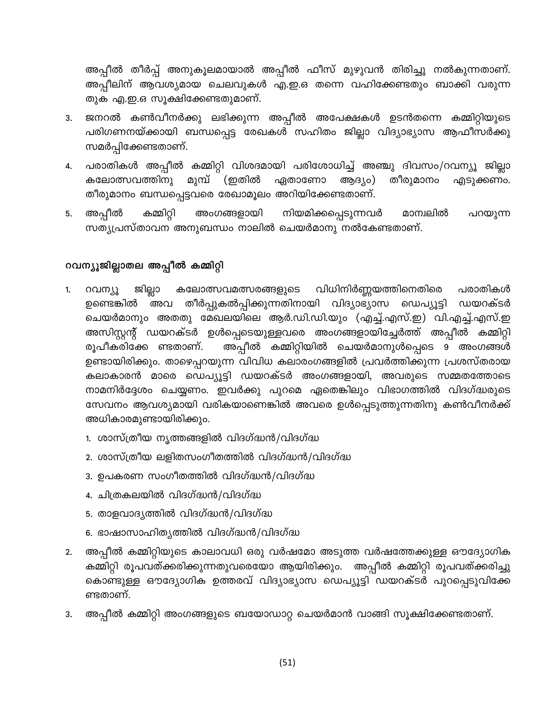അപ്പീൽ തീർപ്പ് അനുകൂലമായാൽ അപ്പീൽ ഫീസ് മുഴുവൻ തിരിച്ചു നൽകുന്നതാണ്. അപ്പീലിന് ആവശ്യമായ ചെലവുകൾ എ.ഇ.ഒ തന്നെ വഹിക്കേണ്ടതും ബാക്കി വരുന്ന തുക എ.ഇ.ഒ സൂക്ഷിക്കേണ്ടതുമാണ്.

- ജനറൽ കൺവീനർക്കു ലഭിക്കുന്ന അപ്പീൽ അപേക്ഷകൾ ഉടൻതന്നെ കമ്മിറ്റിയുടെ  $3.$ പരിഗണനയ്ക്കായി ബന്ധപ്പെട്ട രേഖകൾ സഹിതം ജില്ലാ വിദ്യാഭ്യാസ ആഫീസർക്കു സമർപ്പിക്കേണ്ടതാണ്.
- പരാതികൾ അപ്പീൽ കമ്മിറ്റി വിശദമായി പരിശോധിച്ച് അഞ്ചു ദിവസം/റവന്യൂ ജില്ലാ 4. തീരുമാനം കലോത്സവത്തിനു മുമ്പ് (ഇതിൽ ഏതാണോ ആദ്യം) എടുക്കണം. തീരുമാനം ബന്ധപ്പെട്ടവരെ രേഖാമൂലം അറിയിക്കേണ്ടതാണ്.
- അപ്പീൽ കമ്മിറ്റി അംഗങ്ങളായി നിയമിക്കപ്പെടുന്നവർ മാന്വലിൽ പറയുന്ന 5. സത്യപ്രസ്താവന അനുബന്ധം നാലിൽ ചെയർമാനു നൽകേണ്ടതാണ്.

### റവന്യൂജില്ലാതല അപ്പീൽ കമ്മിറ്റി

- റവന്യൂ ജില്ലാ കലോത്സവമത്സരങ്ങളുടെ വിധിനിർണ്ണയത്തിനെതിരെ പരാതികൾ 1. ഉണ്ടെങ്കിൽ അവ തീർപ്പുകൽപ്പിക്കുന്നതിനായി വിദ്യാഭ്യാസ ഡെപ്യൂട്ടി ഡയറക്ടർ ചെയർമാനും അതതു മേഖലയിലെ ആർ.ഡി.ഡി.യും (എച്ച്.എസ്.ഇ) വി.എച്ച്.എസ്.ഇ അസിസ്റ്റന്റ് ഡയറക്ടർ ഉൾപ്പെടെയുള്ളവരെ അംഗങ്ങളായിച്ചേർത്ത് അപ്പീൽ കമ്മിറ്റി അപ്പീൽ കമ്മിറ്റിയിൽ ചെയർമാനുൾപ്പെടെ 9 അംഗങ്ങൾ രൂപീകരിക്കേ ണ്ടതാണ്. ഉണ്ടായിരിക്കും. താഴെപ്പറയുന്ന വിവിധ കലാരംഗങ്ങളിൽ പ്രവർത്തിക്കുന്ന പ്രശസ്തരായ കലാകാരൻ മാരെ ഡെപ്യൂട്ടി ഡയറക്ടർ അംഗങ്ങളായി, അവരുടെ സമ്മതത്തോടെ നാമനിർദ്ദേശം ചെയ്യണം. ഇവർക്കു പുറമെ ഏതെങ്കിലും വിഭാഗത്തിൽ വിദഗ്ദ്ധരുടെ സേവനം ആവശ്യമായി വരികയാണെങ്കിൽ അവരെ ഉൾപ്പെടുത്തുന്നതിനു കൺവീനർക്ക് അധികാരമുണ്ടായിരിക്കും.
	- 1. ശാസ്ത്രീയ നൃത്തങ്ങളിൽ വിദഗ്ദ്ധൻ/വിദഗ്ദ്ധ
	- 2. ശാസ്ത്രീയ ലളിതസംഗീതത്തിൽ വിദഗ്ദ്ധൻ/വിദഗ്ദ്ധ
	- 3. ഉപകരണ സംഗീതത്തിൽ വിദഗ്ദ്ധൻ/വിദഗ്ദ്ധ
	- 4. ചിത്രകലയിൽ വിദഗ്ദ്ധൻ/വിദഗ്ദ്ധ
	- 5. താളവാദൃത്തിൽ വിദഗ്ദ്ധൻ/വിദഗ്ദ്ധ
	- 6. ഭാഷാസാഹിത്യത്തിൽ വിദഗ്ദ്ധൻ/വിദഗ്ദ്ധ
- അപ്പീൽ കമ്മിറ്റിയുടെ കാലാവധി ഒരു വർഷമോ അടുത്ത വർഷത്തേക്കുള്ള ഔദ്യോഗിക  $2.$ കമ്മിറ്റി രൂപവത്ക്കരിക്കുന്നതുവരെയോ ആയിരിക്കും. അപ്പീൽ കമ്മിറ്റി രൂപവത്ക്കരിച്ചു കൊണ്ടുള്ള ഔദ്യോഗിക ഉത്തരവ് വിദ്യാഭ്യാസ ഡെപ്യൂട്ടി ഡയറക്ടർ പുറപ്പെടുവിക്കേ ണ്ടതാണ്.
- അപ്പീൽ കമ്മിറ്റി അംഗങ്ങളുടെ ബയോഡാറ്റ ചെയർമാൻ വാങ്ങി സൂക്ഷിക്കേണ്ടതാണ്. 3.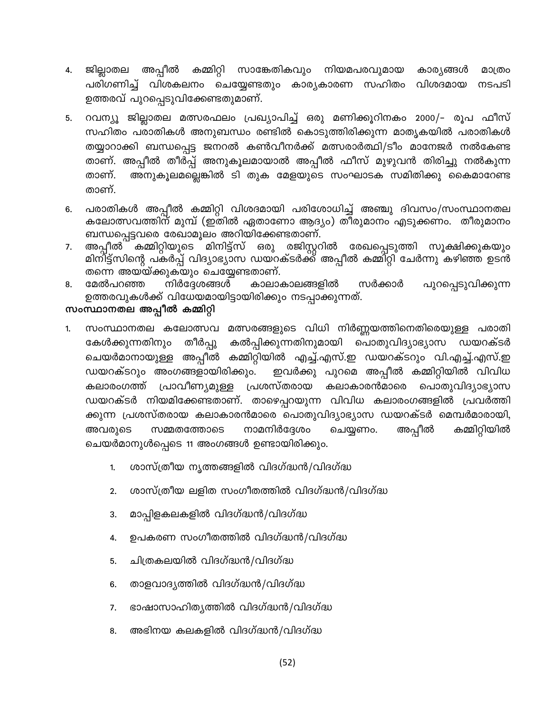- ജില്ലാതല അപ്പീൽ കമ്മിറ്റി സാങ്കേതികവും നിയമപരവുമായ കാര്യങ്ങൾ 4. മാത്രം പരിഗണിച്ച് വിശകലനം ചെയ്യേണ്ടതും കാര്യകാരണ സഹിതം വിശദമായ നടപടി ഉത്തരവ് പുറപ്പെടുവിക്കേണ്ടതുമാണ്.
- റവന്യൂ ജില്ലാതല മത്സരഫലം പ്രഖ്യാപിച്ച് ഒരു മണിക്കൂറിനകം 2000/– രൂപ ഫീസ് 5. സഹിതം പരാതികൾ അനുബന്ധം രണ്ടിൽ കൊടുത്തിരിക്കുന്ന മാതൃകയിൽ പരാതികൾ തയ്യാറാക്കി ബന്ധപ്പെട്ട ജനറൽ കൺവീനർക്ക് മത്സരാർത്ഥി/ടീം മാനേജർ നൽകേണ്ട താണ്. അപ്പീൽ തീർപ്പ് അനുകൂലമായാൽ അപ്പീൽ ഫീസ് മുഴുവൻ തിരിച്ചു നൽകുന്ന താണ്. അനുകൂലമല്ലെങ്കിൽ ടി തുക മേളയുടെ സംഘാടക സമിതിക്കു കൈമാറേണ്ട താണ്.
- പരാതികൾ അപ്പീൽ കമ്മിറ്റി വിശദമായി പരിശോധിച്ച് അഞ്ചു ദിവസം/സംസ്ഥാനതല 6. കലോത്സവത്തിന് മുമ്പ് (ഇതിൽ ഏതാണോ ആദ്യം) തീരുമാനം എടുക്കണം. തീരുമാനം ബന്ധപ്പെട്ടവരെ രേഖാമൂലം അറിയിക്കേണ്ടതാണ്.
- അപ്പീൽ കമ്മിറ്റിയുടെ മിനിട്ട്സ് ഒരു രജിസ്റ്ററിൽ രേഖപ്പെടുത്തി സൂക്ഷിക്കുകയും 7. മിനിട്ട്സിന്റെ പകർപ്പ് വിദ്യാഭ്യാസ ഡയറക്ടർക്ക് അപ്പീൽ കമ്മിറ്റി ചേർന്നു കഴിഞ്ഞ ഉടൻ തന്നെ അയയ്ക്കുകയും ചെയ്യേണ്ടതാണ്.
- മേൽപറഞ്ഞ നിർദ്ദേശങ്ങൾ കാലാകാലങ്ങളിൽ സർക്കാർ പുറപ്പെടുവിക്കുന്ന 8. ഉത്തരവുകൾക്ക് വിധേയമായിട്ടായിരിക്കും നടപ്പാക്കുന്നത്.

#### സംസ്ഥാനതല അപ്പീൽ കമ്മിറ്റി

- സംസ്ഥാനതല കലോത്സവ മത്സരങ്ങളുടെ വിധി നിർണ്ണയത്തിനെതിരെയുള്ള പരാതി 1. തീർപ്പു \_കൽപ്പിക്കുന്നതിനുമായി പൊതുവിദ്യാഭ്യാസ ഡയറക്ടർ കേൾക്കുന്നതിനും ചെയർമാനായുള്ള അപ്പീൽ കമ്മിറ്റിയിൽ എച്ച്.എസ്.ഇ ഡയറക്ടറും വി.എച്ച്.എസ്.ഇ ഇവർക്കു പുറമെ അപ്പീൽ കമ്മിറ്റിയിൽ വിവിധ ഡയറക്ടറും അംഗങ്ങളായിരിക്കും. പ്രശസ്തരായ കലാരംഗത്ത് പ്രാവീണ്യമുള്ള കലാകാരൻമാരെ പൊതുവിദ്യാഭ്യാസ ഡയറക്ടർ നിയമിക്കേണ്ടതാണ്. താഴെപ്പറയുന്ന വിവിധ കലാരംഗങ്ങളിൽ പ്രവർത്തി ക്കുന്ന പ്രശസ്തരായ കലാകാരൻമാരെ പൊതുവിദ്യാഭ്യാസ ഡയറക്ടർ മെമ്പർമാരായി, നാമനിർദ്ദേശം അപ്പീൽ കമ്മിറ്റിയിൽ അവരുടെ സമ്മതത്തോടെ ചെയ്യണം. ചെയർമാനുൾപ്പെടെ 11 അംഗങ്ങൾ ഉണ്ടായിരിക്കും.
	- ശാസ്ത്രീയ നൃത്തങ്ങളിൽ വിദഗ്ദ്ധൻ/വിദഗ്ദ്ധ 1.
	- ശാസ്ത്രീയ ലളിത സംഗീതത്തിൽ വിദഗ്ദ്ധൻ/വിദഗ്ദ്ധ 2.
	- മാപ്പിളകലകളിൽ വിദഗ്ദ്ധൻ/വിദഗ്ദ്ധ 3.
	- ഉപകരണ സംഗീതത്തിൽ വിദഗ്ദ്ധൻ/വിദഗ്ദ്ധ 4.
	- ചിത്രകലയിൽ വിദഗ്ദ്ധൻ/വിദഗ്ദ്ധ 5.
	- താളവാദ്യത്തിൽ വിദഗ്ദ്ധൻ/വിദഗ്ദ്ധ 6.
	- 7. ഭാഷാസാഹിത്യത്തിൽ വിദഗ്ദ്ധൻ/വിദഗ്ദ്ധ
	- 8. അഭിനയ കലകളിൽ വിദഗ്ദ്ധൻ/വിദഗ്ദ്ധ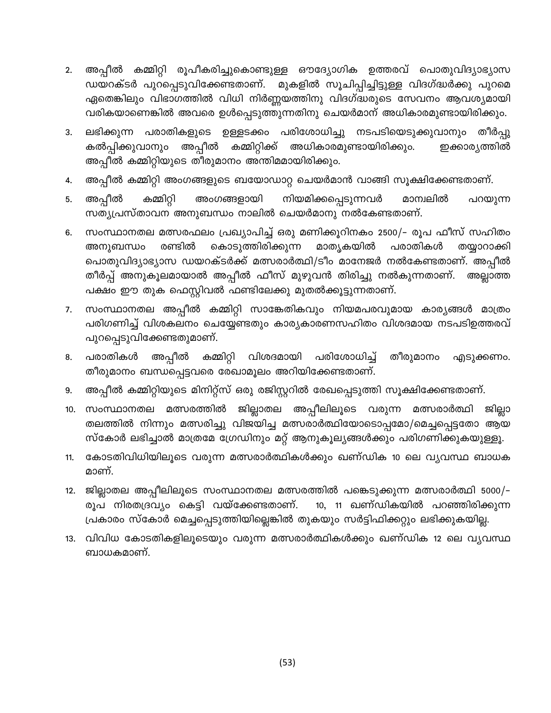- അപ്പീൽ കമ്മിറ്റി രൂപീകരിച്ചുകൊണ്ടുള്ള ഔദ്യോഗിക ഉത്തരവ് പൊതുവിദ്യാഭ്യാസ  $2.$ മുകളിൽ സൂചിപ്പിച്ചിട്ടുള്ള വിദഗ്ദ്ധർക്കു പുറമെ ഡയറക്ടർ പുറപ്പെടുവിക്കേണ്ടതാണ്. ഏതെങ്കിലും വിഭാഗത്തിൽ വിധി നിർണ്ണയത്തിനു വിദഗ്ദ്ധരുടെ സേവനം ആവശ്യമായി വരികയാണെങ്കിൽ അവരെ ഉൾപ്പെടുത്തുന്നതിനു ചെയർമാന് അധികാരമുണ്ടായിരിക്കും.
- ലഭിക്കുന്ന പരാതികളുടെ ഉള്ളടക്കം പരിശോധിച്ചു നടപടിയെടുക്കുവാനും തീർപ്പു 3. കൽപ്പിക്കുവാനും അപ്പീൽ കമ്മിറ്റിക്ക് അധികാരമുണ്ടായിരിക്കും. ഇക്കാര്യത്തിൽ അപ്പീൽ കമ്മിറ്റിയുടെ തീരുമാനം അന്തിമമായിരിക്കും.
- അപ്പീൽ കമ്മിറ്റി അംഗങ്ങളുടെ ബയോഡാറ്റ ചെയർമാൻ വാങ്ങി സൂക്ഷിക്കേണ്ടതാണ്. 4.
- അപ്പീൽ കമ്മിറ്റി അംഗങ്ങളായി നിയമിക്കപ്പെടുന്നവർ മാന്വലിൽ പറയുന്ന 5. സത്യപ്രസ്താവന അനുബന്ധം നാലിൽ ചെയർമാനു നൽകേണ്ടതാണ്.
- സംസ്ഥാനതല മത്സരഫലം പ്രഖ്യാപിച്ച് ഒരു മണിക്കൂറിനകം 2500/– രൂപ ഫീസ് സഹിതം 6. അനുബന്ധം രണ്ടിൽ കൊടുത്തിരിക്കുന്ന മാതൃകയിൽ പരാതികൾ തയ്യാറാക്കി പൊതുവിദ്യാഭ്യാസ ഡയറക്ടർക്ക് മത്സരാർത്ഥി/ടീം മാനേജർ നൽകേണ്ടതാണ്. അപ്പീൽ തീർപ്പ് അനുകൂലമായാൽ അപ്പീൽ ഫീസ് മുഴുവൻ തിരിച്ചു നൽകുന്നതാണ്. അല്ലാത്ത പക്ഷം ഈ തുക ഫെസ്റ്റിവൽ ഫണ്ടിലേക്കു മുതൽക്കൂട്ടുന്നതാണ്.
- സംസ്ഥാനതല അപ്പീൽ കമ്മിറ്റി സാങ്കേതികവും നിയമപരവുമായ കാര്യങ്ങൾ മാത്രം 7. പരിഗണിച്ച് വിശകലനം ചെയ്യേണ്ടതും കാര്യകാരണസഹിതം വിശദമായ നടപടിഉത്തരവ് പുറപ്പെടുവിക്കേണ്ടതുമാണ്.
- കമ്മിറ്റി വിശദമായി പരിശോധിച്ച് അപ്പീൽ പരാതികൾ തീരുമാനം 8. എടുക്കണം. തീരുമാനം ബന്ധപ്പെട്ടവരെ രേഖാമൂലം അറിയിക്കേണ്ടതാണ്.
- അപ്പീൽ കമ്മിറ്റിയുടെ മിനിറ്റ്സ് ഒരു രജിസ്റ്ററിൽ രേഖപ്പെടുത്തി സൂക്ഷിക്കേണ്ടതാണ്. 9.
- 10. സംസ്ഥാനതല മത്സരത്തിൽ ജില്ലാതല അപ്പീലിലൂടെ വരുന്ന മത്സരാർത്ഥി ജില്ലാ തലത്തിൽ നിന്നും മത്സരിച്ചു വിജയിച്ച മത്സരാർത്ഥിയോടൊപ്പമോ/മെച്ചപ്പെട്ടതോ ആയ സ്കോർ ലഭിച്ചാൽ മാത്രമേ ഗ്രേഡിനും മറ്റ് ആനുകൂല്യങ്ങൾക്കും പരിഗണിക്കുകയുള്ളൂ.
- കോടതിവിധിയിലൂടെ വരുന്ന മത്സരാർത്ഥികൾക്കും ഖണ്ഡിക 10 ലെ വ്യവസ്ഥ ബാധക  $11.$ മാണ്.
- 12. ജില്ലാതല അപ്പീലിലൂടെ സംസ്ഥാനതല മത്സരത്തിൽ പങ്കെടുക്കുന്ന മത്സരാർത്ഥി 5000/-10, 11 ഖണ്ഡികയിൽ പറഞ്ഞിരിക്കുന്ന രൂപ നിരതദ്രവ്യം കെട്ടി വയ്ക്കേണ്ടതാണ്. പ്രകാരം സ്കോർ മെച്ചപ്പെടുത്തിയില്ലെങ്കിൽ തുകയും സർട്ടിഫിക്കറ്റും ലഭിക്കുകയില്ല.
- 13. വിവിധ കോടതികളിലൂടെയും വരുന്ന മത്സരാർത്ഥികൾക്കും ഖണ്ഡിക 12 ലെ വ്യവസ്ഥ ബാധകമാണ്.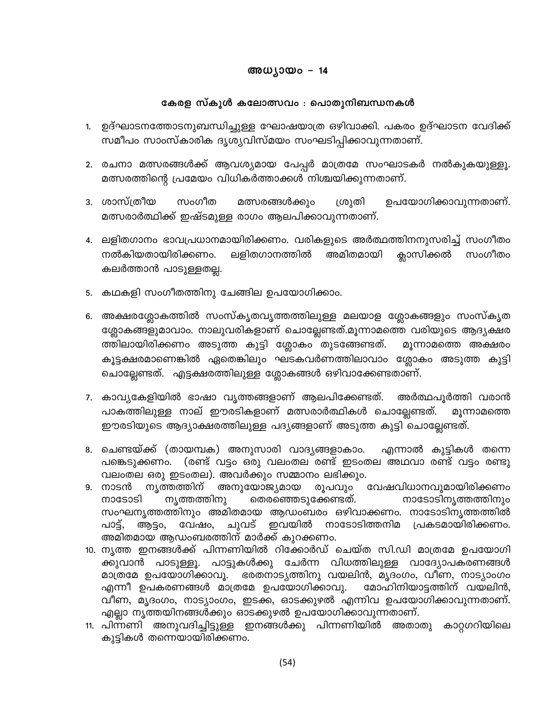#### അധ്യായം – 14

#### കേരള സ്കൂൾ കലോത്സവം : പൊതുനിബന്ധനകൾ

- 1. ഉദ്ഘാടനത്തോടനുബന്ധിച്ചുള്ള ഘോഷയാത്ര ഒഴിവാക്കി. പകരം ഉദ്ഘാടന വേദിക്ക് സമീപം സാംസ്കാരിക ദൃശൃവിസ്മയം സംഘടിപ്പിക്കാവുന്നതാണ്.
- 2. രചനാ മത്സരങ്ങൾക്ക് ആവശ്യമായ പേപ്പർ മാത്രമേ സംഘാടകർ നൽകുകയുള്ളൂ. മത്സരത്തിന്റെ പ്രമേയം വിധികർത്താക്കൾ നിശ്ചയിക്കുന്നതാണ്.
- 3. ശാസ്ത്രീയ സംഗീത മത്സരങ്ങൾക്കും ശ്രുതി ഉപയോഗിക്കാവുന്നതാണ്. മത്സരാർത്ഥിക്ക് ഇഷ്ടമുള്ള രാഗം ആലപിക്കാവുന്നതാണ്.
- 4. ലളിതഗാനം ഭാവപ്രധാനമായിരിക്കണം. വരികളുടെ അർത്ഥത്തിനനുസരിച്ച് സംഗീതം അമിതമായി നൽകിയതായിരിക്കണം. ലളിതഗാനത്തിൽ ക്ലാസിക്കൽ സംഗീതം കലർത്താൻ പാടുള്ളതല്ല.
- 5. കഥകളി സംഗീതത്തിനു ചേങ്ങില ഉപയോഗിക്കാം.
- 6. അക്ഷരശ്ലോകത്തിൽ സംസ്കൃതവൃത്തത്തിലുള്ള മലയാള ശ്ലോകങ്ങളും സംസ്കൃത ശ്ലോകങ്ങളുമാവാം. നാലുവരികളാണ് ചൊല്ലേണ്ടത്.മൂന്നാമത്തെ വരിയുടെ ആദ്യക്ഷര ത്തിലായിരിക്കണം അടുത്ത കുട്ടി ശ്ലോകം തുടങ്ങേണ്ടത്. മൂന്നാമത്തെ അക്ഷരം കൂട്ടക്ഷരമാണെങ്കിൽ ഏതെങ്കിലും ഘടകവർണത്തിലാവാം ശ്ലോകം അടുത്ത കുട്ടി ചൊല്ലേണ്ടത്. എട്ടക്ഷരത്തിലുള്ള ശ്ലോകങ്ങൾ ഒഴിവാക്കേണ്ടതാണ്.
- 7. കാവ്യകേളിയിൽ ഭാഷാ വൃത്തങ്ങളാണ് ആലപിക്കേണ്ടത്. അർത്ഥപൂർത്തി വരാൻ പാകത്തിലുള്ള നാല് ഈരടികളാണ് മത്സരാർത്ഥികൾ ചൊല്ലേണ്ടത്. മൂന്നാമത്തെ ഈരടിയുടെ ആദ്യാക്ഷരത്തിലുള്ള പദ്യങ്ങളാണ് അടുത്ത കുട്ടി ചൊല്ലേണ്ടത്.
- 8. ചെണ്ടയ്ക്ക് (തായമ്പക) അനുസാരി വാദ്യങ്ങളാകാം. എന്നാൽ കുട്ടികൾ തന്നെ പങ്കെടുക്കണം. (രണ്ട് വട്ടം ഒരു വലംതല രണ്ട് ഇടംതല അഥവാ രണ്ട് വട്ടം രണ്ടു വലംതല ഒരു ഇടംതല). അവർക്കും സമ്മാനം ലഭിക്കും.
- അനുയോജ്യമായ വേഷവിധാനവുമായിരിക്കണം 9. നാടൻ ന്യത്തത്തിന് രൂപവും moോടാടി ന്യത്തത്തിനു തെരഞ്ഞെടുക്കേണ്ടത്. നാടോടിനൃത്തത്തിനും സംഘനൃത്തത്തിനും അമിതമായ ആഡംബരം ഒഴിവാക്കണം. നാടോടിനൃത്തത്തിൽ ആട്ടം, വേഷം, ചുവട് ഇവയിൽ നാടോടിത്തനിമ പ്രകടമായിരിക്കണം. പാട്, അമിതമായ ആഡംബരത്തിന് മാർക്ക് കുറക്കണം.
- 10. നൃത്ത ഇനങ്ങൾക്ക് പിന്നണിയിൽ റിക്കോർഡ് ചെയ്ത സി.ഡി മാത്രമേ ഉപയോഗി ക്കുവാൻ പാടുള്ളൂ. പാട്ടുകൾക്കു ചേർന്ന വിധത്തിലുള്ള വാദ്യോപകരണങ്ങൾ മാത്രമേ ഉപയോഗിക്കാവൂ. ഭരതനാട്യത്തിനു വയലിൻ, മൃദംഗം, വീണ, നാട്യാംഗം എന്നീ ഉപകരണങ്ങൾ മാത്രമേ ഉപയോഗിക്കാവു. മോഹിനിയാട്ടത്തിന് വയലിൻ, വീണ, മൃദംഗം, നാട്യാംഗം, ഇടക്ക, ഓടക്കുഴൽ എന്നിവ ഉപയോഗിക്കാവുന്നതാണ്. എല്ലാ നൃത്തയിനങ്ങൾക്കും ഓടക്കുഴൽ ഉപയോഗിക്കാവുന്നതാണ്.
- 11. പിന്നണി അനുവദിച്ചിട്ടുള്ള ഇനങ്ങൾക്കു പിന്നണിയിൽ അതാതു കാറ്റഗറിയിലെ കുട്ടികൾ തന്നെയായിരിക്കണം.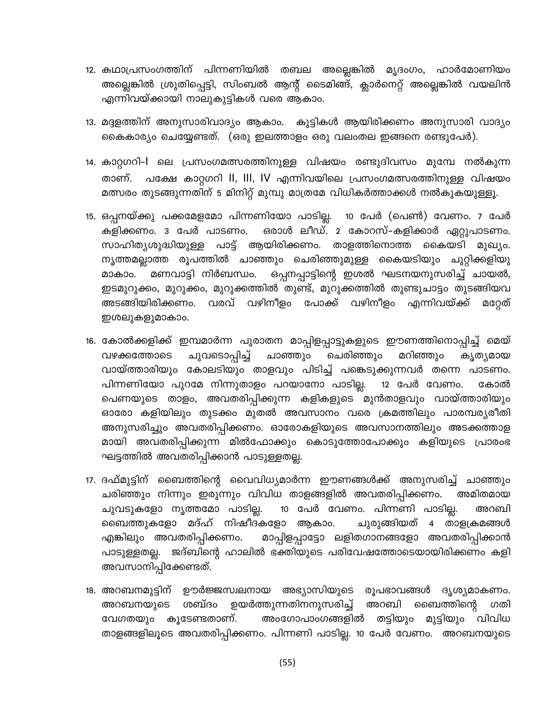- 12. കഥാപ്രസംഗത്തിന് പിന്നണിയിൽ തബല അല്ലെങ്കിൽ മൃദംഗം, ഹാർമോണിയം അല്ലെങ്കിൽ ശ്രുതിപ്പെട്ടി, സിംബൽ ആന്റ് ടൈമിങ്ങ്, ക്ലാർനെറ്റ് അല്ലെങ്കിൽ വയലിൻ എന്നിവയ്ക്കായി നാലുകുട്ടികൾ വരെ ആകാം.
- 13. മദ്ദളത്തിന് അനുസാരിവാദ്യം ആകാം. കുട്ടികൾ ആയിരിക്കണം അനുസാരി വാദ്യം കൈകാര്യം ചെയ്യേണ്ടത്. (ഒരു ഇലത്താളം ഒരു വലംതല ഇങ്ങനെ രണ്ടുപേർ).
- 14. കാറ്റഗറി–l ലെ പ്രസംഗമത്സരത്തിനുള്ള വിഷയം രണ്ടുദിവസം മുമ്പേ നൽകുന്ന താണ്. പക്ഷേ കാറ്റഗറി ll, lll, lV എന്നിവയിലെ പ്രസംഗമത്സരത്തിനുള്ള വിഷയം മത്സരം തുടങ്ങുന്നതിന് 5 മിനിറ്റ് മുമ്പു മാത്രമേ വിധികർത്താക്കൾ നൽകുകയുള്ളൂ.
- 15. ഒപ്പനയ്ക്കു പക്കമേളമോ പിന്നണിയോ പാടില്ല. 10 പേർ (പെൺ) വേണം. 7 പേർ ഒരാൾ ലീഡ്. 2 കോറസ്–കളിക്കാർ ഏറ്റുപാടണം. കളിക്കണം. 3 പേർ പാടണം. സാഹിത്യശുദ്ധിയുള്ള പാട്ട് ആയിരിക്കണം. താളത്തിനൊത്ത കൈയടി മുഖ്യം. നൃത്തമല്ലാത്ത രൂപത്തിൽ ചാഞ്ഞും ചെരിഞ്ഞുമുള്ള കൈയടിയും ചുറ്റിക്കളിയു മണവാട്ടി നിർബന്ധം. 'ഒപ്പനപ്പാട്ടിന്റെ ഇശൽ ഘടനയനുസരിച്ച് ചായൽ, മാകാം. ഇടമുറുക്കം, മുറുക്കം, മുറുക്കത്തിൽ തുണ്ട്, മുറുക്കത്തിൽ തുണ്ടുചാട്ടം തുടങ്ങിയവ അടങ്ങിയിരിക്കണം. വരവ് വഴിനീളം പോക്ക് വഴിനീളം എന്നിവയ്ക്ക് മറേത് ഇശലുകളുമാകാം.
- 16. കോൽക്കളിക്ക് ഇമ്പമാർന്ന പുരാതന മാപ്പിളപ്പാട്ടുകളുടെ ഈണത്തിനൊപ്പിച്ച് മെയ് ചുവടൊപ്പിച്ച് ചെരിഞ്ഞും മറിഞ്ഞും വഴക്കത്തോടെ ചാഞ്ഞും കൃത്യമായ വായ്ത്താരിയും കോലടിയും താളവും പിടിച്ച് പങ്കെടുക്കുന്നവർ തന്നെ പാടണം. പിന്നണിയോ പുറമേ നിന്നുതാളം പറയാനോ പാടില്ല. 12 പേർ വേണം. കോൽ പെണയുടെ താളം, അവതരിപ്പിക്കുന്ന കളികളുടെ മുൻതാളവും വായ്ത്താരിയും ഓരോ കളിയിലും തുടക്കം മുതൽ അവസാനം വരെ ക്രമത്തിലും പാരമ്പര്യരീതി അനുസരിച്ചും അവതരിപ്പിക്കണം. ഓരോകളിയുടെ അവസാനത്തിലും അടക്കത്താള മായി അവതരിപ്പിക്കുന്ന മിൽഫോക്കും കൊടുത്തോപോക്കും കളിയുടെ പ്രാരംഭ ഘട്ടത്തിൽ അവതരിപ്പിക്കാൻ പാടുള്ളതല്ല.
- 17. ദഫ്മുട്ടിന് ബൈത്തിന്റെ വൈവിധ്യമാർന്ന ഈണങ്ങൾക്ക് അനുസരിച്ച് ചാഞ്ഞും ചരിഞ്ഞും നിന്നും ഇരുന്നും വിവിധ താളങ്ങളിൽ അവതരിപ്പിക്കണം. അമിതമായ ചുവടുകളോ നൃത്തമോ പാടില്ല. 10 പേർ വേണം. പിന്നണി പാടില്ല. അറബി ബൈത്തുകളോ മദ്ഹ് നിഷീദകളോ ആകാം. ചുരുങ്ങിയത് 4 താളക്രമങ്ങൾ മാപ്പിളപ്പാട്ടോ ലളിതഗാനങ്ങളോ അവതരിപ്പിക്കാൻ എങ്കിലും അവതരിപ്പിക്കണം. പാടുള്ളതല്ല. ജദ്ബിന്റെ ഹാലിൽ ഭക്തിയുടെ പരിവേഷത്തോടെയായിരിക്കണം കളി അവസാനിപ്പിക്കേണ്ടത്.
- 18. അറബനമുട്ടിന് ഊർജ്ജസ്വലനായ അഭ്യാസിയുടെ രൂപഭാവങ്ങൾ ദൃശ്യമാകണം. ശബ്ദം ഉയർത്തുന്നതിനനുസരിച്ച് അറബി അറബനയുടെ ബൈത്തിന്റെ ഗതി വേഗതയും കുടേണ്ടതാണ്. അംഗോപാംഗങ്ങളിൽ തട്ടിയും മുട്ടിയും വിവിധ താളങ്ങളിലൂടെ അവതരിപ്പിക്കണം. പിന്നണി പാടില്ല. 10 പേർ വേണം. അറബനയുടെ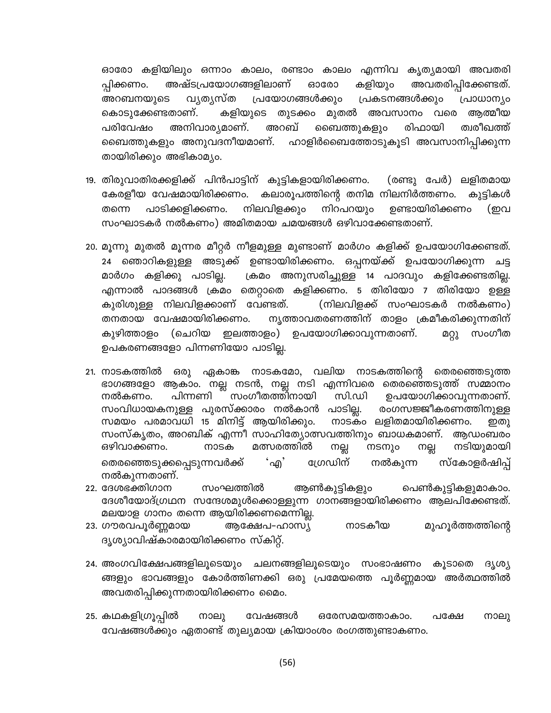ഓരോ കളിയിലും ഒന്നാം കാലം, രണ്ടാം കാലം എന്നിവ കൃത്യമായി അവതരി അഷ്ടപ്രയോഗങ്ങളിലാണ് കളിയും അവതരിപ്പിക്കേണ്ടത്. ഓരോ പ്പിക്കണം. വൃതൃസ്ത പ്രയോഗങ്ങൾക്കും അറബനയുടെ പ്രകടനങ്ങൾക്കും പ്രാധാന്യം മുതൽ കൊടുക്കേണ്ടതാണ്. കളിയുടെ തുടക്കം അവസാനം വരെ അത്മീയ പരിവേഷം അനിവാര്യമാണ്. അറബ് ബൈത്തുകളും രിഫായി ത്വരീഖത്ത് ബൈത്തുകളും അനുവദനീയമാണ്. ഹാളിർബൈത്തോടുകൂടി അവസാനിപ്പിക്കുന്ന തായിരിക്കും അഭികാമ്യം.

- 19. തിരുവാതിരക്കളിക്ക് പിൻപാട്ടിന് കുട്ടികളായിരിക്കണം. (രണ്ടു പേർ) ലളിതമായ കേരളീയ വേഷമായിരിക്കണം. കലാരൂപത്തിന്റെ തനിമ നിലനിർത്തണം. കുട്ടികൾ തന്നെ പാടിക്കളിക്കണം. നിലവിളക്കും നിറപറയും ഉണ്ടായിരിക്കണം (ഇവ സംഘാടകർ നൽകണം) അമിതമായ ചമയങ്ങൾ ഒഴിവാക്കേണ്ടതാണ്.
- 20. മൂന്നു മുതൽ മൂന്നര മീറ്റർ നീളമുള്ള മുണ്ടാണ് മാർഗം കളിക്ക് ഉപയോഗിക്കേണ്ടത്. 24 ഞൊറികളുള്ള അടുക്ക് ഉണ്ടായിരിക്കണം. ഒപ്പനയ്ക്ക് ഉപയോഗിക്കുന്ന ചട്ട മാർഗം കളിക്കു പാടില്ല. ക്രമം അനുസരിച്ചുള്ള 14 പാദവും കളിക്കേണ്ടതില്ല. എന്നാൽ പാദങ്ങൾ ക്രമം തെറ്റാതെ കളിക്കണം. 5 തിരിയോ 7 തിരിയോ ഉള്ള (നിലവിളക്ക് സംഘാടകർ നൽകണം) കുരിശുള്ള നിലവിളക്കാണ് വേണ്ടത്. തനതായ വേഷമായിരിക്കണം. നൃത്താവതരണത്തിന് താളം ക്രമീകരിക്കുന്നതിന് കുഴിത്താളം (ചെറിയ ഇലത്താളം) ഉപയോഗിക്കാവുന്നതാണ്. സംഗീത മറ്റു ഉപകരണങ്ങളോ പിന്നണിയോ പാടില്ല.
- 21. നാടകത്തിൽ ഒരു ഏകാങ്ക നാടകമോ, വലിയ നാടകത്തിന്റെ തെരഞ്ഞെടുത്ത ഭാഗങ്ങളോ ആകാം. നല്ല നടൻ, നല്ല നടി എന്നിവരെ തെരഞ്ഞെടുത്ത് സമ്മാനം സംഗീതത്തിനായി പിന്നണി സി.ഡി ഉപയോഗിക്കാവുന്നതാണ്. നൽകണം. സംവിധായകനുള്ള പുരസ്ക്കാരം നൽകാൻ പാടില്ല. രംഗസജ്ജീകരണത്തിനുള്ള നാടകം ലളിതമായിരിക്കണം. സമയം പരമാവധി 15 മിനിട്ട് ആയിരിക്കും. ഇത) സംസ്കൃതം, അറബിക് എന്നീ സാഹിത്യോത്സവത്തിനും ബാധകമാണ്. അഡംബരം ഒഴിവാക്കണം. നാടക മത്സരത്തിൽ നല്ല നടനും നടിയുമായി നല്ല ഗ്രേഡിന് തെരഞ്ഞെടുക്കപ്പെടുന്നവർക്ക് 'എ' നൽകുന്ന സ്കോളർഷിപ് നൽകുന്നതാണ്.
- 22. ദേശഭക്തിഗാന സംഘത്തിൽ ആൺകുട്ടികളും പെൺകുട്ടികളുമാകാം. ദേശീയോദ്ഗ്രഥന സന്ദേശമുൾക്കൊള്ളുന്ന ഗാനങ്ങളായിരിക്കണം ആലപിക്കേണ്ടത്. മലയാള ഗാനം തന്നെ ആയിരിക്കണമെന്നില്ല.
- നാടകീയ 23. ഗൗരവപൂർണ്ണമായ ആക്ഷേപ-ഹാസ്യ മുഹുർത്തത്തിന്റെ ദൃശ്യാവിഷ്കാരമായിരിക്കണം സ്കിറ്റ്.
- 24. അംഗവിക്ഷേപങ്ങളിലൂടെയും ചലനങ്ങളിലൂടെയും സംഭാഷണം കൂടാതെ ദൃശ്യ ങ്ങളും ഭാവങ്ങളും കോർത്തിണക്കി ഒരു പ്രമേയത്തെ പൂർണ്ണമായ അർത്ഥത്തിൽ അവതരിപ്പിക്കുന്നതായിരിക്കണം മൈം.
- 25. കഥകളിഗ്രൂപ്പിൽ വേഷങ്ങൾ നാലു ഒരേസമയത്താകാം. പക്ഷേ നാലു വേഷങ്ങൾക്കും ഏതാണ്ട് തുല്യമായ ക്രിയാംശം രംഗത്തുണ്ടാകണം.

 $(56)$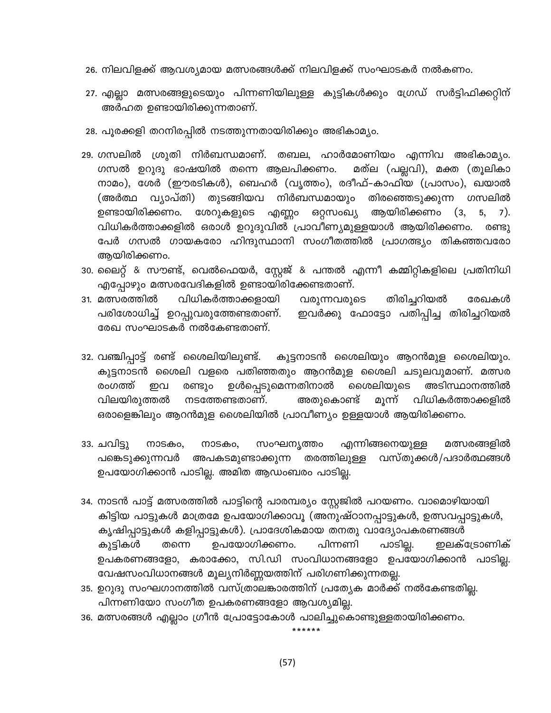- 26. നിലവിളക്ക് ആവശ്യമായ മത്സരങ്ങൾക്ക് നിലവിളക്ക് സംഘാടകർ നൽകണം.
- 27. എല്ലാ മത്സരങ്ങളുടെയും പിന്നണിയിലുള്ള കുട്ടികൾക്കും ഗ്രേഡ് സർട്ടിഫിക്കറ്റിന് അർഹത ഉണ്ടായിരിക്കുന്നതാണ്.
- 28. പൂരക്കളി തറനിരപ്പിൽ നടത്തുന്നതായിരിക്കും അഭികാമ്യം.
- 29. ഗസലിൽ ശ്രുതി നിർബന്ധമാണ്. തബല, ഹാർമോണിയം എന്നിവ അഭികാമ്യം. ഗസൽ ഉറുദു ഭാഷയിൽ തന്നെ ആലപിക്കണം. മത്ല (പല്ലവി), മക്ത (തൂലികാ നാമം), ശേർ (ഈരടികൾ), ബെഹർ (വൃത്തം), രദീഫ്-കാഫിയ (പ്രാസം), ഖയാൽ (അർത്ഥ വ്യാപ്തി) തുടങ്ങിയവ നിർബന്ധമായും തിരഞ്ഞെടുക്കുന്ന ഗസലിൽ ഉണ്ടായിരിക്കണം. ശേറുകളുടെ എണ്ണ൦ ഒറ്റസംഖ്യ ആയിരിക്കണം  $(3,$ 5,  $7).$ വിധികർത്താക്കളിൽ ഒരാൾ ഉറുദുവിൽ പ്രാവീണ്യമുള്ളയാൾ ആയിരിക്കണം. രണ്ടു പേർ ഗസൽ ഗായകരോ ഹിന്ദുസ്ഥാനി സംഗീതത്തിൽ പ്രാഗത്ഭ്യം തികഞ്ഞവരോ ആയിരിക്കണം.
- 30. ലൈറ്റ് & സൗണ്ട്, വെൽഫെയർ, സ്റ്റേജ് & പന്തൽ എന്നീ കമ്മിറ്റികളിലെ പ്രതിനിധി എപ്പോഴും മത്സരവേദികളിൽ ഉണ്ടായിരിക്കേണ്ടതാണ്.
- 31. മത്സരത്തിൽ വിധികർത്താക്കളായി തിരിച്ചറിയൽ വരുന്നവരുടെ രേഖകൾ ഇവർക്കു ഫോട്ടോ പതിപ്പിച്ച തിരിച്ചറിയൽ പരിശോധിച്ച് ഉറപ്പുവരുത്തേണ്ടതാണ്. രേഖ സംഘാടകർ നൽകേണ്ടതാണ്.
- 32. വഞ്ചിപ്പാട്ട് രണ്ട് ശൈലിയിലുണ്ട്. കുട്ടനാടൻ ശൈലിയും ആറൻമുള ശൈലിയും. കുട്ടനാടൻ ശൈലി വളരെ പതിഞ്ഞതും ആറൻമുള ശൈലി ചടുലവുമാണ്. മത്സര ശൈലിയുടെ രംഗത്ത് രണ്ടും ഉൾപ്പെടുമെന്നതിനാൽ അടിസ്ഥാനത്തിൽ ഇവ വിലയിരുത്തൽ നടത്തേണ്ടതാണ്. അതുകൊണ്ട് മൂന്ന് വിധികർത്താക്കളിൽ ഒരാളെങ്കിലും ആറൻമുള ശൈലിയിൽ പ്രാവീണ്യം ഉള്ളയാൾ ആയിരിക്കണം.
- എന്നിങ്ങനെയുള്ള 33. ചവിട്ടു നാടകം, നാടകം, സംഘനൃത്തം മത്സരങ്ങളിൽ തരത്തിലുള്ള പങ്കെടുക്കുന്നവർ വസ്തുക്കൾ/പദാർത്ഥങ്ങൾ അപകടമുണ്ടാക്കുന്ന ഉപയോഗിക്കാൻ പാടില്ല. അമിത ആഡംബരം പാടില്ല.
- 34. നാടൻ പാട്ട് മത്സരത്തിൽ പാട്ടിന്റെ പാരമ്പര്യം സ്റ്റേജിൽ പറയണം. വാമൊഴിയായി കിട്ടിയ പാട്ടുകൾ മാത്രമേ ഉപയോഗിക്കാവൂ (അനുഷ്ഠാനപ്പാട്ടുകൾ, ഉത്സവപ്പാട്ടുകൾ, കൃഷിപ്പാട്ടുകൾ കളിപ്പാട്ടുകൾ). പ്രാദേശികമായ തനതു വാദ്യോപകരണങ്ങൾ പാടില്ല. ഉപയോഗിക്കണം. പിന്നണി ഇലക്ട്രോണിക് കുട്ടികൾ തന്നെ ഉപകരണങ്ങളോ, കരാക്കോ, സി.ഡി സംവിധാനങ്ങളോ ഉപയോഗിക്കാൻ പാടില്ല. വേഷസംവിധാനങ്ങൾ മൂല്യനിർണ്ണയത്തിന് പരിഗണിക്കുന്നതല്ല.
- 35. ഉറുദു സംഘഗാനത്തിൽ വസ്ത്രാലങ്കാരത്തിന് പ്രത്യേക മാർക്ക് നൽകേണ്ടതില്ല. പിന്നണിയോ സംഗീത ഉപകരണങ്ങളോ ആവശ്യമില്ല.
- 36. മത്സരങ്ങൾ എല്ലാം ഗ്രീൻ പ്രോട്ടോകോൾ പാലിച്ചുകൊണ്ടുള്ളതായിരിക്കണം.

 $(57)$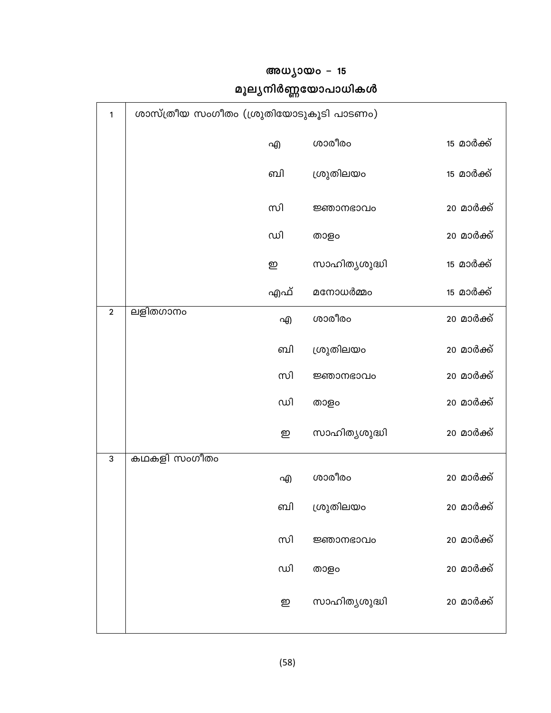|                | ശാസ്ത്രീയ സംഗീതം (ശ്രുതിയോടുകൂടി പാടണം) |     |               |            |  |  |
|----------------|-----------------------------------------|-----|---------------|------------|--|--|
|                |                                         | എ   | ശാരീരം        | 15 മാർക്ക് |  |  |
|                |                                         | வி  | ശ്രുതിലയം     | 15 മാർക്ക് |  |  |
|                |                                         | സി  | ജ്ഞാനഭാവം     | 20 മാർക്ക് |  |  |
|                |                                         | ഡി  | താളം          | 20 മാർക്ക് |  |  |
|                |                                         | ഇ   | സാഹിത്യശുദ്ധി | 15 മാർക്ക് |  |  |
|                |                                         | എഫ് | മനോധർമ്മം     | 15 മാർക്ക് |  |  |
| $\overline{2}$ | ലളിതഗാനം                                | എ   | ശാരീരം        | 20 മാർക്ക് |  |  |
|                |                                         | வி  | ശ്രുതിലയം     | 20 മാർക്ക് |  |  |
|                |                                         | സി  | ജ്ഞാനഭാവം     | 20 മാർക്ക് |  |  |
|                |                                         | ഡി  | താളം          | 20 മാർക്ക് |  |  |
|                |                                         | ഇ   | സാഹിത്യശുദ്ധി | 20 മാർക്ക് |  |  |
| 3              | കഥകളി സംഗീതം                            |     |               |            |  |  |
|                |                                         | എ   | ശാരീരം        | 20 മാർക്ക് |  |  |
|                |                                         | ബി  | ശ്രുതിലയം     | 20 മാർക്ക് |  |  |
|                |                                         | സി  | ജ്ഞാനഭാവം     | 20 മാർക്ക് |  |  |
|                |                                         | ഡി  | താളം          | 20 മാർക്ക് |  |  |
|                |                                         | ഇ   | സാഹിത്യശുദ്ധി | 20 മാർക്ക് |  |  |
|                |                                         |     |               |            |  |  |

## അധ്യായം - 15 മൂല്യനിർണ്ണയോപാധികൾ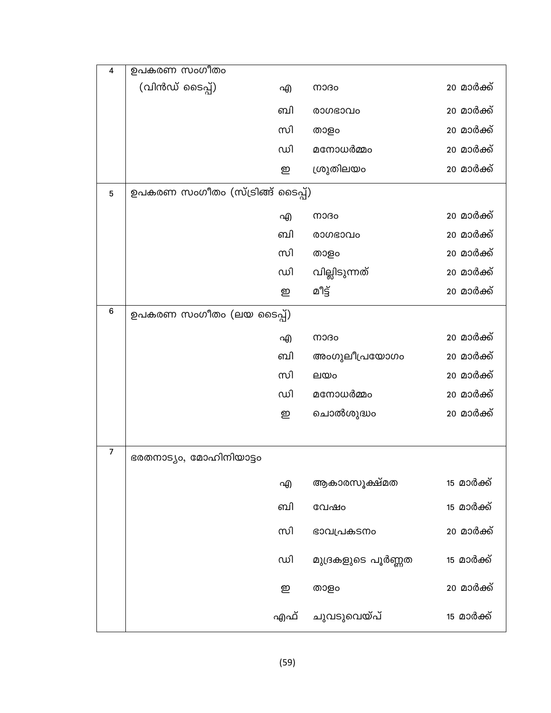| $\overline{\mathbf{4}}$ | ഉപകരണ സംഗീതം                     |     |                    |                   |
|-------------------------|----------------------------------|-----|--------------------|-------------------|
|                         | (വിൻഡ് ടൈപ്പ്)                   | എ   | നാദം               | 20 മാർക്ക്        |
|                         |                                  | வி  | രാഗഭാവം            | 20 മാർക്ക്        |
|                         |                                  | സി  | താളം               | 20 മാർക്ക്        |
|                         |                                  | ഡി  | മനോധർമ്മം          | 20 മാർക്ക്        |
|                         |                                  | ഇ   | ശ്രുതിലയം          | 20 മാർക്ക്        |
| 5                       | ഉപകരണ സംഗീതം (സ്ട്രിങ്ങ് ടൈപ്പ്) |     |                    |                   |
|                         |                                  | എ   | നാദം               | 20 മാർക്ക്        |
|                         |                                  | ബി  | രാഗഭാവം            | 20 മാർക്ക്        |
|                         |                                  | സി  | താളം               | 20 മാർക്ക്        |
|                         |                                  | ഡി  | വില്ലിടുന്നത്      | 20 മാർക്ക്        |
|                         |                                  | ഇ   | മീട്ട്             | 20 മാർക്ക്        |
| 6                       | ഉപകരണ സംഗീതം (ലയ ടൈപ്പ്)         |     |                    |                   |
|                         |                                  | എ   | നാദം               | 20 മാർക്ക്        |
|                         |                                  | ബി  | അംഗുലീപ്രയോഗം      | 20 മാർക്ക്        |
|                         |                                  | സി  | ലയം                | 20 മാർക്ക്        |
|                         |                                  | ഡി  | മനോധർമ്മം          | 20 മാർക്ക്        |
|                         |                                  | ഇ   | ചൊൽശുദ്ധം          | 20 മാർക്ക്        |
|                         |                                  |     |                    |                   |
| 7                       | ഭരതനാട്യം, മോഹിനിയാട്ടം          |     |                    |                   |
|                         |                                  | എ   | ആകാരസൂക്ഷ്മത       | <u>15 മാർക്ക്</u> |
|                         |                                  | ബി  | വേഷം               | <u>15 മാർക്ക്</u> |
|                         |                                  | സി  | ഭാവപ്രകടനം         | 20 മാർക്ക്        |
|                         |                                  | ഡി  | മുദ്രകളുടെ പൂർണ്ണത | 15 മാർക്ക്        |
|                         |                                  | ഇ   | താളം               | 20 മാർക്ക്        |
|                         |                                  | എഫ് | ചുവടുവെയ്പ്        | <u>15 മാർക്ക്</u> |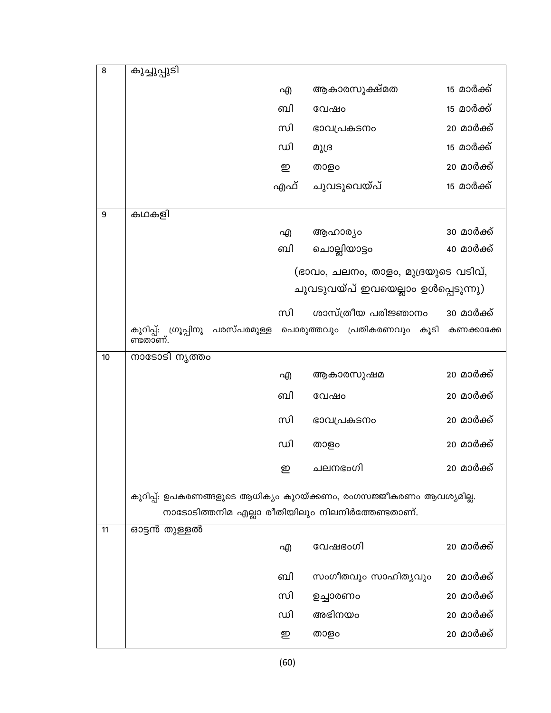| 8  | കുച്ചുപ്പുടി                                                        |     |                                                 |                   |
|----|---------------------------------------------------------------------|-----|-------------------------------------------------|-------------------|
|    |                                                                     | എ   | ആകാരസൂക്ഷ്മത                                    | <u>15 മാർക്ക്</u> |
|    |                                                                     | வி  | വേഷം                                            | <u>15 മാർക്ക്</u> |
|    |                                                                     | സി  | ഭാവപ്രകടനം                                      | 20 മാർക്ക്        |
|    |                                                                     | ഡി  | മുദ്ര                                           | 15 മാർക്ക്        |
|    |                                                                     | ഇ   | താളം                                            | 20 മാർക്ക്        |
|    |                                                                     | എഫ് | ചുവടുവെയ്പ്                                     | <u>15 മാർക്ക്</u> |
| 9  | കഥകളി                                                               |     |                                                 |                   |
|    |                                                                     | എ   | ആഹാര്യം                                         | 30 മാർക്ക്        |
|    |                                                                     | வி  | ചൊല്ലിയാട്ടം                                    | 40 മാർക്ക്        |
|    |                                                                     |     | (ഭാവം, ചലനം, താളം, മുദ്രയുടെ വടിവ്,             |                   |
|    |                                                                     |     | ചുവടുവയ്പ് ഇവയെല്ലാം ഉൾപ്പെടുന്നു)              |                   |
|    |                                                                     | സി  | ശാസ്ത്രീയ പരിജ്ഞാനം                             | 30 മാർക്ക്        |
|    | കുറിപ്പ്: ഗ്രൂപ്പിനു പരസ്പരമുള്ള<br>ണ്ടതാണ്.                        |     | പൊരുത്തവും പ്രതികരണവും കൂടി                     | കണക്കാക്കേ        |
| 10 | നാടോടി നൃത്തം                                                       |     |                                                 |                   |
|    |                                                                     | എ   | ആകാരസുഷമ                                        | 20 മാർക്ക്        |
|    |                                                                     | வி  | വേഷം                                            | 20 മാർക്ക്        |
|    |                                                                     | സി  | ഭാവപ്രകടനം                                      | 20 മാർക്ക്        |
|    |                                                                     | ഡി  | താളം                                            | 20 മാർക്ക്        |
|    |                                                                     | ഇ   | ചലനഭംഗി                                         | 20 മാർക്ക്        |
|    | കുറിപ്പ്: ഉപകരണങ്ങളുടെ ആധിക്യം കുറയ്ക്കണം, രംഗസജ്ജീകരണം ആവശ്യമില്ല. |     |                                                 |                   |
|    |                                                                     |     | നാടോടിത്തനിമ എല്ലാ രീതിയിലും നിലനിർത്തേണ്ടതാണ്. |                   |
| 11 | ഓട്ടൻ തുള്ളൽ                                                        |     |                                                 |                   |
|    |                                                                     | എ   | വേഷഭംഗി                                         | 20 മാർക്ക്        |
|    |                                                                     | வி  | സംഗീതവും സാഹിതൃവും                              | 20 മാർക്ക്        |
|    |                                                                     | സി  | ഉച്ചാരണം                                        | 20 മാർക്ക്        |
|    |                                                                     | ഡി  | അഭിനയം                                          | 20 മാർക്ക്        |
|    |                                                                     | ഇ   | താളം                                            | 20 മാർക്ക്        |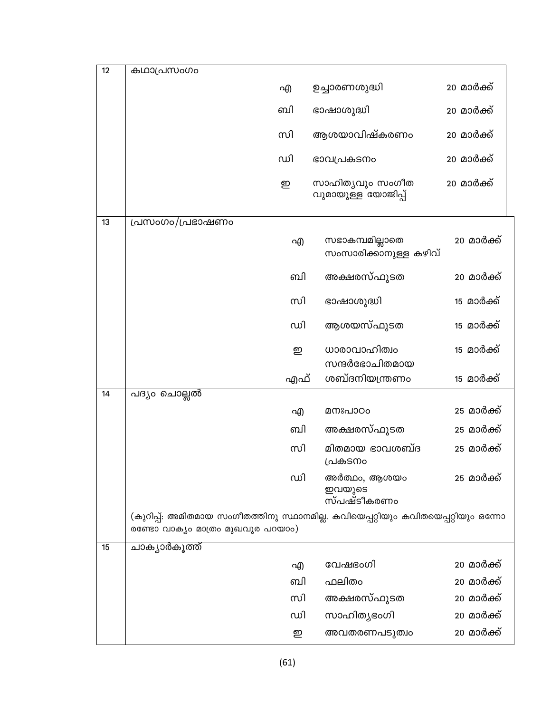| 12 | കഥാപ്രസംഗം                                                                                                             |     |                                          |                    |
|----|------------------------------------------------------------------------------------------------------------------------|-----|------------------------------------------|--------------------|
|    |                                                                                                                        | എ   | ഉച്ചാരണശുദ്ധി                            | 20 മാർക്ക്         |
|    |                                                                                                                        | வி  | ഭാഷാശുദ്ധി                               | 20 മാർക്ക്         |
|    |                                                                                                                        | സി  | ആശയാവിഷ്കരണം                             | 20 മാർക്ക്         |
|    |                                                                                                                        | ഡി  | ഭാവപ്രകടനം                               | 20 മാർക്ക്         |
|    |                                                                                                                        | ഇ   | സാഹിതൃവും സംഗീത<br>വുമായുള്ള യോജിപ്പ്    | 20 മാർക്ക്         |
| 13 | പ്രസംഗം/പ്രഭാഷണം                                                                                                       |     |                                          |                    |
|    |                                                                                                                        | എ   | സഭാകമ്പമില്ലാതെ<br>സംസാരിക്കാനുള്ള കഴിവ് | 20 മാർക് <u>ക്</u> |
|    |                                                                                                                        | வி  | അക്ഷരസ്ഫുടത                              | 20 മാർക്ക്         |
|    |                                                                                                                        | സി  | ഭാഷാശുദ്ധി                               | 15 മാർക്ക്         |
|    |                                                                                                                        | ഡി  | ആശയസ്ഫുടത                                | <u>15 മാർക്ക്</u>  |
|    |                                                                                                                        | ഇ   | ധാരാവാഹിത്വം                             | <u>15 മാർക്ക്</u>  |
|    |                                                                                                                        |     | സന്ദർഭോചിതമായ                            |                    |
| 14 |                                                                                                                        | എഫ് | ശബ്ദനിയന്ത്രണം                           | 15 മാർക്ക്         |
|    | പദ്യം ചൊല്ലൽ                                                                                                           | എ   | മനഃപാഠം                                  | 25 മാർക്ക്         |
|    |                                                                                                                        | வி  | അക്ഷരസ്ഫുടത                              | 25 മാർക്ക്         |
|    |                                                                                                                        | സി  | മിതമായ ഭാവശബ്ദ                           | 25 മാർക്ക്         |
|    |                                                                                                                        |     | പ്രകടനം                                  |                    |
|    |                                                                                                                        | ഡി  | അർത്ഥം, ആശയം<br>ഇവയുടെ<br>സ്പഷ്ടീകരണം    | 25 മാർക്ക്         |
|    | (കുറിപ്പ്: അമിതമായ സംഗീതത്തിനു സ്ഥാനമില്ല. കവിയെപ്പറ്റിയും കവിതയെപ്പറ്റിയും ഒന്നോ<br>രണ്ടോ വാക്യം മാത്രം മുഖവുര പറയാം) |     |                                          |                    |
| 15 | ചാക്യാർകൂത്ത്                                                                                                          |     |                                          |                    |
|    |                                                                                                                        | എ   | വേഷഭംഗി                                  | 20 മാർക്ക്         |
|    |                                                                                                                        | ബി  | ഫലിതം                                    | 20 മാർക്ക്         |
|    |                                                                                                                        | സി  | അക്ഷരസ്ഫുടത                              | 20 മാർക്ക്         |
|    |                                                                                                                        | ഡി  | സാഹിത്യഭംഗി                              | 20 മാർക്ക്         |
|    |                                                                                                                        | ഇ   | അവതരണപടുത്വം                             | 20 മാർക്ക്         |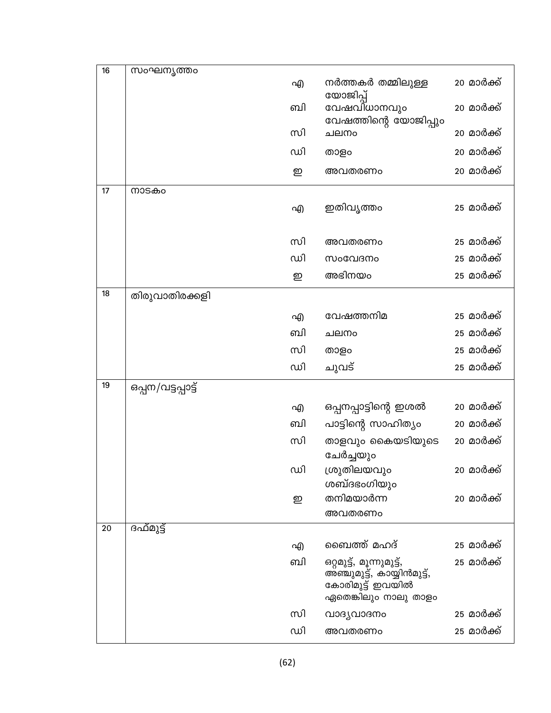| 16 | സംഘനൃത്തം          |    |                                                                                                      |                    |
|----|--------------------|----|------------------------------------------------------------------------------------------------------|--------------------|
|    |                    | എ  | നർത്തകർ തമ്മിലുള്ള<br>യോജിപ്പ്                                                                       | 20 മാർക്ക്         |
|    |                    | வி | വേഷവിധാനവും<br>വേഷത്തിന്റെ യോജിപ്പും                                                                 | 20 മാർക് <u>ക്</u> |
|    |                    | സി | ചലനം                                                                                                 | 20 മാർക്ക്         |
|    |                    | ഡി | താളം                                                                                                 | 20 മാർക്ക്         |
|    |                    | ഇ  | അവതരണം                                                                                               | 20 മാർക്ക്         |
| 17 | നാടകം              |    |                                                                                                      |                    |
|    |                    | എ  | ഇതിവൃത്തം                                                                                            | 25 മാർക്ക്         |
|    |                    | സി | അവതരണം                                                                                               | 25 മാർക്ക്         |
|    |                    | ഡി | സംവേദനം                                                                                              | 25 മാർക്ക്         |
|    |                    | ഇ  | അഭിനയം                                                                                               | 25 മാർക്ക്         |
| 18 | തിരുവാതിരക്കളി     |    |                                                                                                      |                    |
|    |                    | എ  | വേഷത്തനിമ                                                                                            | 25 മാർക്ക്         |
|    |                    | ബി | ചലനം                                                                                                 | 25 മാർക്ക്         |
|    |                    | സി | താളം                                                                                                 | 25 മാർക്ക്         |
|    |                    | ഡി | ചുവട്                                                                                                | 25 മാർക്ക്         |
| 19 | ഒപ്പന/വട്ടപ്പാട്ട് |    |                                                                                                      |                    |
|    |                    | എ  | ഒപ്പനപ്പാട്ടിന്റെ ഇശൽ                                                                                | 20 മാർക്ക്         |
|    |                    | வி | പാട്ടിന്റെ സാഹിത്യം                                                                                  | 20 മാർക്ക്         |
|    |                    | സി | താളവും കൈയടിയുടെ<br>ചേർച്ചയും                                                                        | 20 മാർക്ക്         |
|    |                    | ഡി | ശ്രുതിലയവും                                                                                          | 20 മാർക്ക്         |
|    |                    | ഇ  | ശബ്ദഭംഗിയും<br>തനിമയാർന്ന                                                                            | 20 മാർക്ക്         |
|    |                    |    | അവതരണം                                                                                               |                    |
| 20 | ദഫ്മുട്ട്          |    |                                                                                                      |                    |
|    |                    | എ  | ബൈത്ത് മഹദ്                                                                                          | 25 മാർക്ക്         |
|    |                    | வி | ഒറ്റമുട്ട്, മൂന്നുമുട്ട്,<br>അഞ്ചുമുട്ട്, കായ്യിൻമുട്ട്,<br>കോരിമുട്ട് ഇവയിൽ<br>ഏതെങ്കിലും നാലു താളം | 25 മാർക് <u>ക്</u> |
|    |                    | സി | വാദൃവാദനം                                                                                            | 25 മാർക് <u>ക്</u> |
|    |                    | ഡി | അവതരണം                                                                                               | 25 മാർക്ക്         |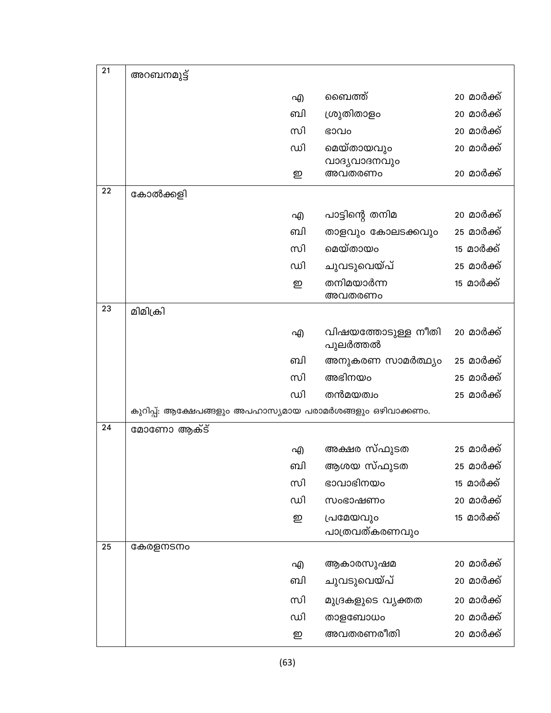| 21 | അറബനമുട്ട്                                                 |    |                                |                    |
|----|------------------------------------------------------------|----|--------------------------------|--------------------|
|    |                                                            | എ  | ബൈത്ത്                         | 20 മാർക്ക്         |
|    |                                                            | வி | ശ്രുതിതാളം                     | 20 മാർക്ക്         |
|    |                                                            | സി | ഭാവം                           | 20 മാർക്ക്         |
|    |                                                            | ഡി | മെയ്തായവും                     | 20 മാർക് <u>ക്</u> |
|    |                                                            | ഇ  | വാദ്യവാദനവും<br>അവതരണം         | 20 മാർക്ക്         |
| 22 | കോൽക്കളി                                                   |    |                                |                    |
|    |                                                            | എ  | പാട്ടിന്റെ തനിമ                | 20 മാർക് <u>ക്</u> |
|    |                                                            | ബി | താളവും കോലടക്കവും              | 25 മാർക്ക്         |
|    |                                                            | സി | മെയ്തായം                       | <u>15 മാർക്ക്</u>  |
|    |                                                            | ഡി | ചുവടുവെയ്പ്                    | 25 മാർക്ക്         |
|    |                                                            | ഇ  | തനിമയാർന്ന<br>അവതരണം           | <u>15 മാർക്ക്</u>  |
| 23 | മിമിക്രി                                                   |    |                                |                    |
|    |                                                            | എ  | വിഷയത്തോടുള്ള നീതി<br>പുലർത്തൽ | 20 മാർക്ക്         |
|    |                                                            | ബി | അനുകരണ സാമർത്ഥ്യം              | 25 മാർക് <u>ക്</u> |
|    |                                                            | സി | അഭിനയം                         | 25 മാർക്ക്         |
|    |                                                            | ഡി | തൻമയത്വം                       | 25 മാർക്ക്         |
|    | കുറിപ്പ്: ആക്ഷേപങ്ങളും അപഹാസ്യമായ പരാമർശങ്ങളും ഒഴിവാക്കണം. |    |                                |                    |
| 24 | മോണോ ആക്ട്                                                 |    |                                |                    |
|    |                                                            | എ  | അക്ഷര സ്ഫുടത                   | 25 മാർക് <u>ക്</u> |
|    |                                                            | ബി | ആശയ സ്ഫുടത                     | 25 മാർക്ക്         |
|    |                                                            | സി | ഭാവാഭിനയം                      | <u>15 മാർക്ക്</u>  |
|    |                                                            | ഡി | സംഭാഷണം                        | 20 മാർക്ക്         |
|    |                                                            | ഇ  | പ്രമേയവും                      | <u>15 മാർക്ക്</u>  |
| 25 | കേരളനടനം                                                   |    | പാത്രവത്കരണവും                 |                    |
|    |                                                            | എ  | ആകാരസുഷമ                       | 20 മാർക്ക്         |
|    |                                                            | ബി | ചുവടുവെയ്പ്                    | 20 മാർക്ക്         |
|    |                                                            | സി |                                | 20 മാർക്ക്         |
|    |                                                            | ഡി | മുദ്രകളുടെ വ്യക്തത<br>താളബോധം  | 20 മാർക്ക്         |
|    |                                                            | ഇ  | അവതരണരീതി                      | 20 മാർക്ക്         |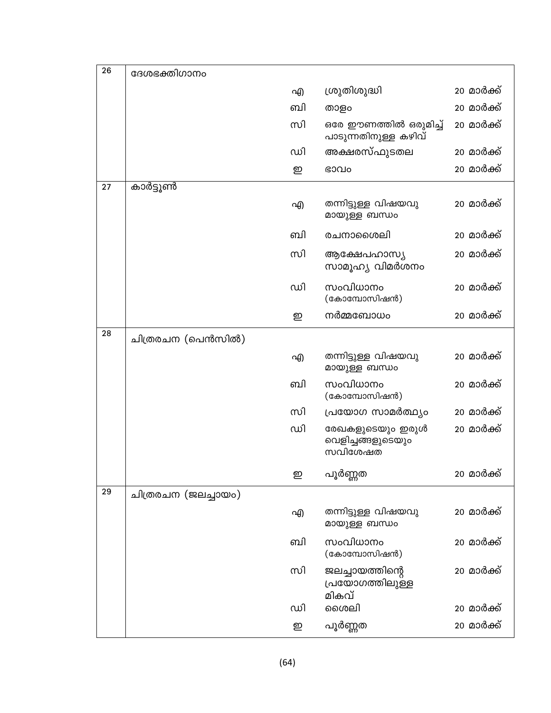| 26 | ദേശഭക്തിഗാനം        |    |                                                  |                    |
|----|---------------------|----|--------------------------------------------------|--------------------|
|    |                     | എ  | ശ്രുതിശുദ്ധി                                     | 20 മാർക് <u>ക്</u> |
|    |                     | வி | താളം                                             | 20 മാർക്ക്         |
|    |                     | സി | ഒരേ ഈണത്തിൽ ഒരുമിച്ച്<br>പാടുന്നതിനുള്ള കഴിവ്    | 20 മാർക്ക്         |
|    |                     | ഡി | അക്ഷരസ്ഫുടതല                                     | 20 മാർക്ക്         |
|    |                     | ഇ  | ഭാവം                                             | 20 മാർക്ക്         |
| 27 | കാർട്ടൂൺ            |    |                                                  |                    |
|    |                     | എ  | തന്നിട്ടുള്ള വിഷയവു<br>മായുള്ള ബന്ധം             | 20 മാർക് <u>ക്</u> |
|    |                     | வி | രചനാശൈലി                                         | 20 മാർക്ക്         |
|    |                     | സി | ആക്ഷേപഹാസ്യ<br>സാമൂഹ്യ വിമർശനം                   | 20 മാർക് <u>ക്</u> |
|    |                     | ഡി | സംവിധാനം<br>(കോമ്പോസിഷൻ)                         | 20 മാർക്ക്         |
|    |                     | ഇ  | നർമ്മബോധം                                        | 20 മാർക്ക്         |
| 28 | ചിത്രരചന (പെൻസിൽ)   |    |                                                  |                    |
|    |                     | എ  | തന്നിട്ടുള്ള വിഷയവു<br>മായുള്ള ബന്ധം             | 20 മാർക്ക്         |
|    |                     | வி | സംവിധാനം<br>(കോമ്പോസിഷൻ)                         | 20 മാർക്ക്         |
|    |                     | സി | പ്രയോഗ സാമർത്ഥ്യം                                | 20 മാർക് <u>ക്</u> |
|    |                     | ഡി | രേഖകളുടെയും ഇരുൾ<br>വെളിച്ചങ്ങളുടെയും<br>സവിശേഷത | 20 മാർക്ക്         |
|    |                     | ഇ  | പൂർണ്ണത                                          | 20 മാർക്ക്         |
| 29 | ചിത്രരചന (ജലച്ചായം) |    |                                                  |                    |
|    |                     | എ  | തന്നിട്ടുള്ള വിഷയവു<br>മായുള്ള ബന്ധം             | 20 മാർക്ക്         |
|    |                     | வி | സംവിധാനം<br>(കോമ്പോസിഷൻ)                         | 20 മാർക്ക്         |
|    |                     | സി | ജലച്ചായത്തിന്റെ<br>പ്രയോഗത്തിലുള്ള<br>മികവ്      | 20 മാർക് <u>ക്</u> |
|    |                     | ഡി | ശൈലി                                             | 20 മാർക്ക്         |
|    |                     | ഇ  | പൂർണ്ണത                                          | 20 മാർക്ക്         |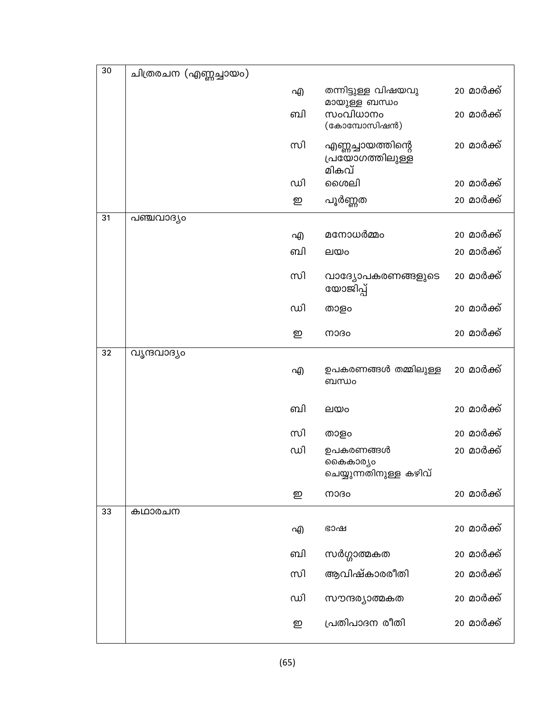| 30 | ചിത്രരചന (എണ്ണച്ചായം) |    |                                                 |                    |
|----|-----------------------|----|-------------------------------------------------|--------------------|
|    |                       | എ  | തന്നിട്ടുള്ള വിഷയവു<br>മായുള്ള ബന്ധം            | 20 മാർക് <u>ക്</u> |
|    |                       | வி | സംവിധാനം<br>(കോമ്പോസിഷൻ)                        | 20 മാർക്ക്         |
|    |                       | സി | എണ്ണച്ചായത്തിന്റെ<br>പ്രയോഗത്തിലുള്ള<br>മികവ്   | 20 മാർക് <u>ക്</u> |
|    |                       | ഡി | ശൈലി                                            | 20 മാർക്ക്         |
|    |                       | ഇ  | പൂർണ്ണത                                         | 20 മാർക്ക്         |
| 31 | പഞ്ചവാദ്യം            |    |                                                 |                    |
|    |                       | എ  | മനോധർമ്മം                                       | 20 മാർക് <u>ക്</u> |
|    |                       | ബി | ലയം                                             | 20 മാർക്ക്         |
|    |                       | സി | വാദ്യോപകരണങ്ങളുടെ<br>യോജിപ്പ്                   | 20 മാർക്ക്         |
|    |                       | ഡി | താളം                                            | 20 മാർക്ക്         |
|    |                       | ഇ  | നാദം                                            | 20 മാർക്ക്         |
| 32 | വൃന്ദവാദ്യം           |    |                                                 |                    |
|    |                       | എ  | ഉപകരണങ്ങൾ തമ്മിലുള്ള<br>ബന്ധം                   | 20 മാർക്ക്         |
|    |                       | வி | ലയം                                             | 20 മാർക്ക്         |
|    |                       | സി | താളം                                            | 20 മാർക്ക്         |
|    |                       | ഡി | ഉപകരണങ്ങൾ<br>കൈകാര്യം<br>ചെയ്യുന്നതിനുള്ള കഴിവ് | 20 മാർക്ക്         |
|    |                       | ഇ  | നാദം                                            | 20 മാർക്ക്         |
| 33 | കഥാരചന                |    |                                                 |                    |
|    |                       | എ  | ഭാഷ                                             | 20 മാർക്ക്         |
|    |                       | வி | സർഗ്ഗാത്മകത                                     | 20 മാർക്ക്         |
|    |                       | സി | ആവിഷ്കാരരീതി                                    | 20 മാർക്ക്         |
|    |                       | ഡി | സൗന്ദര്യാത്മകത                                  | 20 മാർക്ക്         |
|    |                       | ഇ  | പ്രതിപാദന രീതി                                  | 20 മാർക്ക്         |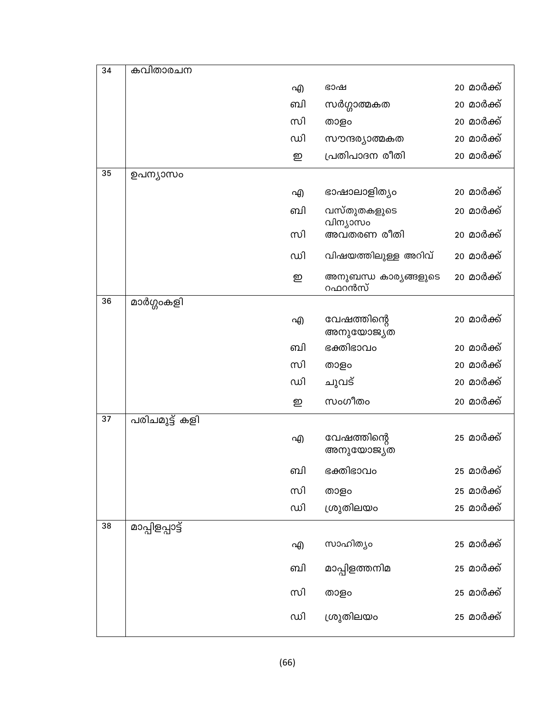| 34 | കവിതാരചന        |    |                                |            |
|----|-----------------|----|--------------------------------|------------|
|    |                 | എ  | ഭാഷ                            | 20 മാർക്ക് |
|    |                 | ബി | സർഗ്ഗാത്മകത                    | 20 മാർക്ക് |
|    |                 | സി | താളം                           | 20 മാർക്ക് |
|    |                 | ഡി | സൗന്ദര്യാത്മകത                 | 20 മാർക്ക് |
|    |                 | ഇ  | പ്രതിപാദന രീതി                 | 20 മാർക്ക് |
| 35 | ഉപന്യാസം        |    |                                |            |
|    |                 | എ  | ഭാഷാലാളിത്യം                   | 20 മാർക്ക് |
|    |                 | வி | വസ്തുതകളുടെ                    | 20 മാർക്ക് |
|    |                 | സി | വിന്യാസം<br>അവതരണ രീതി         | 20 മാർക്ക് |
|    |                 | ഡി | വിഷയത്തിലുള്ള അറിവ്            | 20 മാർക്ക് |
|    |                 | ഇ  | അനുബന്ധ കാര്യങ്ങളുടെ<br>റഫറൻസ് | 20 മാർക്ക് |
| 36 | മാർഗ്ഗംകളി      |    |                                |            |
|    |                 | എ  | വേഷത്തിന്റെ<br>അനുയോജ്യത       | 20 മാർക്ക് |
|    |                 | வி | ഭക്തിഭാവം                      | 20 മാർക്ക് |
|    |                 | സി | താളം                           | 20 മാർക്ക് |
|    |                 | ഡി | ചുവട്                          | 20 മാർക്ക് |
|    |                 | ഇ  | സംഗീതം                         | 20 മാർക്ക് |
| 37 | പരിചമുട്ട് കളി  |    |                                |            |
|    |                 | എ  | വേഷത്തിന്റെ<br>അനുയോജ്യത       | 25 മാർക്ക് |
|    |                 | வி | ഭക്തിഭാവം                      | 25 മാർക്ക് |
|    |                 | സി | താളം                           | 25 മാർക്ക് |
|    |                 | ഡി | ശ്രുതിലയം                      | 25 മാർക്ക് |
| 38 | മാപ്പിളപ്പാട്ട് |    |                                |            |
|    |                 | എ  | സാഹിത്യം                       | 25 മാർക്ക് |
|    |                 | ബി | മാപ്പിളത്തനിമ                  | 25 മാർക്ക് |
|    |                 | സി | താളം                           | 25 മാർക്ക് |
|    |                 | ഡി | ശ്രുതിലയം                      | 25 മാർക്ക് |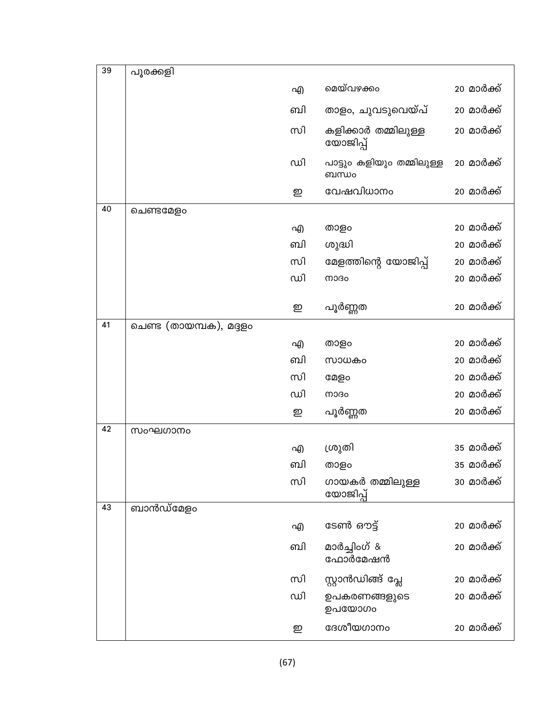| 39 | പൂരക്കളി                |    |                                    |                    |
|----|-------------------------|----|------------------------------------|--------------------|
|    |                         | എ  | മെയ്വഴക്കം                         | 20 മാർക്ക്         |
|    |                         | வி | താളം, ചുവടുവെയ്പ്                  | 20 മാർക്ക്         |
|    |                         | സി | കളിക്കാർ തമ്മിലുള്ള<br>യോജിപ്പ്    | 20 മാർക്ക്         |
|    |                         | ഡി | പാട്ടും കളിയും തമ്മിലുള്ള<br>ബന്ധം | 20 മാർക്ക്         |
|    |                         | ഇ  | വേഷവിധാനം                          | 20 മാർക്ക്         |
| 40 | ചെണ്ടമേളം               |    |                                    |                    |
|    |                         | എ  | താളം                               | 20 മാർക്ക്         |
|    |                         | வி | ശുദ്ധി                             | 20 മാർക്ക്         |
|    |                         | സി | മേളത്തിന്റെ യോജിപ്പ്               | 20 മാർക്ക്         |
|    |                         | ഡി | നാദം                               | 20 മാർക്ക്         |
|    |                         |    |                                    |                    |
|    |                         | ഇ  | പൂർണ്ണത                            | 20 മാർക്ക്         |
| 41 | ചെണ്ട (തായമ്പക), മദ്ദളം |    |                                    |                    |
|    |                         | എ  | താളം                               | 20 മാർക്ക്         |
|    |                         | ബി | സാധകം                              | 20 മാർക് <u>ക്</u> |
|    |                         | സി | മേളം                               | 20 മാർക്ക്         |
|    |                         | ഡി | നാദം                               | 20 മാർക്ക്         |
|    |                         | ഇ  | പൂർണ്ണത                            | 20 മാർക്ക്         |
| 42 | സംഘഗാനം                 |    |                                    |                    |
|    |                         | എ  | ശ്രുതി                             | 35 മാർക്ക്         |
|    |                         | வி | താളം                               | 35 മാർക്ക്         |
|    |                         | സി | ഗായകർ തമ്മിലുള്ള<br>യോജിപ്പ്       | 30 മാർക്ക്         |
| 43 | ബാൻഡ്മേളം               |    |                                    |                    |
|    |                         | എ  | ടേൺ ഔട്ട്                          | 20 മാർക്ക്         |
|    |                         | வி | മാർച്ചിംഗ് &<br>ഫോർമേഷൻ            | 20 മാർക്ക്         |
|    |                         | സി | സ്റ്റാൻഡിങ്ങ് പ്ലേ                 | 20 മാർക്ക്         |
|    |                         | ഡി | ഉപകരണങ്ങളുടെ<br>ഉപയോഗം             | 20 മാർക് <u>ക്</u> |
|    |                         | ഇ  | ദേശീയഗാനം                          | 20 മാർക്ക്         |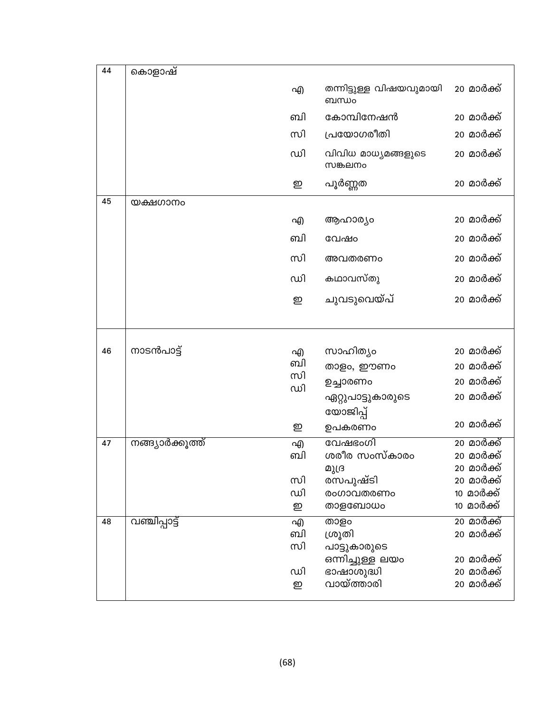| 44 | കൊളാഷ്           |          |                                  |                            |
|----|------------------|----------|----------------------------------|----------------------------|
|    |                  | എ        | തന്നിട്ടുള്ള വിഷയവുമായി<br>ബന്ധം | 20 മാർക്ക്                 |
|    |                  | ബി       | കോമ്പിനേഷൻ                       | 20 മാർക് <u>ക്</u>         |
|    |                  | സി       | പ്രയോഗരീതി                       | 20 മാർക്ക്                 |
|    |                  | ഡി       | വിവിധ മാധ്യമങ്ങളുടെ<br>സങ്കലനം   | 20 മാർക്ക്                 |
|    |                  | ഇ        | പൂർണ്ണത                          | 20 മാർക് <u>ക്</u>         |
| 45 | യക്ഷഗാനം         |          |                                  |                            |
|    |                  | എ        | ആഹാര്യം                          | 20 മാർക് <u>ക്</u>         |
|    |                  | ബി       | വേഷം                             | 20 മാർക് <u>ക്</u>         |
|    |                  | സി       | അവതരണം                           | 20 മാർക് <u>ക്</u>         |
|    |                  | ഡി       | കഥാവസ്തു                         | 20 മാർക്ക്                 |
|    |                  | ഇ        | ചുവടുവെയ്പ്                      | 20 മാർക്ക്                 |
|    |                  |          |                                  |                            |
| 46 | നാടൻപാട്ട്       | എ        | സാഹിത്യം                         | 20 മാർക് <u>ക്</u>         |
|    |                  | ബി       | താളം, ഈണം                        | 20 മാർക്ക്                 |
|    |                  | സി<br>ഡി | ഉച്ചാരണം                         | 20 മാർക് <u>ക്</u>         |
|    |                  |          | ഏറ്റുപാട്ടുകാരുടെ                | 20 മാർക്ക്                 |
|    |                  |          | യോജിപ്പ്                         | 20 മാർക്ക്                 |
|    |                  | ഇ        | ഉപകരണം                           |                            |
| 47 | നങ്ങ്യാർക്കുത്ത് | എ<br>ബി  | വേഷഭംഗി<br>ശരീര സംസ്കാരം         | $20$ മാർക്ക്<br>20 മാർക്ക് |
|    |                  |          | മുദ്ര                            | 20 മാർക്ക്                 |
|    |                  | സി       | രസപുഷ്ടി                         | 20 മാർക്ക്                 |
|    |                  | ഡി       | രംഗാവതരണം                        | <u>10 മാർക്ക്</u>          |
|    |                  | ഇ        | താളബോധം                          | 10 മാർക്ക്                 |
| 48 | വഞ്ചിപ്പാട്ട്    | എ        | താളം                             | <u>20 മാർക്ക്</u>          |
|    |                  | ബി       | ശ്രൂതി                           | 20 മാർക്ക്                 |
|    |                  | സി       | പാട്ടുകാരുടെ                     |                            |
|    |                  |          | ഒന്നിച്ചുള്ള ലയം                 | 20 മാർക് <u>ക്</u>         |
|    |                  | ഡി       | ഭാഷാശുദ്ധി                       | 20 മാർക്ക്                 |
|    |                  | ഇ        | വായ്ത്താരി                       | 20 മാർക്ക്                 |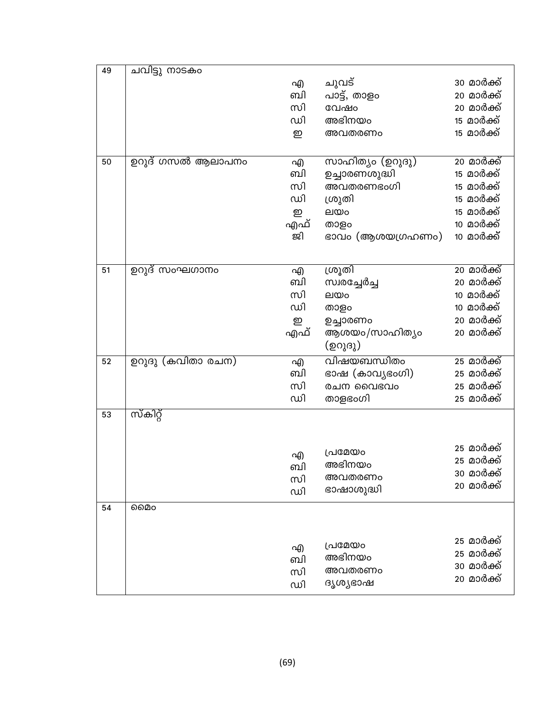| 49 | ചവിട്ടു നാടകം     |     |                  |                          |
|----|-------------------|-----|------------------|--------------------------|
|    |                   | എ   | ചുവട്            | 30 മാർക്ക്               |
|    |                   | வி  | പാട്ട്, താളം     | 20 മാർക്ക്               |
|    |                   | സി  | വേഷം             | 20 മാർക്ക്               |
|    |                   | ഡി  | അഭിനയം           | <u>15 മാർക്ക്</u>        |
|    |                   | ഇ   | അവതരണം           | <u>15 മാർക്ക്</u>        |
|    |                   |     |                  |                          |
| 50 | ഉറുദ് ഗസൽ ആലാപനം  | എ   | സാഹിത്യം (ഉറുദു) | 20 മാർക്ക്               |
|    |                   | ബി  | ഉച്ചാരണശുദ്ധി    | മാർക്ക്<br>15            |
|    |                   | സി  | അവതരണഭംഗി        | മാർക്ക്<br>15            |
|    |                   | ഡി  | ശ്രുതി           | 15 മാർക്ക്               |
|    |                   | ഇ   | ലയം              | മാർക്ക്<br>15            |
|    |                   | എഫ് | താളം             | മാർക്ക്<br>10            |
|    |                   | ജി  | ഭാവം (ആശയഗ്രഹണം) | 10 മാർക്ക്               |
|    |                   |     |                  |                          |
| 51 | ഉറുദ് സംഘഗാനം     | എ   | ശ്രൂതി           | <u>20 മാർക്ക്</u>        |
|    |                   | ബി  | സ്വരച്ചേർച്ച     | 20 മാർക്ക്               |
|    |                   | സി  | ലയം              | മാർക്ക്<br>10            |
|    |                   | ഡി  | താളം             | <u>10 മാർക്ക്</u>        |
|    |                   | ഇ   | ഉച്ചാരണം         | 20 മാർക്ക്               |
|    |                   | എഫ് | ആശയം/സാഹിത്യം    | 20 മാർക്ക്               |
|    |                   |     | (ഉറുദു)          |                          |
| 52 | ഉറുദു (കവിതാ രചന) | എ   | വിഷയബന്ധിതം      | <u>25 മാർക്ക്</u>        |
|    |                   | ബി  | ഭാഷ (കാവ്യഭംഗി)  | 25 മാർക്ക്               |
|    |                   | സി  | രചന വൈഭവം        | 25 മാർക്ക്               |
|    |                   | ഡി  | താളഭംഗി          | 25 മാർക്ക്               |
| 53 | സ്കിറ്റ്          |     |                  |                          |
|    |                   |     |                  |                          |
|    |                   |     |                  |                          |
|    |                   | എ   | പ്രമേയം          | 25 മാർക്ക്<br>25 മാർക്ക് |
|    |                   | ബി  | അഭിനയം           |                          |
|    |                   | സി  | അവതരണം           | 30 മാർക്ക്<br>20 മാർക്ക് |
|    |                   | ഡി  | ഭാഷാശുദ്ധി       |                          |
| 54 | മൈം               |     |                  |                          |
|    |                   |     |                  |                          |
|    |                   |     |                  | 25 മാർക്ക്               |
|    |                   | എ   | പ്രമേയം          | 25 മാർക്ക്               |
|    |                   | ബി  | അഭിനയം           | 30 മാർക്ക്               |
|    |                   | സി  | അവതരണം           | 20 മാർക്ക്               |
|    |                   | ഡി  | ദൃശ്യഭാഷ         |                          |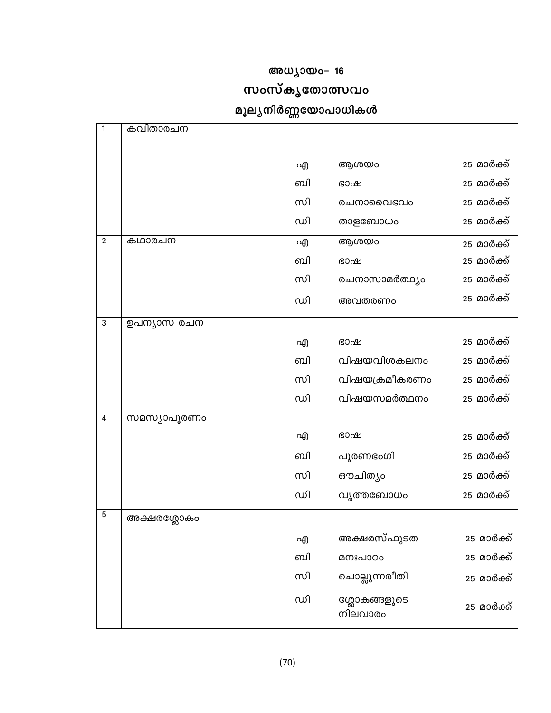## അധ്യായം- 16

# സംസ്കൃതോത്സവം

# മൂല്യനിർണ്ണയോപാധികൾ

| 1              | കവിതാരചന    |    |                         |                          |
|----------------|-------------|----|-------------------------|--------------------------|
|                |             | എ  | ആശയം                    | 25 മാർക് <u>ക്</u>       |
|                |             | ബി | ഭാഷ                     | 25 മാർക്ക്               |
|                |             | സി | രചനാവൈഭവം               | 25 മാർക്ക്               |
|                |             | ഡി | താളബോധം                 | 25 മാർക്ക്               |
| $\mathbf{2}$   | കഥാരചന      | എ  | ആശയം                    |                          |
|                |             | வி | ഭാഷ                     | 25 മാർക്ക്<br>25 മാർക്ക് |
|                |             | സി | രചനാസാമർത്ഥ്യം          | 25 മാർക്ക്               |
|                |             |    |                         |                          |
|                |             | ഡി | അവതരണം                  | 25 മാർക്ക്               |
| 3              | ഉപന്യാസ രചന |    |                         |                          |
|                |             | എ  | ഭാഷ                     | 25 മാർക്ക്               |
|                |             | ബി | വിഷയവിശകലനം             | 25 മാർക്ക്               |
|                |             | സി | വിഷയക്രമീകരണം           | 25 മാർക് <u>ക്</u>       |
|                |             | ഡി | വിഷയസമർത്ഥനം            | 25 മാർക്ക്               |
| $\overline{4}$ | സമസ്യാപൂരണം |    |                         |                          |
|                |             | എ  | ഭാഷ                     | 25 മാർക്ക്               |
|                |             | ബി | പൂരണഭംഗി                | 25 മാർക്ക്               |
|                |             | സി | ഔചിത്യം                 | 25 മാർക്ക്               |
|                |             | ഡി | വൃത്തബോധം               | 25 മാർക്ക്               |
| 5              | അക്ഷരശ്ലോകം |    |                         |                          |
|                |             | എ  | അക്ഷരസ്ഫുടത             | 25 മാർക്ക്               |
|                |             | ബി | മനഃപാഠം                 | 25 മാർക്ക്               |
|                |             | സി | ചൊല്ലുന്നരീതി           | 25 മാർക്ക്               |
|                |             | ഡി | ശ്ലോകങ്ങളുടെ<br>നിലവാരം | 25 മാർക്ക്               |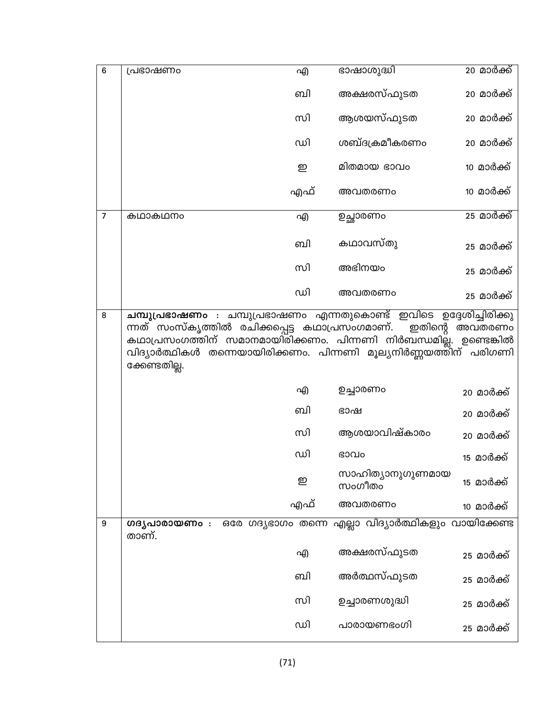| 6              | പ്രഭാഷണം                                                                                                                                                                                                                     | എ   | ഭാഷാശുദ്ധി                 | 20 മാർക്ക്         |
|----------------|------------------------------------------------------------------------------------------------------------------------------------------------------------------------------------------------------------------------------|-----|----------------------------|--------------------|
|                |                                                                                                                                                                                                                              | ബി  | അക്ഷരസ്ഫുടത                | 20 മാർക്ക്         |
|                |                                                                                                                                                                                                                              | സി  | ആശയസ്ഫുടത                  | 20 മാർക് <u>ക്</u> |
|                |                                                                                                                                                                                                                              | ഡി  | ശബ്ദക്രമീകരണം              | 20 മാർക്ക്         |
|                |                                                                                                                                                                                                                              | ഇ   | മിതമായ ഭാവം                | 10 മാർക്ക്         |
|                |                                                                                                                                                                                                                              | എഫ് | അവതരണം                     | <u>10 മാർക്ക്</u>  |
| $\overline{7}$ | കഥാകഥനം                                                                                                                                                                                                                      | എ   | ഉച്ഛാരണം                   | <u>25 മാർക്ക്</u>  |
|                |                                                                                                                                                                                                                              | வி  | കഥാവസ്തു                   | 25 മാർക്ക്         |
|                |                                                                                                                                                                                                                              | സി  | അഭിനയം                     | 25 മാർക് <u>ക്</u> |
|                |                                                                                                                                                                                                                              | ഡി  | അവതരണം                     | 25 മാർക് <u>ക്</u> |
|                | ന്നത് സംസ്കൃത്തിൽ രചിക്കപ്പെട്ട കഥാപ്രസംഗമാണ്.<br>ഇതിന്റെ അവതരണം<br>കഥാപ്രസംഗത്തിന് സമാനമായിരിക്കണം. പിന്നണി നിർബന്ധമില്ല്. ഉണ്ടെങ്കിൽ<br>വിദ്യാർത്ഥികൾ തന്നെയായിരിക്കണം. പിന്നണി മൂല്യനിർണ്ണയത്തിന് പരിഗണി<br>ക്കേണ്ടതില്ല. |     |                            |                    |
|                |                                                                                                                                                                                                                              | എ   | ഉച്ചാരണം                   | 20 മാർക്ക്         |
|                |                                                                                                                                                                                                                              | வி  | ഭാഷ                        | 20 മാർക്ക്         |
|                |                                                                                                                                                                                                                              | സി  | ആശയാവിഷ്കാരം               | 20 മാർക്ക്         |
|                |                                                                                                                                                                                                                              | ഡി  | ഭാവം                       | <u>15 മാർക്ക്</u>  |
|                |                                                                                                                                                                                                                              | ഇ   | സാഹിത്യാനുഗുണമായ<br>സംഗീതം | 15 മാർക്ക്         |
|                |                                                                                                                                                                                                                              | എഫ് | അവതരണം                     | <u>10 മാർക്ക്</u>  |
| 9              | <b>ഗദൃപാരായണം</b> : ഒരേ ഗദൃഭാഗം തന്നെ എല്ലാ വിദ്യാർത്ഥികളും വായിക്കേണ്ട<br>താണ്.                                                                                                                                             |     |                            |                    |
|                |                                                                                                                                                                                                                              | എ   | അക്ഷരസ്ഫുടത                | 25 മാർക് <u>ക്</u> |
|                |                                                                                                                                                                                                                              | வி  | അർത്ഥസ്ഫുടത                | 25 മാർക്ക്         |
|                |                                                                                                                                                                                                                              | സി  | ഉച്ചാരണശുദ്ധി              | 25 മാർക് <u>ക്</u> |
|                |                                                                                                                                                                                                                              | ഡി  | പാരായണഭംഗി                 | 25 മാർക്ക്         |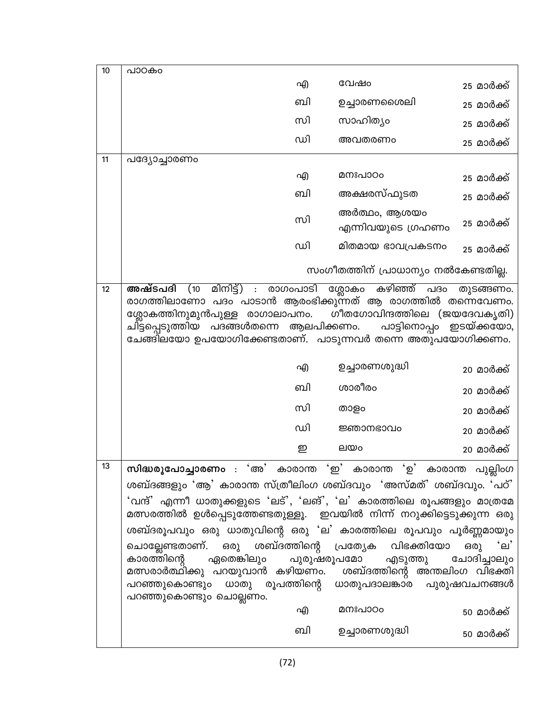|                                                     |                      |                                                                                                           | 25 മാർക്ക്                                                                                                                                                                                                                                                                                                                                                                                                                                                                                                                                                                                                                                                                                                                                                                                                                                                                                                                                                                                                                                                                                                                                         |
|-----------------------------------------------------|----------------------|-----------------------------------------------------------------------------------------------------------|----------------------------------------------------------------------------------------------------------------------------------------------------------------------------------------------------------------------------------------------------------------------------------------------------------------------------------------------------------------------------------------------------------------------------------------------------------------------------------------------------------------------------------------------------------------------------------------------------------------------------------------------------------------------------------------------------------------------------------------------------------------------------------------------------------------------------------------------------------------------------------------------------------------------------------------------------------------------------------------------------------------------------------------------------------------------------------------------------------------------------------------------------|
|                                                     |                      |                                                                                                           | 25 മാർക്ക്                                                                                                                                                                                                                                                                                                                                                                                                                                                                                                                                                                                                                                                                                                                                                                                                                                                                                                                                                                                                                                                                                                                                         |
|                                                     |                      |                                                                                                           | 25 മാർക്ക്                                                                                                                                                                                                                                                                                                                                                                                                                                                                                                                                                                                                                                                                                                                                                                                                                                                                                                                                                                                                                                                                                                                                         |
|                                                     |                      |                                                                                                           | 25 മാർക്ക്                                                                                                                                                                                                                                                                                                                                                                                                                                                                                                                                                                                                                                                                                                                                                                                                                                                                                                                                                                                                                                                                                                                                         |
| പദ്യോച്ചാരണം                                        |                      |                                                                                                           |                                                                                                                                                                                                                                                                                                                                                                                                                                                                                                                                                                                                                                                                                                                                                                                                                                                                                                                                                                                                                                                                                                                                                    |
|                                                     |                      |                                                                                                           | 25 മാർക്ക്                                                                                                                                                                                                                                                                                                                                                                                                                                                                                                                                                                                                                                                                                                                                                                                                                                                                                                                                                                                                                                                                                                                                         |
|                                                     |                      |                                                                                                           | 25 മാർക്ക്                                                                                                                                                                                                                                                                                                                                                                                                                                                                                                                                                                                                                                                                                                                                                                                                                                                                                                                                                                                                                                                                                                                                         |
|                                                     |                      |                                                                                                           | 25 മാർക്ക്                                                                                                                                                                                                                                                                                                                                                                                                                                                                                                                                                                                                                                                                                                                                                                                                                                                                                                                                                                                                                                                                                                                                         |
|                                                     |                      |                                                                                                           | 25 മാർക്ക്                                                                                                                                                                                                                                                                                                                                                                                                                                                                                                                                                                                                                                                                                                                                                                                                                                                                                                                                                                                                                                                                                                                                         |
|                                                     |                      |                                                                                                           |                                                                                                                                                                                                                                                                                                                                                                                                                                                                                                                                                                                                                                                                                                                                                                                                                                                                                                                                                                                                                                                                                                                                                    |
|                                                     |                      |                                                                                                           | 20 മാർക്ക്                                                                                                                                                                                                                                                                                                                                                                                                                                                                                                                                                                                                                                                                                                                                                                                                                                                                                                                                                                                                                                                                                                                                         |
|                                                     |                      |                                                                                                           | 20 മാർക്ക്                                                                                                                                                                                                                                                                                                                                                                                                                                                                                                                                                                                                                                                                                                                                                                                                                                                                                                                                                                                                                                                                                                                                         |
|                                                     |                      |                                                                                                           | 20 മാർക്ക്                                                                                                                                                                                                                                                                                                                                                                                                                                                                                                                                                                                                                                                                                                                                                                                                                                                                                                                                                                                                                                                                                                                                         |
|                                                     |                      |                                                                                                           | 20 മാർക്ക്                                                                                                                                                                                                                                                                                                                                                                                                                                                                                                                                                                                                                                                                                                                                                                                                                                                                                                                                                                                                                                                                                                                                         |
|                                                     |                      |                                                                                                           | 20 മാർക്ക്                                                                                                                                                                                                                                                                                                                                                                                                                                                                                                                                                                                                                                                                                                                                                                                                                                                                                                                                                                                                                                                                                                                                         |
| കാരത്തിന്റെ<br>ഏതെങ്കിലും<br>പറഞ്ഞുകൊണ്ടും ചൊല്ലണം. |                      |                                                                                                           | ചോദിച്ചാലും<br>50 മാർക്ക്<br>50 മാർക്ക്                                                                                                                                                                                                                                                                                                                                                                                                                                                                                                                                                                                                                                                                                                                                                                                                                                                                                                                                                                                                                                                                                                            |
|                                                     | പാഠകം<br>അഷ്ടപദി (10 | എ<br>ബി<br>സി<br>ഡി<br>എ<br>வி<br>സി<br>ഡി<br>മിനിട്ട്) : രാഗംപാടി<br>എ<br>ബി<br>സി<br>ഡി<br>ഇ<br>എ<br>வி | വേഷം<br>ഉച്ചാരണശൈലി<br>സാഹിത്യം<br>അവതരണം<br>മനഃപാഠം<br>അക്ഷരസ്ഫുടത<br>അർത്ഥം, ആശയം<br>എന്നിവയുടെ ഗ്രഹണം<br>മിതമായ ഭാവപ്രകടനം<br>സംഗീതത്തിന് പ്രാധാന്യം നൽകേണ്ടതില്ല.<br>ശ്ലോകം കഴിഞ്ഞ് പദം<br>തുടങ്ങണം.<br>രാഗത്തിലാണോ പദം പാടാൻ ആരംഭിക്കുന്നത് ആ രാഗത്തിൽ തന്നെവേണം.<br>ശ്ലോകത്തിനുമുൻപുള്ള രാഗാലാപനം. ഗീതഗോവിന്ദത്തിലെ (ജയദേവകൃതി)<br>ചി്ട്ടപ്പെടുത്തിയ പദങ്ങൾതന്നെ ആലപിക്കണം.<br>പാട്ടിനൊപ്പം ഇടയ്ക്കയോ,<br>ചേങ്ങിലയോ ഉപയോഗിക്കേണ്ടതാണ്.  പാടുന്നവർ തന്നെ അതുപയോഗിക്കണം.<br>ഉച്ചാരണശുദ്ധി<br>ശാരീരം<br>താളം<br>ജ്ഞാനഭാവം<br>ലയം<br>സിദ്ധരൂപോച്ചാരണം : 'അ' കാരാന്ത 'ഇ' കാരാന്ത 'ഉ' കാരാന്ത പുല്ലിംഗ<br>ശബ്ദങ്ങളും 'ആ' കാരാന്ത സ്ത്രീലിംഗ ശബ്ദവും 'അസ്മത്' ശബ്ദവും. 'പഠ്'<br>'വന്ദ്' എന്നീ ധാതുക്കളുടെ 'ലട്', 'ലങ്', 'ല' കാരത്തിലെ രൂപങ്ങളും മാത്രമേ<br>മത്സരത്തിൽ ഉൾപ്പെടുത്തേണ്ടതുള്ളൂ. ഇവയിൽ നിന്ന് നറുക്കിട്ടെടുക്കുന്ന ഒരു<br>ശബ്ദരൂപവും ഒരു ധാതുവിന്റെ ഒരു 'ല' കാരത്തിലെ രൂപവും പൂർണ്ണമായും<br>ചൊല്ലേണ്ടതാണ്. ഒരു ശബ്ദത്തിന്റെ പ്രത്യേക വിഭക്തിയോ ഒരു 'ല'<br>പുരുഷരൂപമോ എടുത്തു<br>മത്സരാർത്ഥിക്കു പറയുവാൻ കഴിയണം.  ശബ്ദത്തിന്റെ അന്തലിംഗ വിഭക്തി<br>പറഞ്ഞുകൊണ്ടും ധാതു രൂപത്തിന്റെ ധാതുപദാലങ്കാര പുരുഷവചനങ്ങൾ<br>മനഃപാഠം<br>ഉച്ചാരണശുദ്ധി |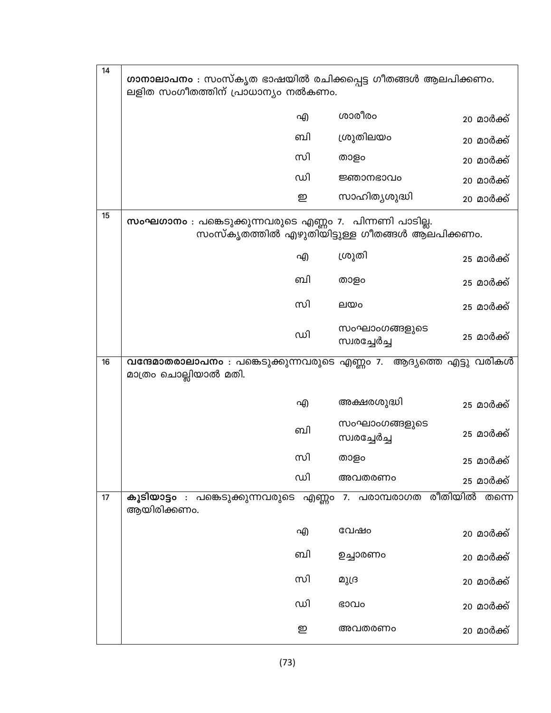| 14 | <b>ഗാനാലാപനം</b> : സംസ്കൃത ഭാഷയിൽ രചിക്കപ്പെട്ട ഗീതങ്ങൾ ആലപിക്കണം.<br>ലളിത സംഗീതത്തിന് പ്രാധാന്യം നൽകണം.   |                               |                    |
|----|------------------------------------------------------------------------------------------------------------|-------------------------------|--------------------|
|    | എ                                                                                                          | ശാരീരം                        | 20 മാർക്ക്         |
|    | ബി                                                                                                         | ശ്രുതിലയം                     | 20 മാർക്ക്         |
|    | സി                                                                                                         | താളം                          | 20 മാർക്ക്         |
|    | ഡി                                                                                                         | ജ്ഞാനഭാവം                     | 20 മാർക്ക്         |
|    | ഇ                                                                                                          | സാഹിതൃശുദ്ധി                  | 20 മാർക്ക്         |
| 15 | സംഘഗാനം : പങ്കെടുക്കുന്നവരുടെ എണ്ണം 7.  പിന്നണി പാടില്ല.<br>സംസ്കൃതത്തിൽ എഴുതിയിട്ടുള്ള ഗീതങ്ങൾ ആലപിക്കണം. |                               |                    |
|    | എ                                                                                                          | ശ്രുതി                        | 25 മാർക്ക്         |
|    | ബി                                                                                                         | താളം                          | 25 മാർക് <u>ക്</u> |
|    | സി                                                                                                         | ലയം                           | 25 മാർക് <u>ക്</u> |
|    | ഡി                                                                                                         | സംഘാംഗങ്ങളുടെ<br>സ്വരച്ചേർച്ച | 25 മാർക്ക്         |
| 16 | വന്ദേമാതരാലാപനം : പങ്കെടുക്കുന്നവരുടെ എണ്ണം 7. ആദ്യത്തെ എട്ടു വരികൾ                                        |                               |                    |
|    | മാത്രം ചൊല്ലിയാൽ മതി.                                                                                      |                               |                    |
|    | എ                                                                                                          | അക്ഷരശുദ്ധി                   | 25 മാർക്ക്         |
|    | ബി                                                                                                         | സംഘാംഗങ്ങളുടെ<br>സ്വരച്ചേർച്ച | 25 മാർക്ക്         |
|    | സി                                                                                                         | താളം                          | 25 മാർക് <u>ക്</u> |
|    | ഡി                                                                                                         | അവതരണം                        | 25 മാർക് <u>ക്</u> |
| 17 | കൂടിയാട്ടം : പങ്കെടുക്കുന്നവരുടെ എണ്ണം 7. പരാമ്പരാഗത രീതിയിൽ<br>ആയിരിക്കണം.                                |                               | തന്നെ              |
|    | എ                                                                                                          | വേഷം                          | 20 മാർക്ക്         |
|    | ബി                                                                                                         | ഉച്ചാരണം                      | 20 മാർക്ക്         |
|    | സി                                                                                                         | മുദ്ര                         | 20 മാർക്ക്         |
|    | ഡി                                                                                                         | ഭാവം                          | 20 മാർക്ക്         |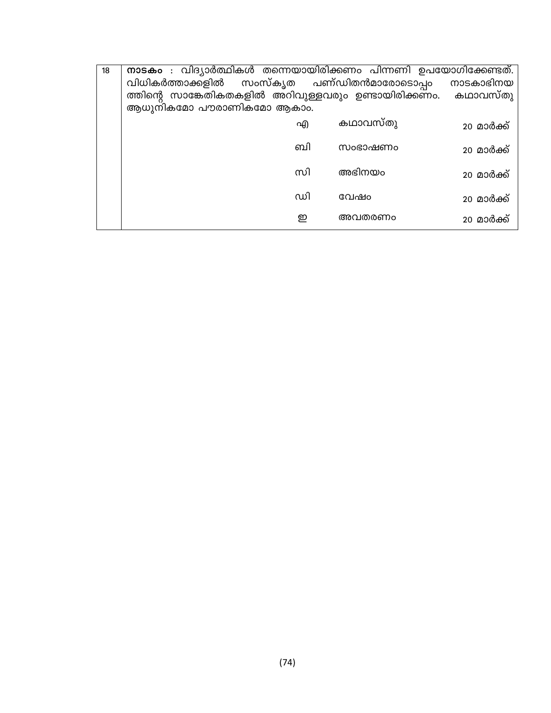| 18 | നാടകം : വിദ്യാർത്ഥികൾ തന്നെയായിരിക്കണം പിന്നണി ഉപയോഗിക്കേണ്ടത്. |          |            |
|----|-----------------------------------------------------------------|----------|------------|
|    | വിധികർത്താക്കളിൽ സംസ്കൃത പണ്ഡിതൻമാരോടൊപ്പം                      |          | നാടകാഭിനയ  |
|    | ത്തിന്റെ സാങ്കേതികതകളിൽ അറിവുള്ളവരും ഉണ്ടായിരിക്കണം. കഥാവസ്തു   |          |            |
|    | ആധുനികമോ പൗരാണികമോ ആകാം.                                        |          |            |
|    | എ                                                               | കഥാവസ്തു | 20 മാർക്ക് |
|    | ബി                                                              | സംഭാഷണം  |            |
|    |                                                                 |          | 20 മാർക്ക് |
|    | സി                                                              | അഭിനയം   | 20 മാർക്ക് |
|    |                                                                 |          |            |
|    | ഡി                                                              | വേഷറ     | 20 മാർക്ക് |
|    | ഇ                                                               | അവതരണം   | 20 മാർക്ക് |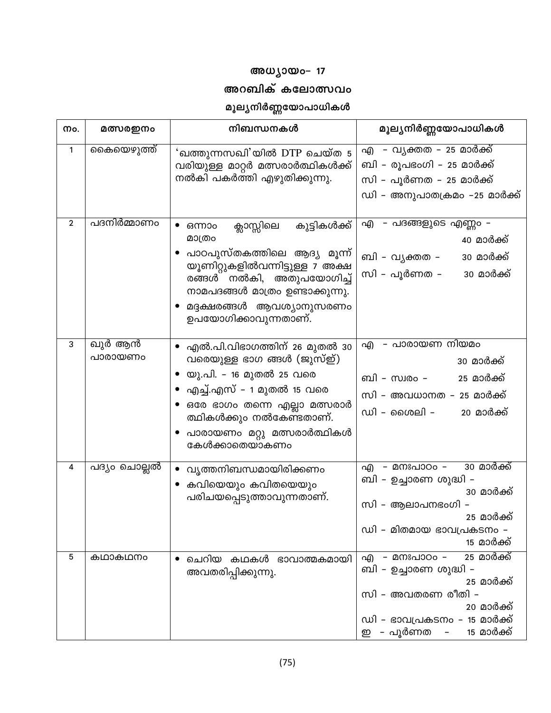# അധ്യായം– 17

## അറബിക് കലോത്സവം

# മൂല്യനിർണ്ണയോപാധികൾ

| Mo.          | മത്സരഇനം          | നിബന്ധനകൾ                                                                                                                                                                                                                               | മൂല്യനിർണ്ണയോപാധികൾ                                                                                                                                                                                                  |
|--------------|-------------------|-----------------------------------------------------------------------------------------------------------------------------------------------------------------------------------------------------------------------------------------|----------------------------------------------------------------------------------------------------------------------------------------------------------------------------------------------------------------------|
| 1            | കൈയെഴുത്ത്        | 'ഖത്തുന്നസഖി'യിൽ DTP ചെയ്ത 5<br>വരിയുള്ള മാറ്റർ മത്സരാർത്ഥികൾക്ക്<br>നൽകി പകർത്തി എഴുതിക്കുന്നു.                                                                                                                                        | എ – വൃക്തത – 25 മാർക്ക്<br>ബി – രൂപഭംഗി – 25 മാർക്ക്<br>സി – പൂർണത – 25 മാർക്ക്<br>ഡി – അനുപാതക്രമം –25 മാർക്ക്                                                                                                      |
| $\mathbf{2}$ | പദനിർമ്മാണം       | ക്ലാസ്സിലെ<br>കുട്ടികൾക്ക്<br>ഒന്നാം<br>മാത്രം<br>പാഠപുസ്തകത്തിലെ ആദ്യ മൂന്ന്<br>യൂണിറ്റുകളിൽവന്നിട്ടുള്ള 7 അക്ഷ<br>രങ്ങൾ നൽകി, അതുപയോഗിച്ച്<br>നാമപദങ്ങൾ മാത്രം ഉണ്ടാക്കുന്നു.<br>മദ്ദക്ഷരങ്ങൾ ആവശ്യാനുസരണം<br>ഉപയോഗിക്കാവുന്നതാണ്.    | എ - പദങ്ങളുടെ എണ്ണം -<br>40 മാർക്ക്<br>ബി – വൃക്തത –<br>30 മാർക്ക്<br>സി – പൂർണത –<br>30 മാർക്ക്                                                                                                                     |
| 3            | ഖുർ ആൻ<br>പാരായണം | • എൽ.പി.വിഭാഗത്തിന് 26 മുതൽ 30<br>വരെയുള്ള ഭാഗ ങ്ങൾ (ജുസ്ഇ്)<br>• യു.പി. – 16 മുതൽ 25 വരെ<br>● എച്ച്.എസ് – 1 മുതൽ 15 വരെ<br>• ഒരേ ഭാഗം തന്നെ എല്ലാ മത്സരാർ<br>ത്ഥികൾക്കും നൽകേണ്ടതാണ്.<br>പാരായണം മറ്റു മത്സരാർത്ഥികൾ<br>കേൾക്കാതെയാകണം | – പാരായണ നിയമം<br>എ<br>30 മാർക് <u>ക്</u><br>25 മാർക്ക്<br>ബി – സ്വരം –<br>സി – അവധാനത – 25 മാർക്ക്<br>ഡി – ശൈലി –<br>20 മാർക്ക്                                                                                     |
| 4            | പദ്യം ചൊല്ലൽ      | വൃത്തനിബന്ധമായിരിക്കണം<br>• കവിയെയും കവിതയെയും<br>പരിചയപ്പെടുത്താവുന്നതാണ്.                                                                                                                                                             | 30 മാർക്ക്<br>എ - മനഃപാഠം -<br>ബി – ഉച്ചാരണ ശുദ്ധി –<br>30 മാർക്ക്<br>സി – ആലാപനഭംഗി –<br>25 മാർക് <u>ക്</u><br>ഡി - മിതമായ ഭാവപ്രകടനം -<br><u>15 മാർക്ക്</u>                                                        |
| 5            | കഥാകഥനം           | ചെറിയ കഥകൾ ഭാവാത്മകമായി<br>അവതരിപ്പിക്കുന്നു.                                                                                                                                                                                           | <u>25 മാർക്ക്</u><br>എ - മനഃപാഠം -<br>ബി – ഉച്ചാരണ ശുദ്ധി –<br>25 മാർക് <u>ക്</u><br>സി - അവതരണ രീതി -<br>20 മാർക്ക്<br>ഡി – ഭാവപ്രകടനം – 15 മാർക്ക്<br>ഇ - പൂർണത<br>15 മാർക്ക്<br>$\alpha \rightarrow \alpha \beta$ |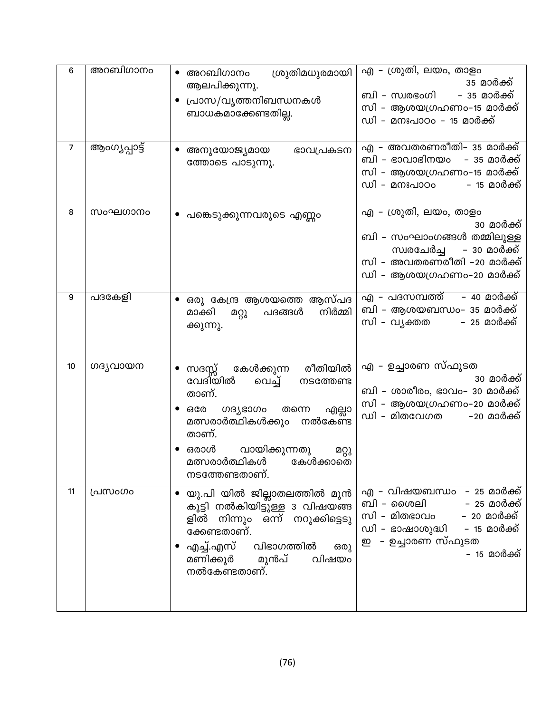| 6  | അറബിഗാനം      | ശ്രുതിമധുരമായി<br>$\bullet$ അറബിഗാനം<br>ആലപിക്കുന്നു.<br>പ്രാസ/വൃത്തനിബന്ധനകൾ<br>ബാധകമാക്കേണ്ടതില്ല.                                                                                                                                       | എ – ശ്രുതി, ലയം, താളം<br>35 മാർക്ക്<br>- 35 മാർക്ക്<br>ബി – സ്വരഭംഗി<br>സി – ആശയഗ്രഹണം–15 മാർക്ക്<br>ഡി – മനഃപാഠം – 15 മാർക്ക്                                                   |
|----|---------------|--------------------------------------------------------------------------------------------------------------------------------------------------------------------------------------------------------------------------------------------|----------------------------------------------------------------------------------------------------------------------------------------------------------------------------------|
| 7  | ആംഗ്യപ്പാട്ട് | അനുയോജ്യമായ<br>ഭാവപ്രകടന<br>ത്തോടെ പാടുന്നു.                                                                                                                                                                                               | എ – അവതരണരീതി– 35 മാർക്ക്<br>ബി – ഭാവാഭിനയം   – 35 മാർക്ക്<br>സി – ആശയഗ്രഹണം–15 മാർക്ക്<br>ഡി - മനഃപാഠം<br>– 15 മാർക് <u>ക്</u>                                                  |
| 8  | സംഘഗാനം       | പങ്കെടുക്കുന്നവരുടെ എണ്ണം                                                                                                                                                                                                                  | എ – ശ്രുതി, ലയം, താളം<br>30 മാർക്ക്<br>ബി – സംഘാംഗങ്ങൾ തമ്മിലുള്ള<br>സ്വരചേർച്ച<br>– 30 മാർക്ക്<br>സി – അവതരണരീതി –20 മാർക്ക്<br>ഡി – ആശയഗ്രഹണം–20 മാർക്ക്                       |
| 9  | പദകേളി        | ഒരു കേന്ദ്ര ആശയത്തെ ആസ്പദ<br>നിർമ്മി<br>മാക്കി<br>പദങ്ങൾ<br>മറ്റു<br>ക്കുന്നു.                                                                                                                                                             | എ – പദസമ്പത്ത്     – 40 മാർക്ക്<br>ബി – ആശയബന്ധം– 35 മാർക്ക്<br>സി – വൃക്തത<br>– 25 മാർക് <u>ക്</u>                                                                              |
| 10 | ഗദൃവായന       | രീതിയിൽ<br>കേൾക്കുന്ന<br>സദസ്സ്<br>വേദിയിൽ<br>വെച്ച്<br>നടത്തേണ്ട<br>താണ്.<br>൜ദുഭാഗം<br>ഒരേ<br>തന്നെ<br>എല്ലാ<br>നൽകേണ്ട<br>മത്സരാർത്ഥികൾക്കും<br>താണ്.<br>വായിക്കുന്നതു<br>ഒരാൾ<br>മറ്റു<br>മത്സരാർത്ഥികൾ<br>കേൾക്കാതെ<br>നടത്തേണ്ടതാണ്. | എ – ഉച്ചാരണ സ്ഫുടത<br>30 മാർക്ക്<br>ബി – ശാരീരം, ഭാവം– 30 മാർക്ക്<br>സി – ആശയഗ്രഹണം–20 മാർക്ക്<br>ഡി - മിതവേഗത<br>-20 മാർക്ക്                                                    |
| 11 | പ്രസംഗം       | യു.പി യിൽ ജില്ലാതലത്തിൽ മുൻ<br>കൂട്ടി നൽകിയിട്ടുള്ള 3 വിഷയങ്ങ<br>ളിൽ നിന്നും ഒന്ന് നറുക്കിട്ടെടു<br>ക്കേണ്ടതാണ്.<br>എച്ച്.എസ് വിഭാഗത്തിൽ<br>ഒരു<br>മണിക്കൂർ മുൻപ്<br>നൽകേണ്ടതാണ്.<br>വിഷയം                                                 | എ – വിഷയബന്ധം – 25 മാർക്ക്<br>ബി – ശൈലി           – 25 മാർക്ക്<br>.<br>സി – മിതഭാവം       – 20 മാർക്ക്<br>ഡി – ഭാഷാശുദ്ധി     – 15 മാർക്ക്<br>ഇ - ഉച്ചാരണ സ്ഫുടത<br>– 15 മാർക്ക് |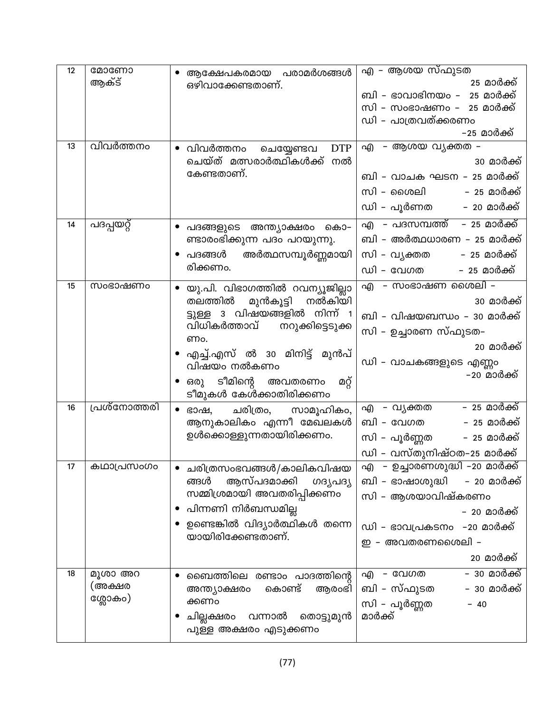| 12 | മോണോ         | ആക്ഷേപകരമായ പരാമർശങ്ങൾ                          | എ – ആശയ സ്ഫുടത                |
|----|--------------|-------------------------------------------------|-------------------------------|
|    | ആക്ട്        | ഒഴിവാക്കേണ്ടതാണ്.                               | 25 മാർക്ക്                    |
|    |              |                                                 | ബി – ഭാവാഭിനയം – 25 മാർക്ക്   |
|    |              |                                                 | സി – സംഭാഷണം –  25 മാർക്ക്    |
|    |              |                                                 | ഡി – പാത്രവത്ക്കരണം           |
|    |              |                                                 | –25 മാർക്ക്                   |
| 13 | വിവർത്തനം    | <b>DTP</b><br>$\bullet$ വിവർത്തനം<br>ചെയ്യേണ്ടവ | – ആശയ വ്യക്തത –<br>എ          |
|    |              | ചെയ്ത് മത്സരാർത്ഥികൾക്ക് നൽ                     | 30 മാർക്ക്                    |
|    |              | കേണ്ടതാണ്.                                      | ബി – വാചക ഘടന – 25 മാർക്ക്    |
|    |              |                                                 | സി – ശൈലി<br>– 25 മാർക്ക്     |
|    |              |                                                 | ഡി – പൂർണത<br>– 20 മാർക്ക്    |
| 14 | പദപ്പയറ്റ്   | പദങ്ങളുടെ അന്ത്യാക്ഷരം കൊ–                      | എ – പദസമ്പത്ത്  – 25 മാർക്ക്  |
|    |              | ണ്ടാരംഭിക്കുന്ന പദം പറയുന്നു.                   | ബി – അർത്ഥധാരണ – 25 മാർക്ക്   |
|    |              | അർത്ഥസമ്പൂർണ്ണമായി<br>പദങ്ങൾ                    | – 25 മാർക്ക്<br>സി – വ്യക്തത  |
|    |              | രിക്കണം.                                        | ഡി - വേഗത<br>- 25 മാർക്ക്     |
| 15 | സംഭാഷണം      | യു.പി. വിഭാഗത്തിൽ റവന്യൂജില്ലാ                  | എ – സംഭാഷണ ശൈലി –             |
|    |              | തലത്തിൽ<br>മുൻകൂട്ടി നൽകിയി                     | 30 മാർക്ക്                    |
|    |              | ട്ടുള്ള 3 വിഷയങ്ങളിൽ നിന്ന്                     | ബി – വിഷയബന്ധം – 30 മാർക്ക്   |
|    |              | വിധികർത്താവ്<br>നറുക്കിട്ടെടുക്ക                | സി - ഉച്ചാരണ സ്ഫുടത-          |
|    |              | ണം.                                             | 20 മാർക്ക്                    |
|    |              | • എച്ച്.എസ് ൽ 30 മിനിട്ട് മുൻപ്<br>വിഷയം നൽകണം  | ഡി - വാചകങ്ങളുടെ എണ്ണം        |
|    |              | ഒരു ടീമിന്റെ അവതരണം<br>മറ്റ്                    | –20 മാർക്ക്                   |
|    |              | ടീമുകൾ കേൾക്കാതിരിക്കണം                         |                               |
| 16 | പ്രശ്നോത്തരി | ഭാഷ, ചരിത്രം, സാമൂഹികം,<br>$\bullet$            | – 25 മാർക്ക്<br>എ – വൃക്തത    |
|    |              | ആനുകാലികം എന്നീ മേഖലകൾ                          | ബി – വേഗത<br>- 25 മാർക്ക്     |
|    |              | ഉൾക്കൊള്ളുന്നതായിരിക്കണം.                       | സി – പൂർണ്ണത<br>– 25 മാർക്ക്  |
|    |              |                                                 | ഡി - വസ്തുനിഷ്ഠത-25 മാർക്ക്   |
| 17 |              | കഥാപ്രസംഗം  • ചരിത്രസംഭവങ്ങൾ/കാലികവിഷയ          | എ – ഉച്ചാരണശുദ്ധി –20 മാർക്ക് |
|    |              | ആസ്പദമാക്കി<br>ങ്ങൾ<br>ഗദൃപദൃ                   | ബി – ഭാഷാശുദ്ധി – 20 മാർക്ക്  |
|    |              | സമ്മിശ്രമായി അവതരിപ്പിക്കണം                     | സി – ആശയാവിഷ്കരണം             |
|    |              | പിന്നണി നിർബന്ധമില്ല                            | – 20 മാർക്ക്                  |
|    |              | ഉണ്ടെങ്കിൽ വിദ്യാർത്ഥികൾ തന്നെ                  | ഡി – ഭാവപ്രകടനം   –20 മാർക്ക് |
|    |              | യായിരിക്കേണ്ടതാണ്.                              | ഇ - അവതരണശൈലി -               |
|    |              |                                                 | 20 മാർക് <u>ക്</u>            |
| 18 | മൂശാ അറ      | ബൈത്തിലെ രണ്ടാം പാദത്തിന്റെ                     | - 30 മാർക്ക്<br>എ - വേഗത      |
|    | (അക്ഷര       | കൊണ്ട്<br>അന്ത്യാക്ഷരം<br>ആരംഭി                 | ബി - സ്ഫുടത<br>- 30 മാർക്ക്   |
|    | ശ്ലോകം)      | ക്കണം                                           | സി – പൂർണ്ണത<br>$-40$         |
|    |              | ചില്ലക്ഷരം<br>വന്നാൽ<br>തൊട്ടുമുൻ               | മാർക്ക്                       |
|    |              | പുള്ള അക്ഷരം എടുക്കണം                           |                               |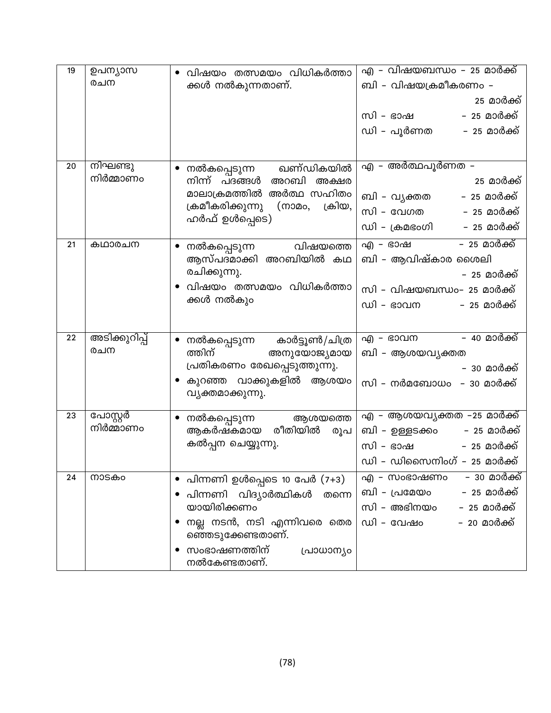| 19 | ഉപന്യാസ               | വിഷയം തത്സമയം വിധികർത്താ                             | എ – വിഷയബന്ധം – 25 മാർക്ക്            |
|----|-----------------------|------------------------------------------------------|---------------------------------------|
|    | രചന                   | ക്കൾ നൽകുന്നതാണ്.                                    | ബി – വിഷയക്രമീകരണം –                  |
|    |                       |                                                      | 25 മാർക്ക്                            |
|    |                       |                                                      | – 25 മാർക്ക്<br>സി – ഭാഷ              |
|    |                       |                                                      | ഡി – പൂർണത<br>– 25 മാർക്ക്            |
|    |                       |                                                      |                                       |
| 20 | നിഘണ്ടു               | ഖണ്ഡികയിൽ<br>നൽകപ്പെടുന്ന                            | എ – അർത്ഥപൂർണത –                      |
|    | നിർമ്മാണം             | നിന്ന് പദങ്ങൾ<br>അറബി അക്ഷര                          | 25 മാർക് <u>ക്</u>                    |
|    |                       | മാലാക്രമത്തിൽ അർത്ഥ സഹിതം                            | ബി - വൃക്തത       - 25 മാർക്ക്        |
|    |                       | ക്രമീകരിക്കുന്നു<br>ക്രിയ,<br>(നാമം,                 | സി – വേഗത           – 25 മാർക്ക്      |
|    |                       | ഹർഫ് ഉൾപ്പെടെ)                                       | ഡി – ക്രമഭംഗി<br>– 25 മാർക് <u>ക്</u> |
| 21 | കഥാരചന                | വിഷയത്തെ                                             | <u>– 25 മാർക്ക്</u><br>എ – ഭാഷ        |
|    |                       | നൽകപ്പെടുന്ന<br>ആസ്പദമാക്കി അറബിയിൽ കഥ               | ബി - ആവിഷ്കാര ശൈലി                    |
|    |                       | രചിക്കുന്നു.                                         | – 25 മാർക്ക്                          |
|    |                       | വിഷയം തത്സമയം വിധികർത്താ                             | സി – വിഷയബന്ധം– 25 മാർക്ക്            |
|    |                       | ക്കൾ നൽകും                                           | ഡി – ഭാവന<br>– 25 മാർക്ക്             |
|    |                       |                                                      |                                       |
| 22 | <u>അടിക്കു</u> റിപ്പ് | $\bullet$                                            | – 40 മാർക്ക്<br>എ - ഭാവന              |
|    | രചന                   | നൽകപ്പെടുന്ന കാർട്ടൂൺ/ചിത്ര<br>ത്തിന്<br>അനുയോജ്യമായ | ബി - ആശയവൃക്തത                        |
|    |                       | പ്രതികരണം രേഖപ്പെടുത്തുന്നു.                         | – 30 മാർക് <u>ക്</u>                  |
|    |                       | കുറഞ്ഞ വാക്കുകളിൽ ആശയം                               | സി – നർമബോധം – 30 മാർക്ക്             |
|    |                       | വ്യക്തമാക്കുന്നു.                                    |                                       |
| 23 | പോസ്റ്റർ              | ആശയത്തെ                                              | എ – ആശയവൃക്തത –25 മാർക്ക്             |
|    | നിർമ്മാണം             | നൽകപ്പെടുന്ന<br>രീതിയിൽ<br>ആകർഷകമായ<br>രൂപ           | ബി – ഉള്ളടക്കം       – 25 മാർക്ക്     |
|    |                       | കൽപ്പന ചെയ്യുന്നു.                                   | സി – ഭാഷ<br>– 25 മാർക്ക്              |
|    |                       |                                                      | ഡി – ഡിസൈനിംഗ് – 25 മാർക്ക്           |
| 24 | നാടകം                 | പിന്നണി ഉൾപ്പെടെ 10 പേർ (7+3)<br>$\bullet$           | – 30 മാർക്ക്<br>എ – സംഭാഷണം           |
|    |                       | പിന്നണി വിദ്യാർത്ഥികൾ<br>തന്നെ                       | - 25 മാർക്ക്<br>ബി – പ്രമേയം          |
|    |                       | യായിരിക്കണം                                          | സി – അഭിനയം<br>– 25 മാർക്ക്           |
|    |                       | നല്ല നടൻ, നടി എന്നിവരെ തെര                           | ഡി - വേഷം<br>– 20 മാർക്ക്             |
|    |                       | ഞ്ഞെടുക്കേണ്ടതാണ്.                                   |                                       |
|    |                       | സംഭാഷണത്തിന്<br>പ്രാധാന്യം<br>നൽകേണ്ടതാണ്.           |                                       |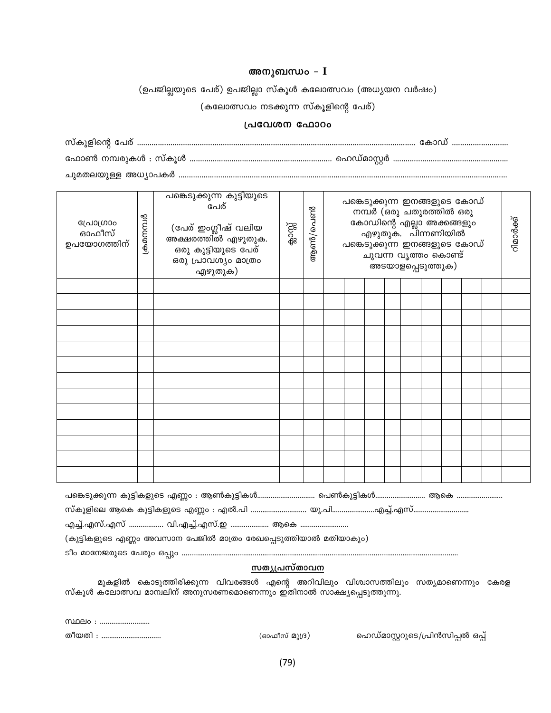#### അനുബന്ധം –  $I$

(ഉപജില്ലയുടെ പേര്) ഉപജില്ലാ സ്കൂൾ കലോത്സവം (അധ്യയന വർഷം)

(കലോത്സവം നടക്കുന്ന സ്കൂളിന്റെ പേര്)

#### പ്രവേശന ഫോറം

| പ്രോഗ്രാം<br>ഓഫീസ്<br>ഉപയോഗത്തിന് | ക്രമനമ്പർ | പങ്കെടുക്കുന്ന കുട്ടിയുടെ<br>പേര്<br>(പേര് ഇംഗ്ലീഷ് വലിയ<br>.<br>അക്ഷരത്തിൽ എഴുതുക.<br>ഒരു കുട്ടിയുടെ പേര്<br>ഒരു പ്രാവശ്യം മാത്രം<br>എഴുതുക) | ക്കാസ്സ് | ആൺ/പെൺ | പങ്കെടുക്കുന്ന ഇനങ്ങളുടെ കോഡ്<br>നമ്പർ (ഒരു ചതുരത്തിൽ ഒരു<br>കോഡിന്റെ എല്ലാ അക്കങ്ങളും<br>എഴുതുക. പിന്നണിയിൽ<br>പങ്കെടുക്കുന്ന ഇനങ്ങളുടെ കോഡ്<br>ചുവന്ന വൃത്തം കൊണ്ട്<br>അടയാളപ്പെടുത്തുക) |  |  |  |  | റിമാർക്ക് |  |  |
|-----------------------------------|-----------|-----------------------------------------------------------------------------------------------------------------------------------------------|----------|--------|--------------------------------------------------------------------------------------------------------------------------------------------------------------------------------------------|--|--|--|--|-----------|--|--|
|                                   |           |                                                                                                                                               |          |        |                                                                                                                                                                                            |  |  |  |  |           |  |  |
|                                   |           |                                                                                                                                               |          |        |                                                                                                                                                                                            |  |  |  |  |           |  |  |
|                                   |           |                                                                                                                                               |          |        |                                                                                                                                                                                            |  |  |  |  |           |  |  |
|                                   |           |                                                                                                                                               |          |        |                                                                                                                                                                                            |  |  |  |  |           |  |  |
|                                   |           |                                                                                                                                               |          |        |                                                                                                                                                                                            |  |  |  |  |           |  |  |
|                                   |           |                                                                                                                                               |          |        |                                                                                                                                                                                            |  |  |  |  |           |  |  |
|                                   |           |                                                                                                                                               |          |        |                                                                                                                                                                                            |  |  |  |  |           |  |  |
|                                   |           |                                                                                                                                               |          |        |                                                                                                                                                                                            |  |  |  |  |           |  |  |
|                                   |           |                                                                                                                                               |          |        |                                                                                                                                                                                            |  |  |  |  |           |  |  |
|                                   |           |                                                                                                                                               |          |        |                                                                                                                                                                                            |  |  |  |  |           |  |  |
|                                   |           |                                                                                                                                               |          |        |                                                                                                                                                                                            |  |  |  |  |           |  |  |
|                                   |           |                                                                                                                                               |          |        |                                                                                                                                                                                            |  |  |  |  |           |  |  |
|                                   |           |                                                                                                                                               |          |        |                                                                                                                                                                                            |  |  |  |  |           |  |  |

(കുട്ടികളുടെ എണ്ണം അവസാന പേജിൽ മാത്രം രേഖപ്പെടുത്തിയാൽ മതിയാകും)

#### <u>സതൃപ്രസ്താവന</u>

മുകളിൽ കൊടുത്തിരിക്കുന്ന വിവരങ്ങൾ എന്റെ അറിവിലും വിശ്വാസത്തിലും സത്യമാണെന്നും കേരള സ്കൂൾ കലോത്സവ മാന്വലിന് അനുസരണമൊണെന്നും ഇതിനാൽ സാക്ഷ്യപ്പെടുത്തുന്നു.

|          | <u>സ്ഥലം : </u> |
|----------|-----------------|
| തീനുതി - |                 |

(ഓഫീസ് മുദ്ര)

ഹെഡ്മാസ്റ്ററുടെ/പ്രിൻസിപ്പൽ ഒപ്പ്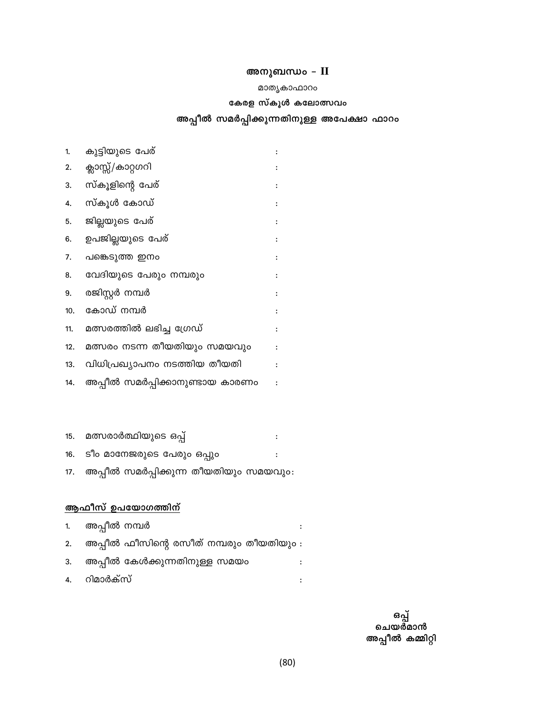### അനുബന്ധം - II

#### മാതൃകാഫാറം

#### കേരള സ്കൂൾ കലോത്സവം

### അപ്പീൽ സമർപ്പിക്കുന്നതിനുള്ള അപേക്ഷാ ഫാറം

| 1.  | കുട്ടിയുടെ പേര്                 |                |
|-----|---------------------------------|----------------|
| 2.  | ക്ലാസ്സ്/കാറ്റഗറി               |                |
| 3.  | സ്കൂളിന്റെ പേര്                 | ፡              |
| 4.  | സ്കൂൾ കോഡ്                      |                |
| 5.  | ജില്ലയുടെ പേര്                  |                |
| 6.  | ഉപജില്ലയുടെ പേര്                |                |
| 7.  | പങ്കെടുത്ത ഇനം                  |                |
| 8.  | വേദിയുടെ പേരും നമ്പരും          |                |
| 9.  | രജിസ്റ്റർ നമ്പർ                 |                |
| 10. | കോഡ് നമ്പർ                      |                |
| 11. | മത്സരത്തിൽ ലഭിച്ച ഗ്രേഡ്        | $\ddot{\cdot}$ |
| 12. | മത്സരം നടന്ന തീയതിയും സമയവും    |                |
| 13. | വിധിപ്രഖ്യാപനം നടത്തിയ തീയതി    |                |
| 14. | അപ്പീൽ സമർപ്പിക്കാനുണ്ടായ കാരണം |                |

#### 15. മത്സരാർത്ഥിയുടെ ഒപ്പ്  $\ddot{\phantom{a}}$  : ടീം മാനേജരുടെ പേരും ഒപ്പും  $16.$  $\div$ അപ്പീൽ സമർപ്പിക്കുന്ന തീയതിയും സമയവും:  $17.$

### <u>ആഫീസ് ഉപയോഗത്തിന്</u>

| 1. അപ്പീൽ നമ്പർ |                                             |  |
|-----------------|---------------------------------------------|--|
|                 | 2. അപ്പീൽ ഫീസിന്റെ രസീത് നമ്പരും തീയതിയും : |  |
|                 | 3. അപ്പീൽ കേൾക്കുന്നതിനുള്ള സമയം            |  |
| 4. റിമാർക്സ്    |                                             |  |

ഒപ്പ്<br>ചെയർമാൻ അപ്പീൽ കമ്മിറ്റി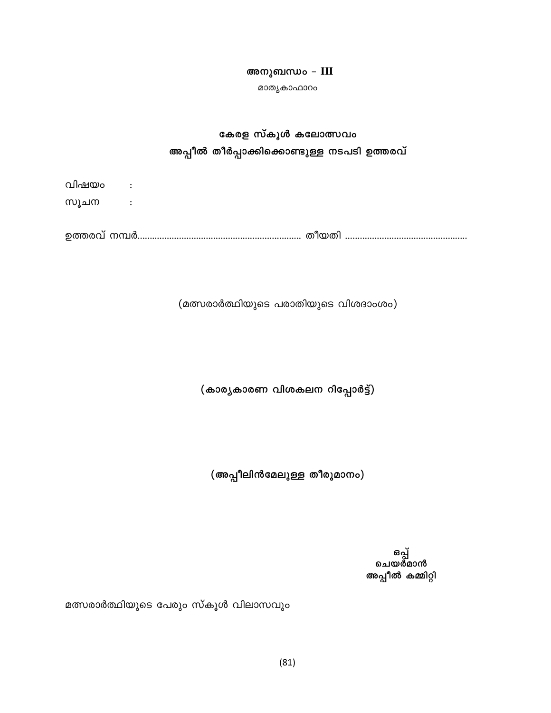#### അനുബന്ധം - III

മാതൃകാഫാറം

## കേരള സ്കൂൾ കലോത്സവം അപ്പീൽ തീർപ്പാക്കിക്കൊണ്ടുള്ള നടപടി ഉത്തരവ്

| വിഷയം :<br>സുചന |  |  |  |
|-----------------|--|--|--|
|                 |  |  |  |
|                 |  |  |  |

(മത്സരാർത്ഥിയുടെ പരാതിയുടെ വിശദാംശം)

(കാര്യകാരണ വിശകലന റിപ്പോർട്ട്)

(അപ്പീലിൻമേലുള്ള തീരുമാനം)

ഒപ്പ്<br>ചെയർമാൻ അപ്പീൽ കമ്മിറ്റി

മത്സരാർത്ഥിയുടെ പേരും സ്കൂൾ വിലാസവും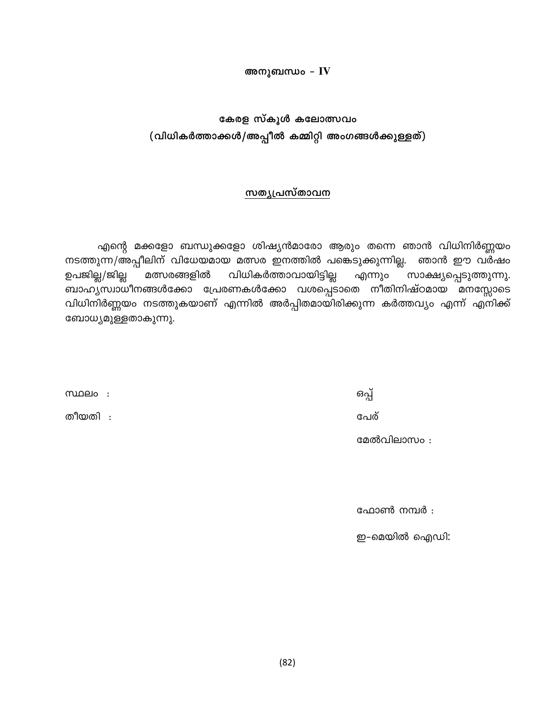#### അനുബന്ധം –  $\bf{IV}$

## കേരള സ്കൂൾ കലോത്സവം (വിധികർത്താക്കൾ/അപ്പീൽ കമ്മിറ്റി അംഗങ്ങൾക്കുള്ളത്)

#### സതൃപ്രസ്താവന

എന്റെ മക്കളോ ബന്ധുക്കളോ ശിഷ്യൻമാരോ ആരും തന്നെ ഞാൻ വിധിനിർണ്ണയം നടത്തുന്ന/അപ്പീലിന് വിധേയമായ മത്സര ഇനത്തിൽ പങ്കെടുക്കുന്നില്ല. ഞാൻ ഈ വർഷം ഉപജില്ല/ജില്ല വിധികർത്താവായിട്ടില്ല മത്സരങ്ങളിൽ എന്നും സാക്ഷ്യപ്പെടുത്തുന്നു. ബാഹ്യസ്വാധീനങ്ങൾക്കോ പ്രേരണകൾക്കോ വശപ്പെടാതെ നീതിനിഷ്ഠമായ മനസ്സോടെ വിധിനിർണ്ണയം നടത്തുകയാണ് എന്നിൽ അർപ്പിതമായിരിക്കുന്ന കർത്തവ്യം എന്ന് എനിക്ക് ബോധ്യമുള്ളതാകുന്നു.

 $m$ മലം :

തീയതി :

ഒപ്പ് പേര്

മേൽവിലാസം:

ഫോൺ നമ്പർ :

ഇ-മെയിൽ ഐഡി: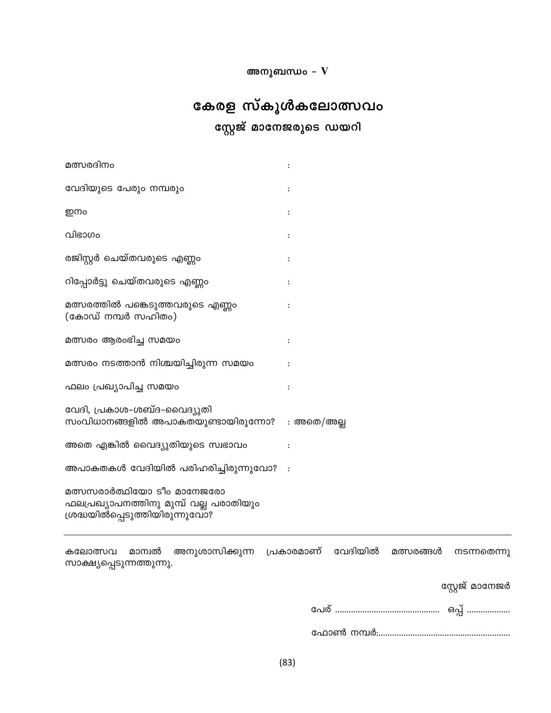അനുബന്ധം –  $\hat{\mathbf{V}}$ 

# കേരള സ്കൂൾകലോത്സവം സ്റ്റേജ് മാനേജരുടെ ഡയറി

| വേദിയുടെ പേരും നമ്പരും<br>ഇനം<br>വിഭാഗം<br>രജിസ്റ്റർ ചെയ്തവരുടെ എണ്ണം<br>റിപ്പോർട്ടു ചെയ്തവരുടെ എണ്ണം<br>മത്സരത്തിൽ പങ്കെടുത്തവരുടെ എണ്ണം<br>(കോഡ് നമ്പർ സഹിതം)<br>മത്സരം ആരംഭിച്ച സമയം<br>$\ddot{\cdot}$<br>മത്സരം നടത്താൻ നിശ്ചയിച്ചിരുന്ന സമയം<br>ഫലം പ്രഖ്യാപിച്ച സമയം<br>വേദി, പ്രകാശ-ശബ്ദ-വൈദ്യുതി<br>സംവിധാനങ്ങളിൽ അപാകതയുണ്ടായിരുന്നോ?<br>: അതെ/അല്ല<br>അതെ എങ്കിൽ വൈദ്യുതിയുടെ സ്വഭാവം<br>അപാകതകൾ വേദിയിൽ പരിഹരിച്ചിരുന്നുവോ?<br>$\sim$ :<br>മത്സസരാർത്ഥിയോ ടീം മാനേജരോ<br>ഫലപ്രഖ്യാപനത്തിനു മുമ്പ് വല്ല പരാതിയും<br>ശ്രദ്ധയിൽപ്പെടുത്തിയിരുന്നുവോ? | മത്സരദിനം |  |
|--------------------------------------------------------------------------------------------------------------------------------------------------------------------------------------------------------------------------------------------------------------------------------------------------------------------------------------------------------------------------------------------------------------------------------------------------------------------------------------------------------------------------------------------------------------|-----------|--|
|                                                                                                                                                                                                                                                                                                                                                                                                                                                                                                                                                              |           |  |
|                                                                                                                                                                                                                                                                                                                                                                                                                                                                                                                                                              |           |  |
|                                                                                                                                                                                                                                                                                                                                                                                                                                                                                                                                                              |           |  |
|                                                                                                                                                                                                                                                                                                                                                                                                                                                                                                                                                              |           |  |
|                                                                                                                                                                                                                                                                                                                                                                                                                                                                                                                                                              |           |  |
|                                                                                                                                                                                                                                                                                                                                                                                                                                                                                                                                                              |           |  |
|                                                                                                                                                                                                                                                                                                                                                                                                                                                                                                                                                              |           |  |
|                                                                                                                                                                                                                                                                                                                                                                                                                                                                                                                                                              |           |  |
|                                                                                                                                                                                                                                                                                                                                                                                                                                                                                                                                                              |           |  |
|                                                                                                                                                                                                                                                                                                                                                                                                                                                                                                                                                              |           |  |
|                                                                                                                                                                                                                                                                                                                                                                                                                                                                                                                                                              |           |  |
|                                                                                                                                                                                                                                                                                                                                                                                                                                                                                                                                                              |           |  |
|                                                                                                                                                                                                                                                                                                                                                                                                                                                                                                                                                              |           |  |

|                           | കലോത്സവ മാന്വൽ അനുശാസിക്കുന്ന പ്രകാരമാണ് വേദിയിൽ മത്സരങ്ങൾ നടന്നതെന്നു |  |  |
|---------------------------|------------------------------------------------------------------------|--|--|
| സാക്ഷ്യപ്പെടുന്നത്തുന്നു. |                                                                        |  |  |

സ്റ്റേജ് മാനേജർ

| പേര |  |
|-----|--|
|-----|--|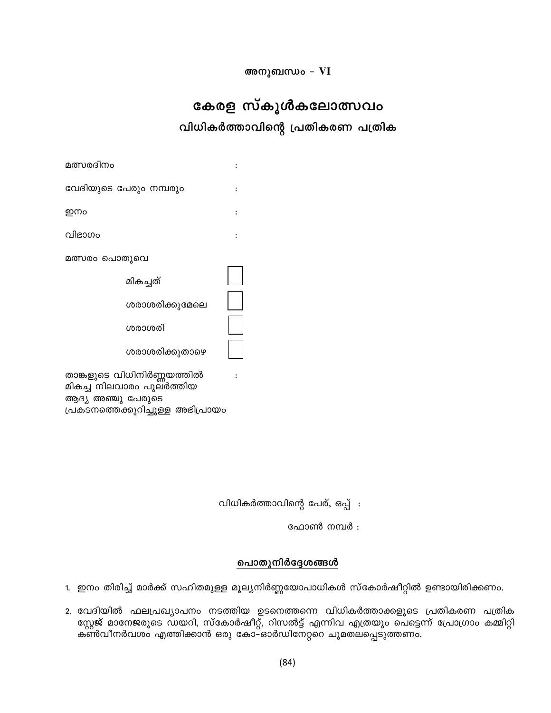അനുബന്ധം - VI

# കേരള സ്കൂൾകലോത്സവം

വിധികർത്താവിന്റെ പ്രതികരണ പത്രിക

വിധികർത്താവിന്റെ പേര്, ഒപ്പ് :

ഫോൺ നമ്പർ :

#### പൊതുനിർദ്ദേശങ്ങൾ

1. ഇനം തിരിച്ച് മാർക്ക് സഹിതമുള്ള മൂല്യനിർണ്ണയോപാധികൾ സ്കോർഷീറ്റിൽ ഉണ്ടായിരിക്കണം.

2. വേദിയിൽ ഫലപ്രഖ്യാപനം നടത്തിയ ഉടനെത്തന്നെ വിധികർത്താക്കളുടെ പ്രതികരണ പത്രിക സ്റ്റേജ് മാനേജരുടെ ഡയറി, സ്കോർഷീറ്റ്, റിസൽട്ട് എന്നിവ എത്രയും പെട്ടെന്ന് പ്രോഗ്രാം കമ്മിറ്റി കൺവീനർവശം എത്തിക്കാൻ ഒരു കോ–ഓർഡിനേറ്ററെ ചുമതലപ്പെടുത്തണം.